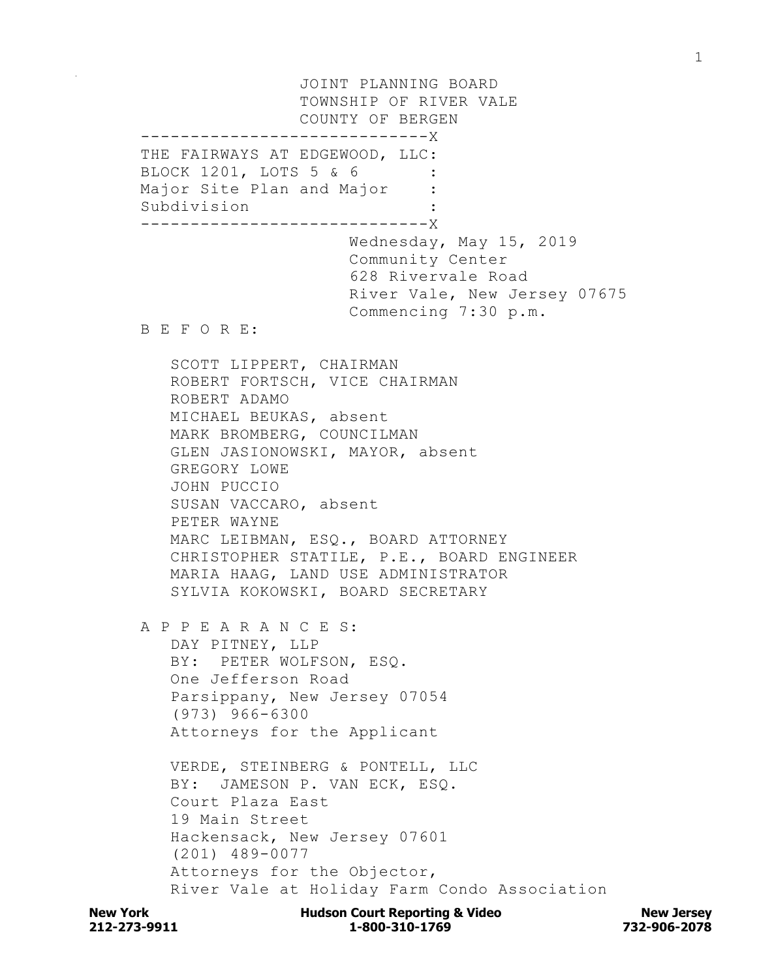JOINT PLANNING BOARD TOWNSHIP OF RIVER VALE COUNTY OF BERGEN -----------------------------X THE FAIRWAYS AT EDGEWOOD, LLC: BLOCK 1201, LOTS 5 & 6 Major Site Plan and Major : Subdivision : -----------------------------X Wednesday, May 15, 2019 Community Center 628 Rivervale Road River Vale, New Jersey 07675 Commencing 7:30 p.m. B E F O R E: SCOTT LIPPERT, CHAIRMAN ROBERT FORTSCH, VICE CHAIRMAN ROBERT ADAMO MICHAEL BEUKAS, absent MARK BROMBERG, COUNCILMAN GLEN JASIONOWSKI, MAYOR, absent GREGORY LOWE JOHN PUCCIO SUSAN VACCARO, absent PETER WAYNE MARC LEIBMAN, ESQ., BOARD ATTORNEY CHRISTOPHER STATILE, P.E., BOARD ENGINEER MARIA HAAG, LAND USE ADMINISTRATOR SYLVIA KOKOWSKI, BOARD SECRETARY A P P E A R A N C E S: DAY PITNEY, LLP BY: PETER WOLFSON, ESQ. One Jefferson Road Parsippany, New Jersey 07054 (973) 966-6300 Attorneys for the Applicant VERDE, STEINBERG & PONTELL, LLC BY: JAMESON P. VAN ECK, ESQ. Court Plaza East 19 Main Street Hackensack, New Jersey 07601 (201) 489-0077 Attorneys for the Objector, River Vale at Holiday Farm Condo Association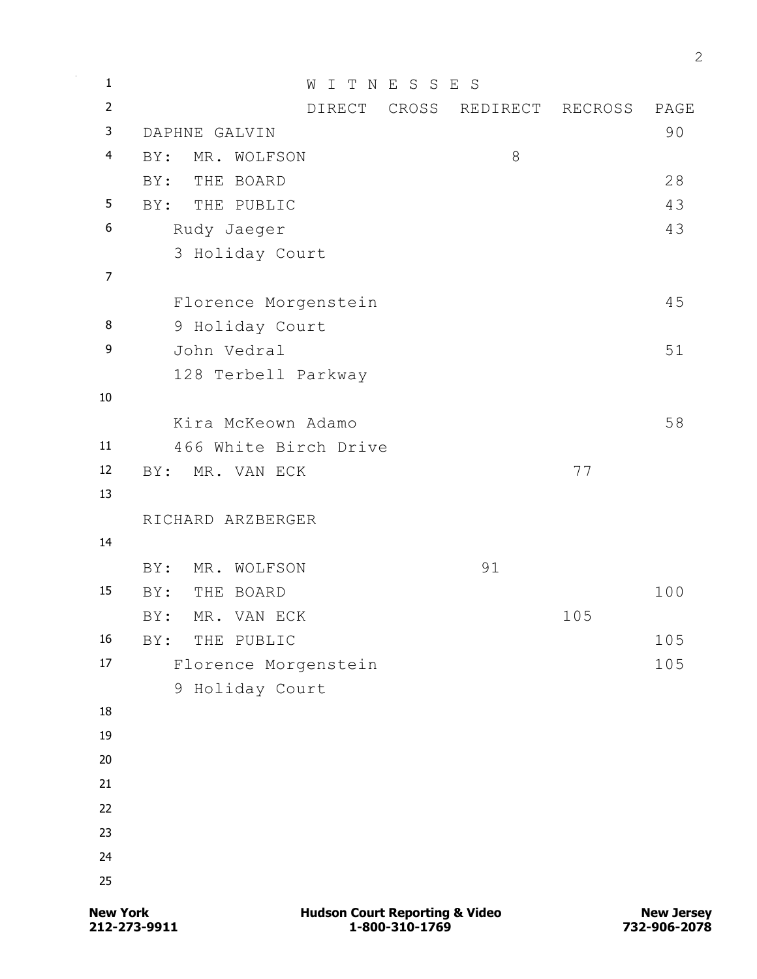| $\mathbf 1$             |                   | W                     | I T N E S S | E<br>$\mathbf S$ |         |      |
|-------------------------|-------------------|-----------------------|-------------|------------------|---------|------|
| $\overline{2}$          |                   | DIRECT                | CROSS       | REDIRECT         | RECROSS | PAGE |
| 3                       | DAPHNE GALVIN     |                       |             |                  | 90      |      |
| $\overline{\mathbf{4}}$ | BY:               | MR. WOLFSON           |             | $\,8\,$          |         |      |
|                         | BY:               | THE BOARD             |             |                  |         | 28   |
| 5                       | BY:               | THE PUBLIC            |             |                  |         | 43   |
| 6                       | Rudy Jaeger       |                       |             |                  |         | 43   |
|                         |                   | 3 Holiday Court       |             |                  |         |      |
| $\overline{7}$          |                   |                       |             |                  |         |      |
|                         |                   | Florence Morgenstein  |             |                  |         | 45   |
| 8                       |                   | 9 Holiday Court       |             |                  |         |      |
| 9                       | John Vedral       |                       |             |                  |         | 51   |
|                         |                   | 128 Terbell Parkway   |             |                  |         |      |
| 10                      |                   |                       |             |                  |         |      |
|                         |                   | Kira McKeown Adamo    |             |                  |         | 58   |
| 11                      |                   | 466 White Birch Drive |             |                  |         |      |
| 12                      | BY:               | MR. VAN ECK           |             |                  | 77      |      |
| 13                      |                   |                       |             |                  |         |      |
|                         | RICHARD ARZBERGER |                       |             |                  |         |      |
| 14                      |                   |                       |             |                  |         |      |
|                         | BY:               | MR. WOLFSON           |             | 91               |         |      |
| 15                      | BY:<br>THE        | BOARD                 |             |                  |         | 100  |
|                         | BY:               | MR. VAN ECK           |             |                  | 105     |      |
| 16                      | BY:               | THE PUBLIC            |             |                  |         | 105  |
| 17                      |                   | Florence Morgenstein  |             |                  |         | 105  |
|                         |                   | 9 Holiday Court       |             |                  |         |      |
| 18                      |                   |                       |             |                  |         |      |
| 19                      |                   |                       |             |                  |         |      |
| 20                      |                   |                       |             |                  |         |      |
| 21                      |                   |                       |             |                  |         |      |
| 22                      |                   |                       |             |                  |         |      |
| 23                      |                   |                       |             |                  |         |      |
| 24                      |                   |                       |             |                  |         |      |
| 25                      |                   |                       |             |                  |         |      |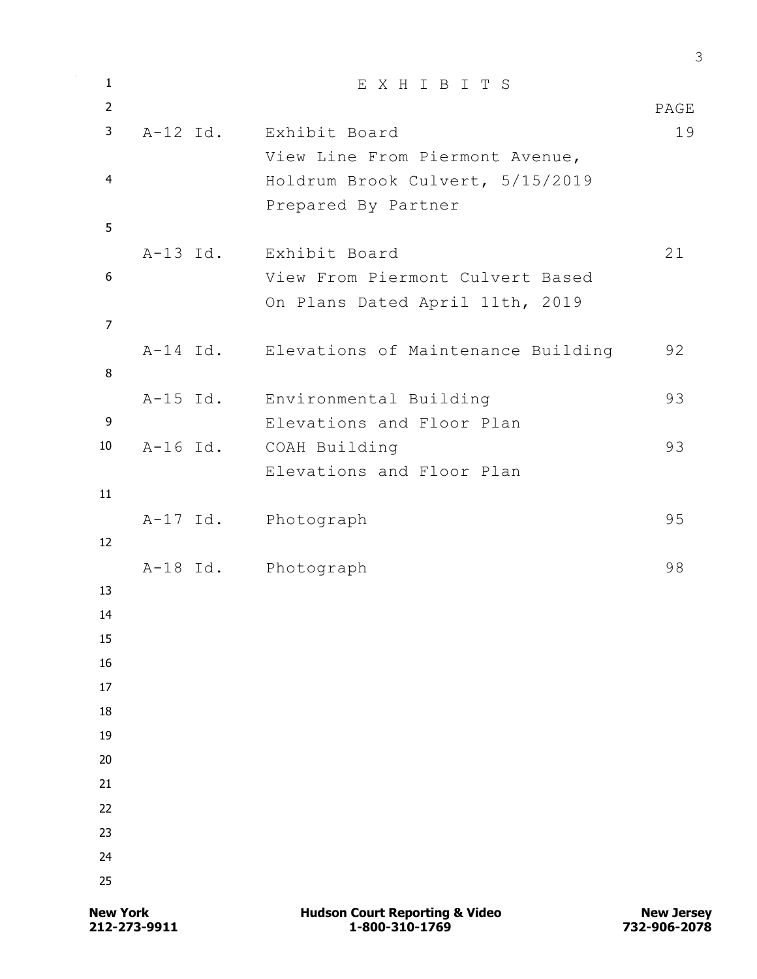| $\mathbf{1}$   | EXHIBITS                                    |      |
|----------------|---------------------------------------------|------|
| $\overline{2}$ |                                             | PAGE |
| 3              | A-12 Id. Exhibit Board                      | 19   |
|                | View Line From Piermont Avenue,             |      |
| $\overline{4}$ | Holdrum Brook Culvert, 5/15/2019            |      |
|                | Prepared By Partner                         |      |
| 5              |                                             |      |
|                | A-13 Id. Exhibit Board                      | 21   |
| 6              | View From Piermont Culvert Based            |      |
|                | On Plans Dated April 11th, 2019             |      |
| $\overline{7}$ |                                             |      |
|                | A-14 Id. Elevations of Maintenance Building | 92   |
| 8              |                                             |      |
|                | A-15 Id. Environmental Building             | 93   |
| 9              | Elevations and Floor Plan                   |      |
| 10             | A-16 Id. COAH Building                      | 93   |
|                | Elevations and Floor Plan                   |      |
| 11             |                                             |      |
|                | A-17 Id. Photograph                         | 95   |
| 12             |                                             |      |
|                | A-18 Id. Photograph                         | 98   |
| 13             |                                             |      |
| 14             |                                             |      |
| 15             |                                             |      |
| 16             |                                             |      |
| 17             |                                             |      |
| 18             |                                             |      |
| 19             |                                             |      |
| 20             |                                             |      |
| 21             |                                             |      |
| 22             |                                             |      |
| 23             |                                             |      |
| 24             |                                             |      |
| 25             |                                             |      |
|                |                                             |      |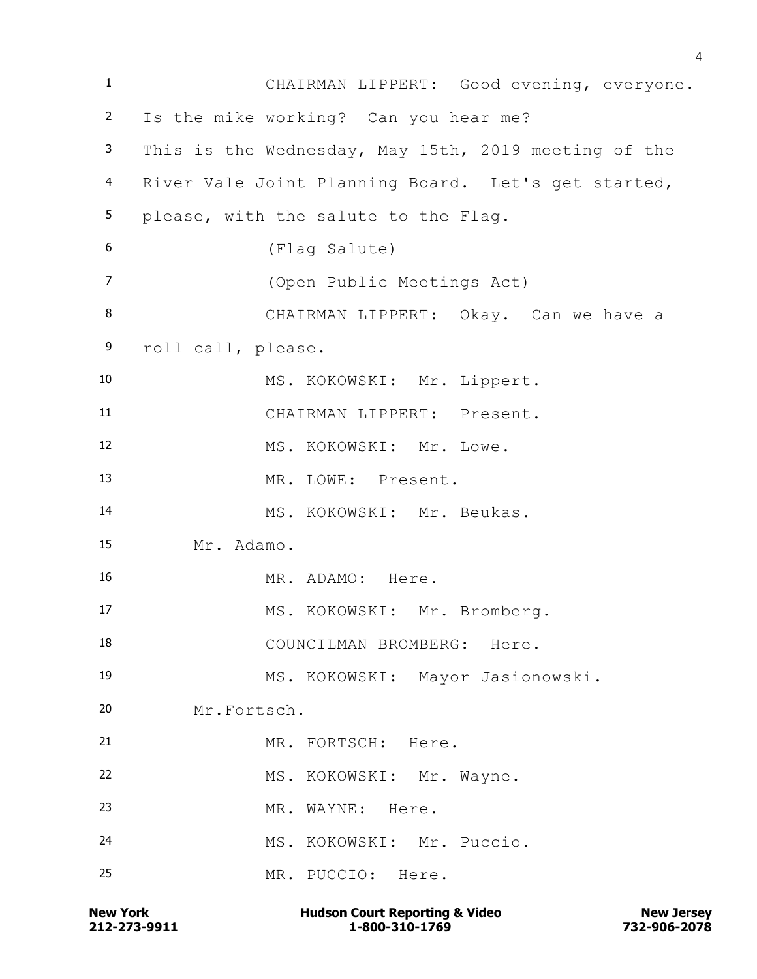CHAIRMAN LIPPERT: Good evening, everyone. Is the mike working? Can you hear me? This is the Wednesday, May 15th, 2019 meeting of the River Vale Joint Planning Board. Let's get started, please, with the salute to the Flag. (Flag Salute) (Open Public Meetings Act) CHAIRMAN LIPPERT: Okay. Can we have a roll call, please. MS. KOKOWSKI: Mr. Lippert. CHAIRMAN LIPPERT: Present. 12 MS. KOKOWSKI: Mr. Lowe. MR. LOWE: Present. MS. KOKOWSKI: Mr. Beukas. Mr. Adamo. MR. ADAMO: Here. 17 MS. KOKOWSKI: Mr. Bromberg. COUNCILMAN BROMBERG: Here. MS. KOKOWSKI: Mayor Jasionowski. Mr.Fortsch. MR. FORTSCH: Here. MS. KOKOWSKI: Mr. Wayne. 23 MR. WAYNE: Here. MS. KOKOWSKI: Mr. Puccio. MR. PUCCIO: Here.

**212-273-9911 1-800-310-1769 732-906-2078 New York Communist Court Reporting & Video New Jersey Rew Jersey**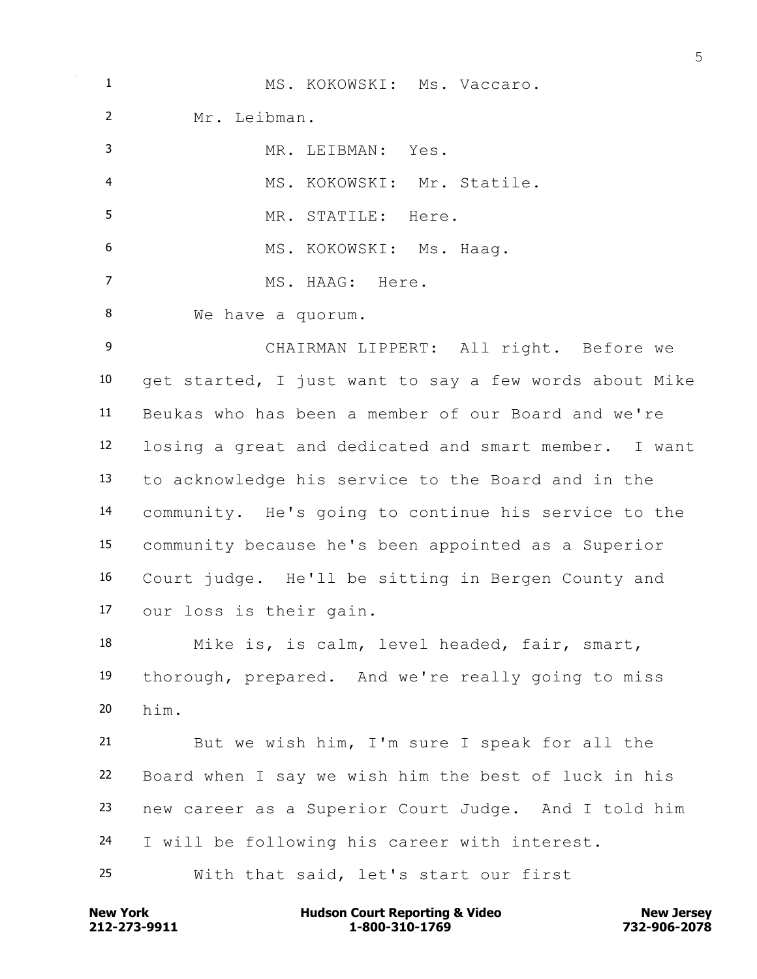| 1                 | MS. KOKOWSKI: Ms. Vaccaro.                             |  |  |
|-------------------|--------------------------------------------------------|--|--|
| $\overline{2}$    | Mr. Leibman.                                           |  |  |
| 3                 | MR. LEIBMAN: Yes.                                      |  |  |
| 4                 | MS. KOKOWSKI: Mr. Statile.                             |  |  |
| 5                 | MR. STATILE: Here.                                     |  |  |
| 6                 | MS. KOKOWSKI: Ms. Haaq.                                |  |  |
| $\overline{7}$    | MS. HAAG: Here.                                        |  |  |
| 8                 | We have a quorum.                                      |  |  |
| 9                 | CHAIRMAN LIPPERT: All right. Before we                 |  |  |
| 10                | get started, I just want to say a few words about Mike |  |  |
| 11                | Beukas who has been a member of our Board and we're    |  |  |
| $12 \overline{ }$ | losing a great and dedicated and smart member. I want  |  |  |
| 13                | to acknowledge his service to the Board and in the     |  |  |
| 14                | community. He's going to continue his service to the   |  |  |
| 15                | community because he's been appointed as a Superior    |  |  |
| 16                | Court judge. He'll be sitting in Bergen County and     |  |  |
| 17                | our loss is their gain.                                |  |  |
| 18                | Mike is, is calm, level headed, fair, smart,           |  |  |
| 19                | thorough, prepared. And we're really going to miss     |  |  |
| 20                | him.                                                   |  |  |
| 21                | But we wish him, I'm sure I speak for all the          |  |  |
| 22                | Board when I say we wish him the best of luck in his   |  |  |
| 23                | new career as a Superior Court Judge. And I told him   |  |  |
| 24                | I will be following his career with interest.          |  |  |
| 25                | With that said, let's start our first                  |  |  |

**212-273-9911 1-800-310-1769 732-906-2078 New York Hudson Court Reporting & Video New Jersey**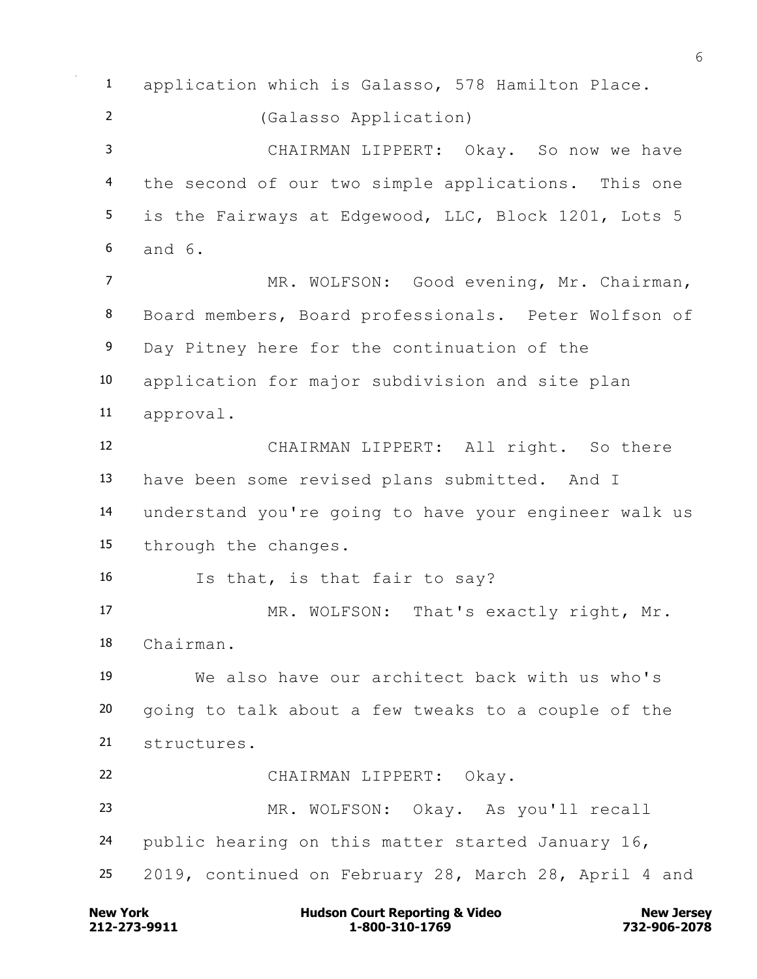application which is Galasso, 578 Hamilton Place. (Galasso Application) CHAIRMAN LIPPERT: Okay. So now we have the second of our two simple applications. This one 5 is the Fairways at Edgewood, LLC, Block 1201, Lots 5 and 6. 7 MR. WOLFSON: Good evening, Mr. Chairman, Board members, Board professionals. Peter Wolfson of Day Pitney here for the continuation of the application for major subdivision and site plan approval. CHAIRMAN LIPPERT: All right. So there have been some revised plans submitted. And I understand you're going to have your engineer walk us through the changes. Is that, is that fair to say? 17 MR. WOLFSON: That's exactly right, Mr. Chairman. We also have our architect back with us who's going to talk about a few tweaks to a couple of the structures. CHAIRMAN LIPPERT: Okay. MR. WOLFSON: Okay. As you'll recall public hearing on this matter started January 16, 2019, continued on February 28, March 28, April 4 and

**212-273-9911 1-800-310-1769 732-906-2078 New York Communist Court Reporting & Video New Jersey Rew Jersey**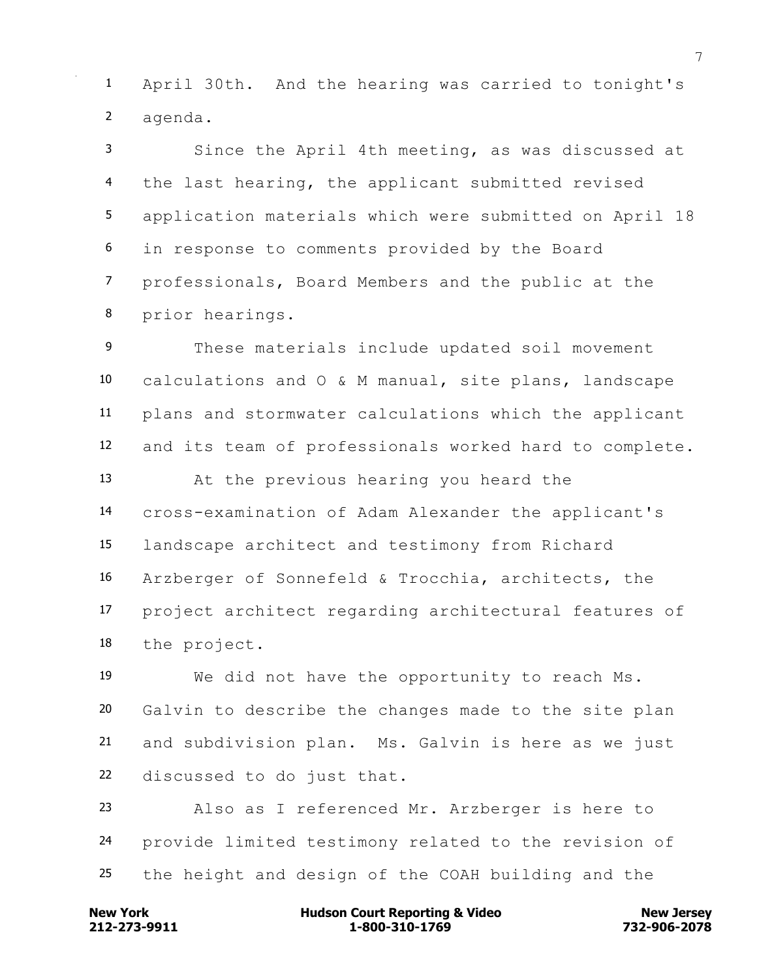April 30th. And the hearing was carried to tonight's agenda.

 Since the April 4th meeting, as was discussed at 4 the last hearing, the applicant submitted revised application materials which were submitted on April 18 in response to comments provided by the Board professionals, Board Members and the public at the prior hearings.

 These materials include updated soil movement calculations and O & M manual, site plans, landscape plans and stormwater calculations which the applicant and its team of professionals worked hard to complete. At the previous hearing you heard the cross-examination of Adam Alexander the applicant's landscape architect and testimony from Richard Arzberger of Sonnefeld & Trocchia, architects, the project architect regarding architectural features of the project.

 We did not have the opportunity to reach Ms. Galvin to describe the changes made to the site plan and subdivision plan. Ms. Galvin is here as we just discussed to do just that.

 Also as I referenced Mr. Arzberger is here to provide limited testimony related to the revision of the height and design of the COAH building and the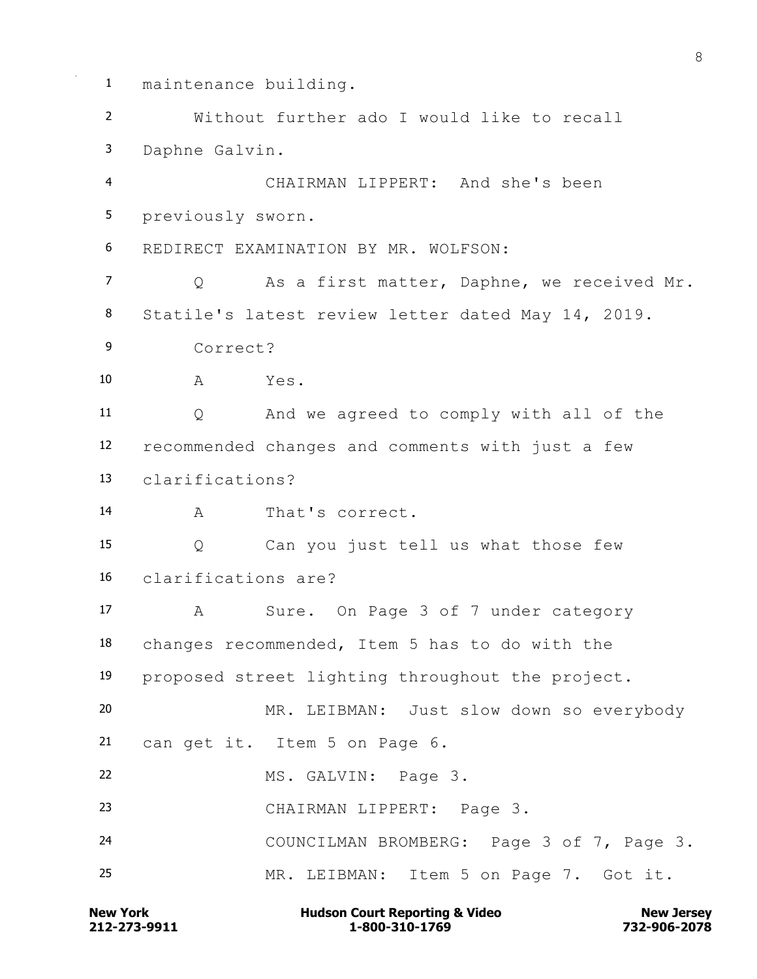**New York Communist Court Reporting & Video New Jersey Rew Jersey**  maintenance building. Without further ado I would like to recall Daphne Galvin. CHAIRMAN LIPPERT: And she's been previously sworn. REDIRECT EXAMINATION BY MR. WOLFSON: Q As a first matter, Daphne, we received Mr. Statile's latest review letter dated May 14, 2019. Correct? A Yes. Q And we agreed to comply with all of the recommended changes and comments with just a few clarifications? A That's correct. Q Can you just tell us what those few clarifications are? A Sure. On Page 3 of 7 under category changes recommended, Item 5 has to do with the proposed street lighting throughout the project. MR. LEIBMAN: Just slow down so everybody can get it. Item 5 on Page 6. MS. GALVIN: Page 3. CHAIRMAN LIPPERT: Page 3. COUNCILMAN BROMBERG: Page 3 of 7, Page 3. MR. LEIBMAN: Item 5 on Page 7. Got it.

**212-273-9911 1-800-310-1769 732-906-2078**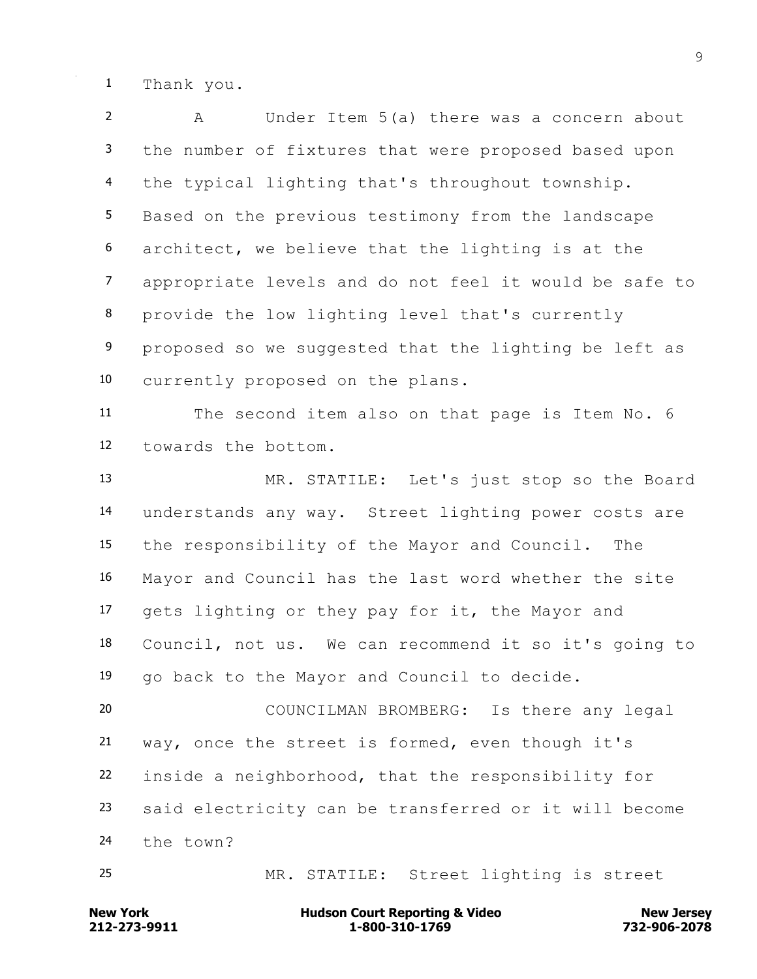Thank you.

 A Under Item 5(a) there was a concern about the number of fixtures that were proposed based upon the typical lighting that's throughout township. Based on the previous testimony from the landscape architect, we believe that the lighting is at the appropriate levels and do not feel it would be safe to provide the low lighting level that's currently 9 proposed so we suggested that the lighting be left as currently proposed on the plans. The second item also on that page is Item No. 6 towards the bottom. MR. STATILE: Let's just stop so the Board understands any way. Street lighting power costs are the responsibility of the Mayor and Council. The Mayor and Council has the last word whether the site gets lighting or they pay for it, the Mayor and Council, not us. We can recommend it so it's going to go back to the Mayor and Council to decide. COUNCILMAN BROMBERG: Is there any legal way, once the street is formed, even though it's inside a neighborhood, that the responsibility for said electricity can be transferred or it will become the town? MR. STATILE: Street lighting is street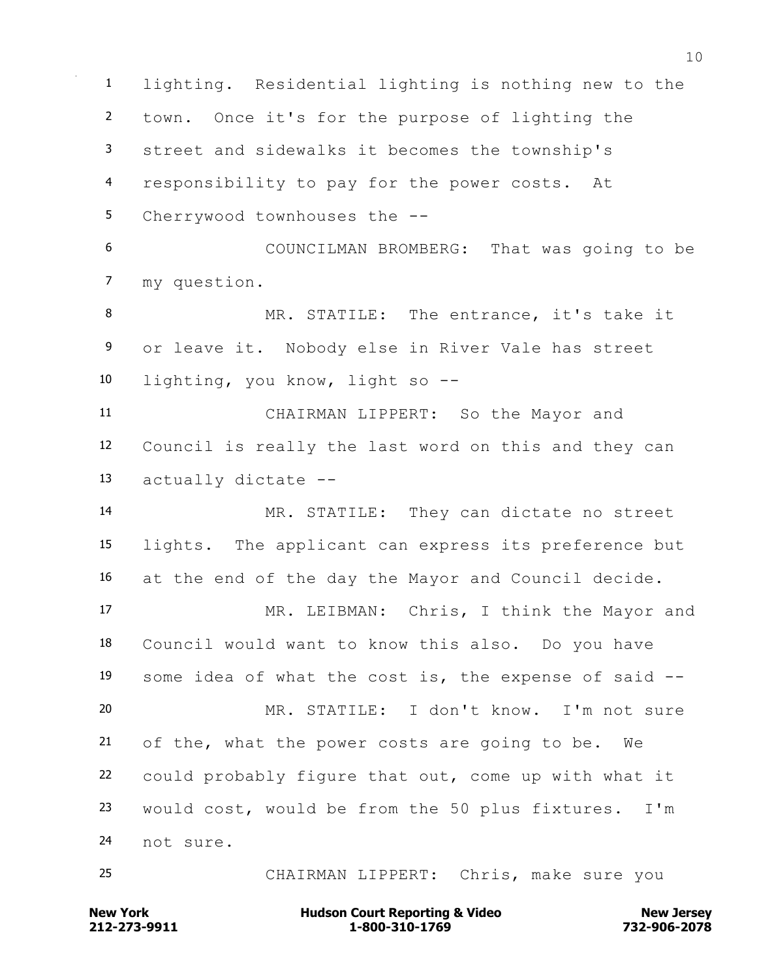lighting. Residential lighting is nothing new to the town. Once it's for the purpose of lighting the street and sidewalks it becomes the township's responsibility to pay for the power costs. At Cherrywood townhouses the -- COUNCILMAN BROMBERG: That was going to be my question. 8 MR. STATILE: The entrance, it's take it or leave it. Nobody else in River Vale has street lighting, you know, light so -- CHAIRMAN LIPPERT: So the Mayor and Council is really the last word on this and they can actually dictate -- MR. STATILE: They can dictate no street lights. The applicant can express its preference but at the end of the day the Mayor and Council decide. MR. LEIBMAN: Chris, I think the Mayor and Council would want to know this also. Do you have some idea of what the cost is, the expense of said -- MR. STATILE: I don't know. I'm not sure of the, what the power costs are going to be. We could probably figure that out, come up with what it would cost, would be from the 50 plus fixtures. I'm not sure. CHAIRMAN LIPPERT: Chris, make sure you

## **212-273-9911 1-800-310-1769 732-906-2078 New York Communist Court Reporting & Video New Jersey Rew Jersey**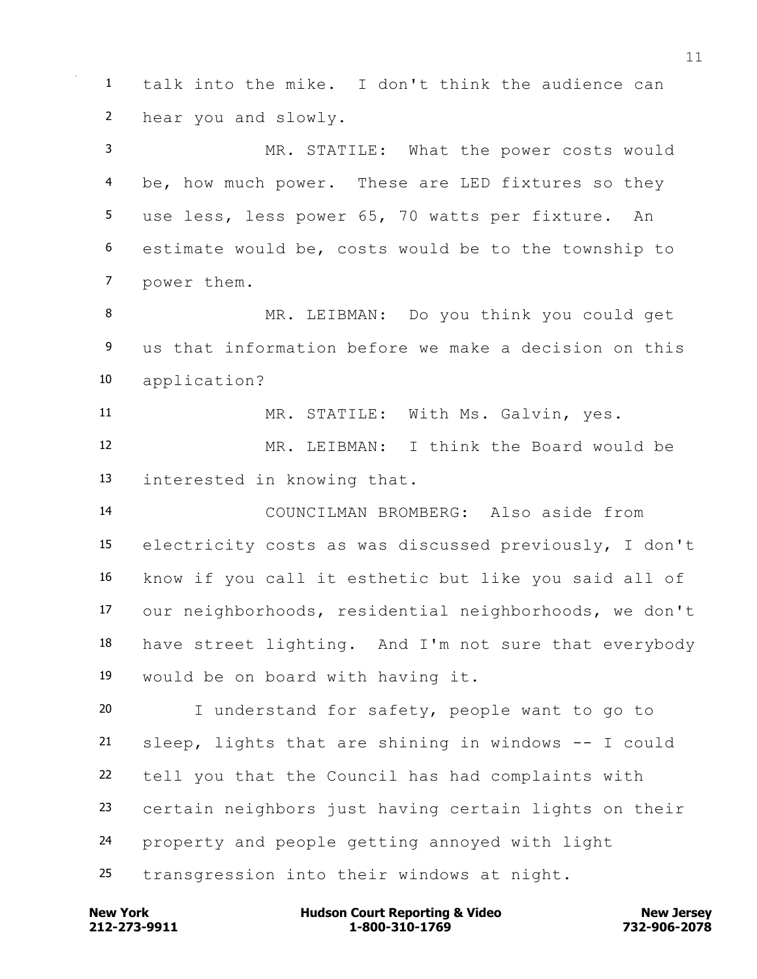talk into the mike. I don't think the audience can hear you and slowly. MR. STATILE: What the power costs would be, how much power. These are LED fixtures so they use less, less power 65, 70 watts per fixture. An estimate would be, costs would be to the township to power them. MR. LEIBMAN: Do you think you could get us that information before we make a decision on this application? MR. STATILE: With Ms. Galvin, yes. MR. LEIBMAN: I think the Board would be interested in knowing that. COUNCILMAN BROMBERG: Also aside from electricity costs as was discussed previously, I don't know if you call it esthetic but like you said all of our neighborhoods, residential neighborhoods, we don't have street lighting. And I'm not sure that everybody would be on board with having it. I understand for safety, people want to go to sleep, lights that are shining in windows -- I could tell you that the Council has had complaints with certain neighbors just having certain lights on their property and people getting annoyed with light

transgression into their windows at night.

**212-273-9911 1-800-310-1769 732-906-2078 New York Communist Court Reporting & Video New Jersey Rew Jersey**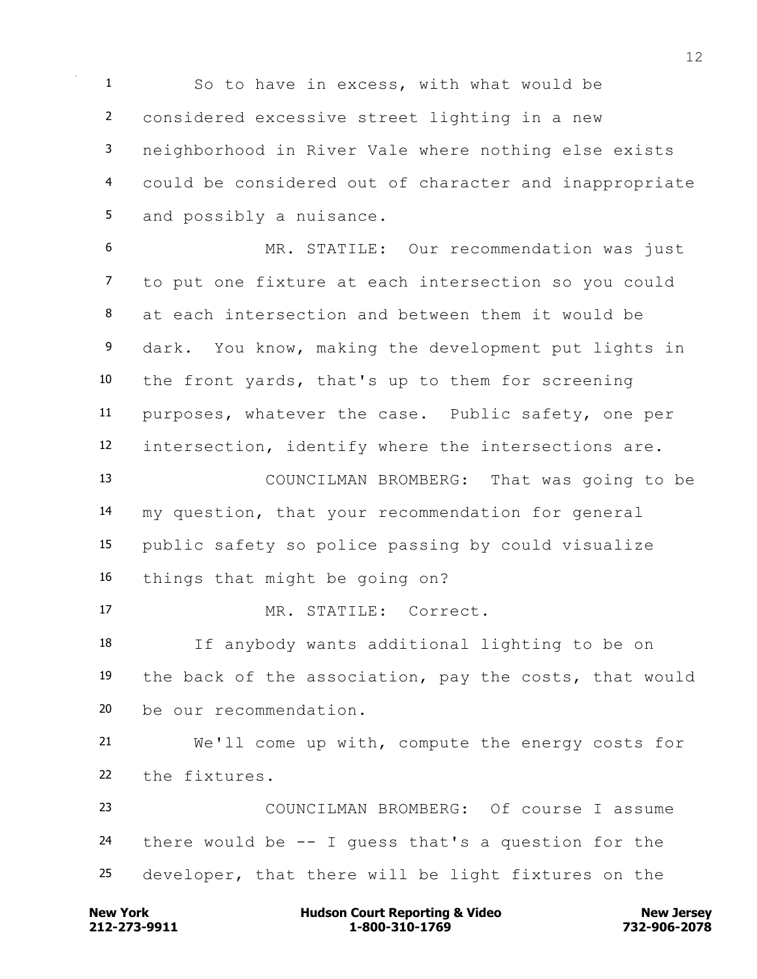So to have in excess, with what would be considered excessive street lighting in a new neighborhood in River Vale where nothing else exists could be considered out of character and inappropriate and possibly a nuisance.

 MR. STATILE: Our recommendation was just to put one fixture at each intersection so you could at each intersection and between them it would be dark. You know, making the development put lights in the front yards, that's up to them for screening purposes, whatever the case. Public safety, one per intersection, identify where the intersections are. COUNCILMAN BROMBERG: That was going to be my question, that your recommendation for general public safety so police passing by could visualize things that might be going on? MR. STATILE: Correct. If anybody wants additional lighting to be on

 the back of the association, pay the costs, that would be our recommendation.

 We'll come up with, compute the energy costs for the fixtures.

 COUNCILMAN BROMBERG: Of course I assume 24 there would be  $-$ - I quess that's a question for the developer, that there will be light fixtures on the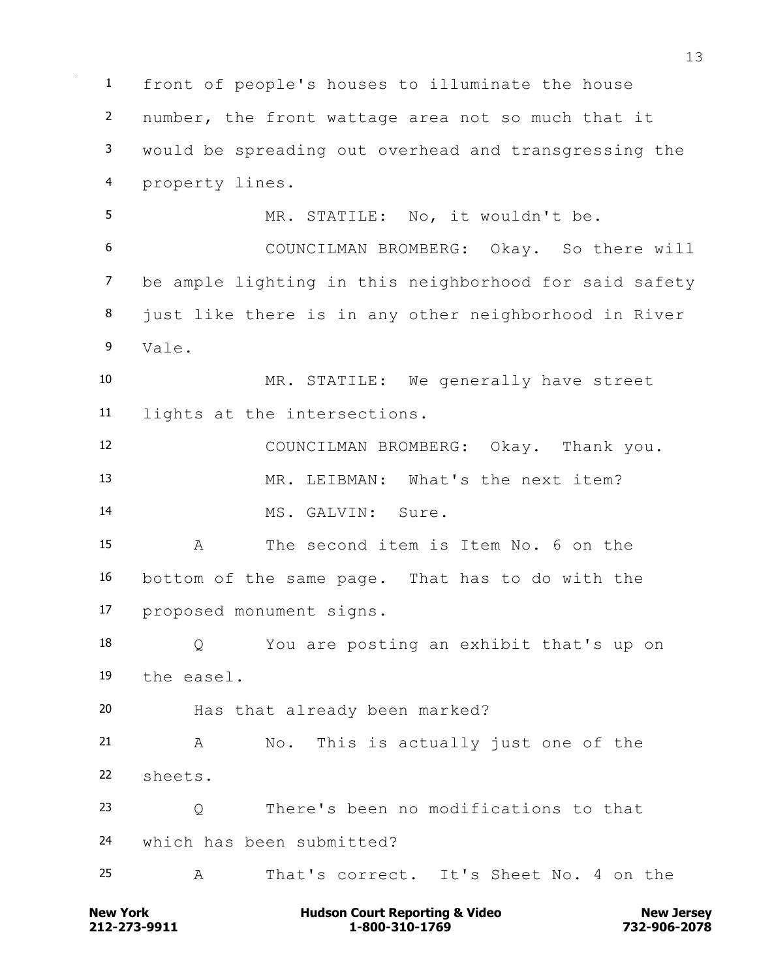front of people's houses to illuminate the house number, the front wattage area not so much that it would be spreading out overhead and transgressing the property lines. MR. STATILE: No, it wouldn't be. COUNCILMAN BROMBERG: Okay. So there will be ample lighting in this neighborhood for said safety 8 just like there is in any other neighborhood in River Vale. MR. STATILE: We generally have street lights at the intersections. COUNCILMAN BROMBERG: Okay. Thank you. MR. LEIBMAN: What's the next item? MS. GALVIN: Sure. A The second item is Item No. 6 on the bottom of the same page. That has to do with the proposed monument signs. Q You are posting an exhibit that's up on the easel. Has that already been marked? A No. This is actually just one of the sheets. Q There's been no modifications to that which has been submitted? A That's correct. It's Sheet No. 4 on the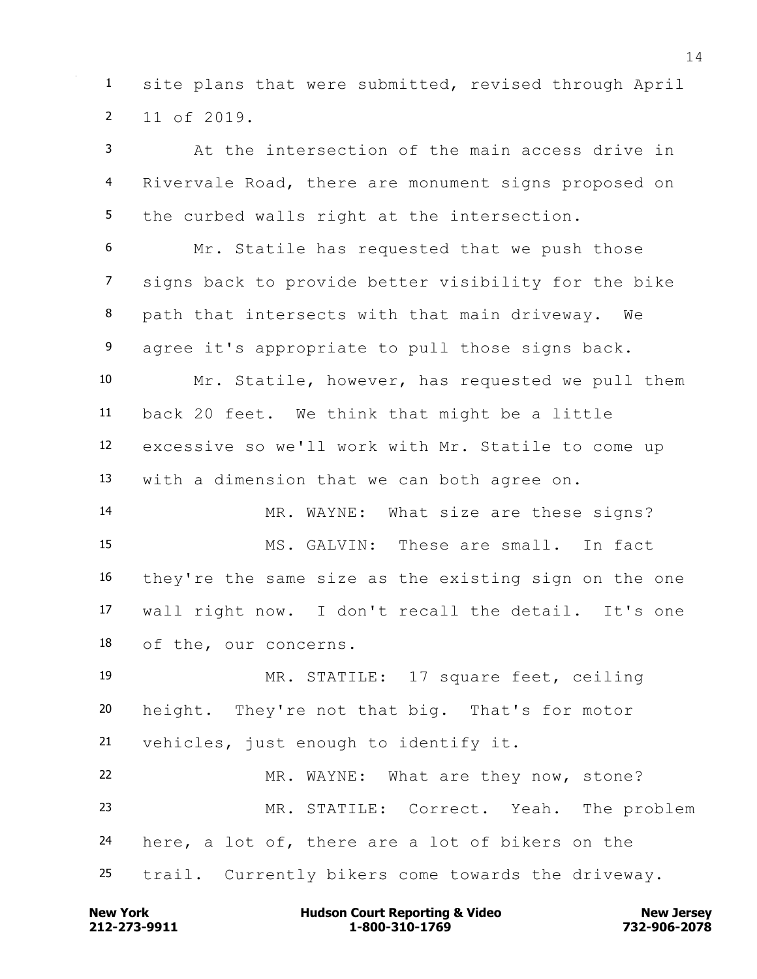site plans that were submitted, revised through April 11 of 2019.

 At the intersection of the main access drive in Rivervale Road, there are monument signs proposed on the curbed walls right at the intersection.

 Mr. Statile has requested that we push those signs back to provide better visibility for the bike path that intersects with that main driveway. We 9 agree it's appropriate to pull those signs back. Mr. Statile, however, has requested we pull them back 20 feet. We think that might be a little excessive so we'll work with Mr. Statile to come up with a dimension that we can both agree on. MR. WAYNE: What size are these signs? MS. GALVIN: These are small. In fact they're the same size as the existing sign on the one wall right now. I don't recall the detail. It's one of the, our concerns. MR. STATILE: 17 square feet, ceiling height. They're not that big. That's for motor vehicles, just enough to identify it. MR. WAYNE: What are they now, stone? MR. STATILE: Correct. Yeah. The problem

here, a lot of, there are a lot of bikers on the

trail. Currently bikers come towards the driveway.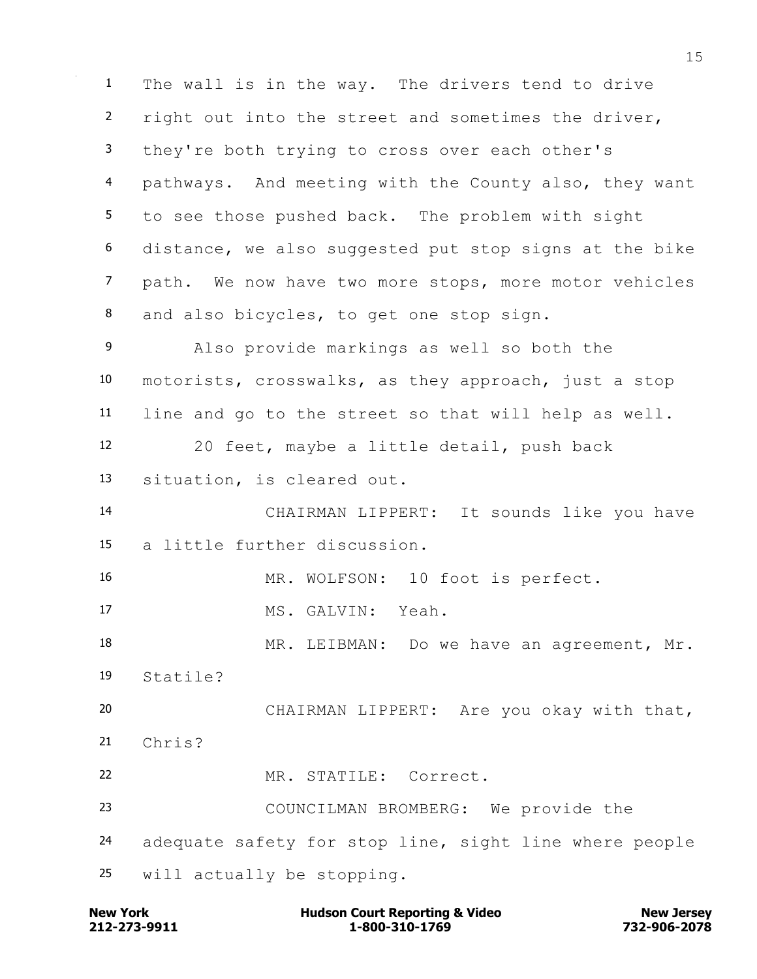The wall is in the way. The drivers tend to drive 2 right out into the street and sometimes the driver, they're both trying to cross over each other's pathways. And meeting with the County also, they want to see those pushed back. The problem with sight distance, we also suggested put stop signs at the bike path. We now have two more stops, more motor vehicles 8 and also bicycles, to get one stop sign. Also provide markings as well so both the motorists, crosswalks, as they approach, just a stop line and go to the street so that will help as well. 20 feet, maybe a little detail, push back situation, is cleared out. CHAIRMAN LIPPERT: It sounds like you have a little further discussion. MR. WOLFSON: 10 foot is perfect. MS. GALVIN: Yeah. 18 MR. LEIBMAN: Do we have an agreement, Mr. Statile? CHAIRMAN LIPPERT: Are you okay with that, Chris? MR. STATILE: Correct. COUNCILMAN BROMBERG: We provide the adequate safety for stop line, sight line where people will actually be stopping.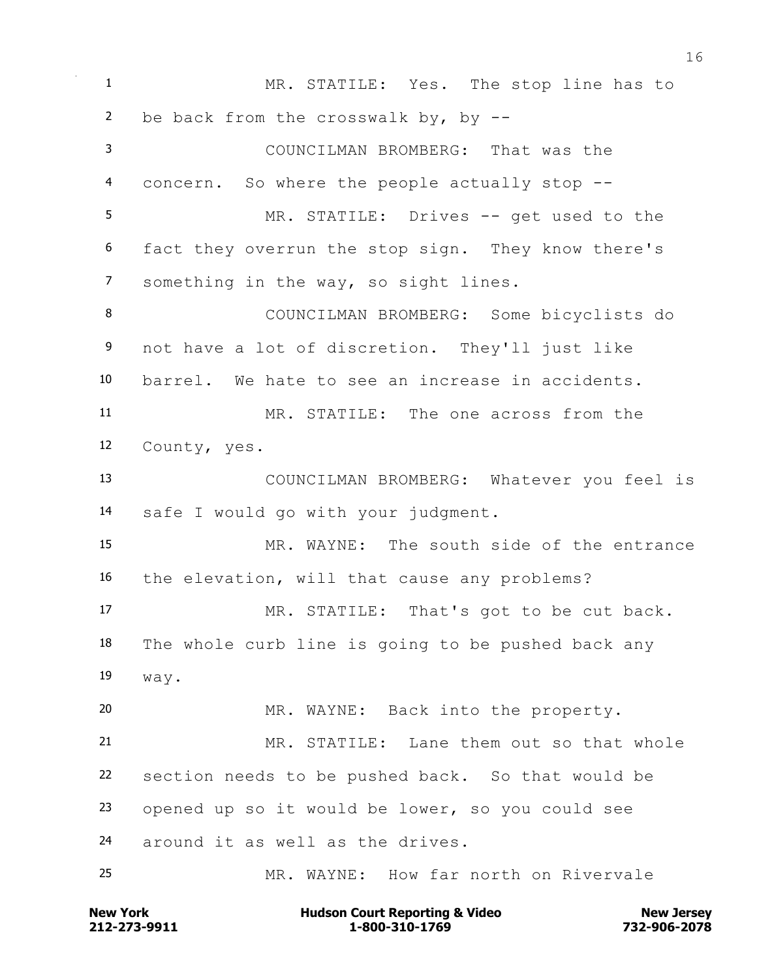MR. STATILE: Yes. The stop line has to be back from the crosswalk by, by -- COUNCILMAN BROMBERG: That was the concern. So where the people actually stop -- MR. STATILE: Drives -- get used to the fact they overrun the stop sign. They know there's something in the way, so sight lines. COUNCILMAN BROMBERG: Some bicyclists do 9 not have a lot of discretion. They'll just like barrel. We hate to see an increase in accidents. MR. STATILE: The one across from the County, yes. COUNCILMAN BROMBERG: Whatever you feel is safe I would go with your judgment. MR. WAYNE: The south side of the entrance the elevation, will that cause any problems? MR. STATILE: That's got to be cut back. The whole curb line is going to be pushed back any way. MR. WAYNE: Back into the property. MR. STATILE: Lane them out so that whole section needs to be pushed back. So that would be opened up so it would be lower, so you could see around it as well as the drives. MR. WAYNE: How far north on Rivervale

**212-273-9911 1-800-310-1769 732-906-2078 New York Communist Court Reporting & Video New Jersey Rew Jersey**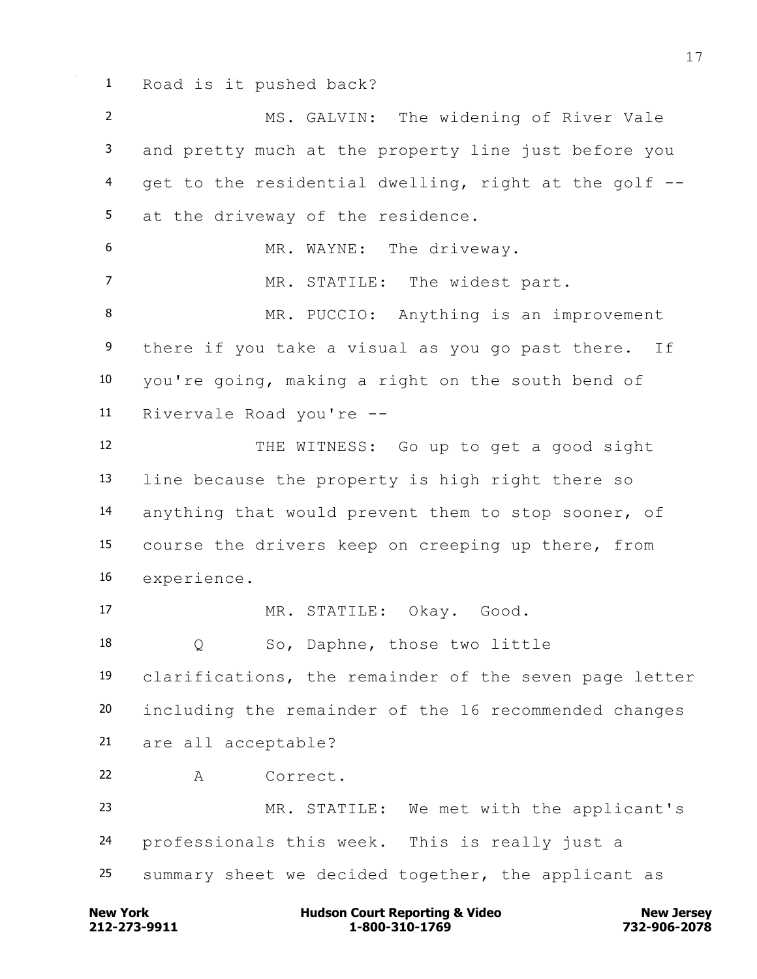Road is it pushed back?

 MS. GALVIN: The widening of River Vale and pretty much at the property line just before you get to the residential dwelling, right at the golf -- at the driveway of the residence. 6 MR. WAYNE: The driveway. 7 MR. STATILE: The widest part. MR. PUCCIO: Anything is an improvement 9 there if you take a visual as you go past there. If you're going, making a right on the south bend of Rivervale Road you're -- THE WITNESS: Go up to get a good sight line because the property is high right there so anything that would prevent them to stop sooner, of course the drivers keep on creeping up there, from experience. MR. STATILE: Okay. Good. Q So, Daphne, those two little clarifications, the remainder of the seven page letter including the remainder of the 16 recommended changes are all acceptable? A Correct. MR. STATILE: We met with the applicant's professionals this week. This is really just a summary sheet we decided together, the applicant as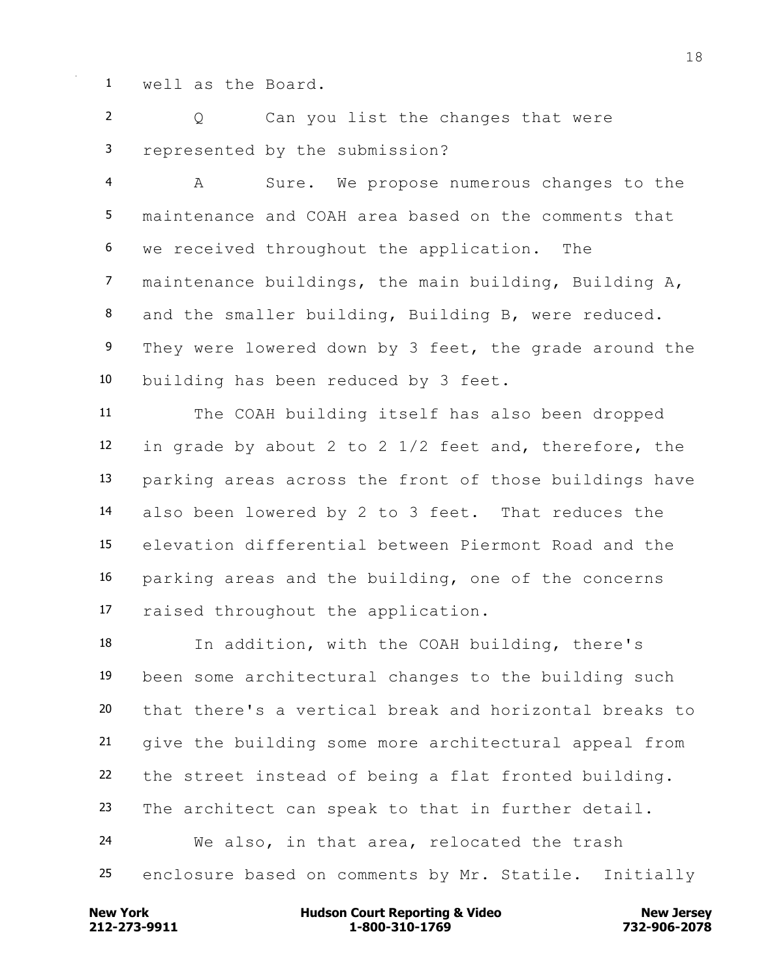well as the Board.

 Q Can you list the changes that were represented by the submission?

 A Sure. We propose numerous changes to the maintenance and COAH area based on the comments that we received throughout the application. The maintenance buildings, the main building, Building A, and the smaller building, Building B, were reduced. 9 They were lowered down by 3 feet, the grade around the building has been reduced by 3 feet.

 The COAH building itself has also been dropped in grade by about 2 to 2 1/2 feet and, therefore, the parking areas across the front of those buildings have also been lowered by 2 to 3 feet. That reduces the elevation differential between Piermont Road and the parking areas and the building, one of the concerns raised throughout the application.

 In addition, with the COAH building, there's been some architectural changes to the building such that there's a vertical break and horizontal breaks to give the building some more architectural appeal from the street instead of being a flat fronted building. The architect can speak to that in further detail. We also, in that area, relocated the trash enclosure based on comments by Mr. Statile. Initially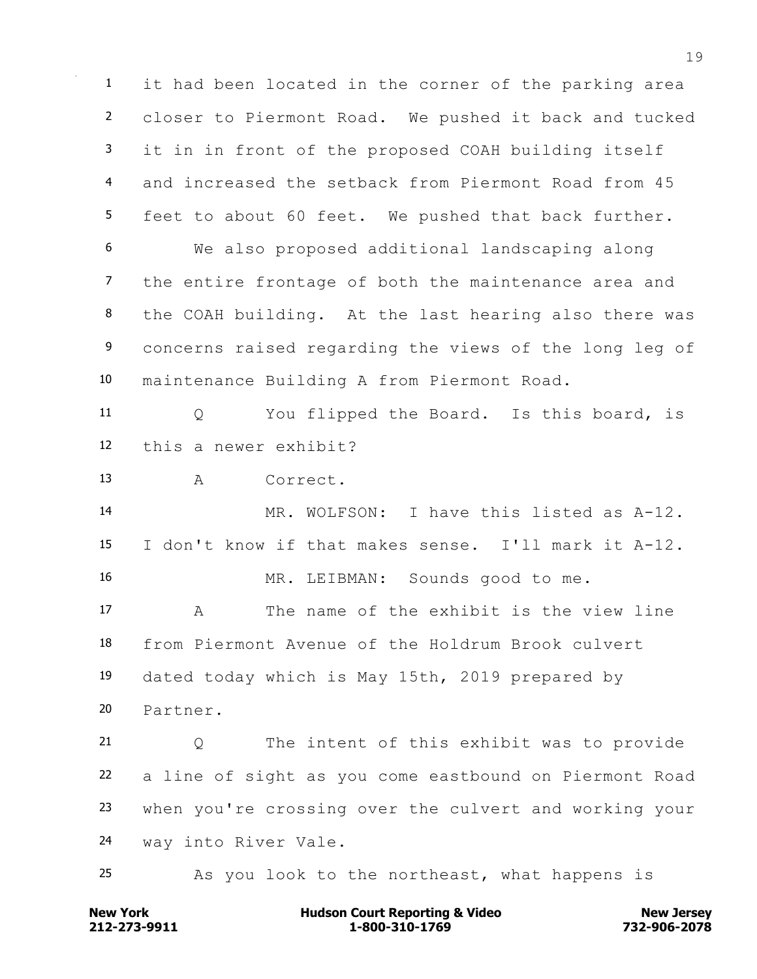it had been located in the corner of the parking area closer to Piermont Road. We pushed it back and tucked it in in front of the proposed COAH building itself and increased the setback from Piermont Road from 45 feet to about 60 feet. We pushed that back further. We also proposed additional landscaping along the entire frontage of both the maintenance area and the COAH building. At the last hearing also there was 9 concerns raised regarding the views of the long leg of maintenance Building A from Piermont Road. Q You flipped the Board. Is this board, is this a newer exhibit? A Correct. MR. WOLFSON: I have this listed as A-12. I don't know if that makes sense. I'll mark it A-12. MR. LEIBMAN: Sounds good to me. A The name of the exhibit is the view line from Piermont Avenue of the Holdrum Brook culvert dated today which is May 15th, 2019 prepared by Partner. Q The intent of this exhibit was to provide a line of sight as you come eastbound on Piermont Road when you're crossing over the culvert and working your way into River Vale. As you look to the northeast, what happens is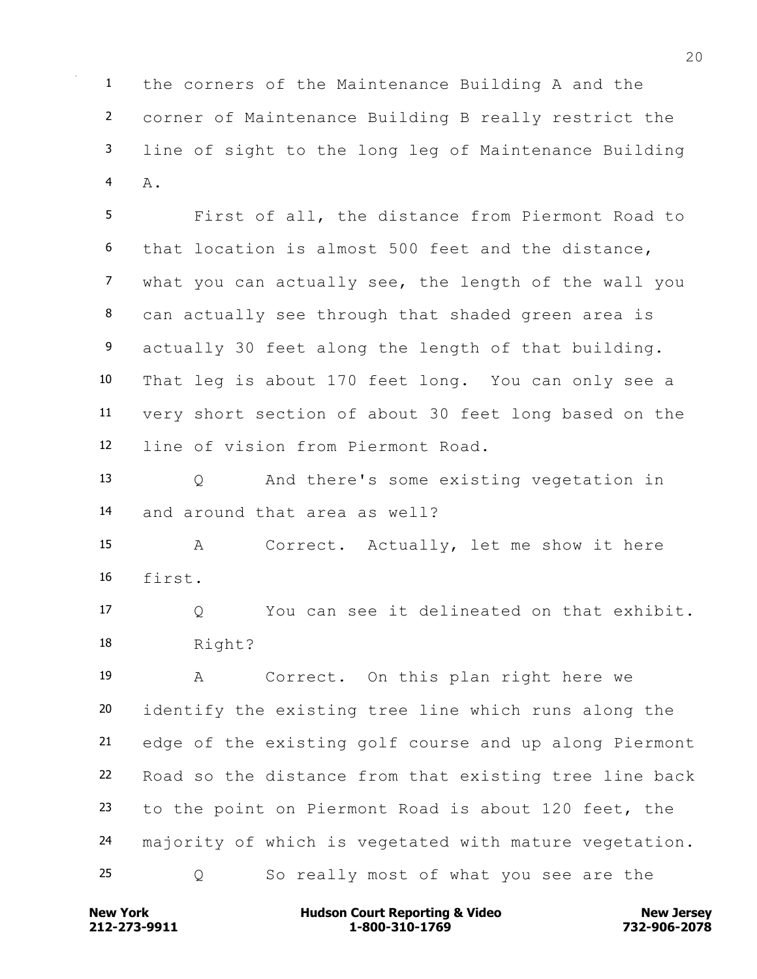the corners of the Maintenance Building A and the corner of Maintenance Building B really restrict the line of sight to the long leg of Maintenance Building A.

 First of all, the distance from Piermont Road to that location is almost 500 feet and the distance, what you can actually see, the length of the wall you can actually see through that shaded green area is actually 30 feet along the length of that building. That leg is about 170 feet long. You can only see a very short section of about 30 feet long based on the line of vision from Piermont Road.

 Q And there's some existing vegetation in and around that area as well?

 A Correct. Actually, let me show it here first.

 Q You can see it delineated on that exhibit. Right?

 A Correct. On this plan right here we identify the existing tree line which runs along the edge of the existing golf course and up along Piermont Road so the distance from that existing tree line back to the point on Piermont Road is about 120 feet, the majority of which is vegetated with mature vegetation. Q So really most of what you see are the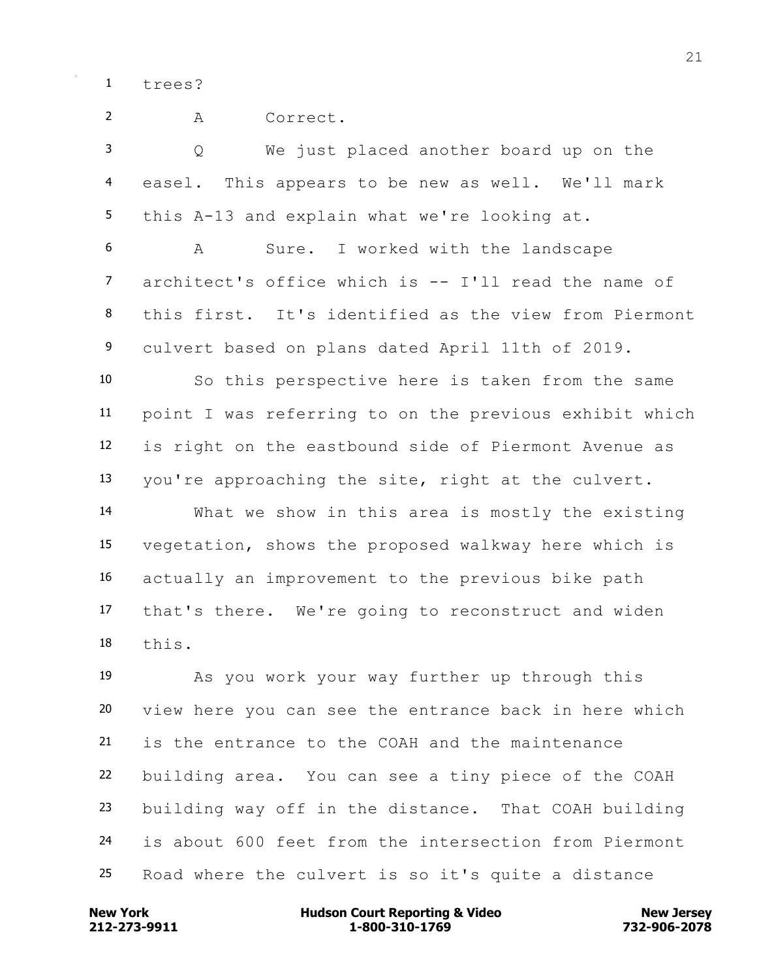trees?

 A Correct. Q We just placed another board up on the easel. This appears to be new as well. We'll mark this A-13 and explain what we're looking at. A Sure. I worked with the landscape architect's office which is -- I'll read the name of this first. It's identified as the view from Piermont culvert based on plans dated April 11th of 2019. So this perspective here is taken from the same point I was referring to on the previous exhibit which is right on the eastbound side of Piermont Avenue as you're approaching the site, right at the culvert. What we show in this area is mostly the existing vegetation, shows the proposed walkway here which is actually an improvement to the previous bike path that's there. We're going to reconstruct and widen this. As you work your way further up through this view here you can see the entrance back in here which is the entrance to the COAH and the maintenance building area. You can see a tiny piece of the COAH building way off in the distance. That COAH building is about 600 feet from the intersection from Piermont

**212-273-9911 1-800-310-1769 732-906-2078 New York Communist Court Reporting & Video New Jersey Rew Jersey** 

Road where the culvert is so it's quite a distance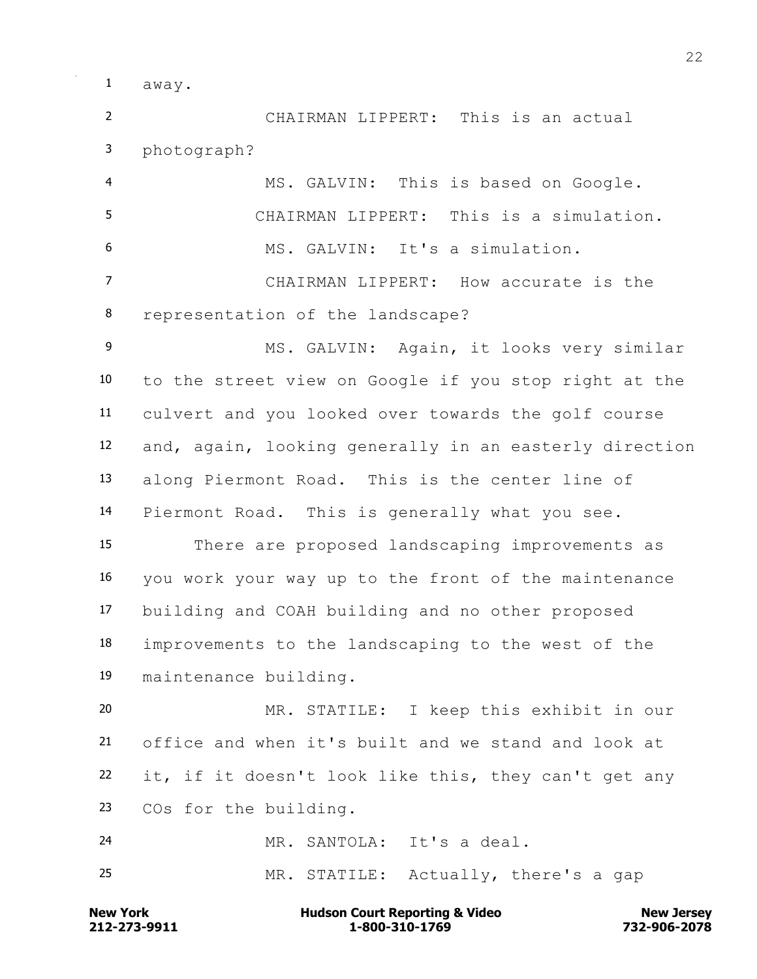away.

 CHAIRMAN LIPPERT: This is an actual photograph?

 MS. GALVIN: This is based on Google. CHAIRMAN LIPPERT: This is a simulation. MS. GALVIN: It's a simulation. CHAIRMAN LIPPERT: How accurate is the representation of the landscape? MS. GALVIN: Again, it looks very similar to the street view on Google if you stop right at the culvert and you looked over towards the golf course and, again, looking generally in an easterly direction along Piermont Road. This is the center line of Piermont Road. This is generally what you see. There are proposed landscaping improvements as you work your way up to the front of the maintenance building and COAH building and no other proposed improvements to the landscaping to the west of the maintenance building. MR. STATILE: I keep this exhibit in our

 office and when it's built and we stand and look at it, if it doesn't look like this, they can't get any COs for the building.

 MR. SANTOLA: It's a deal. MR. STATILE: Actually, there's a gap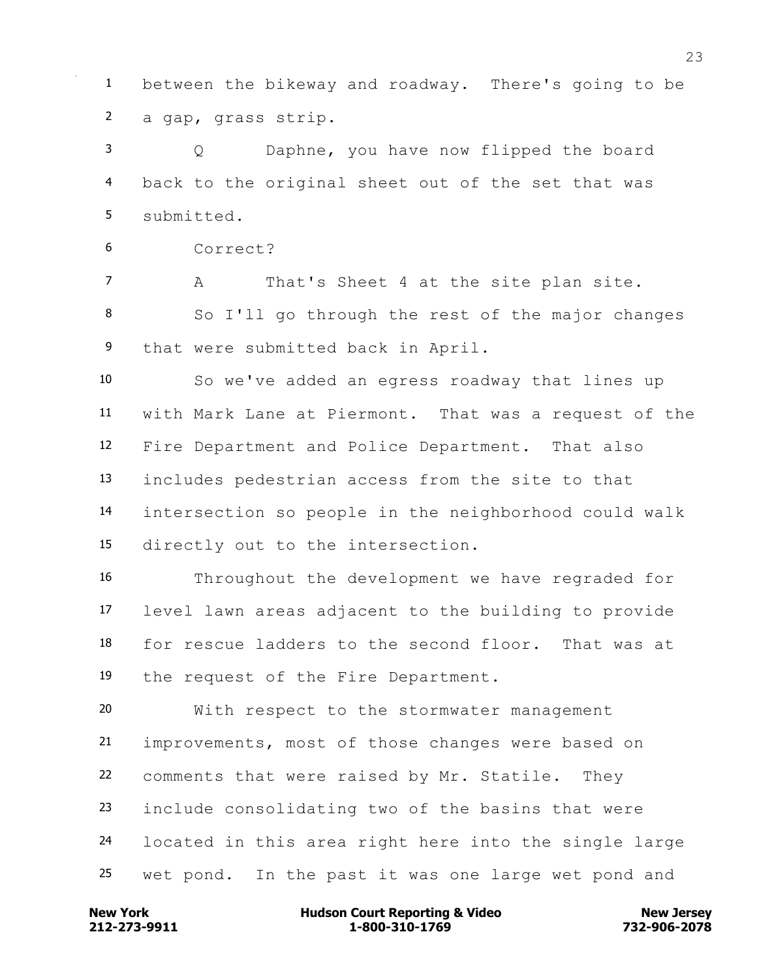between the bikeway and roadway. There's going to be a gap, grass strip.

 Q Daphne, you have now flipped the board back to the original sheet out of the set that was submitted.

Correct?

 A That's Sheet 4 at the site plan site. So I'll go through the rest of the major changes 9 that were submitted back in April.

 So we've added an egress roadway that lines up with Mark Lane at Piermont. That was a request of the Fire Department and Police Department. That also includes pedestrian access from the site to that intersection so people in the neighborhood could walk directly out to the intersection.

 Throughout the development we have regraded for level lawn areas adjacent to the building to provide for rescue ladders to the second floor. That was at the request of the Fire Department.

 With respect to the stormwater management improvements, most of those changes were based on comments that were raised by Mr. Statile. They include consolidating two of the basins that were located in this area right here into the single large wet pond. In the past it was one large wet pond and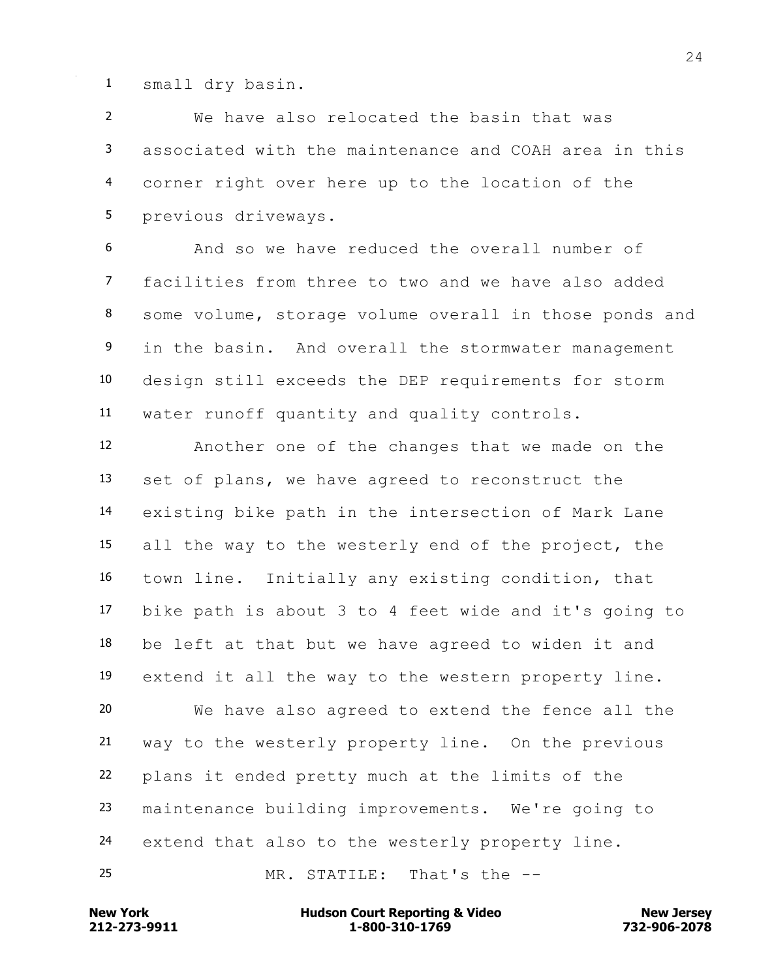small dry basin.

 We have also relocated the basin that was associated with the maintenance and COAH area in this corner right over here up to the location of the previous driveways.

 And so we have reduced the overall number of facilities from three to two and we have also added some volume, storage volume overall in those ponds and in the basin. And overall the stormwater management design still exceeds the DEP requirements for storm water runoff quantity and quality controls.

 Another one of the changes that we made on the set of plans, we have agreed to reconstruct the existing bike path in the intersection of Mark Lane all the way to the westerly end of the project, the town line. Initially any existing condition, that bike path is about 3 to 4 feet wide and it's going to be left at that but we have agreed to widen it and extend it all the way to the western property line. We have also agreed to extend the fence all the way to the westerly property line. On the previous plans it ended pretty much at the limits of the maintenance building improvements. We're going to extend that also to the westerly property line.

MR. STATILE: That's the --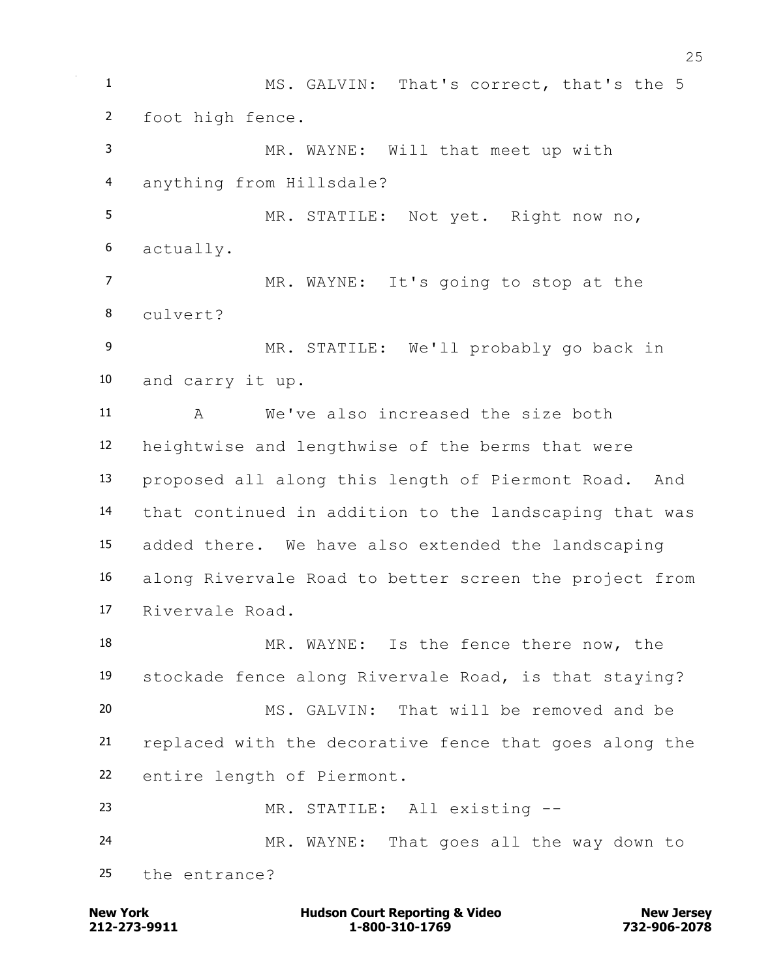MS. GALVIN: That's correct, that's the 5 foot high fence. MR. WAYNE: Will that meet up with anything from Hillsdale? MR. STATILE: Not yet. Right now no, actually. MR. WAYNE: It's going to stop at the culvert? MR. STATILE: We'll probably go back in and carry it up. A We've also increased the size both heightwise and lengthwise of the berms that were proposed all along this length of Piermont Road. And that continued in addition to the landscaping that was added there. We have also extended the landscaping along Rivervale Road to better screen the project from Rivervale Road. MR. WAYNE: Is the fence there now, the stockade fence along Rivervale Road, is that staying? MS. GALVIN: That will be removed and be replaced with the decorative fence that goes along the entire length of Piermont. MR. STATILE: All existing -- MR. WAYNE: That goes all the way down to the entrance?

**212-273-9911 1-800-310-1769 732-906-2078 New York Communist Court Reporting & Video New Jersey Rew Jersey**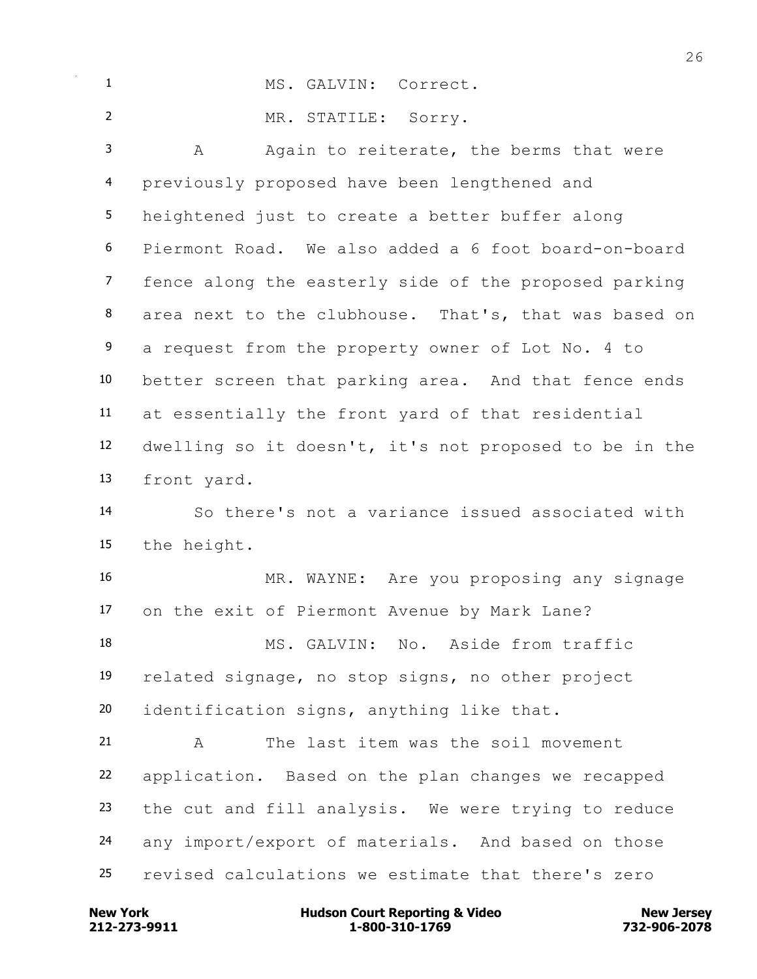| $\mathbf{1}$      | MS. GALVIN: Correct.                                   |
|-------------------|--------------------------------------------------------|
| $\overline{2}$    | MR. STATILE: Sorry.                                    |
| 3                 | Again to reiterate, the berms that were<br>A           |
| $\overline{4}$    | previously proposed have been lengthened and           |
| 5                 | heightened just to create a better buffer along        |
| 6                 | Piermont Road. We also added a 6 foot board-on-board   |
| $\overline{7}$    | fence along the easterly side of the proposed parking  |
| 8                 | area next to the clubhouse. That's, that was based on  |
| 9                 | a request from the property owner of Lot No. 4 to      |
| 10                | better screen that parking area. And that fence ends   |
| 11                | at essentially the front yard of that residential      |
| $12 \overline{ }$ | dwelling so it doesn't, it's not proposed to be in the |
| 13                | front yard.                                            |
| 14                | So there's not a variance issued associated with       |
| 15                | the height.                                            |
| 16                | MR. WAYNE: Are you proposing any signage               |
| 17                | on the exit of Piermont Avenue by Mark Lane?           |
| 18                | MS. GALVIN: No. Aside from traffic                     |
| 19                | related signage, no stop signs, no other project       |
| 20                | identification signs, anything like that.              |
| 21                | The last item was the soil movement<br>A               |
| 22                | application. Based on the plan changes we recapped     |
| 23                | the cut and fill analysis. We were trying to reduce    |
| 24                | any import/export of materials. And based on those     |
| 25                | revised calculations we estimate that there's zero     |

**212-273-9911 1-800-310-1769 732-906-2078 New York Hudson Court Reporting & Video New Jersey**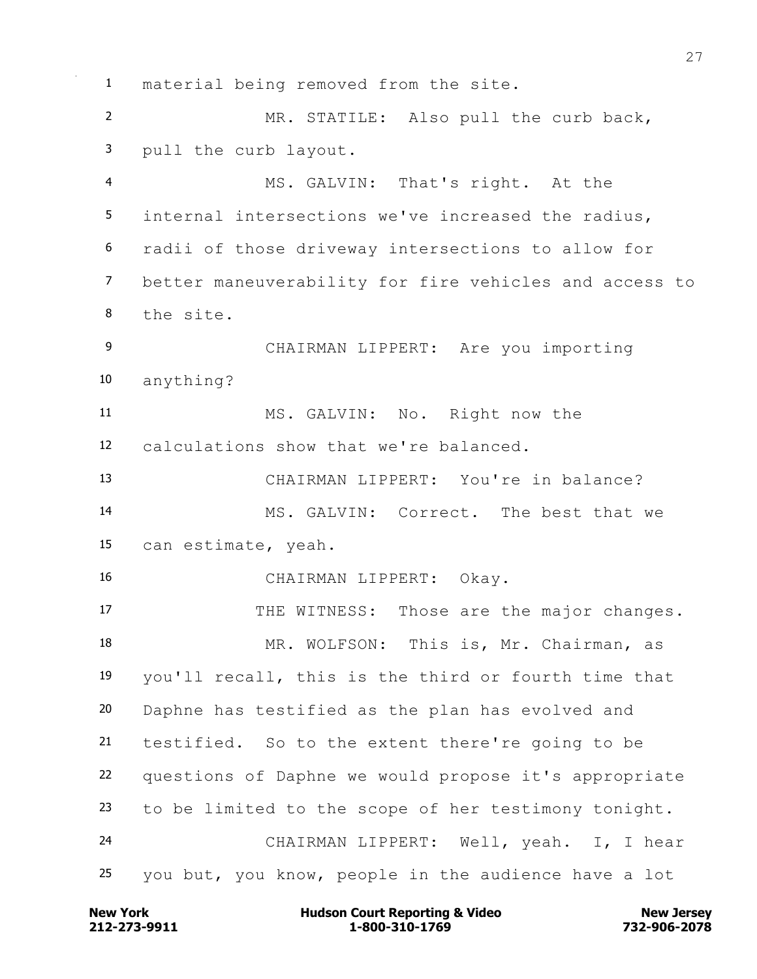material being removed from the site. MR. STATILE: Also pull the curb back, pull the curb layout. MS. GALVIN: That's right. At the internal intersections we've increased the radius, radii of those driveway intersections to allow for better maneuverability for fire vehicles and access to the site. CHAIRMAN LIPPERT: Are you importing anything? MS. GALVIN: No. Right now the calculations show that we're balanced. CHAIRMAN LIPPERT: You're in balance? MS. GALVIN: Correct. The best that we can estimate, yeah. CHAIRMAN LIPPERT: Okay. 17 THE WITNESS: Those are the major changes. 18 MR. WOLFSON: This is, Mr. Chairman, as you'll recall, this is the third or fourth time that Daphne has testified as the plan has evolved and testified. So to the extent there're going to be questions of Daphne we would propose it's appropriate to be limited to the scope of her testimony tonight. CHAIRMAN LIPPERT: Well, yeah. I, I hear you but, you know, people in the audience have a lot

**212-273-9911 1-800-310-1769 732-906-2078 New York Communist Court Reporting & Video New Jersey Rew Jersey**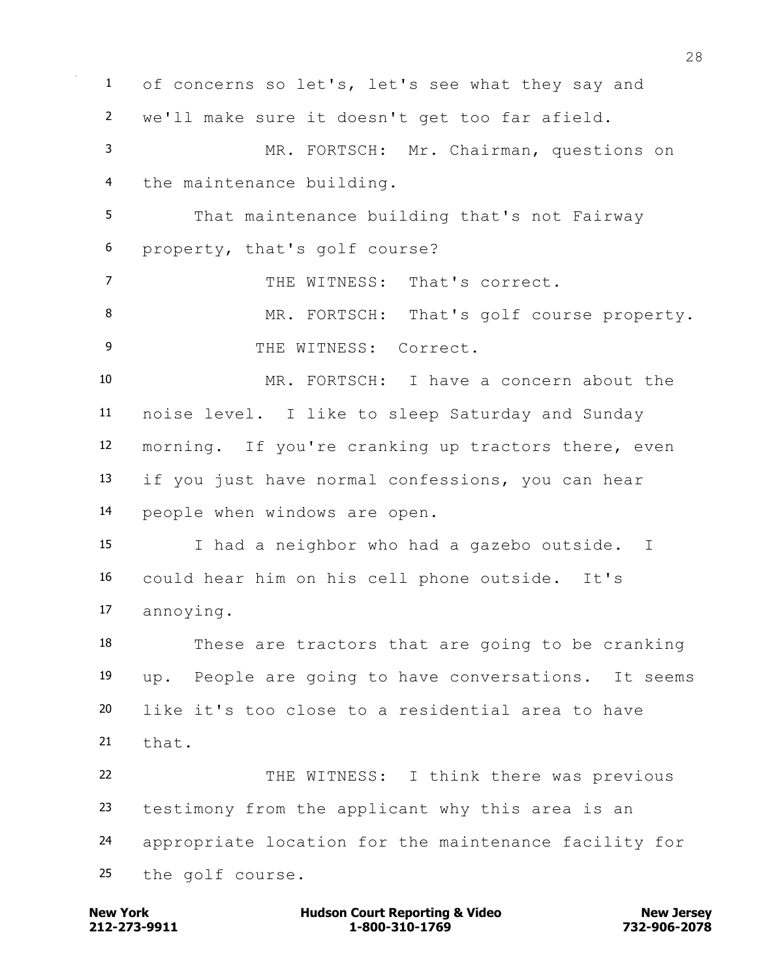of concerns so let's, let's see what they say and we'll make sure it doesn't get too far afield. MR. FORTSCH: Mr. Chairman, questions on the maintenance building. That maintenance building that's not Fairway property, that's golf course? THE WITNESS: That's correct. 8 MR. FORTSCH: That's golf course property. 9 THE WITNESS: Correct. MR. FORTSCH: I have a concern about the noise level. I like to sleep Saturday and Sunday morning. If you're cranking up tractors there, even if you just have normal confessions, you can hear people when windows are open. I had a neighbor who had a gazebo outside. I could hear him on his cell phone outside. It's annoying. These are tractors that are going to be cranking up. People are going to have conversations. It seems like it's too close to a residential area to have that. 22 THE WITNESS: I think there was previous testimony from the applicant why this area is an appropriate location for the maintenance facility for the golf course.

**212-273-9911 1-800-310-1769 732-906-2078 New York Communist Court Reporting & Video New Jersey Rew Jersey**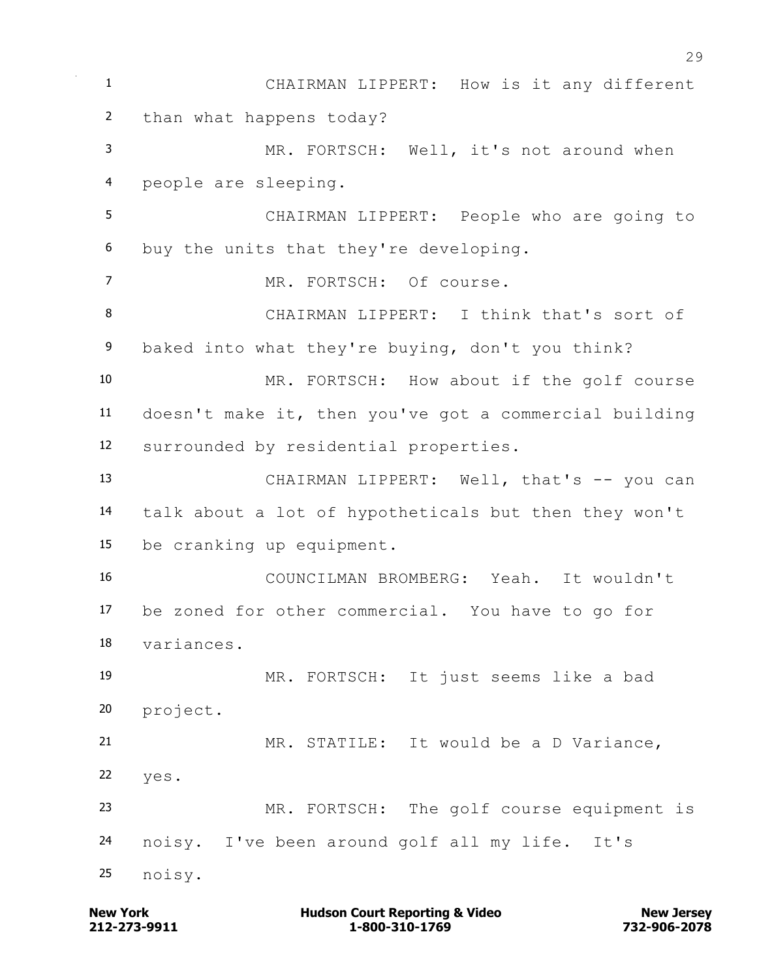CHAIRMAN LIPPERT: How is it any different than what happens today? MR. FORTSCH: Well, it's not around when people are sleeping. CHAIRMAN LIPPERT: People who are going to buy the units that they're developing. MR. FORTSCH: Of course. CHAIRMAN LIPPERT: I think that's sort of baked into what they're buying, don't you think? MR. FORTSCH: How about if the golf course doesn't make it, then you've got a commercial building surrounded by residential properties. 13 CHAIRMAN LIPPERT: Well, that's -- you can talk about a lot of hypotheticals but then they won't be cranking up equipment. COUNCILMAN BROMBERG: Yeah. It wouldn't be zoned for other commercial. You have to go for variances. MR. FORTSCH: It just seems like a bad project. MR. STATILE: It would be a D Variance, yes. MR. FORTSCH: The golf course equipment is noisy. I've been around golf all my life. It's noisy.

**212-273-9911 1-800-310-1769 732-906-2078 New York Communist Court Reporting & Video New Jersey Rew Jersey**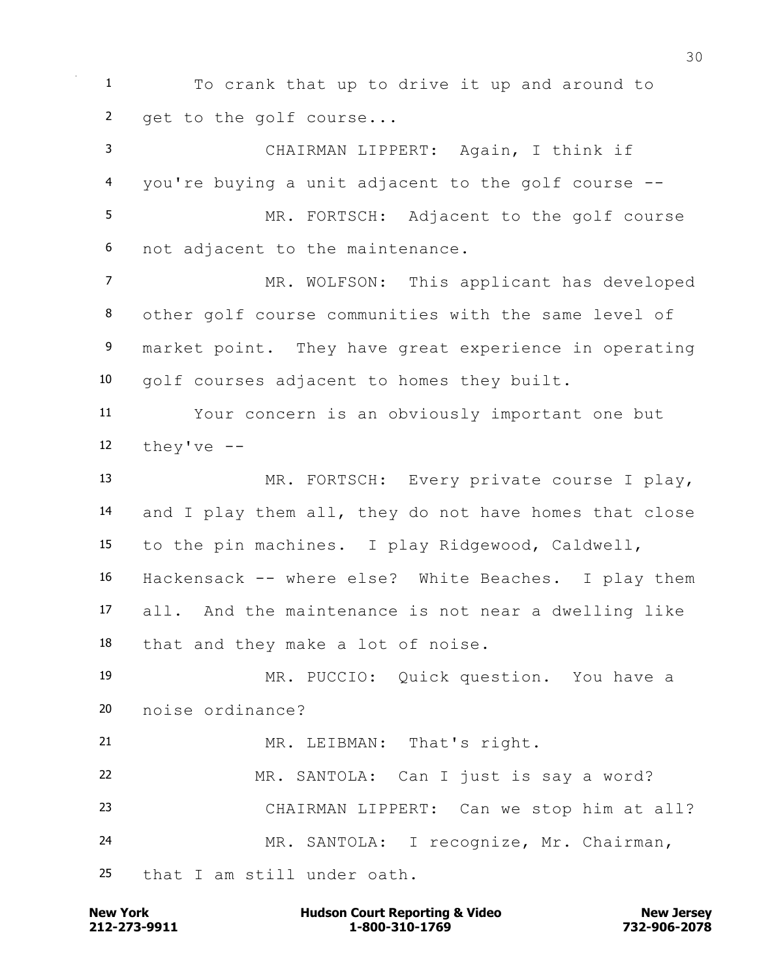To crank that up to drive it up and around to get to the golf course...

 CHAIRMAN LIPPERT: Again, I think if you're buying a unit adjacent to the golf course -- MR. FORTSCH: Adjacent to the golf course not adjacent to the maintenance.

7 MR. WOLFSON: This applicant has developed other golf course communities with the same level of 9 market point. They have great experience in operating golf courses adjacent to homes they built.

 Your concern is an obviously important one but 12  $they've --$ 

 MR. FORTSCH: Every private course I play, and I play them all, they do not have homes that close to the pin machines. I play Ridgewood, Caldwell, Hackensack -- where else? White Beaches. I play them all. And the maintenance is not near a dwelling like

that and they make a lot of noise.

 MR. PUCCIO: Quick question. You have a noise ordinance?

 MR. LEIBMAN: That's right. MR. SANTOLA: Can I just is say a word? CHAIRMAN LIPPERT: Can we stop him at all? MR. SANTOLA: I recognize, Mr. Chairman, that I am still under oath.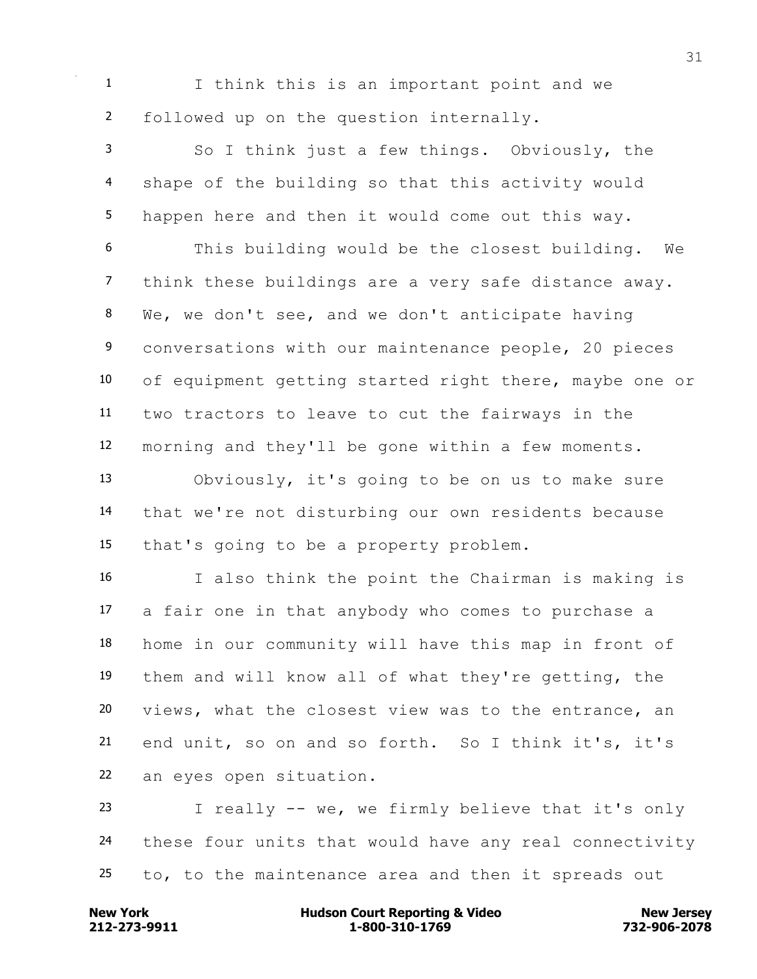I think this is an important point and we followed up on the question internally.

 So I think just a few things. Obviously, the shape of the building so that this activity would happen here and then it would come out this way.

 This building would be the closest building. We think these buildings are a very safe distance away. We, we don't see, and we don't anticipate having conversations with our maintenance people, 20 pieces of equipment getting started right there, maybe one or two tractors to leave to cut the fairways in the morning and they'll be gone within a few moments.

 Obviously, it's going to be on us to make sure that we're not disturbing our own residents because that's going to be a property problem.

 I also think the point the Chairman is making is a fair one in that anybody who comes to purchase a home in our community will have this map in front of them and will know all of what they're getting, the views, what the closest view was to the entrance, an end unit, so on and so forth. So I think it's, it's an eyes open situation.

 I really -- we, we firmly believe that it's only these four units that would have any real connectivity to, to the maintenance area and then it spreads out

**212-273-9911 1-800-310-1769 732-906-2078 New York Communist Court Reporting & Video New Jersey Rew Jersey**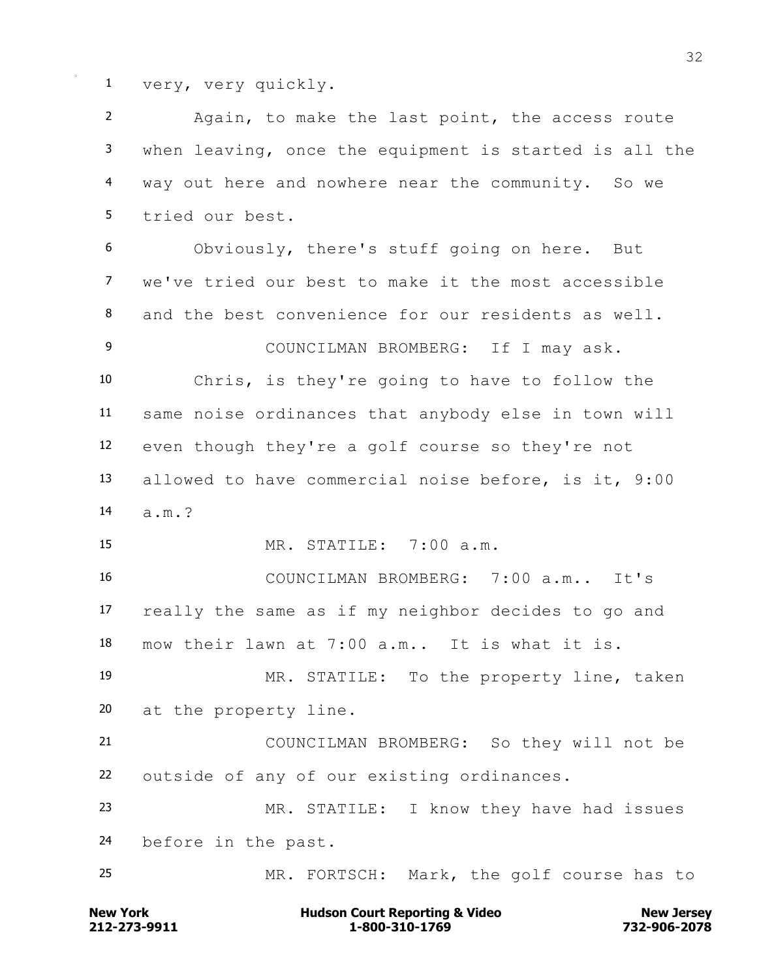very, very quickly.

**New York Communist Court Reporting & Video New Jersey Rew Jersey**  Again, to make the last point, the access route when leaving, once the equipment is started is all the way out here and nowhere near the community. So we tried our best. Obviously, there's stuff going on here. But we've tried our best to make it the most accessible and the best convenience for our residents as well. COUNCILMAN BROMBERG: If I may ask. Chris, is they're going to have to follow the same noise ordinances that anybody else in town will even though they're a golf course so they're not allowed to have commercial noise before, is it, 9:00 a.m.? MR. STATILE: 7:00 a.m. COUNCILMAN BROMBERG: 7:00 a.m.. It's really the same as if my neighbor decides to go and mow their lawn at 7:00 a.m.. It is what it is. MR. STATILE: To the property line, taken at the property line. COUNCILMAN BROMBERG: So they will not be outside of any of our existing ordinances. MR. STATILE: I know they have had issues before in the past. MR. FORTSCH: Mark, the golf course has to

**212-273-9911 1-800-310-1769 732-906-2078**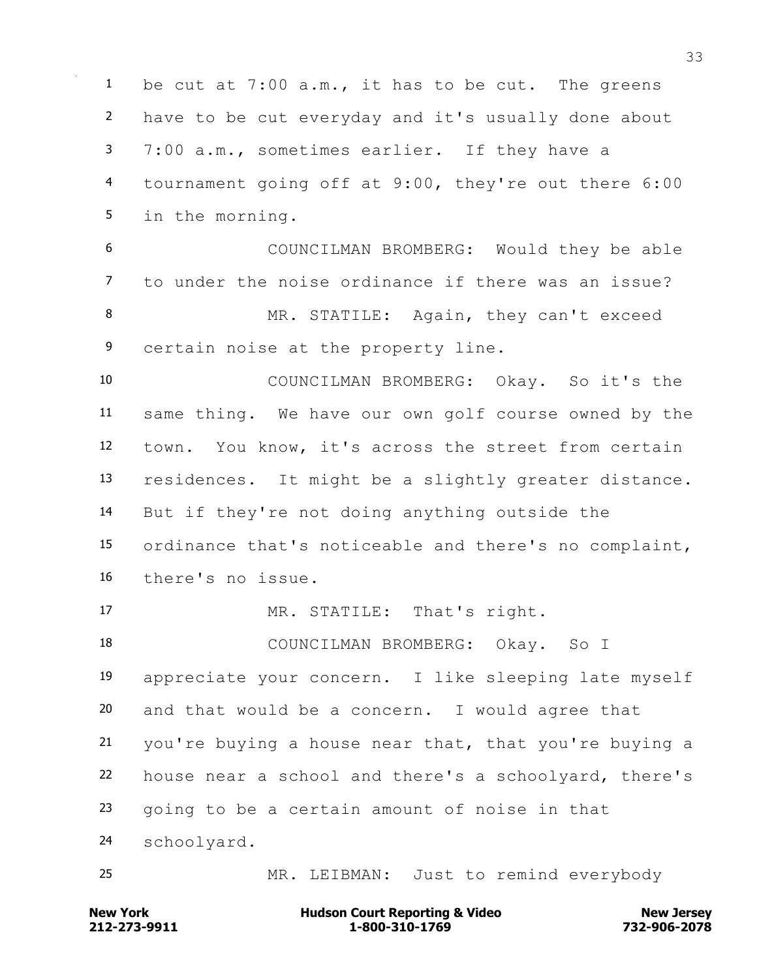be cut at 7:00 a.m., it has to be cut. The greens have to be cut everyday and it's usually done about 7:00 a.m., sometimes earlier. If they have a tournament going off at 9:00, they're out there 6:00 in the morning. COUNCILMAN BROMBERG: Would they be able to under the noise ordinance if there was an issue? 8 MR. STATILE: Again, they can't exceed certain noise at the property line. COUNCILMAN BROMBERG: Okay. So it's the same thing. We have our own golf course owned by the town. You know, it's across the street from certain residences. It might be a slightly greater distance. But if they're not doing anything outside the ordinance that's noticeable and there's no complaint, there's no issue. MR. STATILE: That's right. COUNCILMAN BROMBERG: Okay. So I appreciate your concern. I like sleeping late myself and that would be a concern. I would agree that you're buying a house near that, that you're buying a house near a school and there's a schoolyard, there's going to be a certain amount of noise in that schoolyard. MR. LEIBMAN: Just to remind everybody

**212-273-9911 1-800-310-1769 732-906-2078 New York Communist Court Reporting & Video New Jersey Rew Jersey**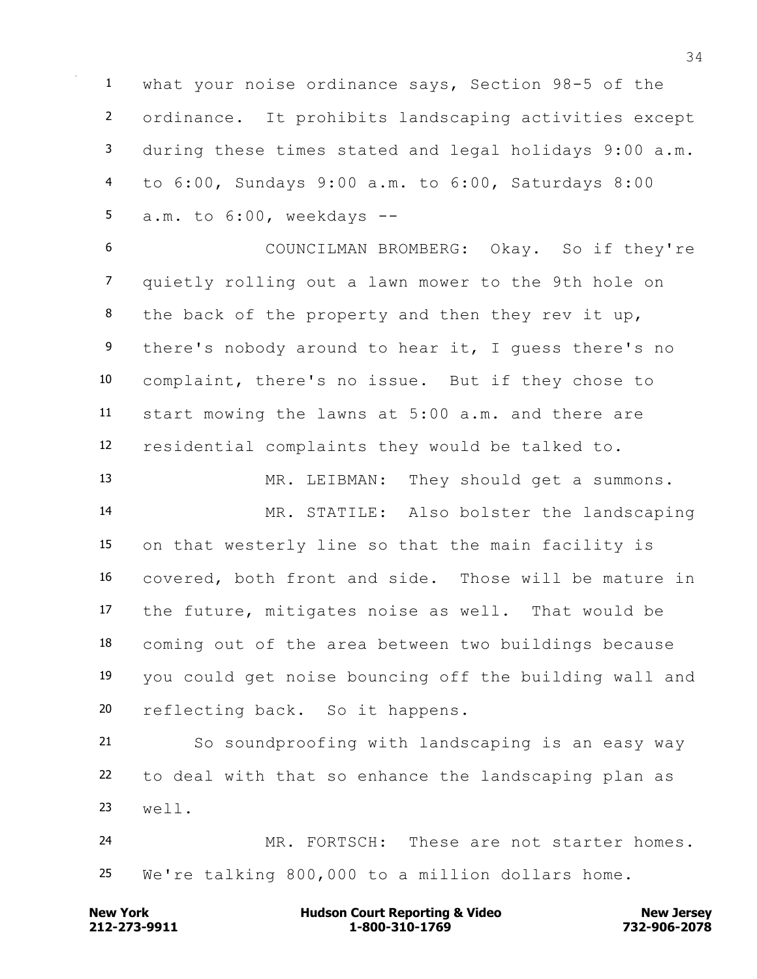what your noise ordinance says, Section 98-5 of the ordinance. It prohibits landscaping activities except during these times stated and legal holidays 9:00 a.m. to 6:00, Sundays 9:00 a.m. to 6:00, Saturdays 8:00 a.m. to 6:00, weekdays --

 COUNCILMAN BROMBERG: Okay. So if they're quietly rolling out a lawn mower to the 9th hole on 8 the back of the property and then they rev it up, there's nobody around to hear it, I guess there's no complaint, there's no issue. But if they chose to start mowing the lawns at 5:00 a.m. and there are residential complaints they would be talked to.

 MR. LEIBMAN: They should get a summons. MR. STATILE: Also bolster the landscaping on that westerly line so that the main facility is covered, both front and side. Those will be mature in the future, mitigates noise as well. That would be coming out of the area between two buildings because you could get noise bouncing off the building wall and reflecting back. So it happens.

 So soundproofing with landscaping is an easy way to deal with that so enhance the landscaping plan as well.

 MR. FORTSCH: These are not starter homes. We're talking 800,000 to a million dollars home.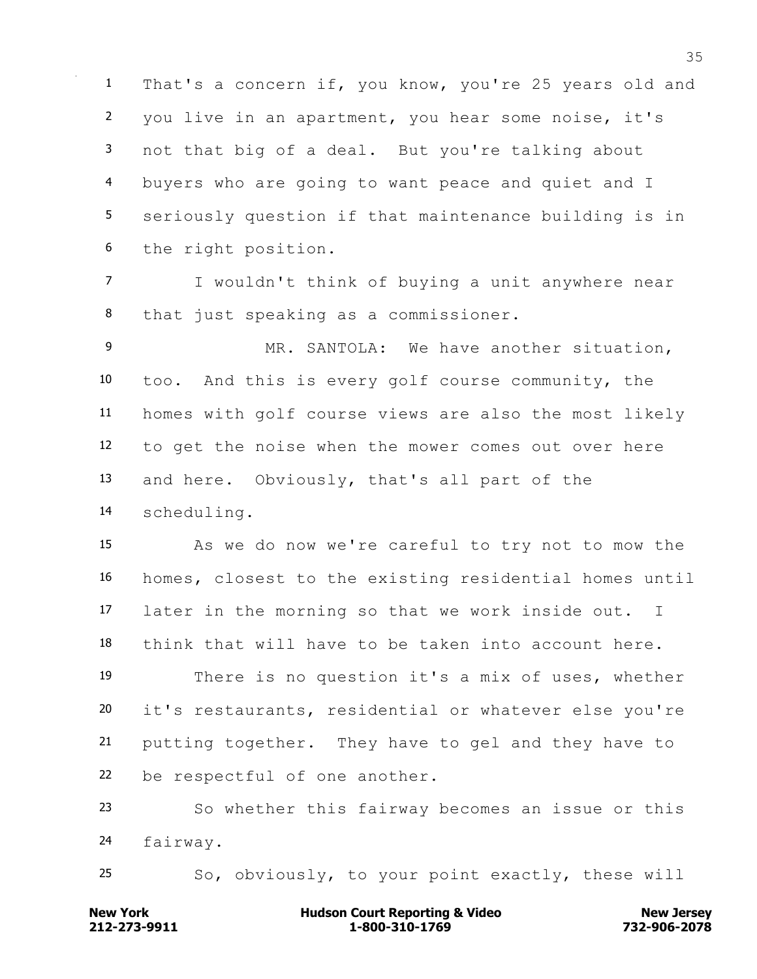That's a concern if, you know, you're 25 years old and you live in an apartment, you hear some noise, it's not that big of a deal. But you're talking about buyers who are going to want peace and quiet and I seriously question if that maintenance building is in the right position.

 I wouldn't think of buying a unit anywhere near that just speaking as a commissioner.

 MR. SANTOLA: We have another situation, too. And this is every golf course community, the homes with golf course views are also the most likely to get the noise when the mower comes out over here and here. Obviously, that's all part of the scheduling.

 As we do now we're careful to try not to mow the homes, closest to the existing residential homes until later in the morning so that we work inside out. I think that will have to be taken into account here. There is no question it's a mix of uses, whether

 it's restaurants, residential or whatever else you're putting together. They have to gel and they have to be respectful of one another.

 So whether this fairway becomes an issue or this fairway.

So, obviously, to your point exactly, these will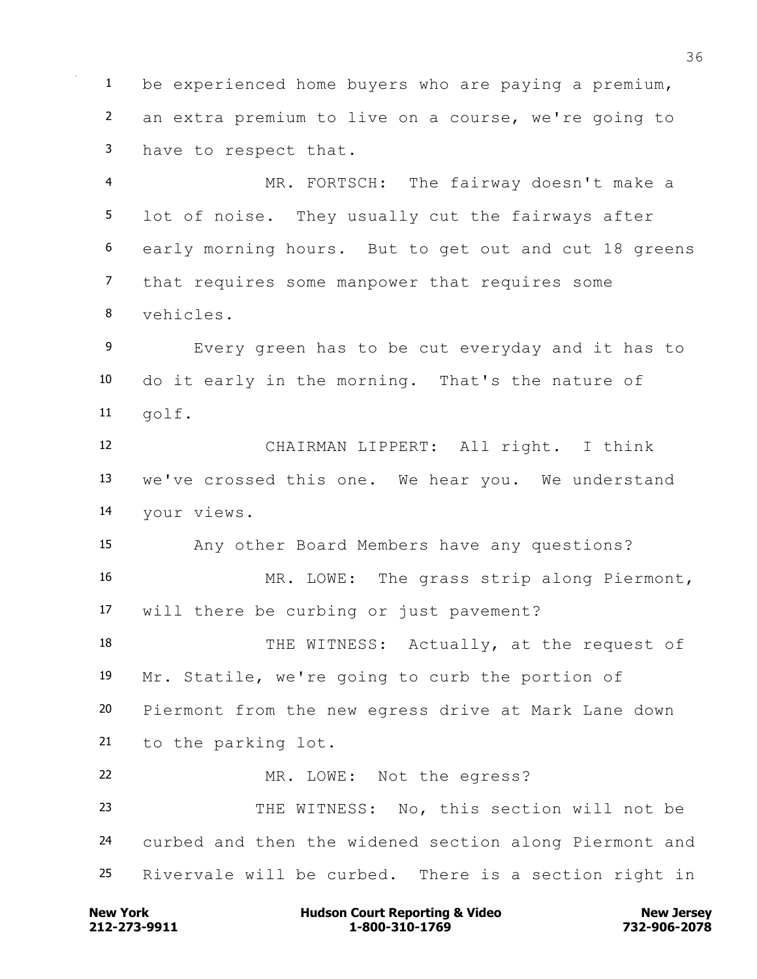be experienced home buyers who are paying a premium, an extra premium to live on a course, we're going to have to respect that.

 MR. FORTSCH: The fairway doesn't make a lot of noise. They usually cut the fairways after early morning hours. But to get out and cut 18 greens that requires some manpower that requires some vehicles.

 Every green has to be cut everyday and it has to do it early in the morning. That's the nature of golf.

 CHAIRMAN LIPPERT: All right. I think we've crossed this one. We hear you. We understand your views.

Any other Board Members have any questions?

 MR. LOWE: The grass strip along Piermont, will there be curbing or just pavement?

18 THE WITNESS: Actually, at the request of Mr. Statile, we're going to curb the portion of Piermont from the new egress drive at Mark Lane down to the parking lot.

MR. LOWE: Not the egress?

 THE WITNESS: No, this section will not be curbed and then the widened section along Piermont and Rivervale will be curbed. There is a section right in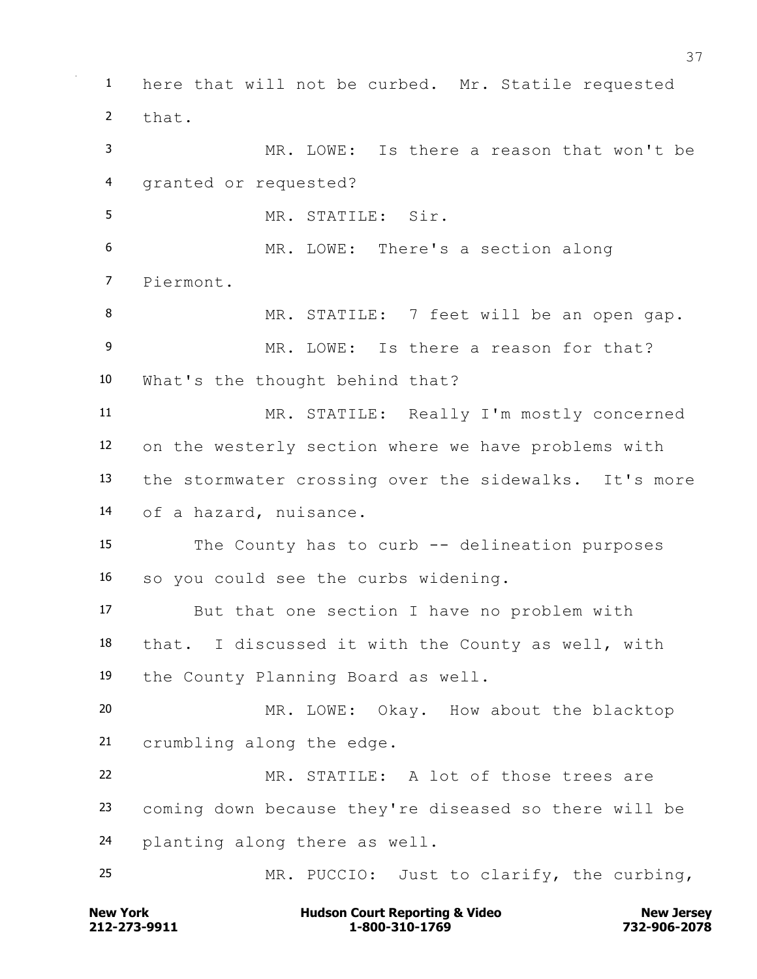here that will not be curbed. Mr. Statile requested that. MR. LOWE: Is there a reason that won't be granted or requested? MR. STATILE: Sir. MR. LOWE: There's a section along Piermont. 8 MR. STATILE: 7 feet will be an open gap. MR. LOWE: Is there a reason for that? What's the thought behind that? MR. STATILE: Really I'm mostly concerned on the westerly section where we have problems with the stormwater crossing over the sidewalks. It's more of a hazard, nuisance. The County has to curb -- delineation purposes so you could see the curbs widening. But that one section I have no problem with that. I discussed it with the County as well, with the County Planning Board as well. MR. LOWE: Okay. How about the blacktop crumbling along the edge. MR. STATILE: A lot of those trees are coming down because they're diseased so there will be planting along there as well. MR. PUCCIO: Just to clarify, the curbing,

**212-273-9911 1-800-310-1769 732-906-2078 New York Communist Court Reporting & Video New Jersey Reporting & Video**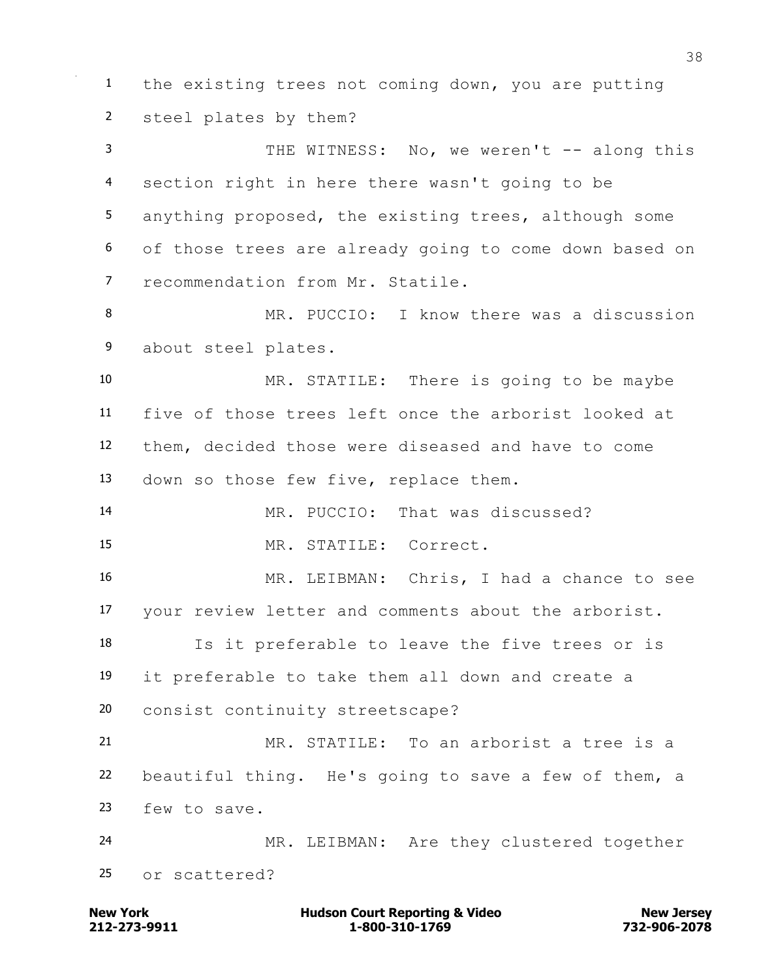the existing trees not coming down, you are putting steel plates by them? 3 THE WITNESS: No, we weren't -- along this section right in here there wasn't going to be anything proposed, the existing trees, although some of those trees are already going to come down based on recommendation from Mr. Statile. MR. PUCCIO: I know there was a discussion about steel plates. MR. STATILE: There is going to be maybe five of those trees left once the arborist looked at them, decided those were diseased and have to come down so those few five, replace them. MR. PUCCIO: That was discussed? MR. STATILE: Correct. MR. LEIBMAN: Chris, I had a chance to see your review letter and comments about the arborist. Is it preferable to leave the five trees or is it preferable to take them all down and create a consist continuity streetscape? MR. STATILE: To an arborist a tree is a beautiful thing. He's going to save a few of them, a few to save. MR. LEIBMAN: Are they clustered together or scattered?

**212-273-9911 1-800-310-1769 732-906-2078 New York Communist Court Reporting & Video New Jersey Rew Jersey**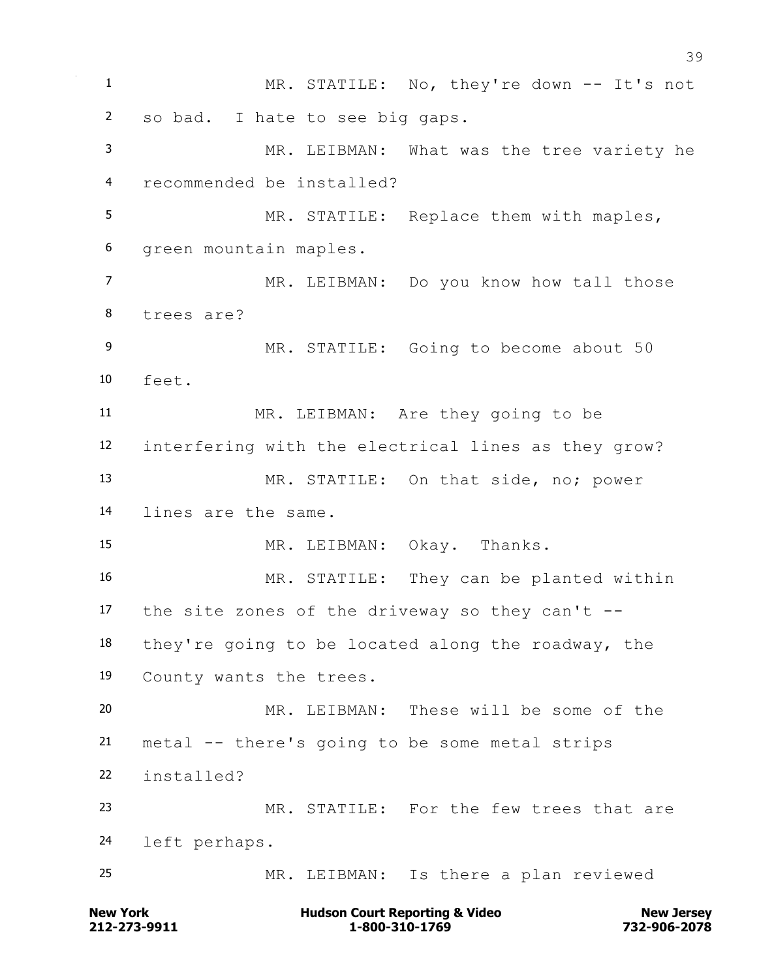**New York Construction Court Reporting & Video New Jersey Rew Jersey**  MR. STATILE: No, they're down -- It's not so bad. I hate to see big gaps. MR. LEIBMAN: What was the tree variety he recommended be installed? MR. STATILE: Replace them with maples, green mountain maples. MR. LEIBMAN: Do you know how tall those trees are? MR. STATILE: Going to become about 50 feet. MR. LEIBMAN: Are they going to be interfering with the electrical lines as they grow? MR. STATILE: On that side, no; power lines are the same. MR. LEIBMAN: Okay. Thanks. MR. STATILE: They can be planted within 17 the site zones of the driveway so they can't  $-$  they're going to be located along the roadway, the County wants the trees. MR. LEIBMAN: These will be some of the metal -- there's going to be some metal strips installed? MR. STATILE: For the few trees that are left perhaps. MR. LEIBMAN: Is there a plan reviewed

**212-273-9911 1-800-310-1769 732-906-2078**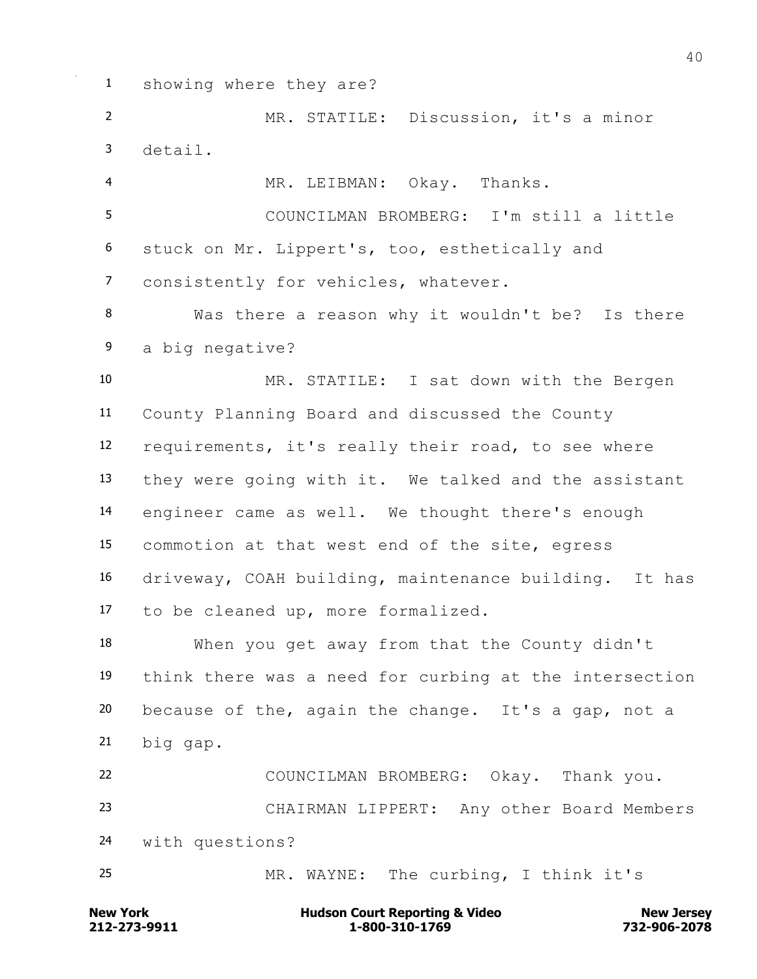showing where they are?

 MR. STATILE: Discussion, it's a minor detail. MR. LEIBMAN: Okay. Thanks. COUNCILMAN BROMBERG: I'm still a little stuck on Mr. Lippert's, too, esthetically and consistently for vehicles, whatever. Was there a reason why it wouldn't be? Is there a big negative? MR. STATILE: I sat down with the Bergen County Planning Board and discussed the County requirements, it's really their road, to see where they were going with it. We talked and the assistant engineer came as well. We thought there's enough commotion at that west end of the site, egress driveway, COAH building, maintenance building. It has to be cleaned up, more formalized. When you get away from that the County didn't think there was a need for curbing at the intersection because of the, again the change. It's a gap, not a big gap. COUNCILMAN BROMBERG: Okay. Thank you. CHAIRMAN LIPPERT: Any other Board Members with questions? MR. WAYNE: The curbing, I think it's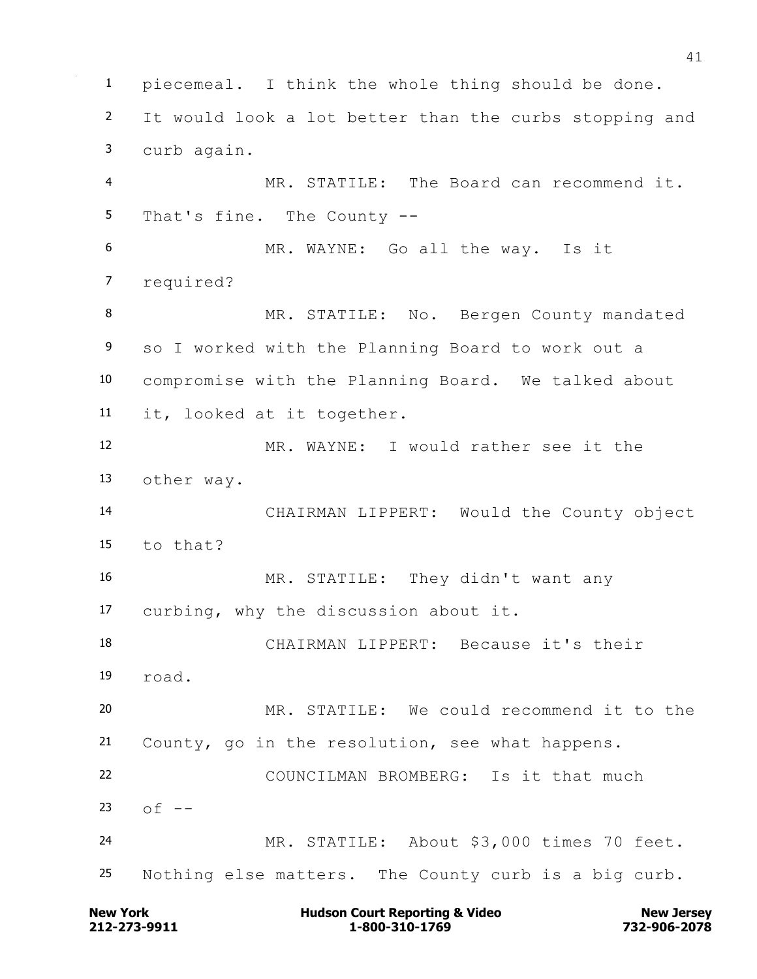piecemeal. I think the whole thing should be done. It would look a lot better than the curbs stopping and curb again. MR. STATILE: The Board can recommend it. That's fine. The County -- MR. WAYNE: Go all the way. Is it required? 8 MR. STATILE: No. Bergen County mandated so I worked with the Planning Board to work out a compromise with the Planning Board. We talked about it, looked at it together. MR. WAYNE: I would rather see it the other way. CHAIRMAN LIPPERT: Would the County object to that? MR. STATILE: They didn't want any curbing, why the discussion about it. CHAIRMAN LIPPERT: Because it's their road. MR. STATILE: We could recommend it to the County, go in the resolution, see what happens. COUNCILMAN BROMBERG: Is it that much of  $-$  MR. STATILE: About \$3,000 times 70 feet. Nothing else matters. The County curb is a big curb.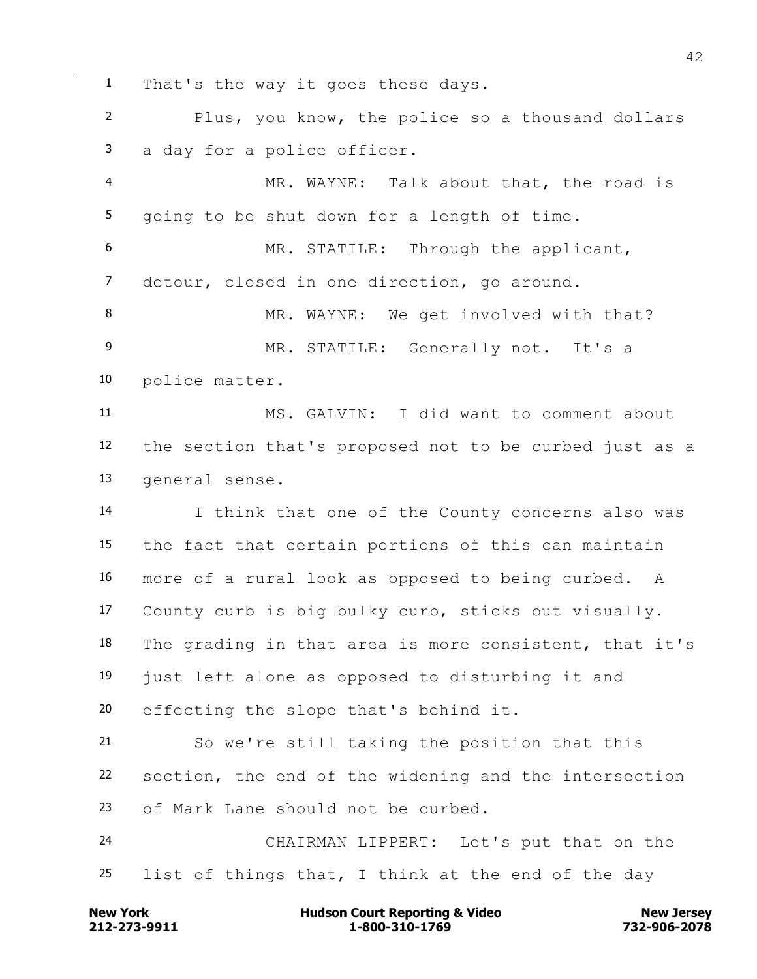That's the way it goes these days.

 Plus, you know, the police so a thousand dollars a day for a police officer.

 MR. WAYNE: Talk about that, the road is going to be shut down for a length of time.

 MR. STATILE: Through the applicant, detour, closed in one direction, go around.

8 MR. WAYNE: We get involved with that? MR. STATILE: Generally not. It's a police matter.

 MS. GALVIN: I did want to comment about the section that's proposed not to be curbed just as a general sense.

 I think that one of the County concerns also was the fact that certain portions of this can maintain more of a rural look as opposed to being curbed. A County curb is big bulky curb, sticks out visually. The grading in that area is more consistent, that it's just left alone as opposed to disturbing it and effecting the slope that's behind it.

 So we're still taking the position that this section, the end of the widening and the intersection of Mark Lane should not be curbed.

 CHAIRMAN LIPPERT: Let's put that on the list of things that, I think at the end of the day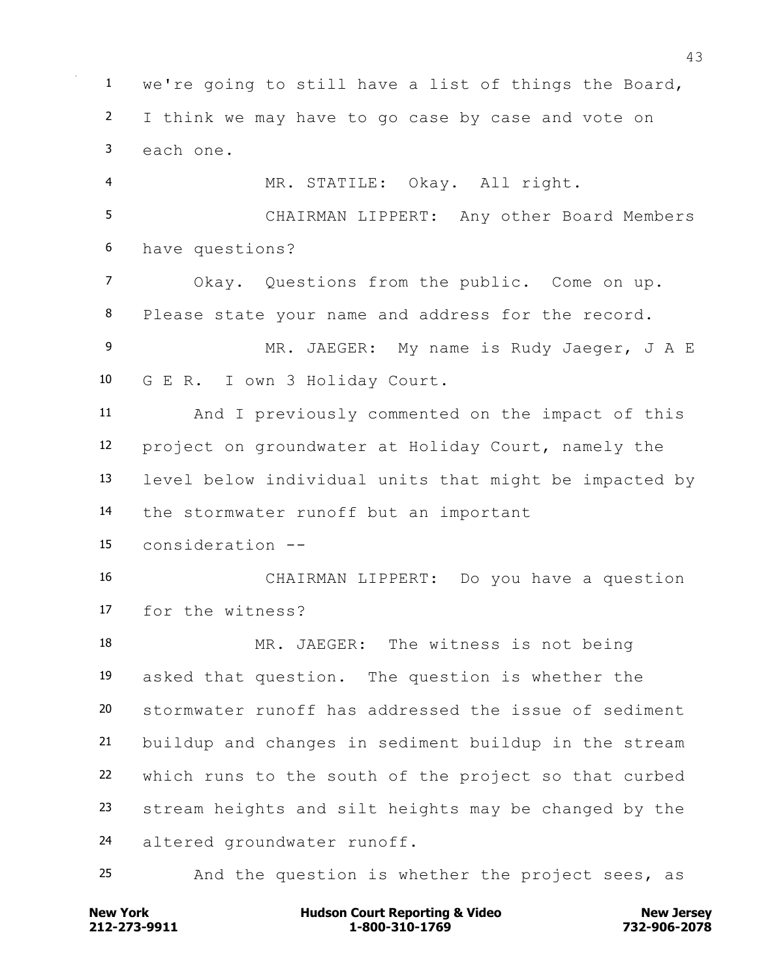we're going to still have a list of things the Board, I think we may have to go case by case and vote on each one. MR. STATILE: Okay. All right. CHAIRMAN LIPPERT: Any other Board Members have questions? Okay. Questions from the public. Come on up. Please state your name and address for the record. MR. JAEGER: My name is Rudy Jaeger, J A E G E R. I own 3 Holiday Court. And I previously commented on the impact of this project on groundwater at Holiday Court, namely the level below individual units that might be impacted by the stormwater runoff but an important consideration -- CHAIRMAN LIPPERT: Do you have a question for the witness? MR. JAEGER: The witness is not being asked that question. The question is whether the stormwater runoff has addressed the issue of sediment buildup and changes in sediment buildup in the stream which runs to the south of the project so that curbed stream heights and silt heights may be changed by the altered groundwater runoff. And the question is whether the project sees, as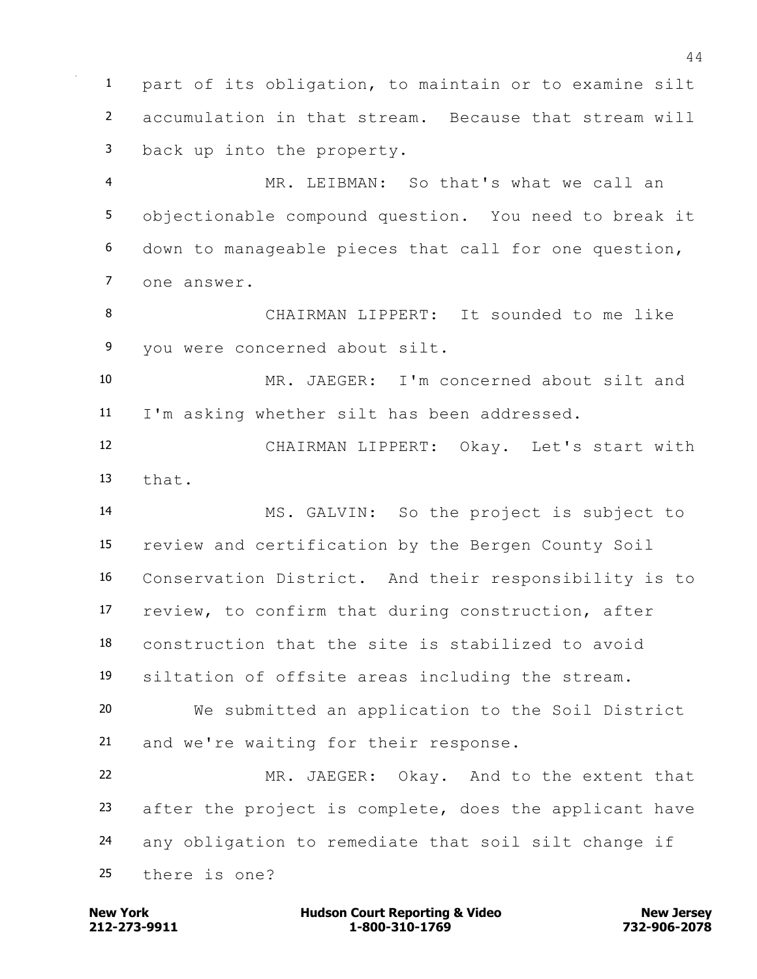part of its obligation, to maintain or to examine silt accumulation in that stream. Because that stream will back up into the property.

 MR. LEIBMAN: So that's what we call an objectionable compound question. You need to break it down to manageable pieces that call for one question, one answer.

 CHAIRMAN LIPPERT: It sounded to me like you were concerned about silt.

 MR. JAEGER: I'm concerned about silt and I'm asking whether silt has been addressed.

 CHAIRMAN LIPPERT: Okay. Let's start with that.

 MS. GALVIN: So the project is subject to review and certification by the Bergen County Soil Conservation District. And their responsibility is to review, to confirm that during construction, after construction that the site is stabilized to avoid siltation of offsite areas including the stream. We submitted an application to the Soil District

and we're waiting for their response.

 MR. JAEGER: Okay. And to the extent that after the project is complete, does the applicant have any obligation to remediate that soil silt change if there is one?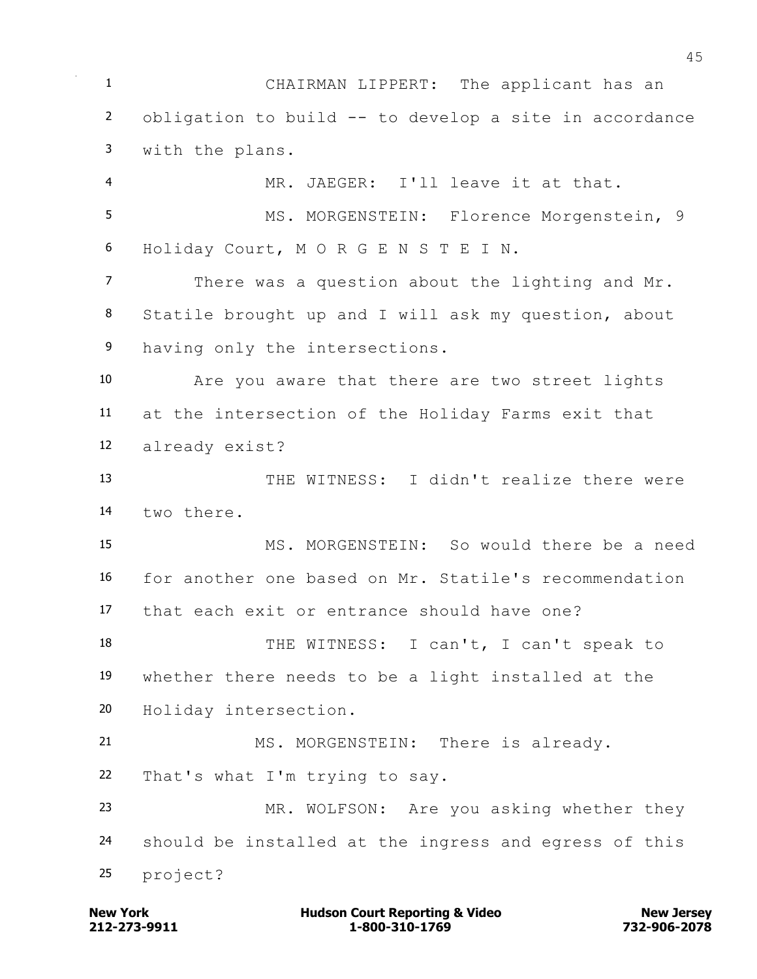CHAIRMAN LIPPERT: The applicant has an obligation to build -- to develop a site in accordance with the plans. MR. JAEGER: I'll leave it at that. 5 MS. MORGENSTEIN: Florence Morgenstein, 9 Holiday Court, M O R G E N S T E I N. There was a question about the lighting and Mr. Statile brought up and I will ask my question, about 9 having only the intersections. Are you aware that there are two street lights at the intersection of the Holiday Farms exit that already exist? THE WITNESS: I didn't realize there were two there. MS. MORGENSTEIN: So would there be a need for another one based on Mr. Statile's recommendation that each exit or entrance should have one? 18 THE WITNESS: I can't, I can't speak to whether there needs to be a light installed at the Holiday intersection. 21 MS. MORGENSTEIN: There is already. That's what I'm trying to say. MR. WOLFSON: Are you asking whether they should be installed at the ingress and egress of this project?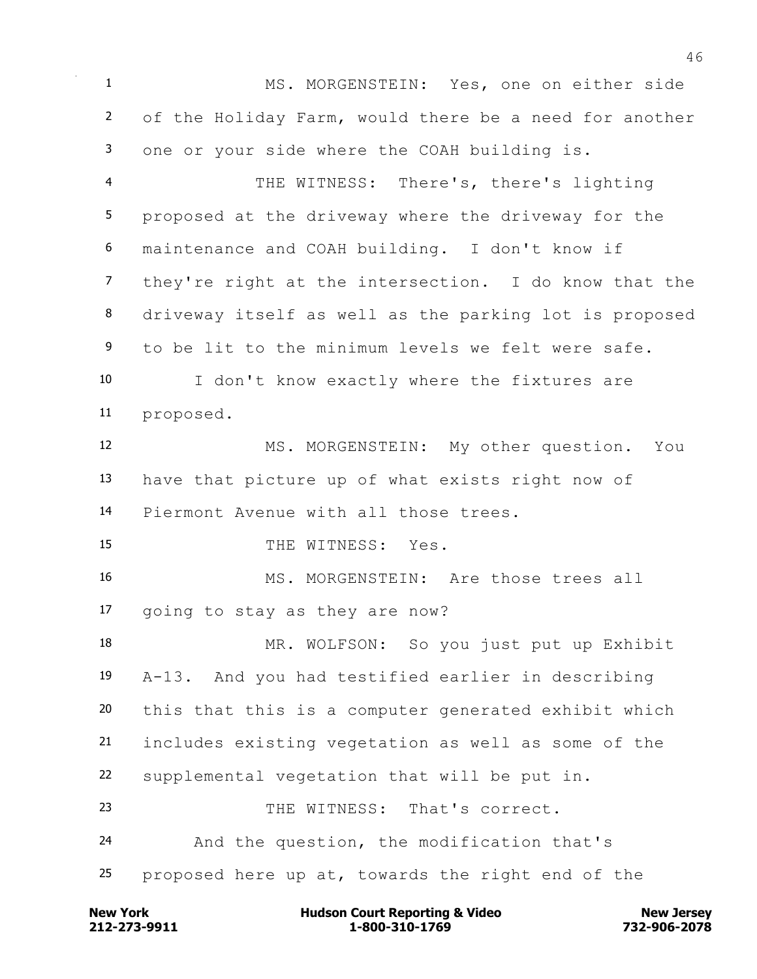MS. MORGENSTEIN: Yes, one on either side of the Holiday Farm, would there be a need for another one or your side where the COAH building is. THE WITNESS: There's, there's lighting proposed at the driveway where the driveway for the maintenance and COAH building. I don't know if

 they're right at the intersection. I do know that the driveway itself as well as the parking lot is proposed to be lit to the minimum levels we felt were safe.

 I don't know exactly where the fixtures are proposed.

 MS. MORGENSTEIN: My other question. You have that picture up of what exists right now of Piermont Avenue with all those trees.

15 THE WITNESS: Yes.

16 MS. MORGENSTEIN: Are those trees all going to stay as they are now?

 MR. WOLFSON: So you just put up Exhibit A-13. And you had testified earlier in describing this that this is a computer generated exhibit which includes existing vegetation as well as some of the supplemental vegetation that will be put in. 23 THE WITNESS: That's correct. And the question, the modification that's

proposed here up at, towards the right end of the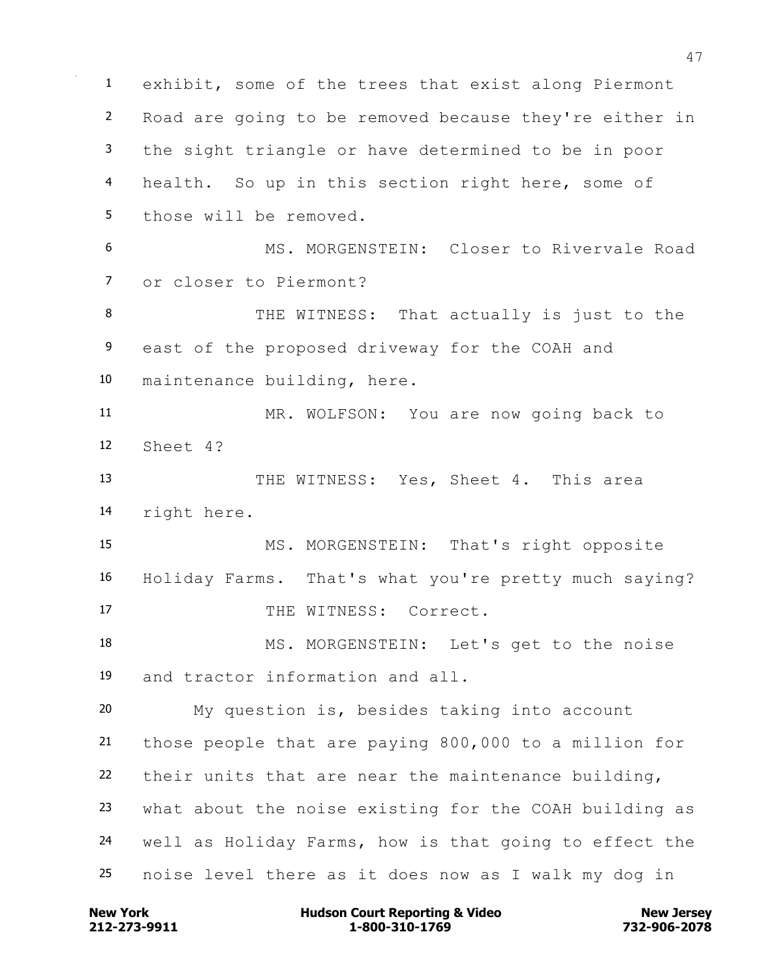exhibit, some of the trees that exist along Piermont Road are going to be removed because they're either in the sight triangle or have determined to be in poor 4 health. So up in this section right here, some of those will be removed. MS. MORGENSTEIN: Closer to Rivervale Road or closer to Piermont? 8 THE WITNESS: That actually is just to the east of the proposed driveway for the COAH and maintenance building, here. MR. WOLFSON: You are now going back to Sheet 4? THE WITNESS: Yes, Sheet 4. This area right here. MS. MORGENSTEIN: That's right opposite Holiday Farms. That's what you're pretty much saying? 17 THE WITNESS: Correct. MS. MORGENSTEIN: Let's get to the noise and tractor information and all. My question is, besides taking into account those people that are paying 800,000 to a million for their units that are near the maintenance building, what about the noise existing for the COAH building as well as Holiday Farms, how is that going to effect the noise level there as it does now as I walk my dog in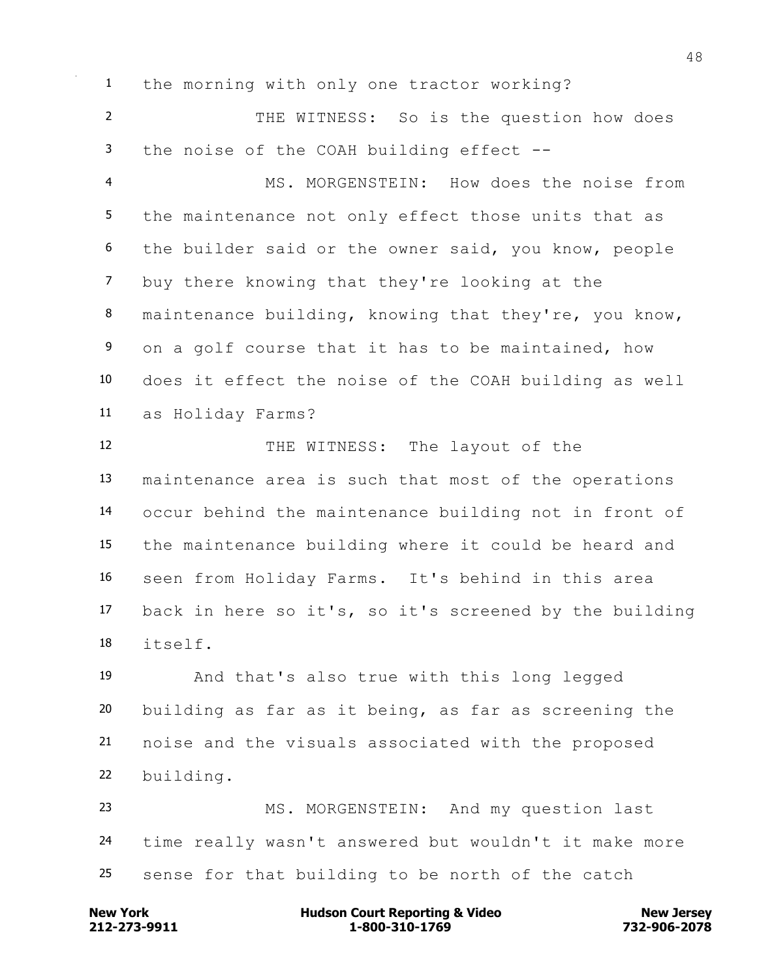the morning with only one tractor working?

 THE WITNESS: So is the question how does the noise of the COAH building effect --

 MS. MORGENSTEIN: How does the noise from the maintenance not only effect those units that as the builder said or the owner said, you know, people buy there knowing that they're looking at the maintenance building, knowing that they're, you know, on a golf course that it has to be maintained, how does it effect the noise of the COAH building as well as Holiday Farms?

12 THE WITNESS: The layout of the maintenance area is such that most of the operations occur behind the maintenance building not in front of the maintenance building where it could be heard and seen from Holiday Farms. It's behind in this area back in here so it's, so it's screened by the building itself.

 And that's also true with this long legged building as far as it being, as far as screening the noise and the visuals associated with the proposed building.

 MS. MORGENSTEIN: And my question last time really wasn't answered but wouldn't it make more sense for that building to be north of the catch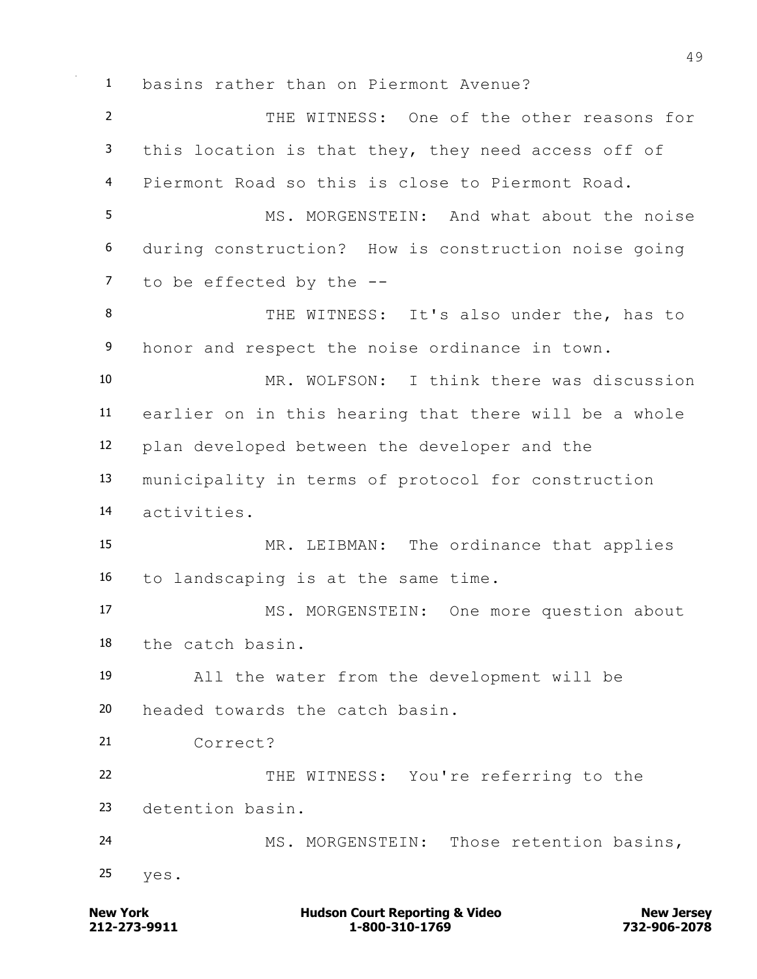basins rather than on Piermont Avenue?

 THE WITNESS: One of the other reasons for this location is that they, they need access off of Piermont Road so this is close to Piermont Road. MS. MORGENSTEIN: And what about the noise during construction? How is construction noise going to be effected by the -- THE WITNESS: It's also under the, has to 9 honor and respect the noise ordinance in town. MR. WOLFSON: I think there was discussion earlier on in this hearing that there will be a whole plan developed between the developer and the municipality in terms of protocol for construction activities. MR. LEIBMAN: The ordinance that applies to landscaping is at the same time. 17 MS. MORGENSTEIN: One more question about the catch basin. All the water from the development will be headed towards the catch basin. Correct? THE WITNESS: You're referring to the detention basin. MS. MORGENSTEIN: Those retention basins, yes.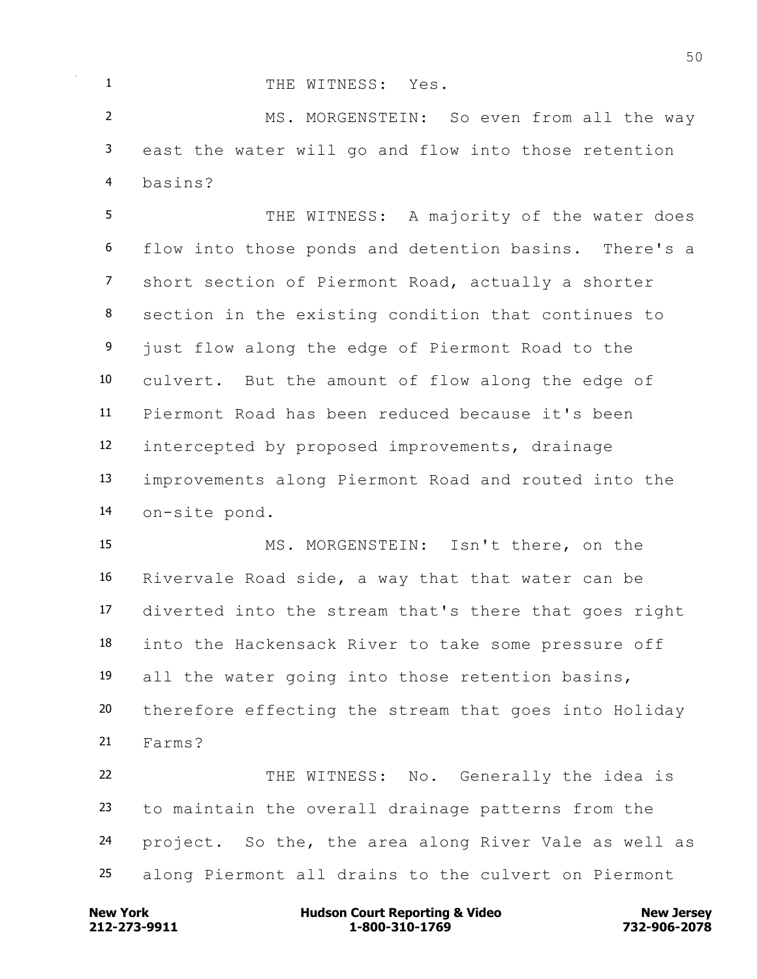## 1 THE WITNESS: Yes.

2 MS. MORGENSTEIN: So even from all the way east the water will go and flow into those retention basins?

5 THE WITNESS: A majority of the water does flow into those ponds and detention basins. There's a short section of Piermont Road, actually a shorter section in the existing condition that continues to 9 just flow along the edge of Piermont Road to the culvert. But the amount of flow along the edge of Piermont Road has been reduced because it's been intercepted by proposed improvements, drainage improvements along Piermont Road and routed into the on-site pond.

 MS. MORGENSTEIN: Isn't there, on the Rivervale Road side, a way that that water can be diverted into the stream that's there that goes right into the Hackensack River to take some pressure off all the water going into those retention basins, therefore effecting the stream that goes into Holiday Farms? THE WITNESS: No. Generally the idea is

 to maintain the overall drainage patterns from the project. So the, the area along River Vale as well as along Piermont all drains to the culvert on Piermont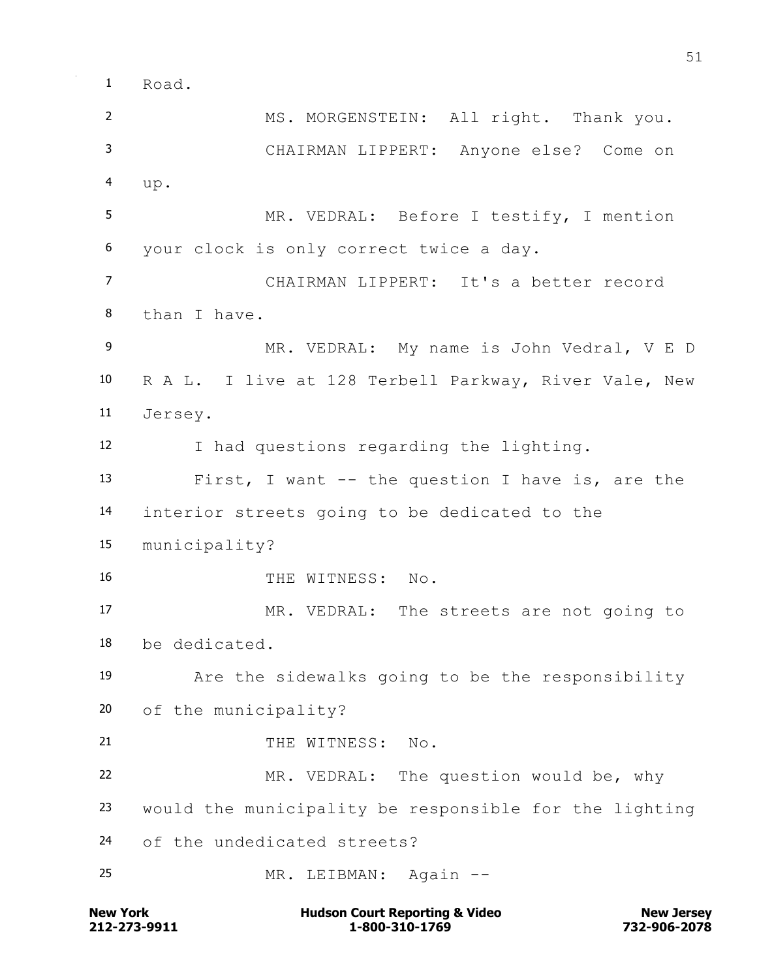Road.

 MS. MORGENSTEIN: All right. Thank you. CHAIRMAN LIPPERT: Anyone else? Come on up. MR. VEDRAL: Before I testify, I mention your clock is only correct twice a day. CHAIRMAN LIPPERT: It's a better record than I have. MR. VEDRAL: My name is John Vedral, V E D R A L. I live at 128 Terbell Parkway, River Vale, New Jersey. I had questions regarding the lighting. First, I want -- the question I have is, are the interior streets going to be dedicated to the municipality? 16 THE WITNESS: No. MR. VEDRAL: The streets are not going to be dedicated. Are the sidewalks going to be the responsibility of the municipality? 21 THE WITNESS: No. MR. VEDRAL: The question would be, why would the municipality be responsible for the lighting of the undedicated streets? MR. LEIBMAN: Again --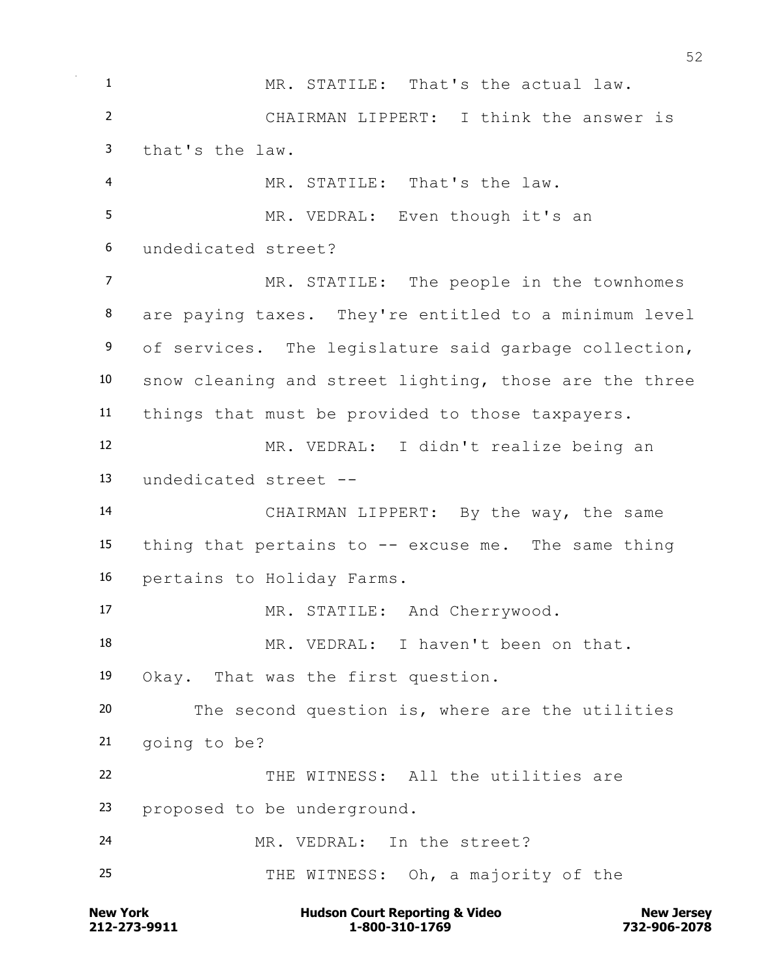**New York Communist Court Reporting & Video New Jersey Rew Jersey**  MR. STATILE: That's the actual law. CHAIRMAN LIPPERT: I think the answer is that's the law. MR. STATILE: That's the law. 5 MR. VEDRAL: Even though it's an undedicated street? MR. STATILE: The people in the townhomes are paying taxes. They're entitled to a minimum level 9 of services. The legislature said garbage collection, snow cleaning and street lighting, those are the three things that must be provided to those taxpayers. MR. VEDRAL: I didn't realize being an undedicated street -- CHAIRMAN LIPPERT: By the way, the same thing that pertains to -- excuse me. The same thing pertains to Holiday Farms. 17 MR. STATILE: And Cherrywood. MR. VEDRAL: I haven't been on that. Okay. That was the first question. The second question is, where are the utilities going to be? 22 THE WITNESS: All the utilities are proposed to be underground. MR. VEDRAL: In the street? THE WITNESS: Oh, a majority of the

**212-273-9911 1-800-310-1769 732-906-2078**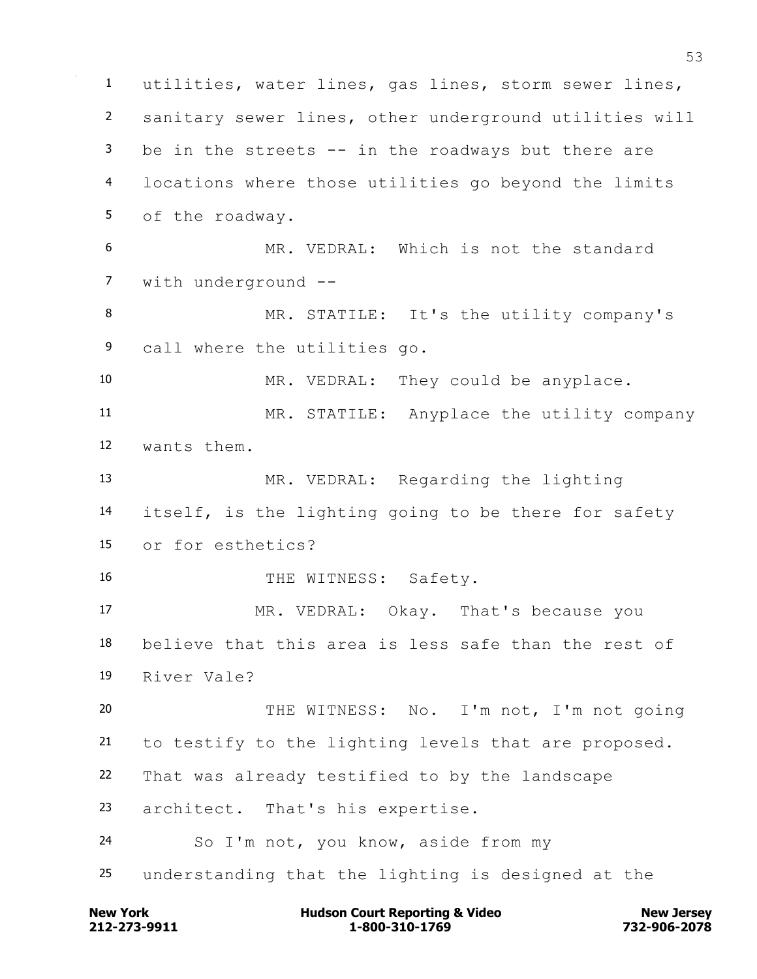utilities, water lines, gas lines, storm sewer lines, sanitary sewer lines, other underground utilities will be in the streets -- in the roadways but there are locations where those utilities go beyond the limits of the roadway. MR. VEDRAL: Which is not the standard with underground -- MR. STATILE: It's the utility company's call where the utilities go. MR. VEDRAL: They could be anyplace. MR. STATILE: Anyplace the utility company wants them. MR. VEDRAL: Regarding the lighting itself, is the lighting going to be there for safety or for esthetics? 16 THE WITNESS: Safety. MR. VEDRAL: Okay. That's because you believe that this area is less safe than the rest of River Vale? 20 THE WITNESS: No. I'm not, I'm not going to testify to the lighting levels that are proposed. That was already testified to by the landscape architect. That's his expertise. So I'm not, you know, aside from my understanding that the lighting is designed at the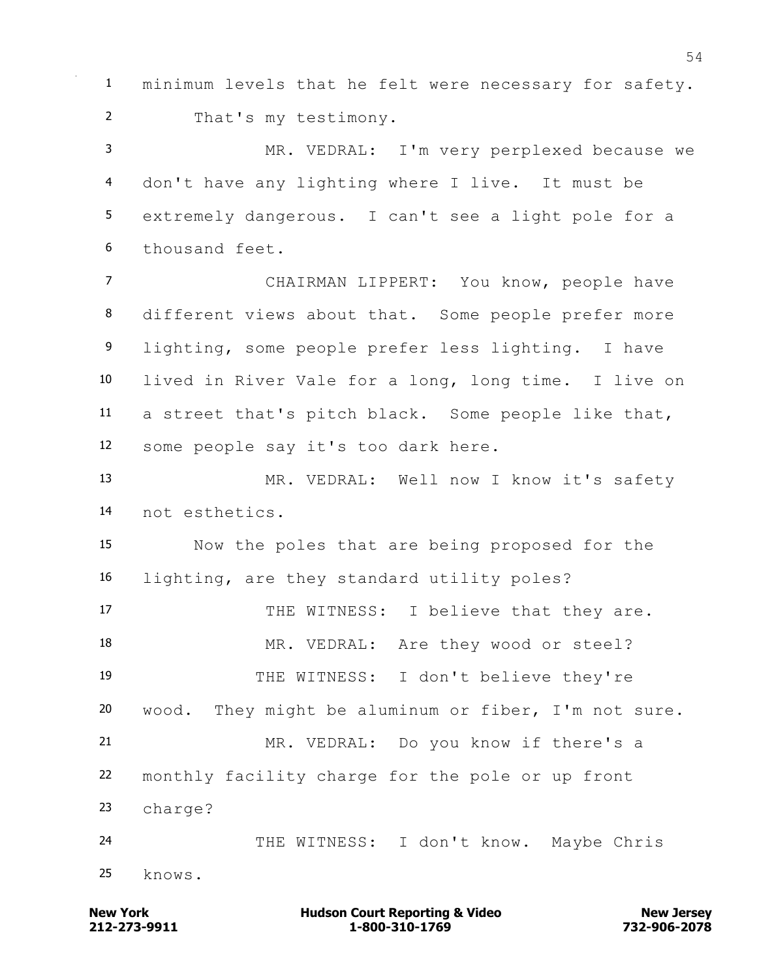minimum levels that he felt were necessary for safety. That's my testimony. MR. VEDRAL: I'm very perplexed because we don't have any lighting where I live. It must be extremely dangerous. I can't see a light pole for a thousand feet. CHAIRMAN LIPPERT: You know, people have 8 different views about that. Some people prefer more lighting, some people prefer less lighting. I have lived in River Vale for a long, long time. I live on a street that's pitch black. Some people like that, some people say it's too dark here. MR. VEDRAL: Well now I know it's safety not esthetics. Now the poles that are being proposed for the lighting, are they standard utility poles? 17 THE WITNESS: I believe that they are. 18 MR. VEDRAL: Are they wood or steel? THE WITNESS: I don't believe they're wood. They might be aluminum or fiber, I'm not sure. MR. VEDRAL: Do you know if there's a monthly facility charge for the pole or up front charge? THE WITNESS: I don't know. Maybe Chris knows.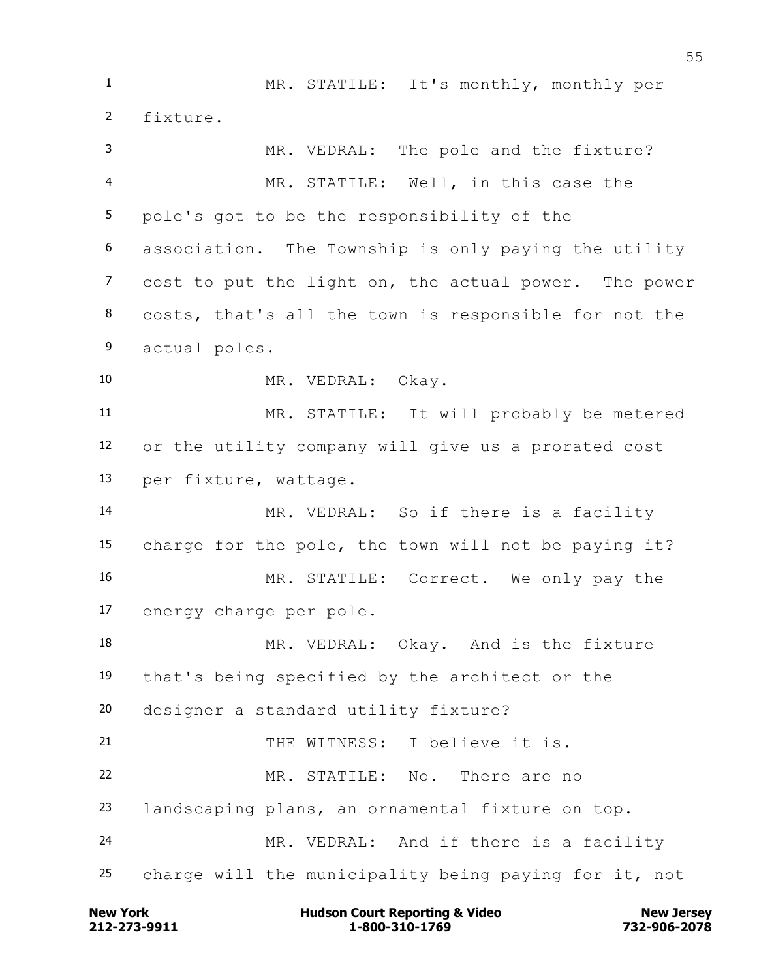MR. STATILE: It's monthly, monthly per fixture. MR. VEDRAL: The pole and the fixture? MR. STATILE: Well, in this case the pole's got to be the responsibility of the association. The Township is only paying the utility cost to put the light on, the actual power. The power costs, that's all the town is responsible for not the actual poles. MR. VEDRAL: Okay. MR. STATILE: It will probably be metered or the utility company will give us a prorated cost per fixture, wattage. MR. VEDRAL: So if there is a facility charge for the pole, the town will not be paying it? MR. STATILE: Correct. We only pay the energy charge per pole. 18 MR. VEDRAL: Okay. And is the fixture that's being specified by the architect or the designer a standard utility fixture? THE WITNESS: I believe it is. MR. STATILE: No. There are no landscaping plans, an ornamental fixture on top. MR. VEDRAL: And if there is a facility charge will the municipality being paying for it, not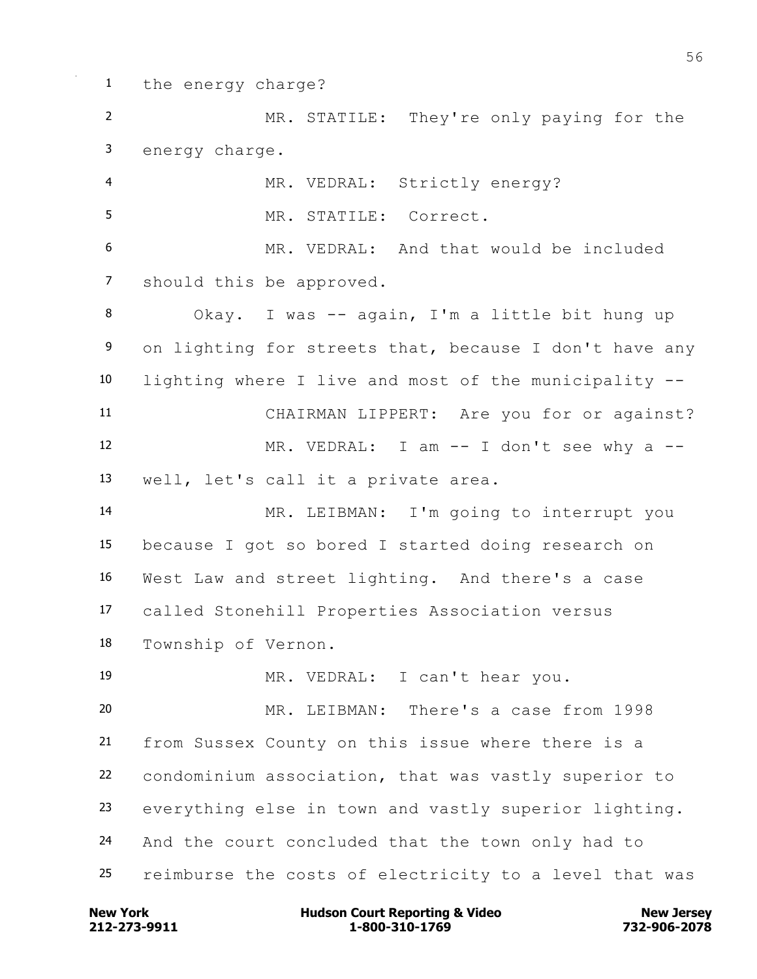the energy charge? MR. STATILE: They're only paying for the energy charge. MR. VEDRAL: Strictly energy? MR. STATILE: Correct. MR. VEDRAL: And that would be included should this be approved. Okay. I was -- again, I'm a little bit hung up 9 on lighting for streets that, because I don't have any lighting where I live and most of the municipality -- CHAIRMAN LIPPERT: Are you for or against? 12 MR. VEDRAL: I am -- I don't see why a -- well, let's call it a private area. MR. LEIBMAN: I'm going to interrupt you because I got so bored I started doing research on West Law and street lighting. And there's a case called Stonehill Properties Association versus Township of Vernon. MR. VEDRAL: I can't hear you. MR. LEIBMAN: There's a case from 1998 from Sussex County on this issue where there is a condominium association, that was vastly superior to everything else in town and vastly superior lighting. And the court concluded that the town only had to reimburse the costs of electricity to a level that was

**212-273-9911 1-800-310-1769 732-906-2078 New York Communist Court Reporting & Video New Jersey Rew Jersey**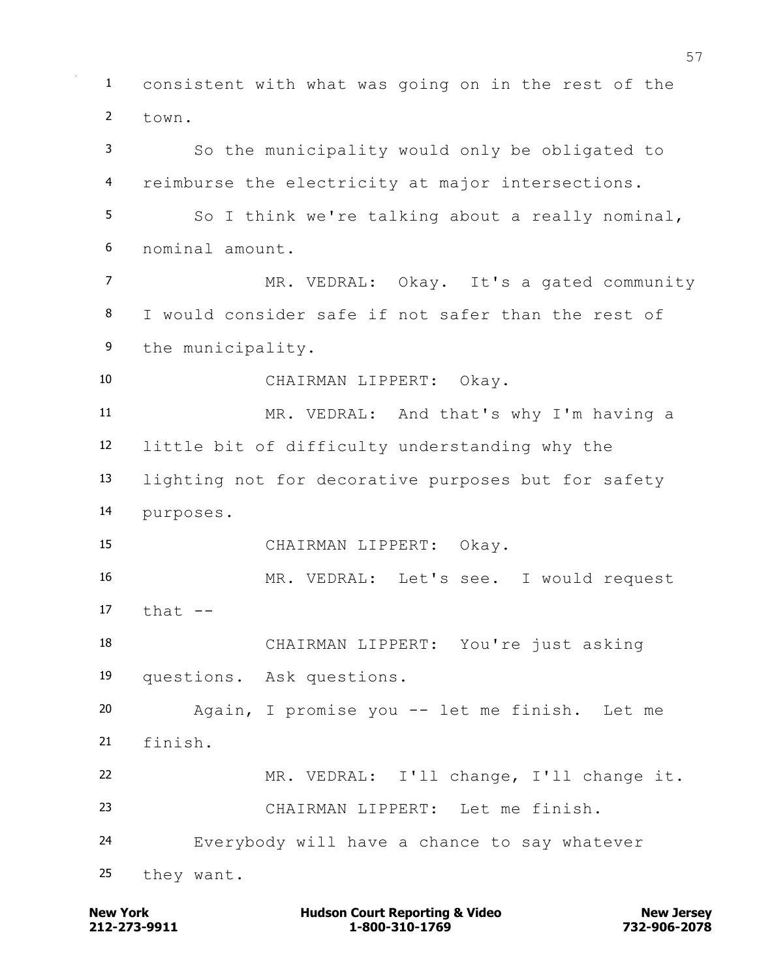consistent with what was going on in the rest of the town. So the municipality would only be obligated to reimburse the electricity at major intersections. So I think we're talking about a really nominal, nominal amount. MR. VEDRAL: Okay. It's a gated community I would consider safe if not safer than the rest of the municipality. CHAIRMAN LIPPERT: Okay. MR. VEDRAL: And that's why I'm having a little bit of difficulty understanding why the lighting not for decorative purposes but for safety purposes. CHAIRMAN LIPPERT: Okay. MR. VEDRAL: Let's see. I would request  $17 + hat$   $-$  CHAIRMAN LIPPERT: You're just asking questions. Ask questions. Again, I promise you -- let me finish. Let me finish. MR. VEDRAL: I'll change, I'll change it. CHAIRMAN LIPPERT: Let me finish. Everybody will have a chance to say whatever they want.

**212-273-9911 1-800-310-1769 732-906-2078 New York Communist Court Reporting & Video New Jersey Rew Jersey**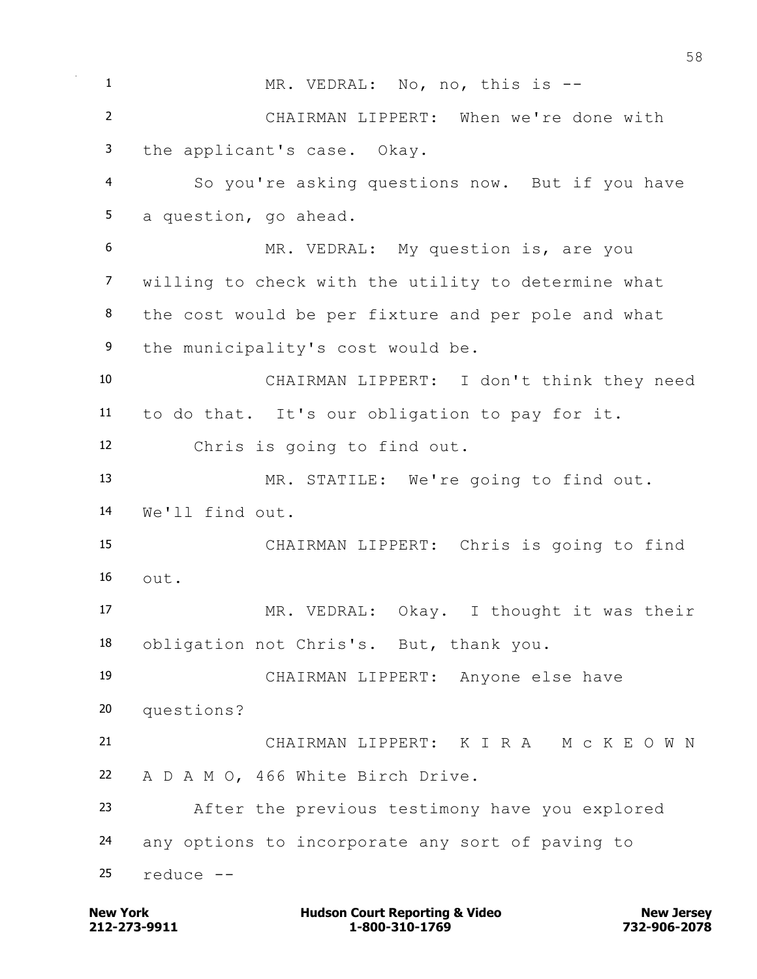1 MR. VEDRAL: No, no, this is -- CHAIRMAN LIPPERT: When we're done with the applicant's case. Okay. So you're asking questions now. But if you have a question, go ahead. MR. VEDRAL: My question is, are you willing to check with the utility to determine what the cost would be per fixture and per pole and what 9 the municipality's cost would be. CHAIRMAN LIPPERT: I don't think they need to do that. It's our obligation to pay for it. Chris is going to find out. MR. STATILE: We're going to find out. We'll find out. CHAIRMAN LIPPERT: Chris is going to find  $\Omega$ <sup>t.</sup> MR. VEDRAL: Okay. I thought it was their obligation not Chris's. But, thank you. CHAIRMAN LIPPERT: Anyone else have questions? CHAIRMAN LIPPERT: K I R A M c K E O W N A D A M O, 466 White Birch Drive. After the previous testimony have you explored any options to incorporate any sort of paving to reduce  $-$ 

**212-273-9911 1-800-310-1769 732-906-2078 New York Communist Court Reporting & Video New Jersey Rew Jersey**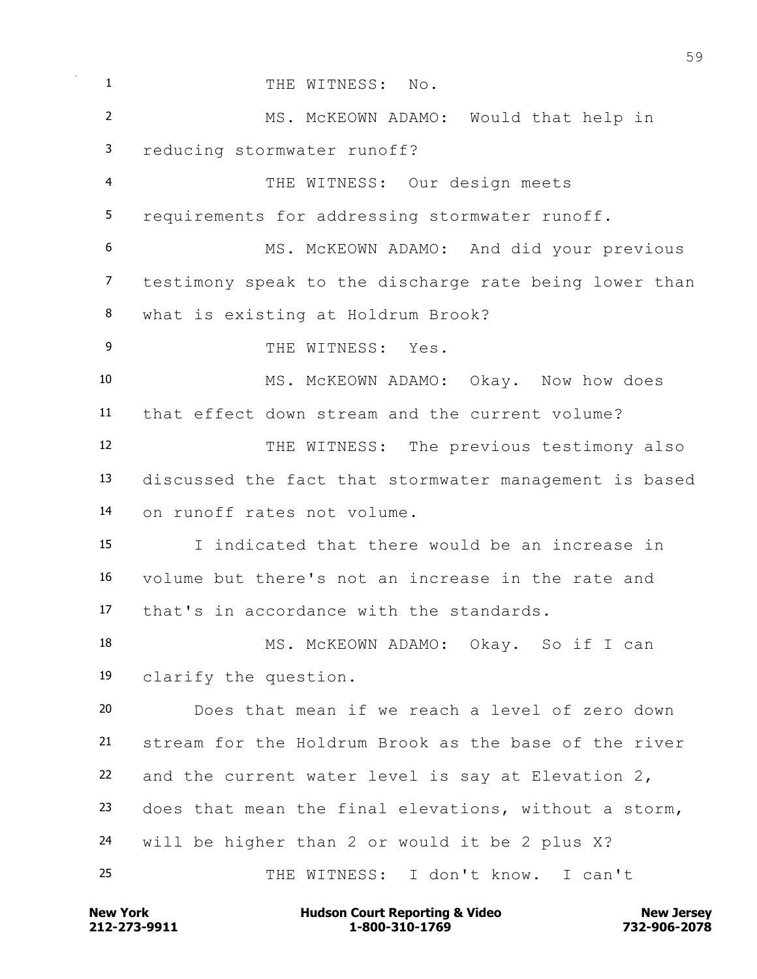| 1              | THE WITNESS: No.                                       |
|----------------|--------------------------------------------------------|
| $\overline{2}$ | MS. MCKEOWN ADAMO: Would that help in                  |
| 3              | reducing stormwater runoff?                            |
| $\overline{4}$ | THE WITNESS: Our design meets                          |
| 5              | requirements for addressing stormwater runoff.         |
| 6              | MS. MCKEOWN ADAMO: And did your previous               |
| $\overline{7}$ | testimony speak to the discharge rate being lower than |
| 8              | what is existing at Holdrum Brook?                     |
| 9              | THE WITNESS: Yes.                                      |
| 10             | MS. MCKEOWN ADAMO: Okay. Now how does                  |
| 11             | that effect down stream and the current volume?        |
| 12             | THE WITNESS: The previous testimony also               |
| 13             | discussed the fact that stormwater management is based |
| 14             | on runoff rates not volume.                            |
| 15             | I indicated that there would be an increase in         |
| 16             | volume but there's not an increase in the rate and     |
| 17             | that's in accordance with the standards.               |
| 18             | MS. MCKEOWN ADAMO: Okay. So if I can                   |
| 19             | clarify the question.                                  |
| 20             | Does that mean if we reach a level of zero down        |
| 21             | stream for the Holdrum Brook as the base of the river  |
| 22             | and the current water level is say at Elevation 2,     |
| 23             | does that mean the final elevations, without a storm,  |
| 24             | will be higher than 2 or would it be 2 plus X?         |
| 25             | THE WITNESS: I don't know. I can't                     |
|                |                                                        |

**212-273-9911 1-800-310-1769 732-906-2078 New York Hudson Court Reporting & Video New Jersey**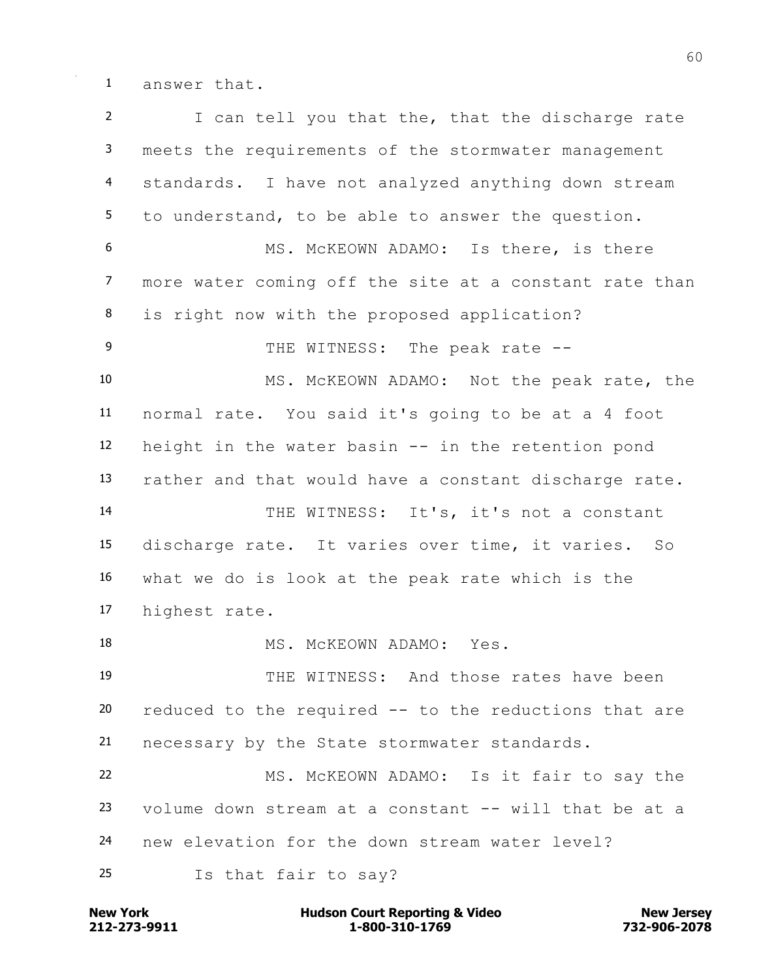answer that.

 I can tell you that the, that the discharge rate meets the requirements of the stormwater management standards. I have not analyzed anything down stream to understand, to be able to answer the question. MS. McKEOWN ADAMO: Is there, is there more water coming off the site at a constant rate than is right now with the proposed application? 9 THE WITNESS: The peak rate -- MS. McKEOWN ADAMO: Not the peak rate, the normal rate. You said it's going to be at a 4 foot height in the water basin -- in the retention pond rather and that would have a constant discharge rate. THE WITNESS: It's, it's not a constant discharge rate. It varies over time, it varies. So what we do is look at the peak rate which is the highest rate. 18 MS. McKEOWN ADAMO: Yes. THE WITNESS: And those rates have been reduced to the required -- to the reductions that are necessary by the State stormwater standards. MS. McKEOWN ADAMO: Is it fair to say the volume down stream at a constant -- will that be at a new elevation for the down stream water level? Is that fair to say?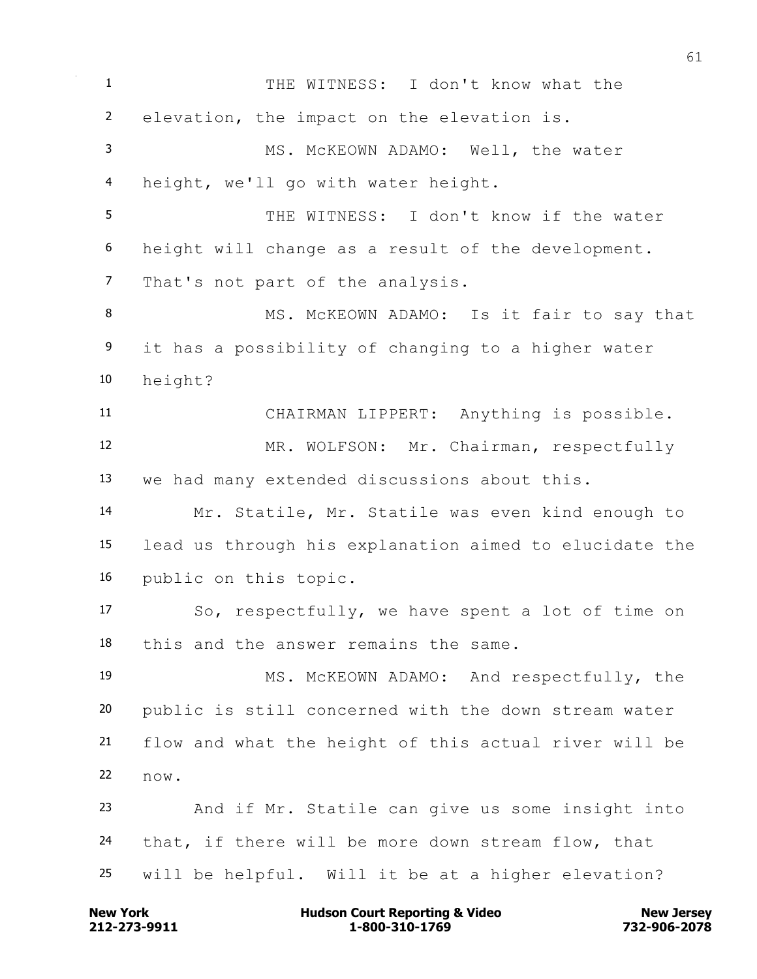THE WITNESS: I don't know what the elevation, the impact on the elevation is. MS. McKEOWN ADAMO: Well, the water height, we'll go with water height. THE WITNESS: I don't know if the water height will change as a result of the development. That's not part of the analysis. 8 MS. McKEOWN ADAMO: Is it fair to say that it has a possibility of changing to a higher water height? CHAIRMAN LIPPERT: Anything is possible. MR. WOLFSON: Mr. Chairman, respectfully we had many extended discussions about this. Mr. Statile, Mr. Statile was even kind enough to lead us through his explanation aimed to elucidate the public on this topic. So, respectfully, we have spent a lot of time on this and the answer remains the same. MS. McKEOWN ADAMO: And respectfully, the public is still concerned with the down stream water flow and what the height of this actual river will be now. And if Mr. Statile can give us some insight into that, if there will be more down stream flow, that will be helpful. Will it be at a higher elevation?

**212-273-9911 1-800-310-1769 732-906-2078 New York Communist Court Reporting & Video New Jersey Rew Jersey**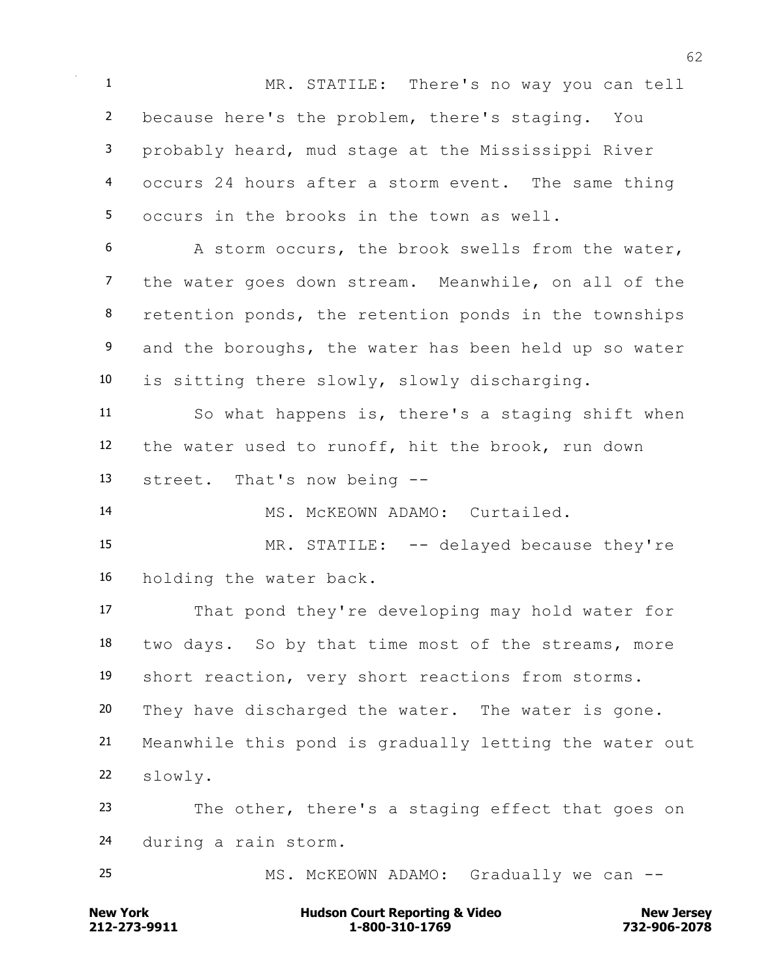MR. STATILE: There's no way you can tell because here's the problem, there's staging. You probably heard, mud stage at the Mississippi River occurs 24 hours after a storm event. The same thing occurs in the brooks in the town as well.

 A storm occurs, the brook swells from the water, the water goes down stream. Meanwhile, on all of the 8 retention ponds, the retention ponds in the townships 9 and the boroughs, the water has been held up so water is sitting there slowly, slowly discharging.

 So what happens is, there's a staging shift when the water used to runoff, hit the brook, run down street. That's now being --

MS. McKEOWN ADAMO: Curtailed.

 MR. STATILE: -- delayed because they're holding the water back.

 That pond they're developing may hold water for two days. So by that time most of the streams, more short reaction, very short reactions from storms. They have discharged the water. The water is gone. Meanwhile this pond is gradually letting the water out slowly.

 The other, there's a staging effect that goes on during a rain storm.

25 MS. McKEOWN ADAMO: Gradually we can --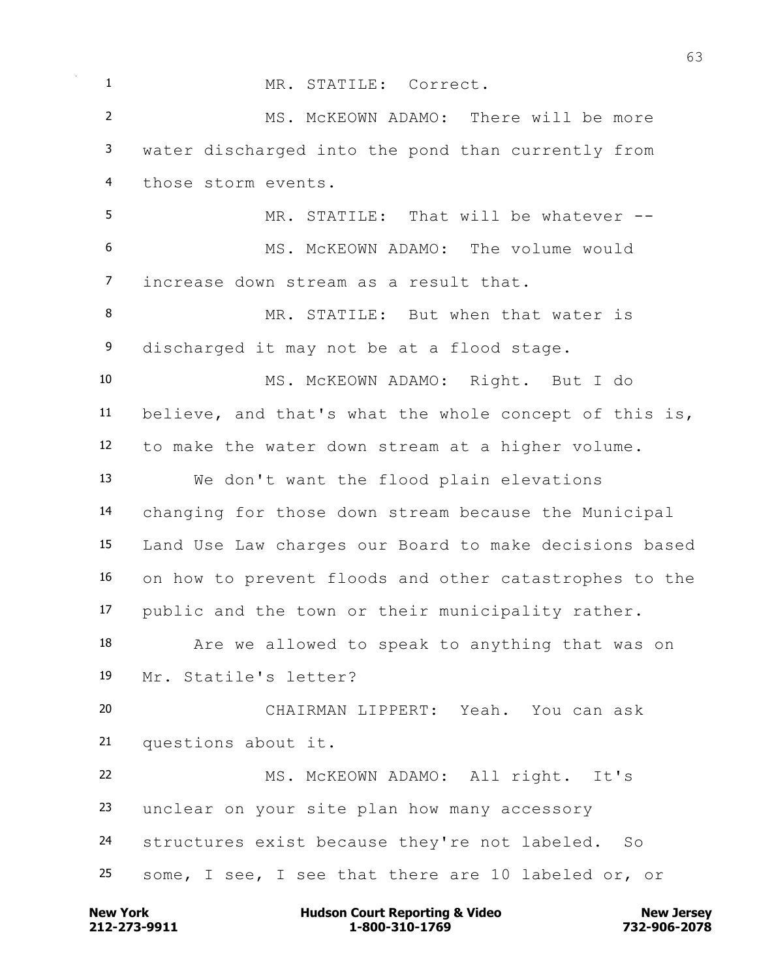MR. STATILE: Correct. MS. McKEOWN ADAMO: There will be more water discharged into the pond than currently from those storm events. MR. STATILE: That will be whatever -- MS. McKEOWN ADAMO: The volume would increase down stream as a result that. MR. STATILE: But when that water is 9 discharged it may not be at a flood stage. MS. McKEOWN ADAMO: Right. But I do believe, and that's what the whole concept of this is, to make the water down stream at a higher volume. We don't want the flood plain elevations changing for those down stream because the Municipal Land Use Law charges our Board to make decisions based on how to prevent floods and other catastrophes to the public and the town or their municipality rather. Are we allowed to speak to anything that was on Mr. Statile's letter? CHAIRMAN LIPPERT: Yeah. You can ask questions about it. MS. McKEOWN ADAMO: All right. It's unclear on your site plan how many accessory structures exist because they're not labeled. So some, I see, I see that there are 10 labeled or, or

**212-273-9911 1-800-310-1769 732-906-2078 New York Communist Court Reporting & Video New Jersey Rew Jersey**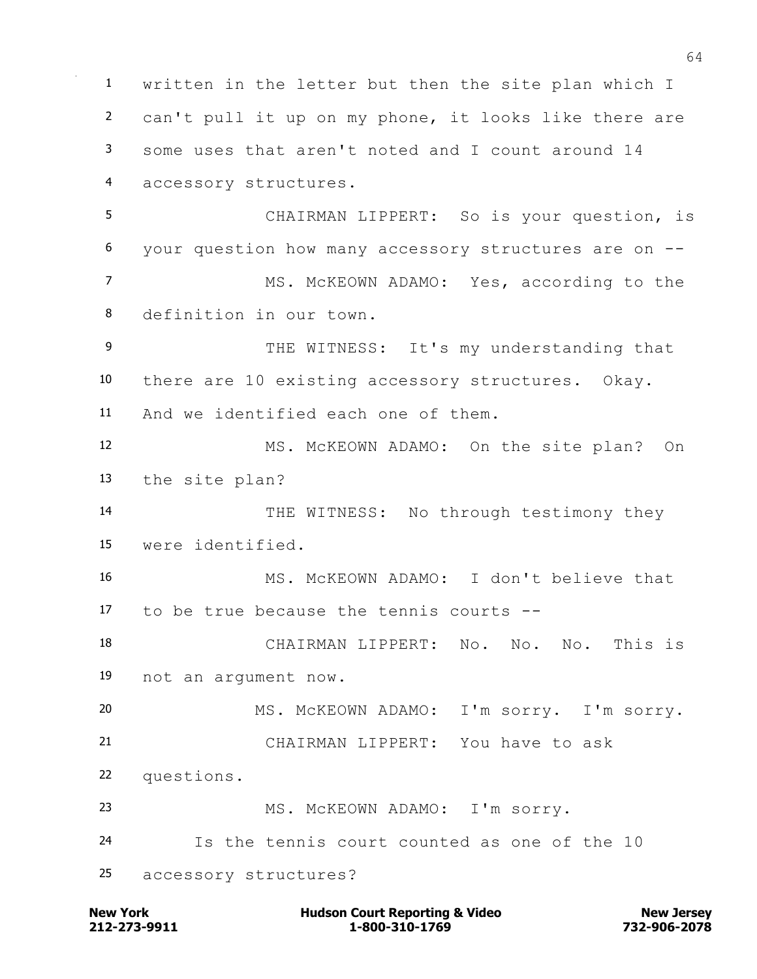written in the letter but then the site plan which I can't pull it up on my phone, it looks like there are some uses that aren't noted and I count around 14 accessory structures. CHAIRMAN LIPPERT: So is your question, is your question how many accessory structures are on -- MS. McKEOWN ADAMO: Yes, according to the definition in our town. 9 THE WITNESS: It's my understanding that there are 10 existing accessory structures. Okay. And we identified each one of them. MS. McKEOWN ADAMO: On the site plan? On the site plan? 14 THE WITNESS: No through testimony they were identified. MS. McKEOWN ADAMO: I don't believe that to be true because the tennis courts -- CHAIRMAN LIPPERT: No. No. No. This is not an argument now. MS. McKEOWN ADAMO: I'm sorry. I'm sorry. CHAIRMAN LIPPERT: You have to ask questions. MS. McKEOWN ADAMO: I'm sorry. Is the tennis court counted as one of the 10 accessory structures?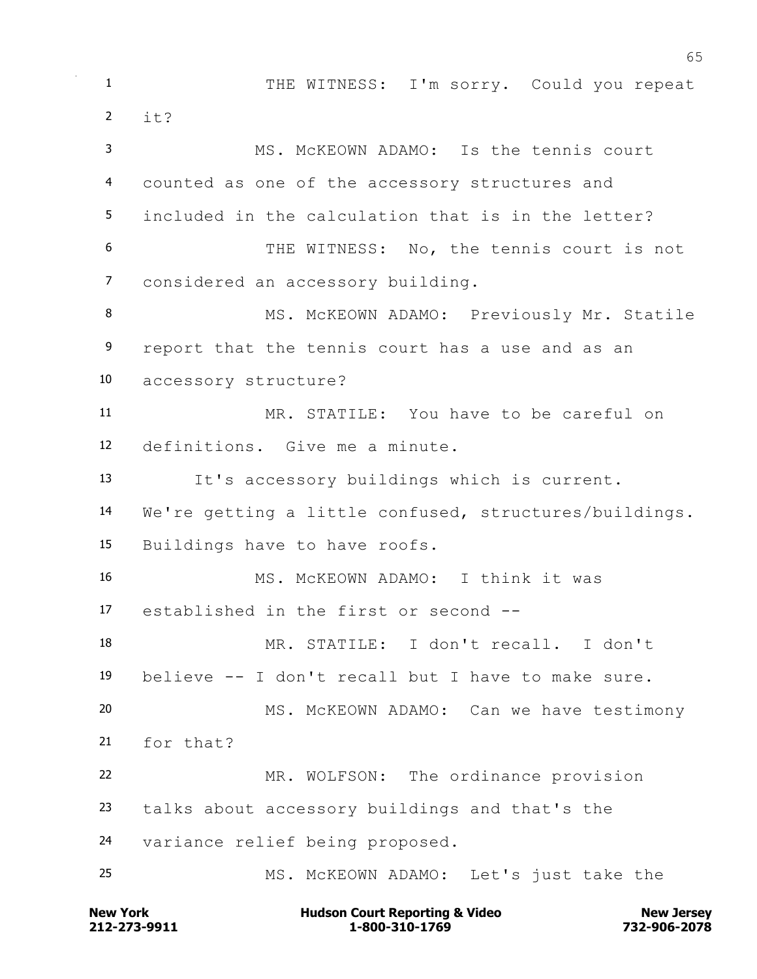THE WITNESS: I'm sorry. Could you repeat it? MS. McKEOWN ADAMO: Is the tennis court counted as one of the accessory structures and included in the calculation that is in the letter? THE WITNESS: No, the tennis court is not considered an accessory building. 8 MS. McKEOWN ADAMO: Previously Mr. Statile report that the tennis court has a use and as an accessory structure? MR. STATILE: You have to be careful on definitions. Give me a minute. It's accessory buildings which is current. We're getting a little confused, structures/buildings. Buildings have to have roofs. MS. McKEOWN ADAMO: I think it was established in the first or second -- MR. STATILE: I don't recall. I don't believe -- I don't recall but I have to make sure. MS. McKEOWN ADAMO: Can we have testimony for that? MR. WOLFSON: The ordinance provision talks about accessory buildings and that's the variance relief being proposed. MS. McKEOWN ADAMO: Let's just take the

**212-273-9911 1-800-310-1769 732-906-2078 New York Communist Court Reporting & Video New Jersey Rew Jersey**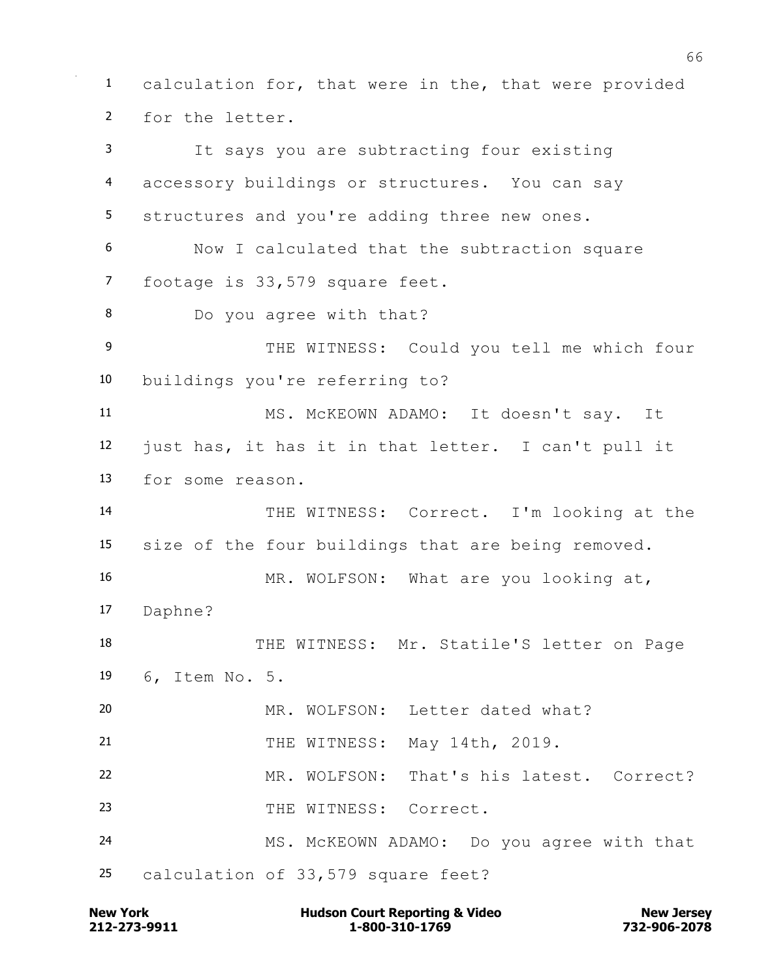calculation for, that were in the, that were provided for the letter. It says you are subtracting four existing accessory buildings or structures. You can say structures and you're adding three new ones. Now I calculated that the subtraction square footage is 33,579 square feet. Do you agree with that? 9 THE WITNESS: Could you tell me which four buildings you're referring to? MS. McKEOWN ADAMO: It doesn't say. It just has, it has it in that letter. I can't pull it for some reason. THE WITNESS: Correct. I'm looking at the size of the four buildings that are being removed. MR. WOLFSON: What are you looking at, Daphne? 18 THE WITNESS: Mr. Statile'S letter on Page 6, Item No. 5. MR. WOLFSON: Letter dated what? THE WITNESS: May 14th, 2019. MR. WOLFSON: That's his latest. Correct? 23 THE WITNESS: Correct. MS. McKEOWN ADAMO: Do you agree with that calculation of 33,579 square feet?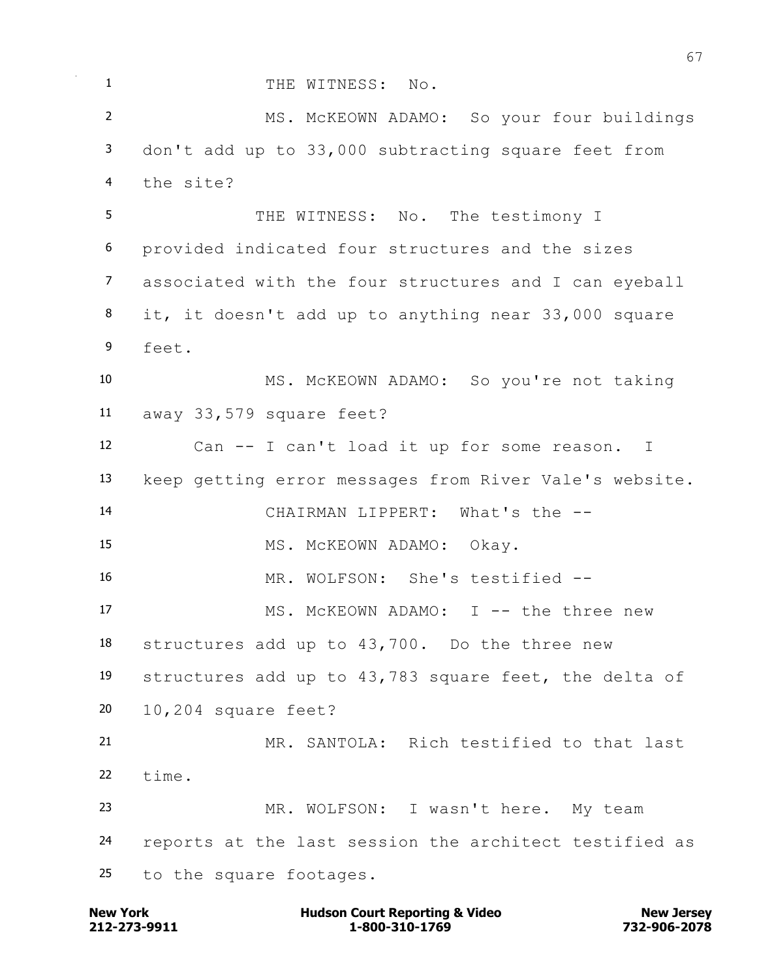1 THE WITNESS: No. MS. McKEOWN ADAMO: So your four buildings don't add up to 33,000 subtracting square feet from the site? THE WITNESS: No. The testimony I provided indicated four structures and the sizes associated with the four structures and I can eyeball it, it doesn't add up to anything near 33,000 square feet. MS. McKEOWN ADAMO: So you're not taking away 33,579 square feet? Can -- I can't load it up for some reason. I keep getting error messages from River Vale's website. CHAIRMAN LIPPERT: What's the -- MS. McKEOWN ADAMO: Okay. MR. WOLFSON: She's testified -- 17 MS. McKEOWN ADAMO: I -- the three new structures add up to 43,700. Do the three new structures add up to 43,783 square feet, the delta of 10,204 square feet? MR. SANTOLA: Rich testified to that last time. MR. WOLFSON: I wasn't here. My team reports at the last session the architect testified as to the square footages.

**212-273-9911 1-800-310-1769 732-906-2078 New York Communist Court Reporting & Video New Jersey Rew Jersey**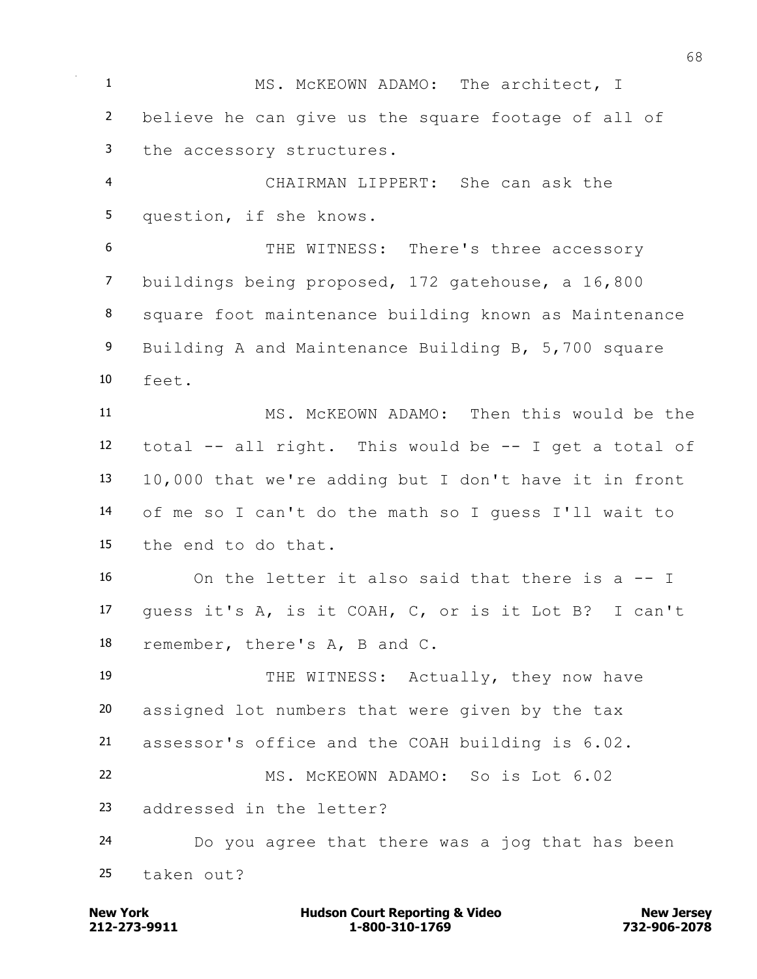1 MS. McKEOWN ADAMO: The architect, I believe he can give us the square footage of all of the accessory structures. CHAIRMAN LIPPERT: She can ask the question, if she knows. THE WITNESS: There's three accessory buildings being proposed, 172 gatehouse, a 16,800 square foot maintenance building known as Maintenance Building A and Maintenance Building B, 5,700 square feet. MS. McKEOWN ADAMO: Then this would be the total -- all right. This would be -- I get a total of 10,000 that we're adding but I don't have it in front of me so I can't do the math so I guess I'll wait to the end to do that. On the letter it also said that there is a -- I guess it's A, is it COAH, C, or is it Lot B? I can't remember, there's A, B and C. 19 THE WITNESS: Actually, they now have assigned lot numbers that were given by the tax assessor's office and the COAH building is 6.02. MS. McKEOWN ADAMO: So is Lot 6.02 addressed in the letter? Do you agree that there was a jog that has been taken out?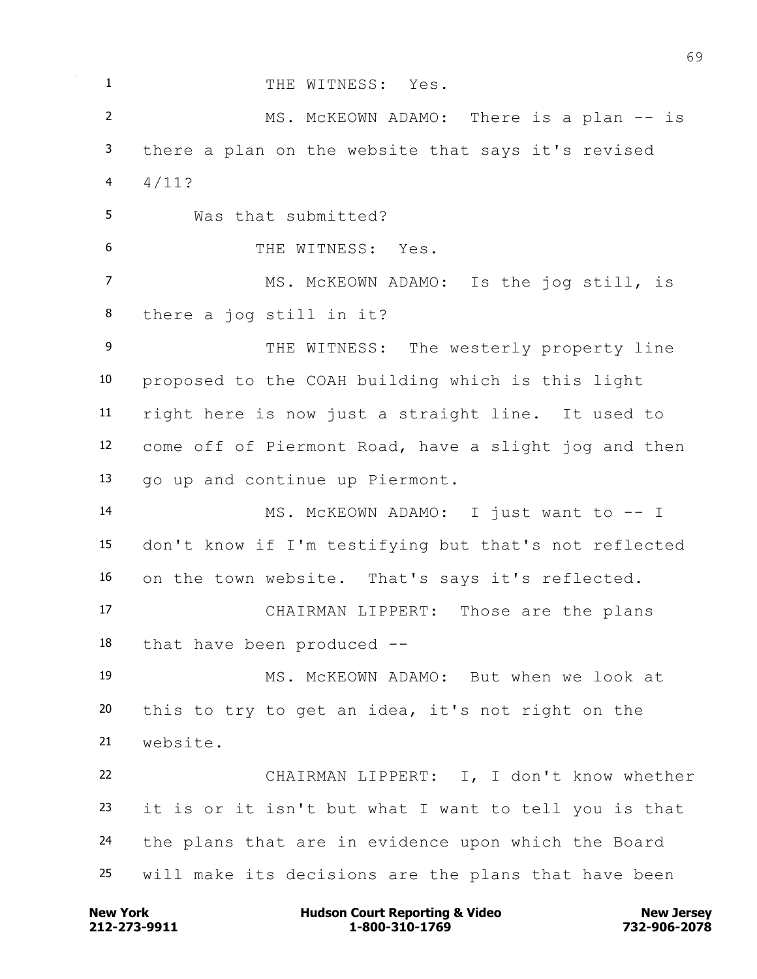1 THE WITNESS: Yes. 2 MS. McKEOWN ADAMO: There is a plan -- is there a plan on the website that says it's revised 4  $4/11?$  Was that submitted? THE WITNESS: Yes. 7 MS. McKEOWN ADAMO: Is the jog still, is there a jog still in it? 9 THE WITNESS: The westerly property line proposed to the COAH building which is this light right here is now just a straight line. It used to come off of Piermont Road, have a slight jog and then go up and continue up Piermont. 14 MS. McKEOWN ADAMO: I just want to -- I don't know if I'm testifying but that's not reflected on the town website. That's says it's reflected. CHAIRMAN LIPPERT: Those are the plans that have been produced -- MS. McKEOWN ADAMO: But when we look at this to try to get an idea, it's not right on the website. CHAIRMAN LIPPERT: I, I don't know whether it is or it isn't but what I want to tell you is that the plans that are in evidence upon which the Board will make its decisions are the plans that have been

**212-273-9911 1-800-310-1769 732-906-2078 New York Communist Court Reporting & Video New Jersey Rew Jersey**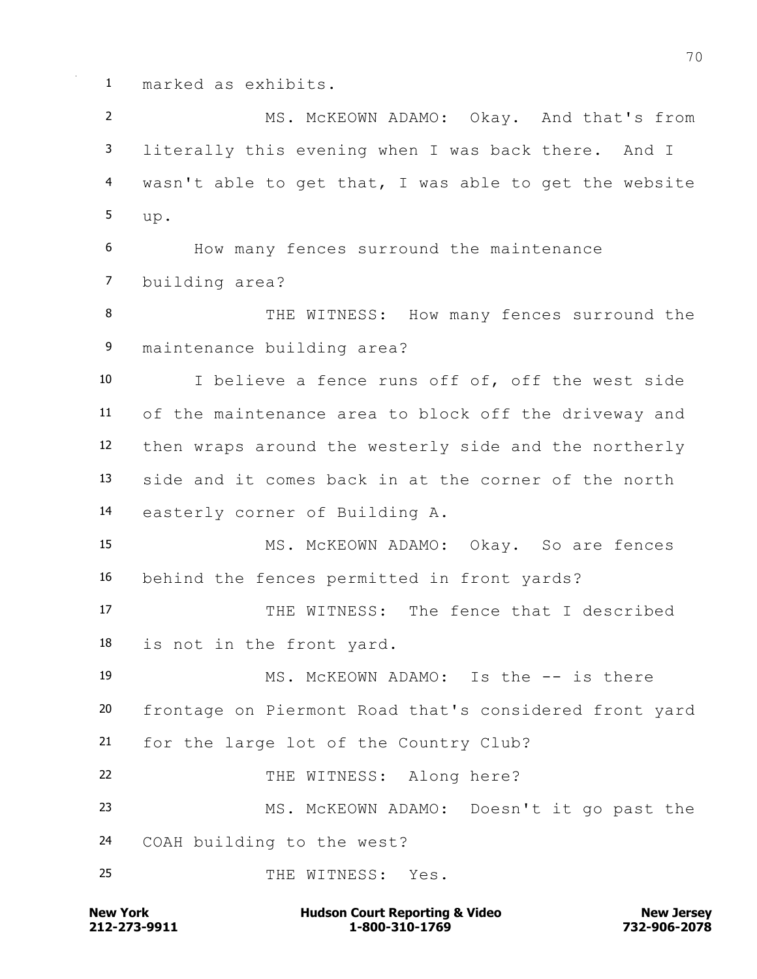marked as exhibits.

 MS. McKEOWN ADAMO: Okay. And that's from literally this evening when I was back there. And I wasn't able to get that, I was able to get the website up. How many fences surround the maintenance building area? 8 THE WITNESS: How many fences surround the maintenance building area? I believe a fence runs off of, off the west side of the maintenance area to block off the driveway and then wraps around the westerly side and the northerly side and it comes back in at the corner of the north easterly corner of Building A. MS. McKEOWN ADAMO: Okay. So are fences behind the fences permitted in front yards? THE WITNESS: The fence that I described is not in the front yard. MS. McKEOWN ADAMO: Is the -- is there frontage on Piermont Road that's considered front yard for the large lot of the Country Club? THE WITNESS: Along here? MS. McKEOWN ADAMO: Doesn't it go past the COAH building to the west? THE WITNESS: Yes.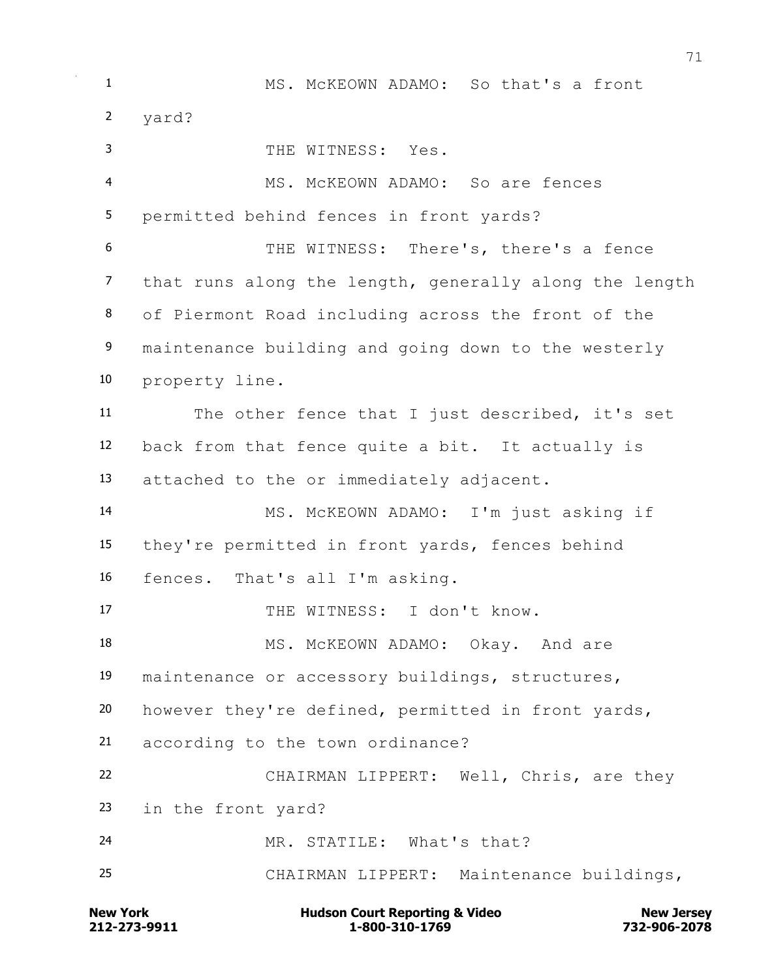MS. McKEOWN ADAMO: So that's a front yard? THE WITNESS: Yes. MS. McKEOWN ADAMO: So are fences permitted behind fences in front yards? THE WITNESS: There's, there's a fence that runs along the length, generally along the length of Piermont Road including across the front of the maintenance building and going down to the westerly property line. The other fence that I just described, it's set back from that fence quite a bit. It actually is attached to the or immediately adjacent. MS. McKEOWN ADAMO: I'm just asking if they're permitted in front yards, fences behind fences. That's all I'm asking. THE WITNESS: I don't know. 18 MS. McKEOWN ADAMO: Okay. And are maintenance or accessory buildings, structures, however they're defined, permitted in front yards, according to the town ordinance? CHAIRMAN LIPPERT: Well, Chris, are they in the front yard? MR. STATILE: What's that? CHAIRMAN LIPPERT: Maintenance buildings,

**212-273-9911 1-800-310-1769 732-906-2078 New York Communist Court Reporting & Video New Jersey Rew Jersey**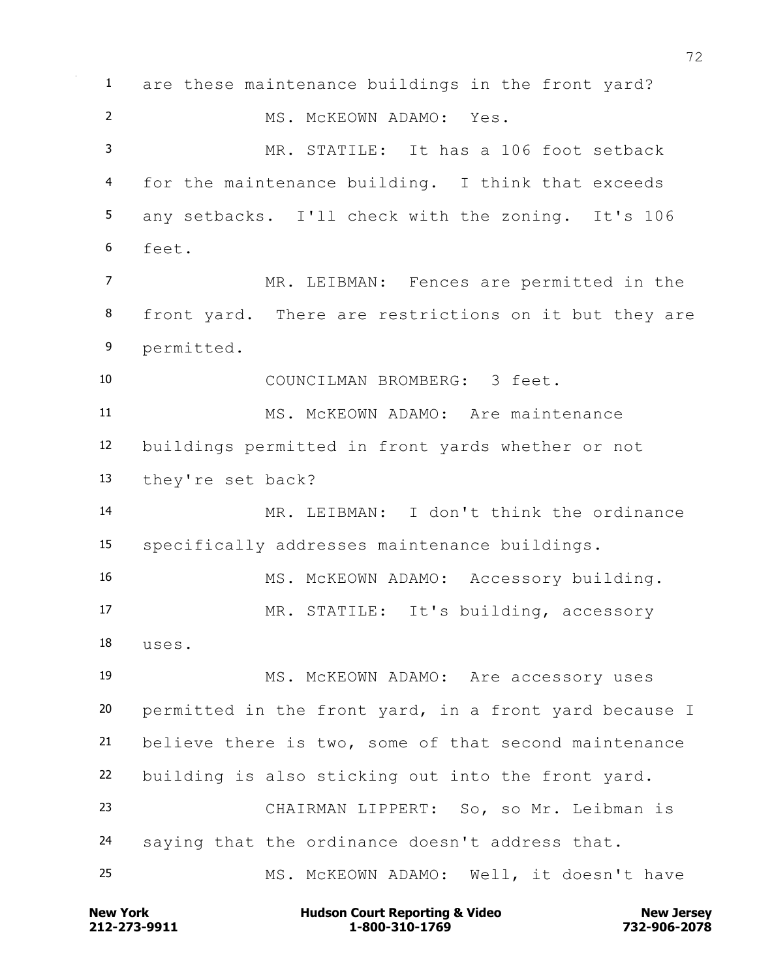are these maintenance buildings in the front yard? MS. McKEOWN ADAMO: Yes. MR. STATILE: It has a 106 foot setback for the maintenance building. I think that exceeds any setbacks. I'll check with the zoning. It's 106 feet. MR. LEIBMAN: Fences are permitted in the 8 front yard. There are restrictions on it but they are permitted. COUNCILMAN BROMBERG: 3 feet. MS. McKEOWN ADAMO: Are maintenance buildings permitted in front yards whether or not they're set back? MR. LEIBMAN: I don't think the ordinance specifically addresses maintenance buildings. 16 MS. McKEOWN ADAMO: Accessory building. MR. STATILE: It's building, accessory uses. MS. McKEOWN ADAMO: Are accessory uses permitted in the front yard, in a front yard because I believe there is two, some of that second maintenance building is also sticking out into the front yard. CHAIRMAN LIPPERT: So, so Mr. Leibman is saying that the ordinance doesn't address that. MS. McKEOWN ADAMO: Well, it doesn't have

**212-273-9911 1-800-310-1769 732-906-2078 New York Communist Court Reporting & Video New Jersey Rew Jersey**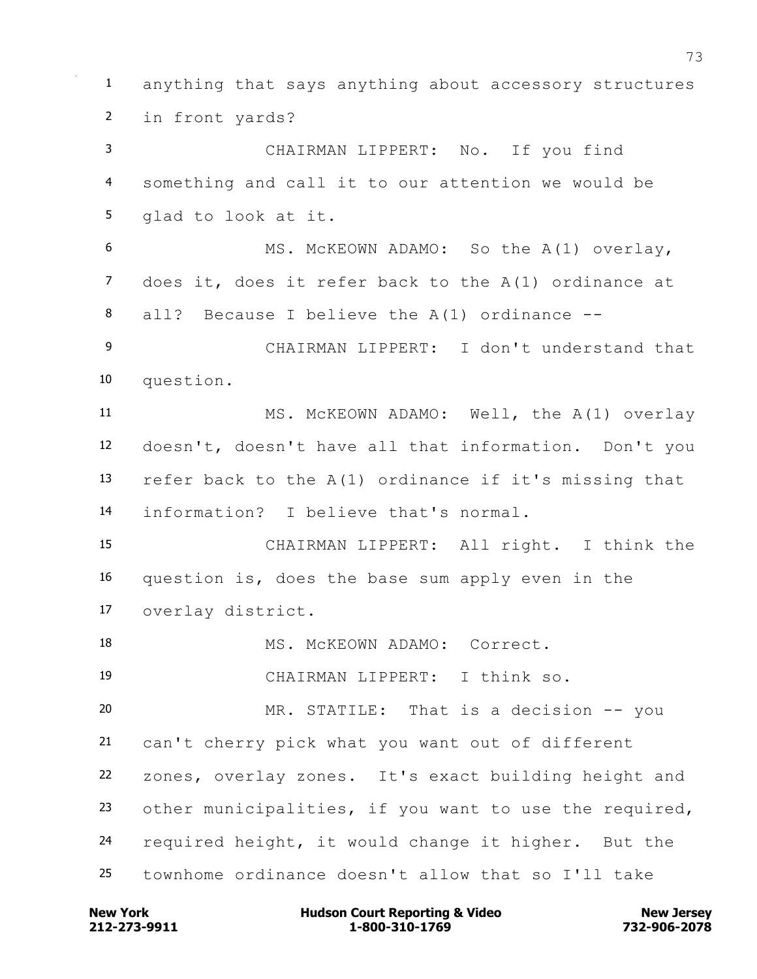anything that says anything about accessory structures in front yards? CHAIRMAN LIPPERT: No. If you find something and call it to our attention we would be glad to look at it. MS. McKEOWN ADAMO: So the A(1) overlay, does it, does it refer back to the A(1) ordinance at all? Because I believe the A(1) ordinance -- CHAIRMAN LIPPERT: I don't understand that question. MS. McKEOWN ADAMO: Well, the A(1) overlay doesn't, doesn't have all that information. Don't you refer back to the A(1) ordinance if it's missing that information? I believe that's normal. CHAIRMAN LIPPERT: All right. I think the question is, does the base sum apply even in the overlay district. 18 MS. McKEOWN ADAMO: Correct. CHAIRMAN LIPPERT: I think so. MR. STATILE: That is a decision -- you can't cherry pick what you want out of different zones, overlay zones. It's exact building height and other municipalities, if you want to use the required, required height, it would change it higher. But the townhome ordinance doesn't allow that so I'll take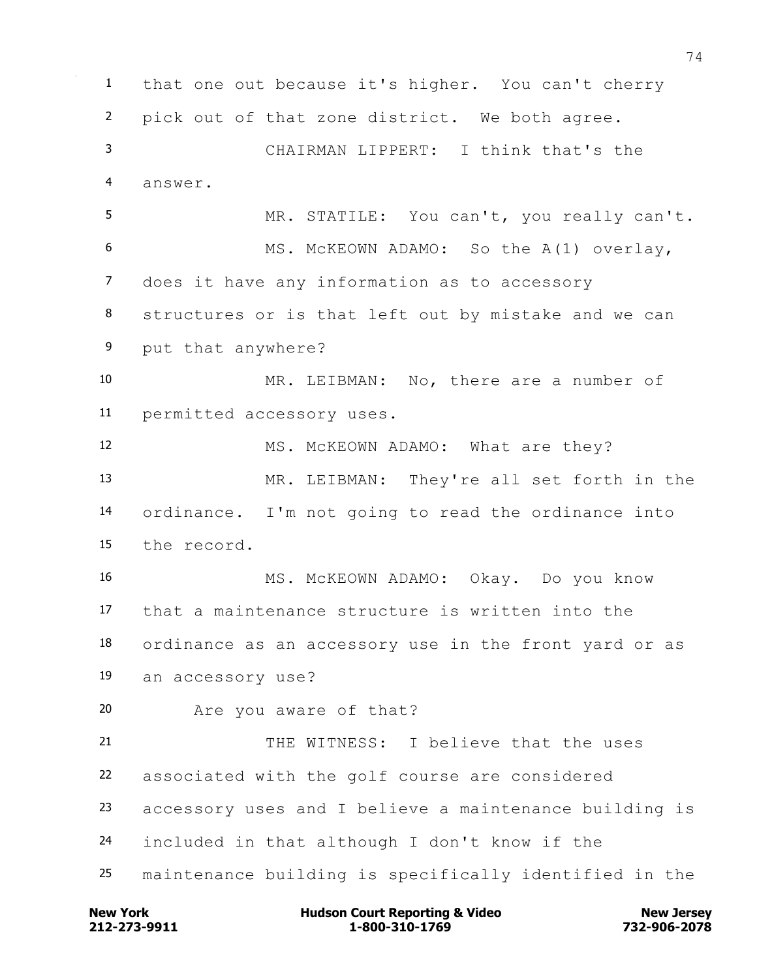that one out because it's higher. You can't cherry pick out of that zone district. We both agree. CHAIRMAN LIPPERT: I think that's the answer. MR. STATILE: You can't, you really can't. MS. McKEOWN ADAMO: So the A(1) overlay, does it have any information as to accessory structures or is that left out by mistake and we can put that anywhere? MR. LEIBMAN: No, there are a number of permitted accessory uses. 12 MS. McKEOWN ADAMO: What are they? MR. LEIBMAN: They're all set forth in the ordinance. I'm not going to read the ordinance into the record. MS. McKEOWN ADAMO: Okay. Do you know that a maintenance structure is written into the ordinance as an accessory use in the front yard or as an accessory use? Are you aware of that? THE WITNESS: I believe that the uses associated with the golf course are considered accessory uses and I believe a maintenance building is included in that although I don't know if the maintenance building is specifically identified in the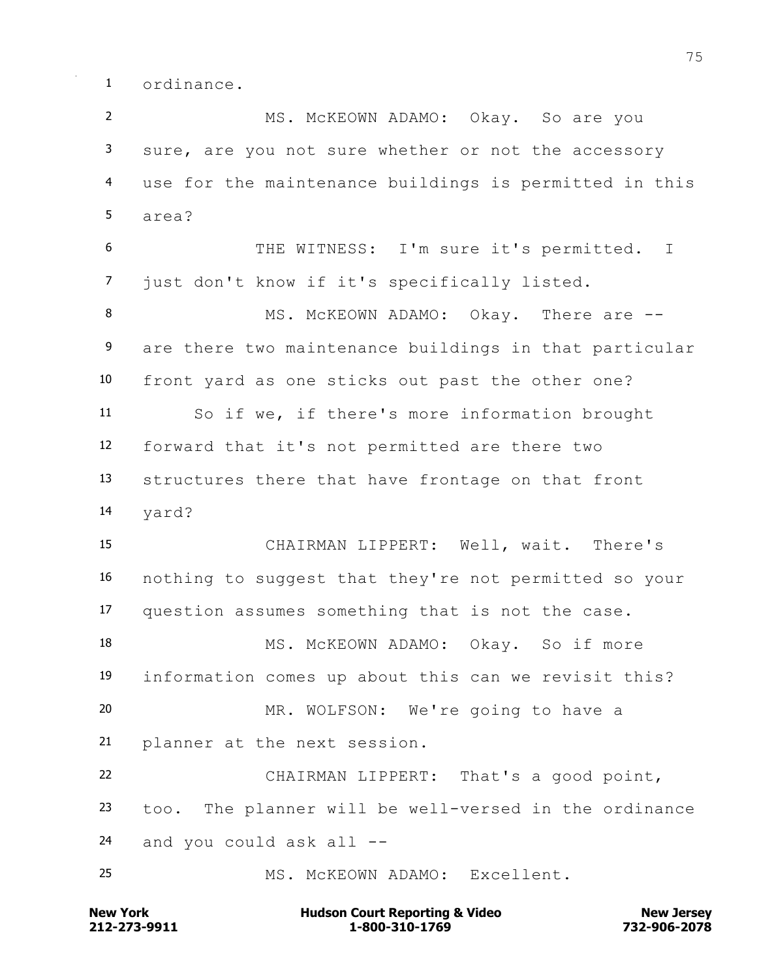ordinance.

 MS. McKEOWN ADAMO: Okay. So are you sure, are you not sure whether or not the accessory use for the maintenance buildings is permitted in this area? THE WITNESS: I'm sure it's permitted. I just don't know if it's specifically listed. 8 MS. McKEOWN ADAMO: Okay. There are --9 are there two maintenance buildings in that particular front yard as one sticks out past the other one? So if we, if there's more information brought forward that it's not permitted are there two structures there that have frontage on that front yard? CHAIRMAN LIPPERT: Well, wait. There's nothing to suggest that they're not permitted so your question assumes something that is not the case. 18 MS. McKEOWN ADAMO: Okay. So if more information comes up about this can we revisit this? MR. WOLFSON: We're going to have a planner at the next session. CHAIRMAN LIPPERT: That's a good point, too. The planner will be well-versed in the ordinance and you could ask all -- MS. McKEOWN ADAMO: Excellent.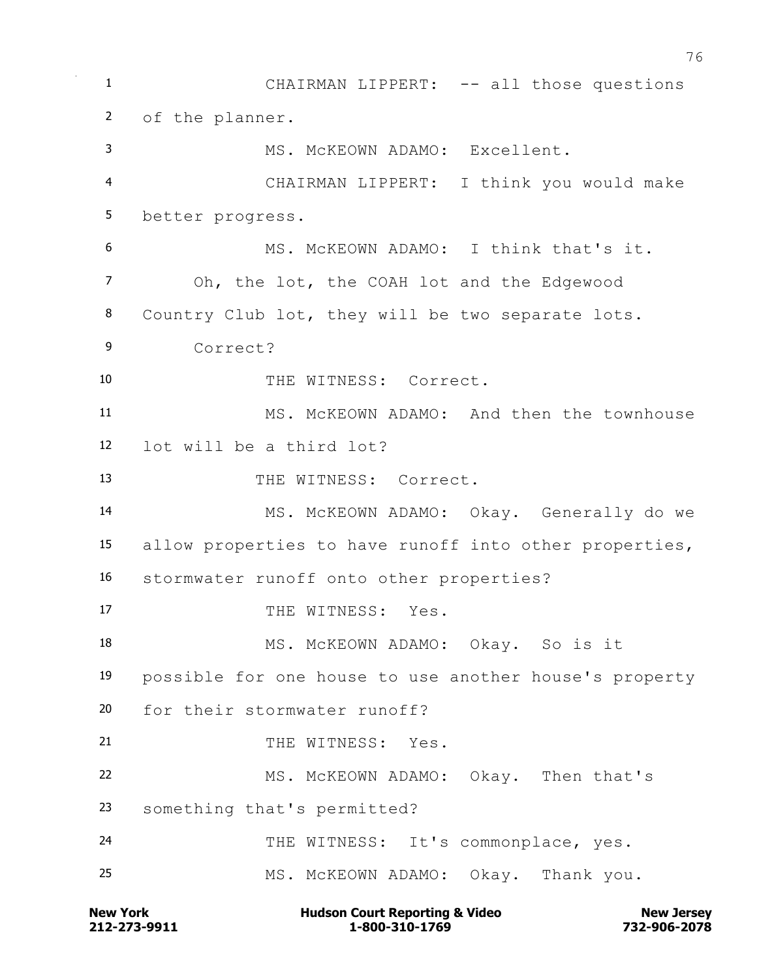1 CHAIRMAN LIPPERT: -- all those questions of the planner. MS. McKEOWN ADAMO: Excellent. CHAIRMAN LIPPERT: I think you would make better progress. MS. McKEOWN ADAMO: I think that's it. Oh, the lot, the COAH lot and the Edgewood Country Club lot, they will be two separate lots. Correct? 10 THE WITNESS: Correct. MS. McKEOWN ADAMO: And then the townhouse lot will be a third lot? THE WITNESS: Correct. MS. McKEOWN ADAMO: Okay. Generally do we allow properties to have runoff into other properties, stormwater runoff onto other properties? 17 THE WITNESS: Yes. 18 MS. McKEOWN ADAMO: Okay. So is it possible for one house to use another house's property for their stormwater runoff? 21 THE WITNESS: Yes. MS. McKEOWN ADAMO: Okay. Then that's something that's permitted? 24 THE WITNESS: It's commonplace, yes. MS. McKEOWN ADAMO: Okay. Thank you.

**212-273-9911 1-800-310-1769 732-906-2078 New York Communist Court Reporting & Video New Jersey Rew Jersey**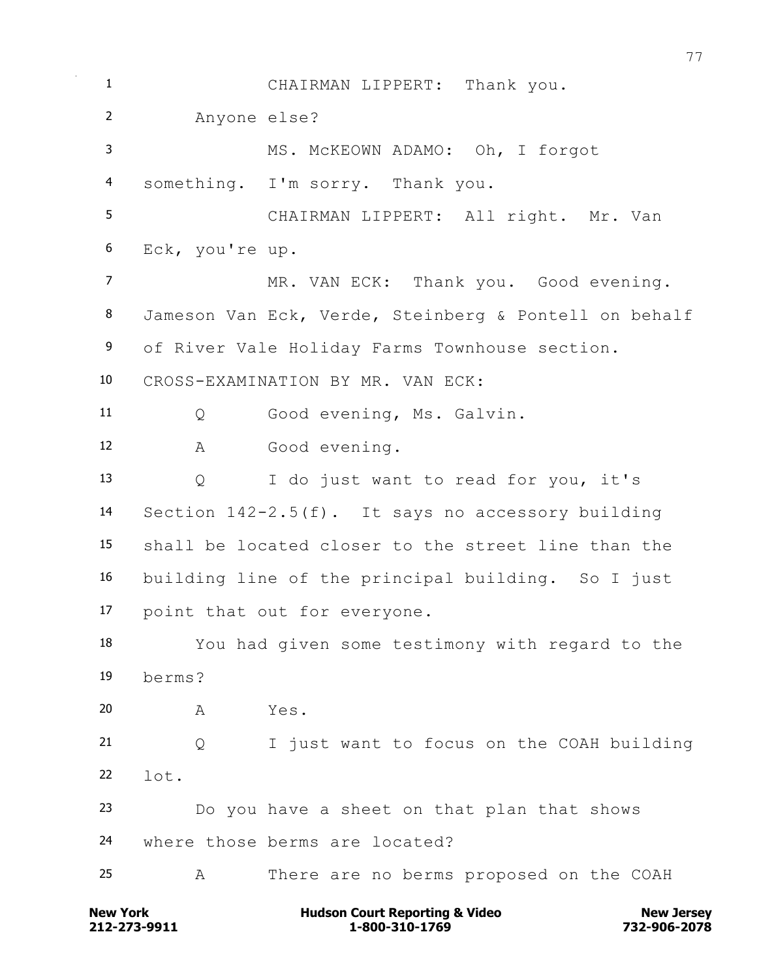CHAIRMAN LIPPERT: Thank you. Anyone else? MS. McKEOWN ADAMO: Oh, I forgot something. I'm sorry. Thank you. CHAIRMAN LIPPERT: All right. Mr. Van Eck, you're up. 7 MR. VAN ECK: Thank you. Good evening. Jameson Van Eck, Verde, Steinberg & Pontell on behalf of River Vale Holiday Farms Townhouse section. CROSS-EXAMINATION BY MR. VAN ECK: Q Good evening, Ms. Galvin. A Good evening. Q I do just want to read for you, it's Section 142-2.5(f). It says no accessory building shall be located closer to the street line than the building line of the principal building. So I just point that out for everyone. You had given some testimony with regard to the berms? A Yes. Q I just want to focus on the COAH building  $22 \t 10^{+}$ . Do you have a sheet on that plan that shows where those berms are located? A There are no berms proposed on the COAH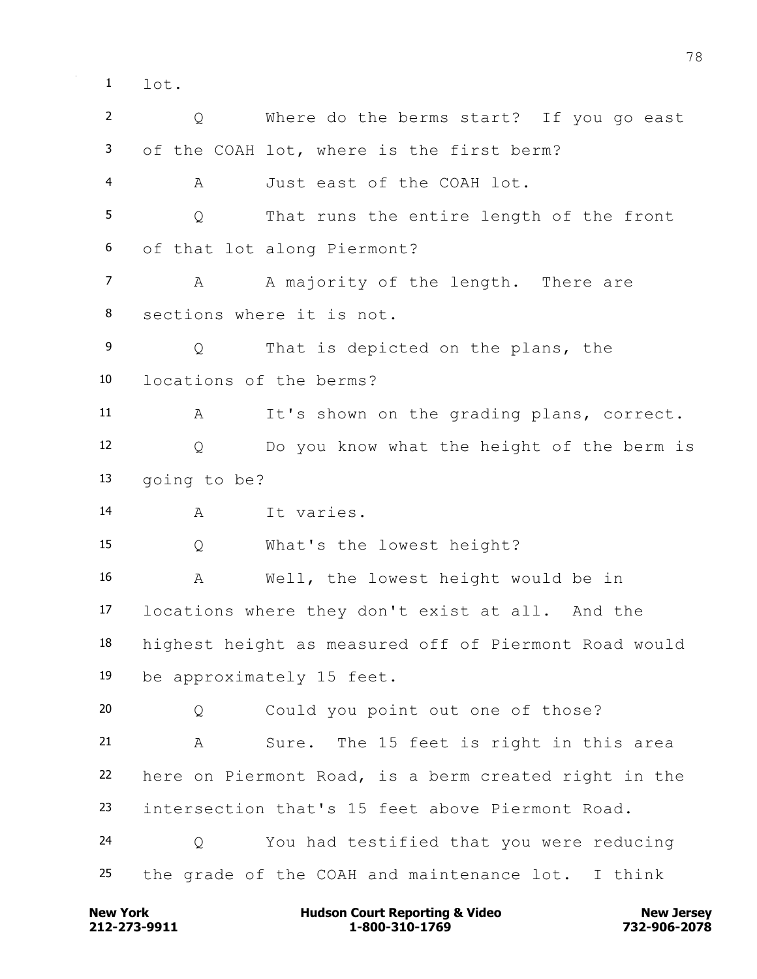$1 \quad \text{let.}$ 

 Q Where do the berms start? If you go east of the COAH lot, where is the first berm? A Just east of the COAH lot. Q That runs the entire length of the front of that lot along Piermont? 7 A A majority of the length. There are sections where it is not. Q That is depicted on the plans, the locations of the berms? A It's shown on the grading plans, correct. Q Do you know what the height of the berm is going to be? A It varies. Q What's the lowest height? A Well, the lowest height would be in locations where they don't exist at all. And the highest height as measured off of Piermont Road would be approximately 15 feet. Q Could you point out one of those? A Sure. The 15 feet is right in this area here on Piermont Road, is a berm created right in the intersection that's 15 feet above Piermont Road. Q You had testified that you were reducing the grade of the COAH and maintenance lot. I think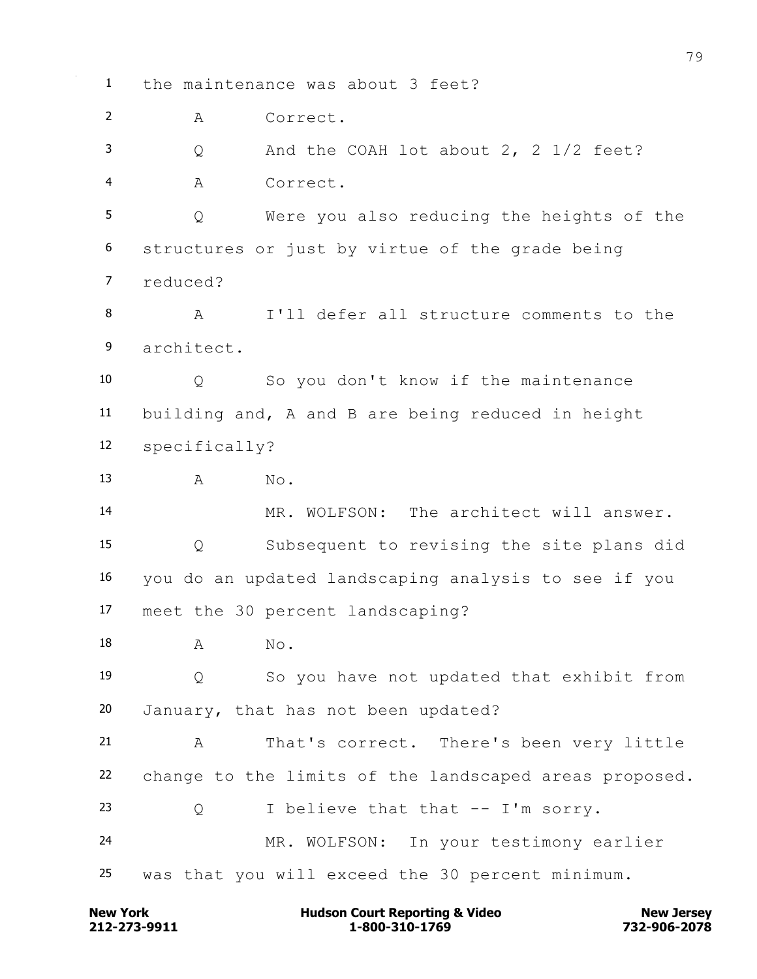the maintenance was about 3 feet? A Correct. Q And the COAH lot about 2, 2 1/2 feet? A Correct. Q Were you also reducing the heights of the structures or just by virtue of the grade being reduced? A I'll defer all structure comments to the architect. Q So you don't know if the maintenance building and, A and B are being reduced in height specifically? 13 A No. MR. WOLFSON: The architect will answer. Q Subsequent to revising the site plans did you do an updated landscaping analysis to see if you meet the 30 percent landscaping? 18 A No. Q So you have not updated that exhibit from January, that has not been updated? A That's correct. There's been very little change to the limits of the landscaped areas proposed. Q I believe that that -- I'm sorry. MR. WOLFSON: In your testimony earlier was that you will exceed the 30 percent minimum.

**212-273-9911 1-800-310-1769 732-906-2078 New York Communist Court Reporting & Video New Jersey Rew Jersey**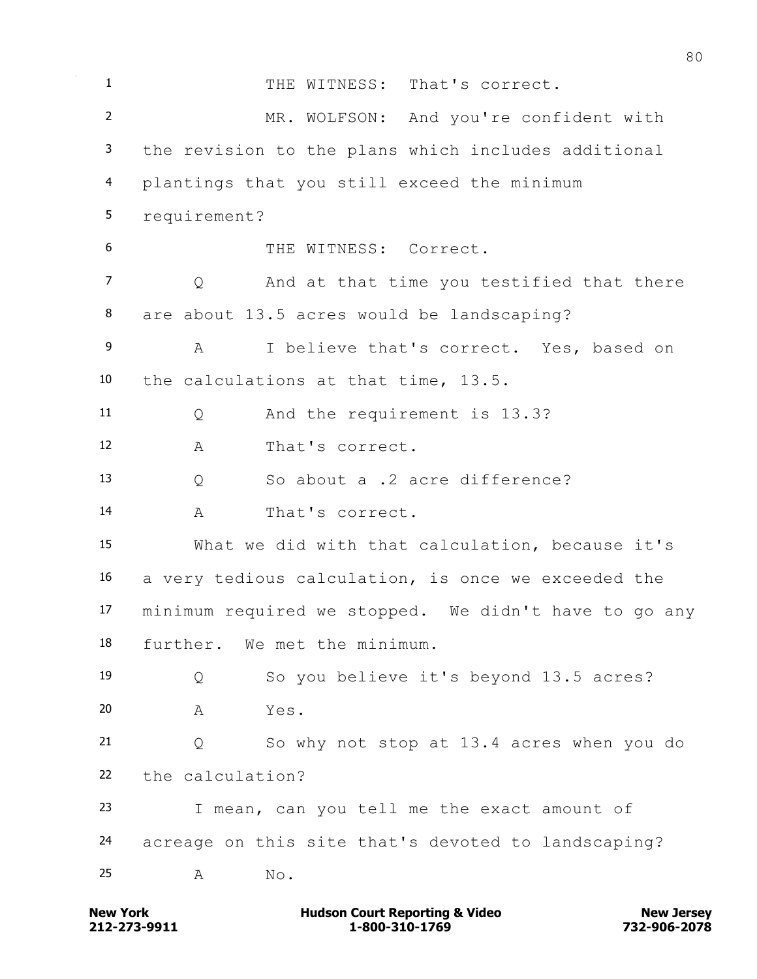1 THE WITNESS: That's correct. MR. WOLFSON: And you're confident with the revision to the plans which includes additional plantings that you still exceed the minimum requirement? THE WITNESS: Correct. 7 O And at that time you testified that there are about 13.5 acres would be landscaping? A I believe that's correct. Yes, based on the calculations at that time, 13.5. Q And the requirement is 13.3? A That's correct. Q So about a .2 acre difference? A That's correct. What we did with that calculation, because it's a very tedious calculation, is once we exceeded the minimum required we stopped. We didn't have to go any further. We met the minimum. Q So you believe it's beyond 13.5 acres? A Yes. Q So why not stop at 13.4 acres when you do the calculation? I mean, can you tell me the exact amount of acreage on this site that's devoted to landscaping? 25 A No.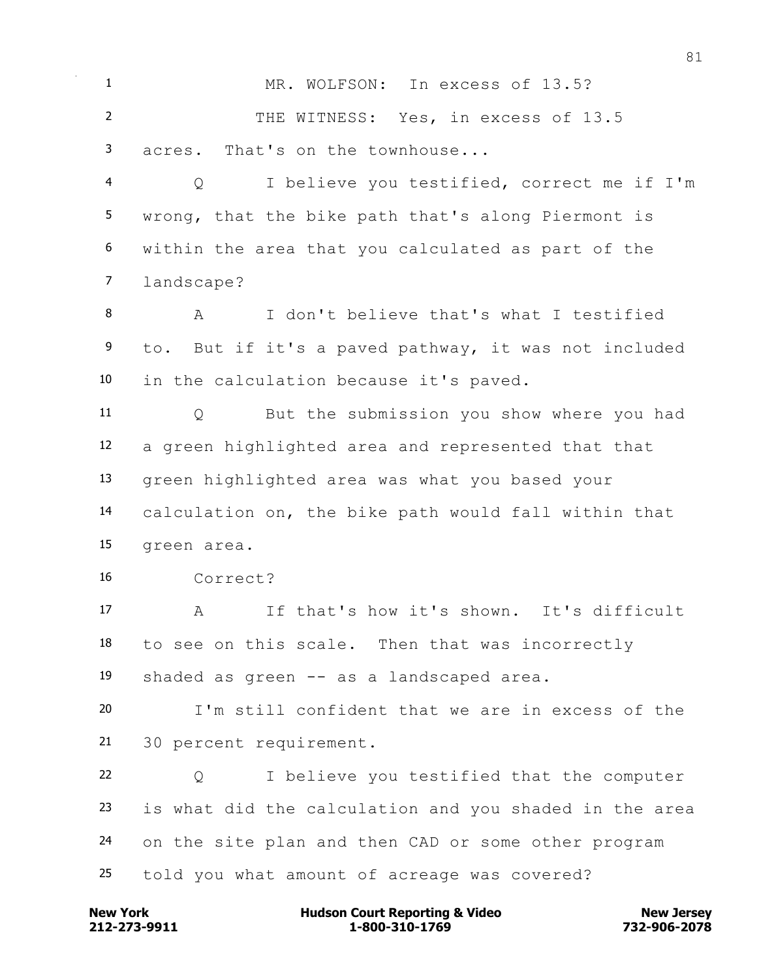MR. WOLFSON: In excess of 13.5? THE WITNESS: Yes, in excess of 13.5 acres. That's on the townhouse...

 Q I believe you testified, correct me if I'm wrong, that the bike path that's along Piermont is within the area that you calculated as part of the landscape?

 A I don't believe that's what I testified to. But if it's a paved pathway, it was not included in the calculation because it's paved.

 Q But the submission you show where you had a green highlighted area and represented that that green highlighted area was what you based your calculation on, the bike path would fall within that green area.

Correct?

 A If that's how it's shown. It's difficult to see on this scale. Then that was incorrectly shaded as green -- as a landscaped area.

 I'm still confident that we are in excess of the 30 percent requirement.

 Q I believe you testified that the computer is what did the calculation and you shaded in the area on the site plan and then CAD or some other program told you what amount of acreage was covered?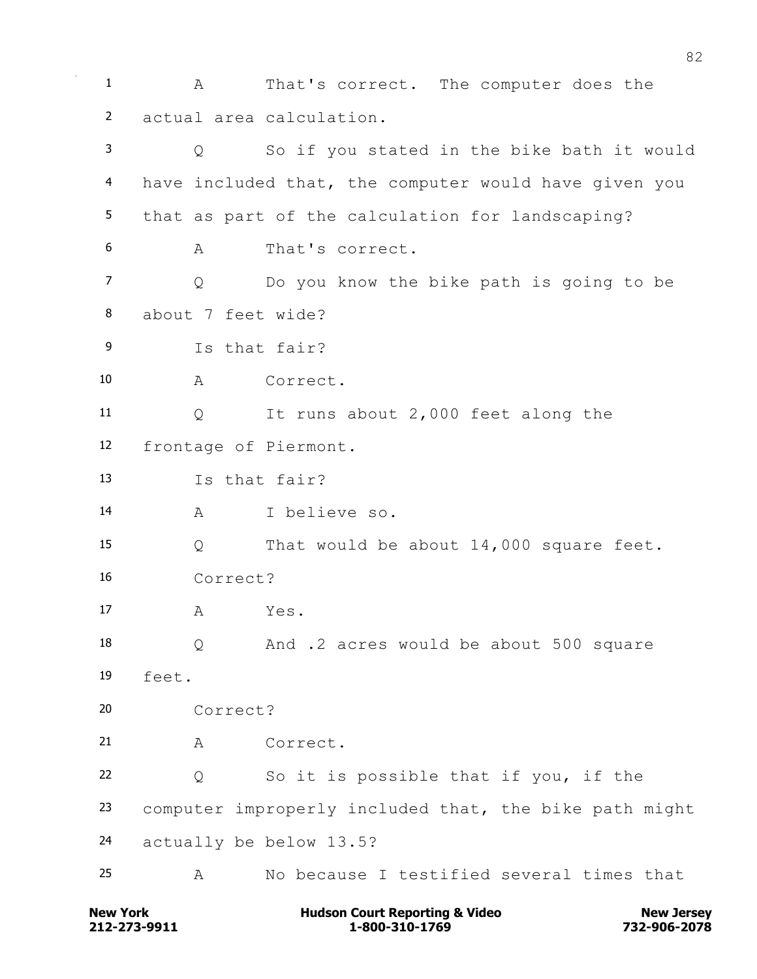A That's correct. The computer does the actual area calculation. Q So if you stated in the bike bath it would have included that, the computer would have given you that as part of the calculation for landscaping? A That's correct. Q Do you know the bike path is going to be about 7 feet wide? Is that fair? A Correct. Q It runs about 2,000 feet along the frontage of Piermont. Is that fair? A I believe so. Q That would be about 14,000 square feet. Correct? A Yes. Q And .2 acres would be about 500 square feet. Correct? 21 A Correct. Q So it is possible that if you, if the computer improperly included that, the bike path might actually be below 13.5? A No because I testified several times that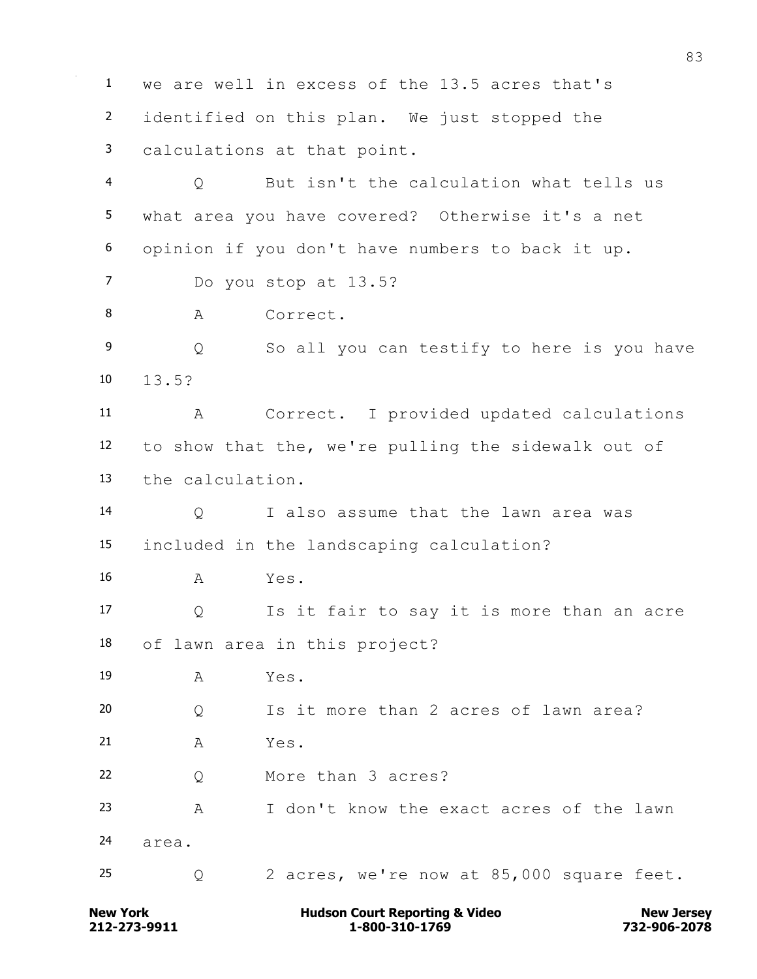we are well in excess of the 13.5 acres that's identified on this plan. We just stopped the calculations at that point. Q But isn't the calculation what tells us what area you have covered? Otherwise it's a net opinion if you don't have numbers to back it up. Do you stop at 13.5? 8 A Correct. 9 0 So all you can testify to here is you have 13.5? A Correct. I provided updated calculations to show that the, we're pulling the sidewalk out of the calculation. Q I also assume that the lawn area was included in the landscaping calculation? A Yes. Q Is it fair to say it is more than an acre of lawn area in this project? A Yes. Q Is it more than 2 acres of lawn area? A Yes. Q More than 3 acres? A I don't know the exact acres of the lawn area. Q 2 acres, we're now at 85,000 square feet.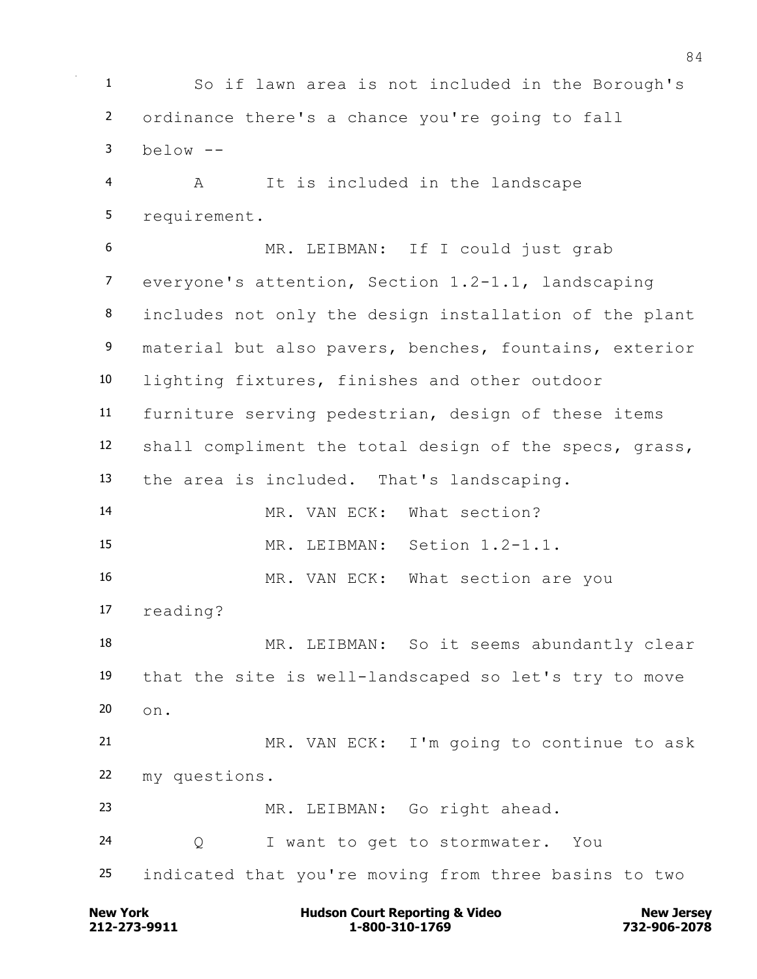So if lawn area is not included in the Borough's ordinance there's a chance you're going to fall below  $-$ 

 A It is included in the landscape requirement.

 MR. LEIBMAN: If I could just grab everyone's attention, Section 1.2-1.1, landscaping includes not only the design installation of the plant 9 material but also pavers, benches, fountains, exterior lighting fixtures, finishes and other outdoor furniture serving pedestrian, design of these items shall compliment the total design of the specs, grass, the area is included. That's landscaping. MR. VAN ECK: What section? MR. LEIBMAN: Setion 1.2-1.1. 16 MR. VAN ECK: What section are you reading? 18 MR. LEIBMAN: So it seems abundantly clear that the site is well-landscaped so let's try to move on. MR. VAN ECK: I'm going to continue to ask my questions. MR. LEIBMAN: Go right ahead. Q I want to get to stormwater. You indicated that you're moving from three basins to two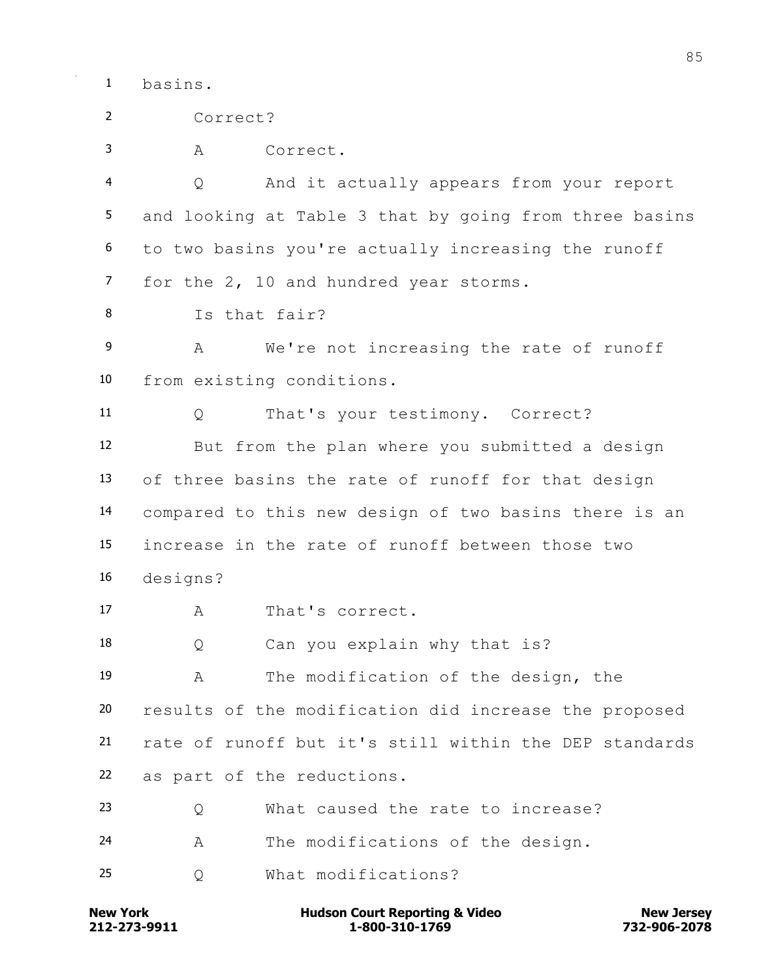basins.

| $\overline{2}$  | Correct?                                               |
|-----------------|--------------------------------------------------------|
| 3               | Correct.<br>А                                          |
| 4               | And it actually appears from your report<br>Q          |
| 5               | and looking at Table 3 that by going from three basins |
| 6               | to two basins you're actually increasing the runoff    |
| $\overline{7}$  | for the 2, 10 and hundred year storms.                 |
| 8               | Is that fair?                                          |
| 9               | We're not increasing the rate of runoff<br>А           |
| 10              | from existing conditions.                              |
| 11 <sub>1</sub> | That's your testimony. Correct?<br>Q                   |
| 12              | But from the plan where you submitted a design         |
| 13              | of three basins the rate of runoff for that design     |
| 14              | compared to this new design of two basins there is an  |
| 15              | increase in the rate of runoff between those two       |
| 16              | designs?                                               |
| 17              | That's correct.<br>Α                                   |
| 18              | Can you explain why that is?<br>Q                      |
| 19              | The modification of the design, the<br>A               |
| 20              | results of the modification did increase the proposed  |
| 21              | rate of runoff but it's still within the DEP standards |
| 22              | as part of the reductions.                             |
| 23              | What caused the rate to increase?<br>Q                 |
| 24              | The modifications of the design.<br>А                  |
| 25              | What modifications?<br>Q                               |
|                 |                                                        |

**212-273-9911 1-800-310-1769 732-906-2078 New York Hudson Court Reporting & Video New Jersey**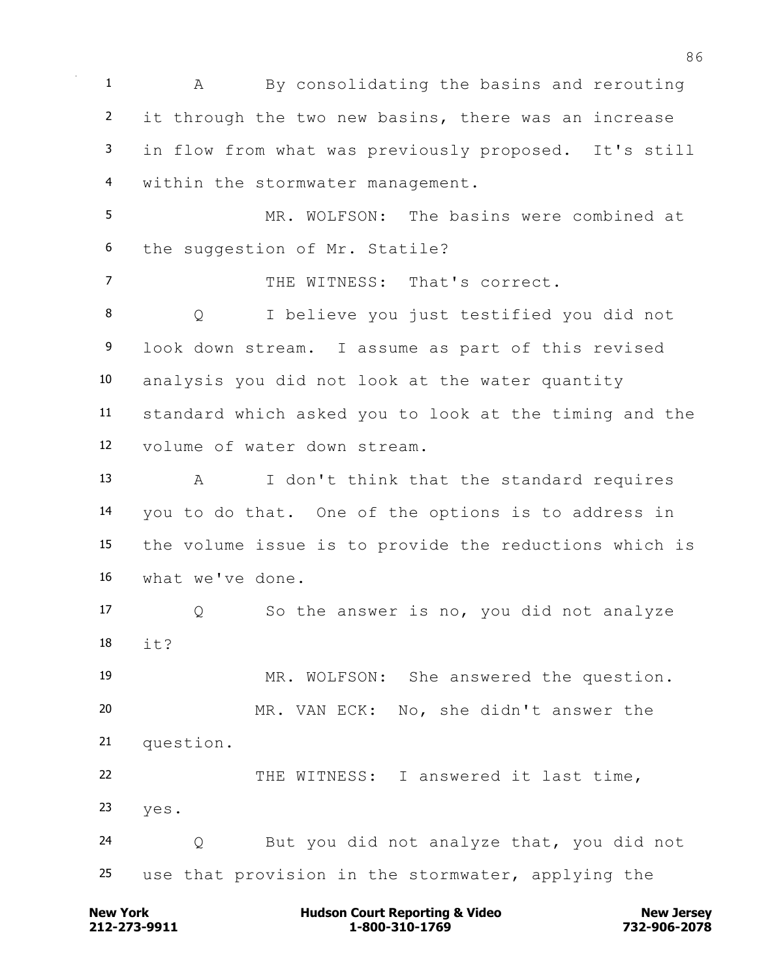A By consolidating the basins and rerouting it through the two new basins, there was an increase in flow from what was previously proposed. It's still within the stormwater management. MR. WOLFSON: The basins were combined at

the suggestion of Mr. Statile?

THE WITNESS: That's correct.

 Q I believe you just testified you did not look down stream. I assume as part of this revised analysis you did not look at the water quantity standard which asked you to look at the timing and the volume of water down stream.

 A I don't think that the standard requires you to do that. One of the options is to address in the volume issue is to provide the reductions which is what we've done.

 Q So the answer is no, you did not analyze 18  $i+2$ 

 MR. WOLFSON: She answered the question. MR. VAN ECK: No, she didn't answer the question. THE WITNESS: I answered it last time,

yes.

 Q But you did not analyze that, you did not use that provision in the stormwater, applying the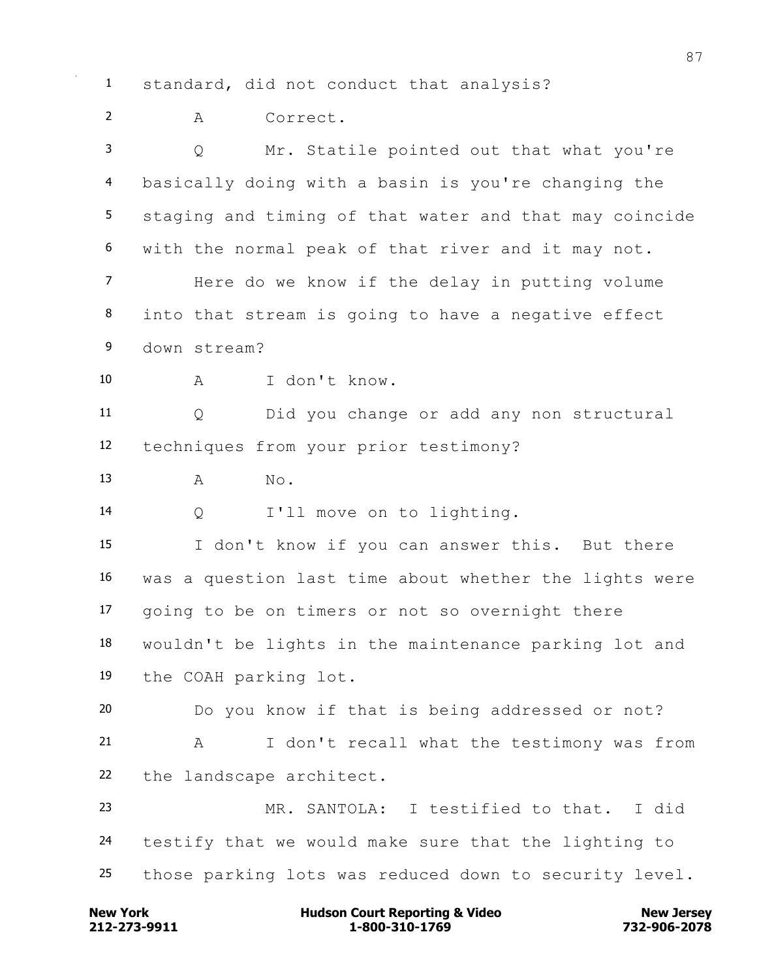standard, did not conduct that analysis?

A Correct.

 Q Mr. Statile pointed out that what you're basically doing with a basin is you're changing the staging and timing of that water and that may coincide with the normal peak of that river and it may not. Here do we know if the delay in putting volume into that stream is going to have a negative effect down stream? A I don't know. Q Did you change or add any non structural techniques from your prior testimony? 13 A No. Q I'll move on to lighting. I don't know if you can answer this. But there was a question last time about whether the lights were going to be on timers or not so overnight there wouldn't be lights in the maintenance parking lot and the COAH parking lot. Do you know if that is being addressed or not? A I don't recall what the testimony was from the landscape architect. MR. SANTOLA: I testified to that. I did testify that we would make sure that the lighting to those parking lots was reduced down to security level.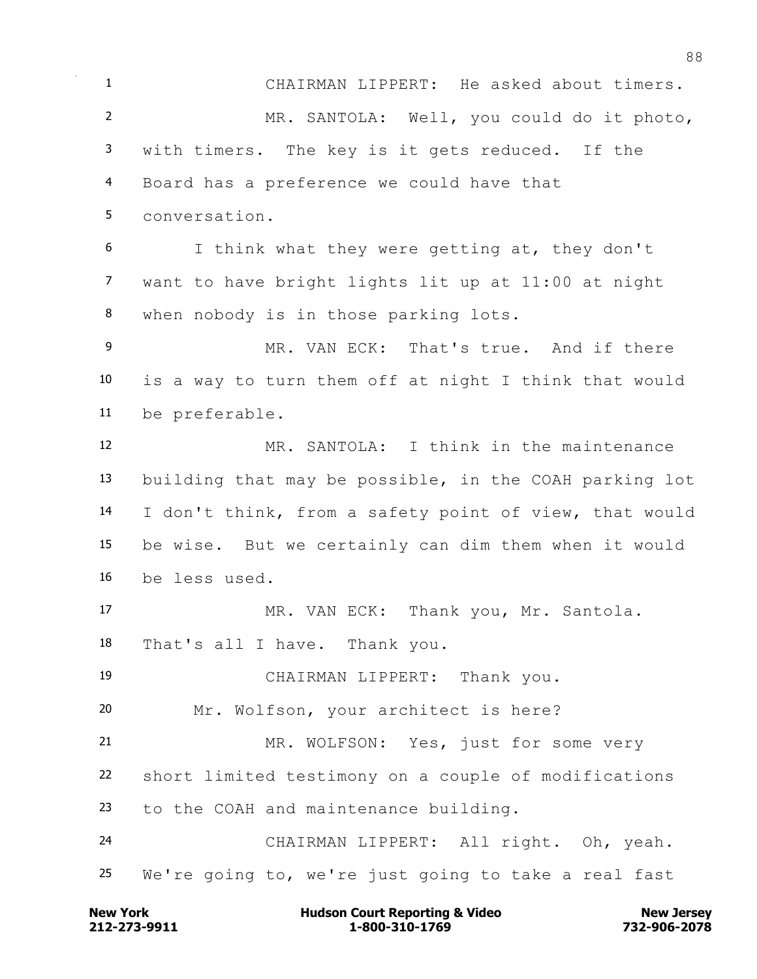CHAIRMAN LIPPERT: He asked about timers. MR. SANTOLA: Well, you could do it photo, with timers. The key is it gets reduced. If the Board has a preference we could have that conversation. I think what they were getting at, they don't want to have bright lights lit up at 11:00 at night when nobody is in those parking lots. MR. VAN ECK: That's true. And if there is a way to turn them off at night I think that would be preferable. MR. SANTOLA: I think in the maintenance building that may be possible, in the COAH parking lot I don't think, from a safety point of view, that would be wise. But we certainly can dim them when it would be less used. MR. VAN ECK: Thank you, Mr. Santola. That's all I have. Thank you. CHAIRMAN LIPPERT: Thank you. Mr. Wolfson, your architect is here? MR. WOLFSON: Yes, just for some very short limited testimony on a couple of modifications to the COAH and maintenance building. CHAIRMAN LIPPERT: All right. Oh, yeah. We're going to, we're just going to take a real fast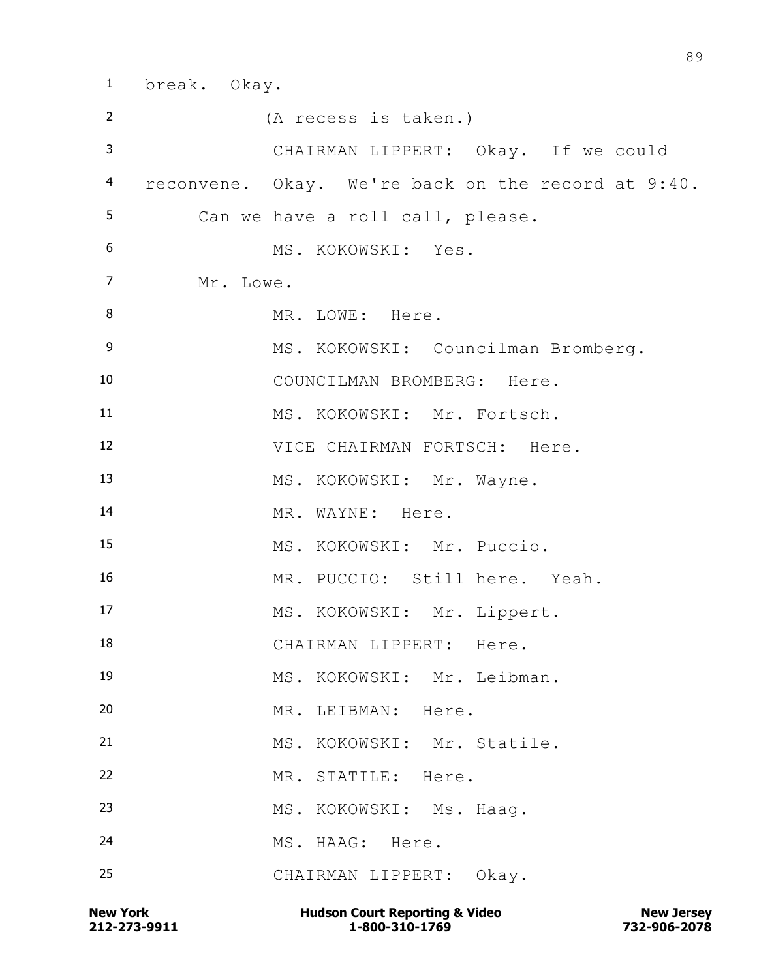break. Okay. (A recess is taken.) CHAIRMAN LIPPERT: Okay. If we could reconvene. Okay. We're back on the record at 9:40. Can we have a roll call, please. MS. KOKOWSKI: Yes. Mr. Lowe. 8 MR. LOWE: Here. 9 MS. KOKOWSKI: Councilman Bromberg. COUNCILMAN BROMBERG: Here. MS. KOKOWSKI: Mr. Fortsch. VICE CHAIRMAN FORTSCH: Here. 13 MS. KOKOWSKI: Mr. Wayne. 14 MR. WAYNE: Here. MS. KOKOWSKI: Mr. Puccio. MR. PUCCIO: Still here. Yeah. 17 MS. KOKOWSKI: Mr. Lippert. 18 CHAIRMAN LIPPERT: Here. MS. KOKOWSKI: Mr. Leibman. MR. LEIBMAN: Here. MS. KOKOWSKI: Mr. Statile. MR. STATILE: Here. 23 MS. KOKOWSKI: Ms. Haaq. MS. HAAG: Here. CHAIRMAN LIPPERT: Okay.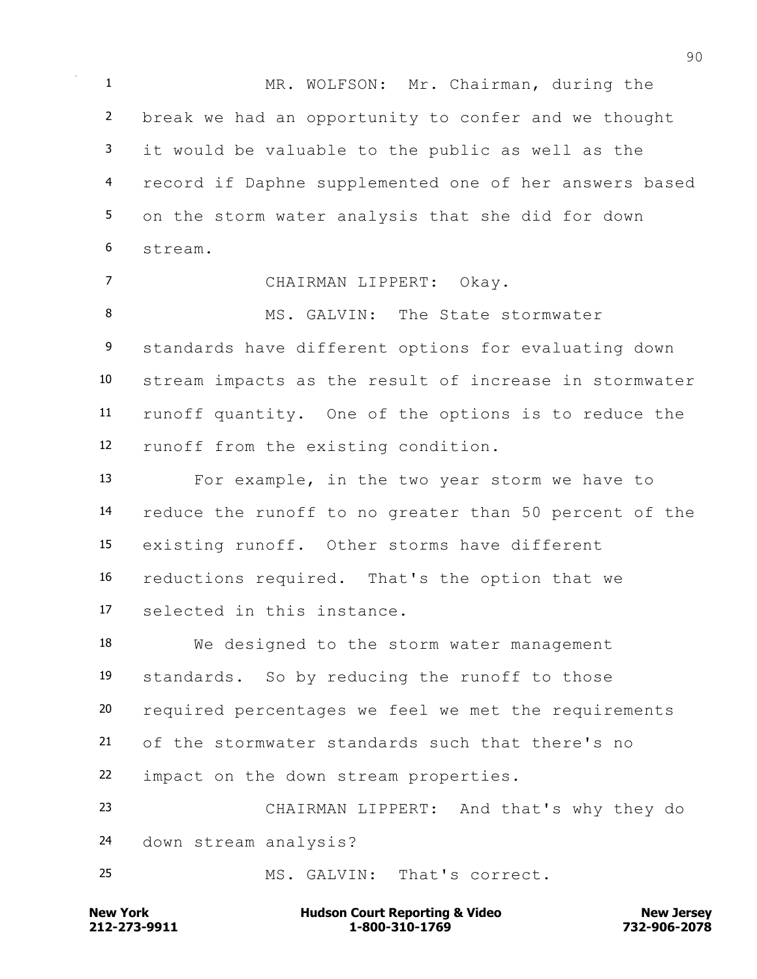MR. WOLFSON: Mr. Chairman, during the break we had an opportunity to confer and we thought it would be valuable to the public as well as the record if Daphne supplemented one of her answers based on the storm water analysis that she did for down stream.

 CHAIRMAN LIPPERT: Okay. 8 MS. GALVIN: The State stormwater 9 standards have different options for evaluating down stream impacts as the result of increase in stormwater runoff quantity. One of the options is to reduce the runoff from the existing condition.

 For example, in the two year storm we have to reduce the runoff to no greater than 50 percent of the existing runoff. Other storms have different reductions required. That's the option that we selected in this instance.

 We designed to the storm water management standards. So by reducing the runoff to those required percentages we feel we met the requirements of the stormwater standards such that there's no impact on the down stream properties.

 CHAIRMAN LIPPERT: And that's why they do down stream analysis?

MS. GALVIN: That's correct.

**212-273-9911 1-800-310-1769 732-906-2078 New York Communist Court Reporting & Video New Jersey Rew Jersey**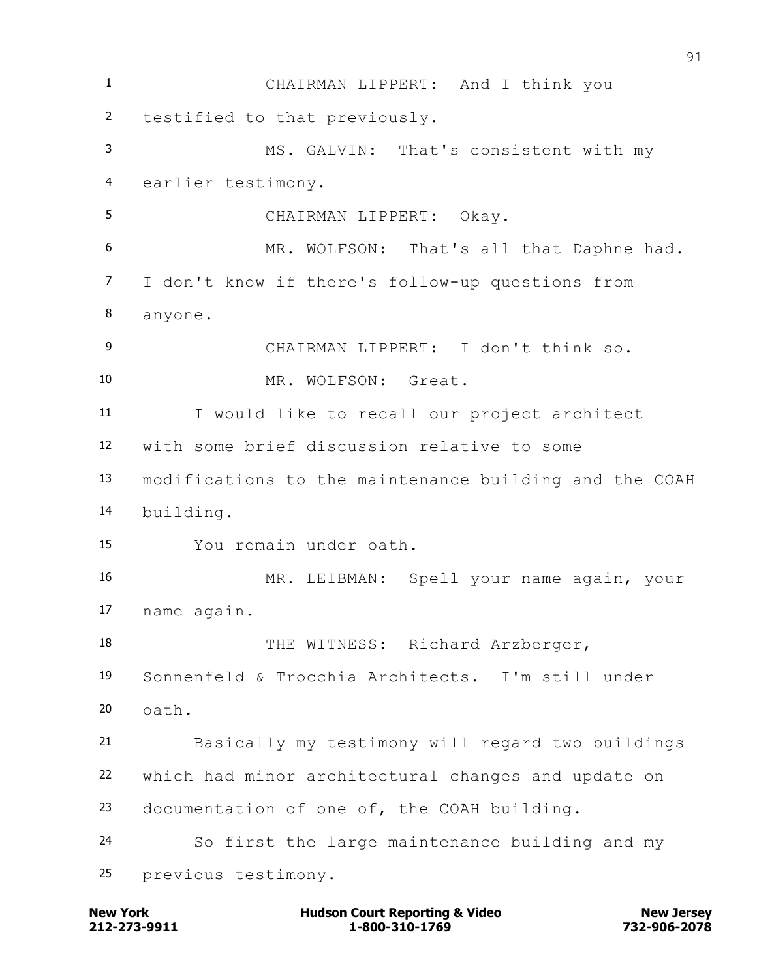CHAIRMAN LIPPERT: And I think you testified to that previously. MS. GALVIN: That's consistent with my earlier testimony. CHAIRMAN LIPPERT: Okay. MR. WOLFSON: That's all that Daphne had. I don't know if there's follow-up questions from anyone. CHAIRMAN LIPPERT: I don't think so. 10 MR. WOLFSON: Great. I would like to recall our project architect with some brief discussion relative to some modifications to the maintenance building and the COAH building. You remain under oath. MR. LEIBMAN: Spell your name again, your name again. 18 THE WITNESS: Richard Arzberger, Sonnenfeld & Trocchia Architects. I'm still under oath. Basically my testimony will regard two buildings which had minor architectural changes and update on documentation of one of, the COAH building. So first the large maintenance building and my previous testimony.

**212-273-9911 1-800-310-1769 732-906-2078 New York Communist Court Reporting & Video New Jersey Rew Jersey**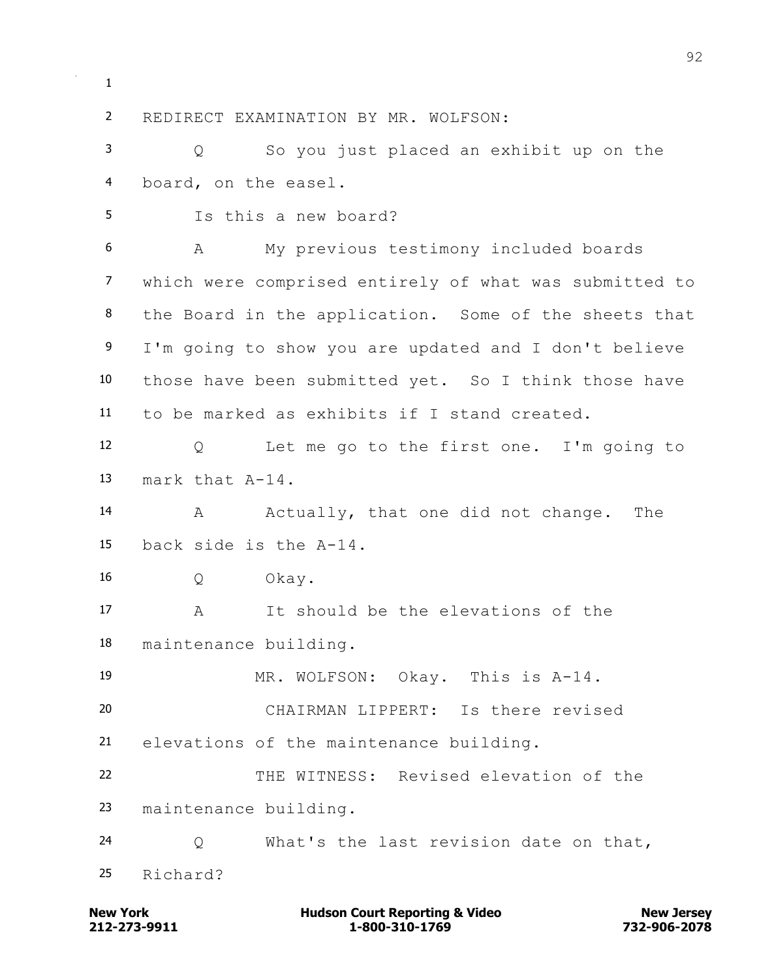REDIRECT EXAMINATION BY MR. WOLFSON: Q So you just placed an exhibit up on the board, on the easel. Is this a new board? A My previous testimony included boards which were comprised entirely of what was submitted to the Board in the application. Some of the sheets that 9 I'm going to show you are updated and I don't believe those have been submitted yet. So I think those have to be marked as exhibits if I stand created. Q Let me go to the first one. I'm going to mark that A-14. 14 A Actually, that one did not change. The back side is the A-14. Q Okay. A It should be the elevations of the maintenance building. MR. WOLFSON: Okay. This is A-14. CHAIRMAN LIPPERT: Is there revised elevations of the maintenance building. THE WITNESS: Revised elevation of the maintenance building. Q What's the last revision date on that, Richard?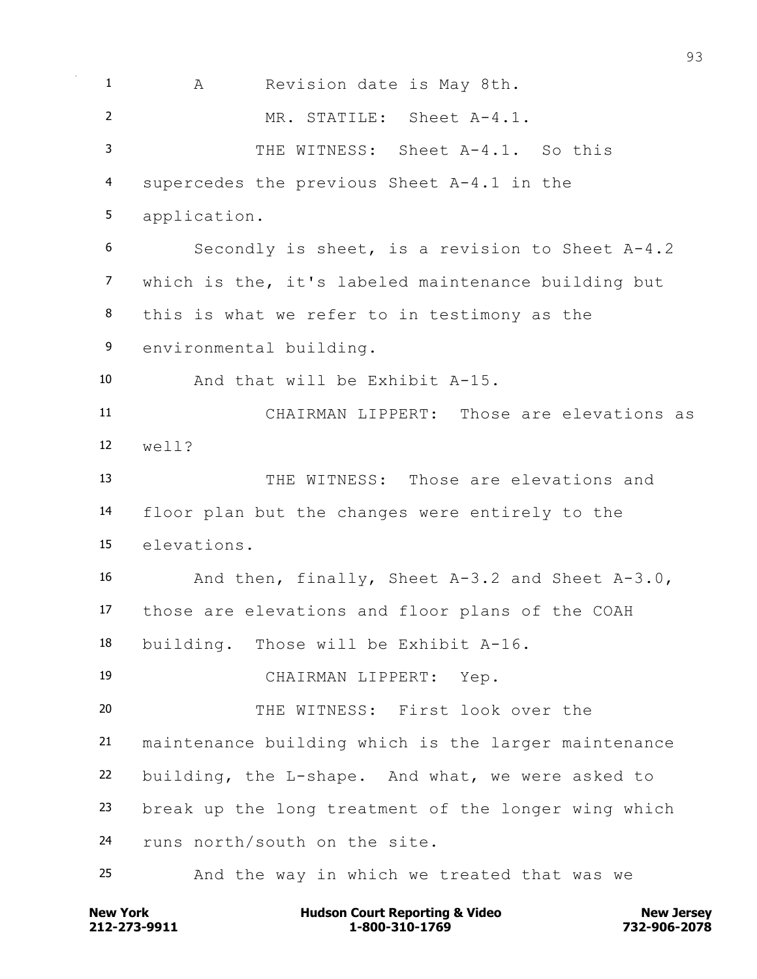A Revision date is May 8th. MR. STATILE: Sheet A-4.1. THE WITNESS: Sheet A-4.1. So this supercedes the previous Sheet A-4.1 in the application. Secondly is sheet, is a revision to Sheet A-4.2 which is the, it's labeled maintenance building but this is what we refer to in testimony as the environmental building. And that will be Exhibit A-15. CHAIRMAN LIPPERT: Those are elevations as well? THE WITNESS: Those are elevations and floor plan but the changes were entirely to the elevations. And then, finally, Sheet A-3.2 and Sheet A-3.0, those are elevations and floor plans of the COAH building. Those will be Exhibit A-16. CHAIRMAN LIPPERT: Yep. THE WITNESS: First look over the maintenance building which is the larger maintenance building, the L-shape. And what, we were asked to break up the long treatment of the longer wing which runs north/south on the site. And the way in which we treated that was we

**212-273-9911 1-800-310-1769 732-906-2078 New York Communist Court Reporting & Video New Jersey Rew Jersey**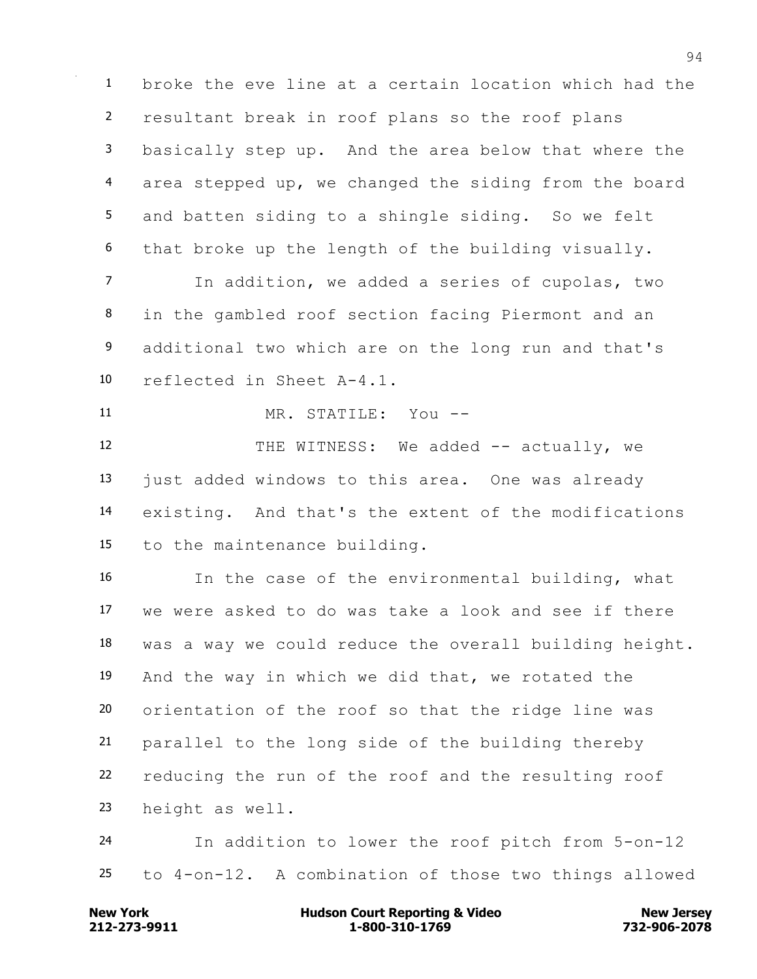broke the eve line at a certain location which had the resultant break in roof plans so the roof plans basically step up. And the area below that where the area stepped up, we changed the siding from the board and batten siding to a shingle siding. So we felt that broke up the length of the building visually.

 In addition, we added a series of cupolas, two in the gambled roof section facing Piermont and an additional two which are on the long run and that's reflected in Sheet A-4.1.

MR. STATILE: You --

12 THE WITNESS: We added -- actually, we just added windows to this area. One was already existing. And that's the extent of the modifications to the maintenance building.

 In the case of the environmental building, what we were asked to do was take a look and see if there was a way we could reduce the overall building height. And the way in which we did that, we rotated the orientation of the roof so that the ridge line was parallel to the long side of the building thereby reducing the run of the roof and the resulting roof height as well.

 In addition to lower the roof pitch from 5-on-12 to 4-on-12. A combination of those two things allowed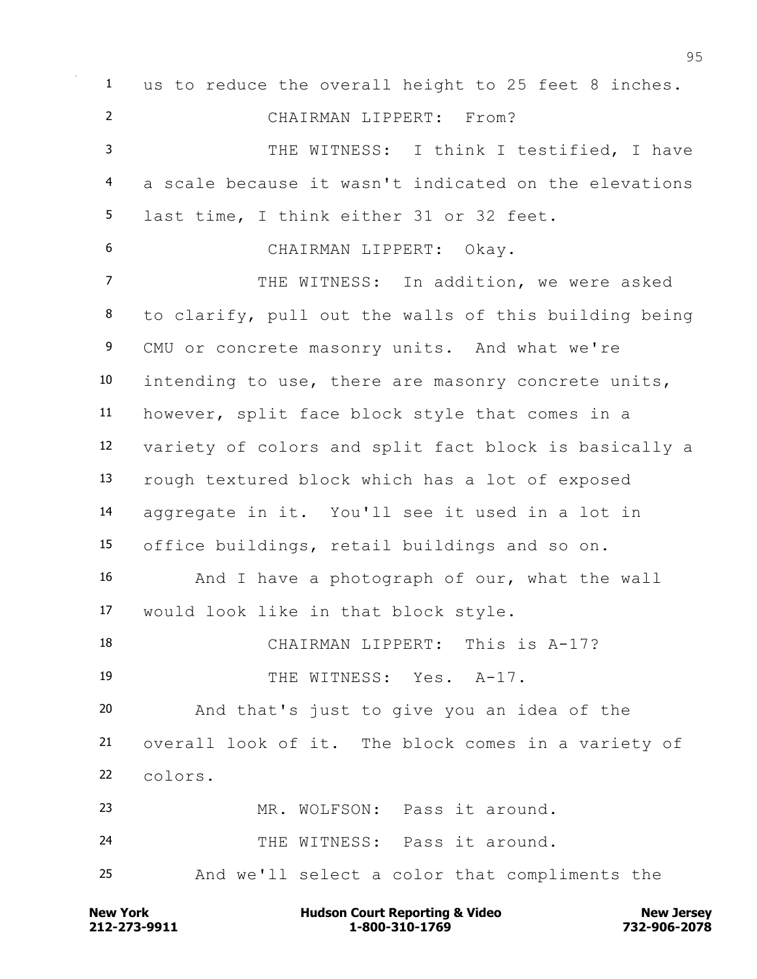us to reduce the overall height to 25 feet 8 inches. CHAIRMAN LIPPERT: From? 3 THE WITNESS: I think I testified, I have a scale because it wasn't indicated on the elevations last time, I think either 31 or 32 feet. CHAIRMAN LIPPERT: Okay. 7 THE WITNESS: In addition, we were asked to clarify, pull out the walls of this building being CMU or concrete masonry units. And what we're intending to use, there are masonry concrete units, however, split face block style that comes in a variety of colors and split fact block is basically a rough textured block which has a lot of exposed aggregate in it. You'll see it used in a lot in office buildings, retail buildings and so on. And I have a photograph of our, what the wall would look like in that block style. CHAIRMAN LIPPERT: This is A-17? 19 THE WITNESS: Yes. A-17. And that's just to give you an idea of the overall look of it. The block comes in a variety of colors. MR. WOLFSON: Pass it around. THE WITNESS: Pass it around. And we'll select a color that compliments the

**212-273-9911 1-800-310-1769 732-906-2078 New York Communist Court Reporting & Video New Jersey Rew Jersey**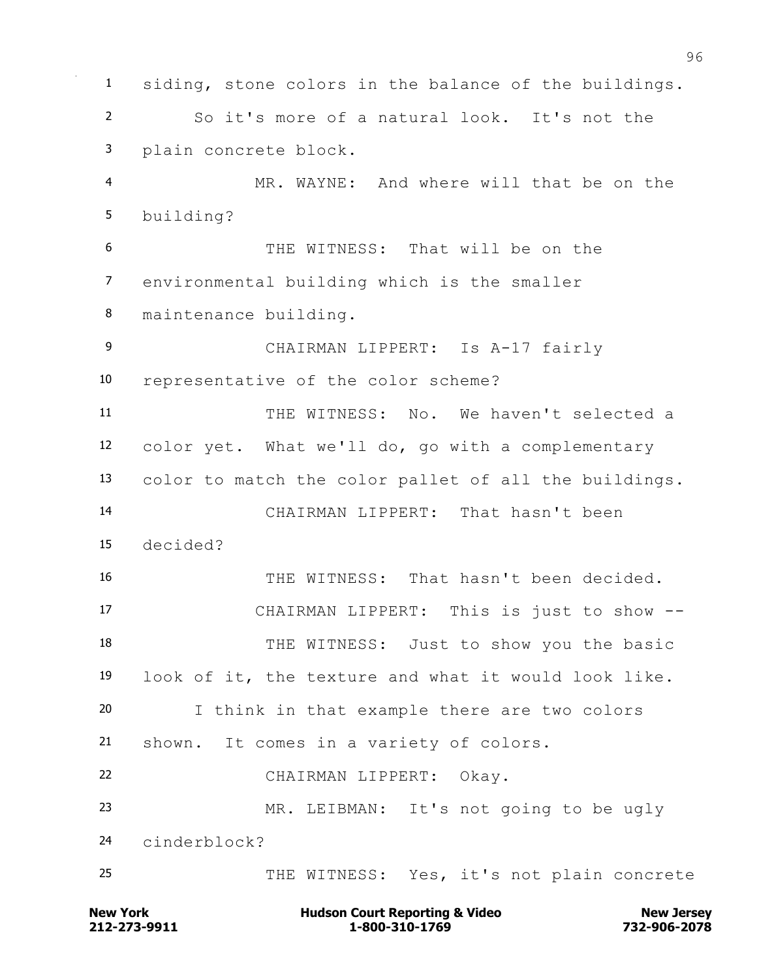siding, stone colors in the balance of the buildings. So it's more of a natural look. It's not the plain concrete block. MR. WAYNE: And where will that be on the building? THE WITNESS: That will be on the environmental building which is the smaller maintenance building. CHAIRMAN LIPPERT: Is A-17 fairly representative of the color scheme? THE WITNESS: No. We haven't selected a color yet. What we'll do, go with a complementary color to match the color pallet of all the buildings. CHAIRMAN LIPPERT: That hasn't been decided? THE WITNESS: That hasn't been decided. CHAIRMAN LIPPERT: This is just to show -- 18 THE WITNESS: Just to show you the basic look of it, the texture and what it would look like. I think in that example there are two colors shown. It comes in a variety of colors. CHAIRMAN LIPPERT: Okay. MR. LEIBMAN: It's not going to be ugly cinderblock? THE WITNESS: Yes, it's not plain concrete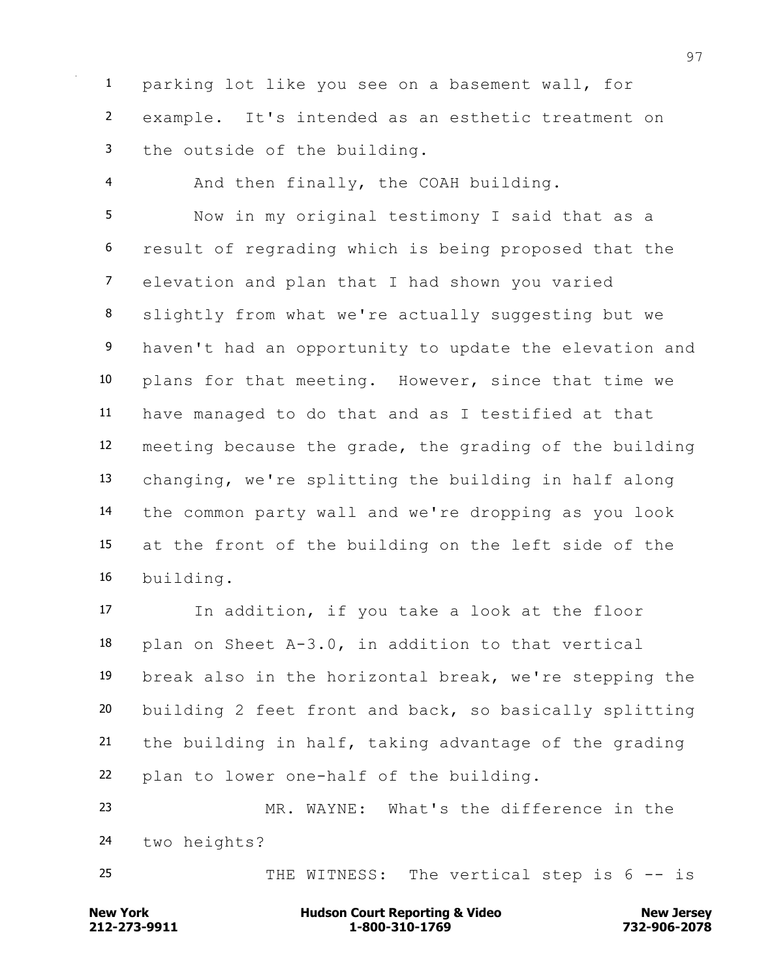parking lot like you see on a basement wall, for example. It's intended as an esthetic treatment on the outside of the building.

And then finally, the COAH building.

 Now in my original testimony I said that as a result of regrading which is being proposed that the elevation and plan that I had shown you varied slightly from what we're actually suggesting but we 9 haven't had an opportunity to update the elevation and plans for that meeting. However, since that time we have managed to do that and as I testified at that meeting because the grade, the grading of the building changing, we're splitting the building in half along the common party wall and we're dropping as you look at the front of the building on the left side of the building.

 In addition, if you take a look at the floor plan on Sheet A-3.0, in addition to that vertical break also in the horizontal break, we're stepping the building 2 feet front and back, so basically splitting the building in half, taking advantage of the grading plan to lower one-half of the building.

 MR. WAYNE: What's the difference in the two heights?

25 THE WITNESS: The vertical step is 6 -- is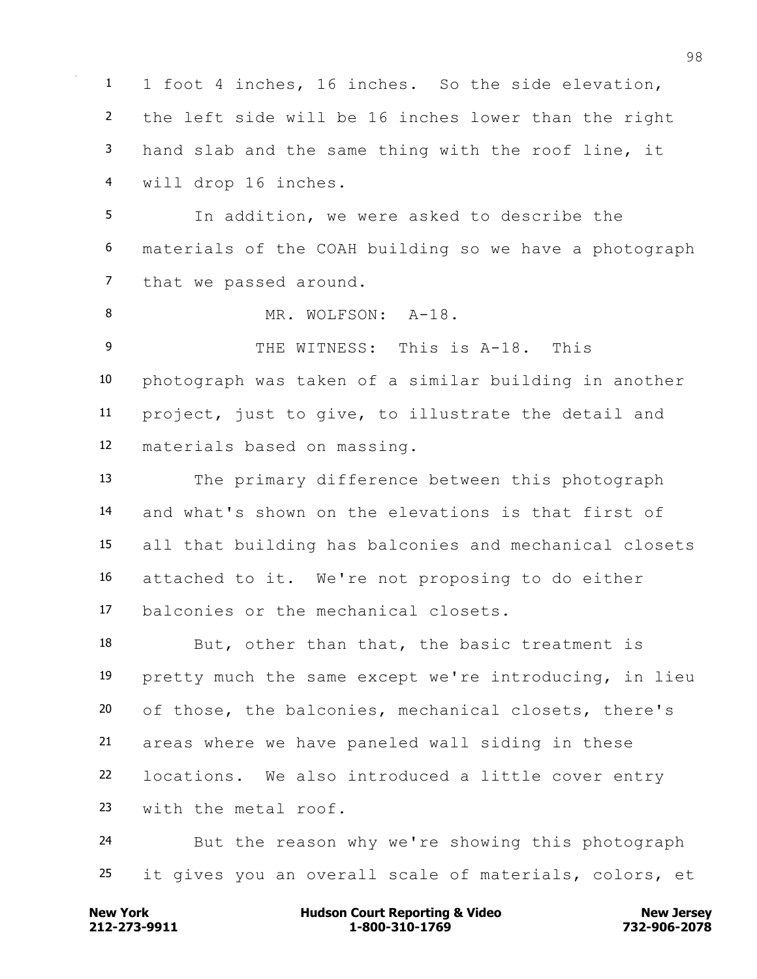1 foot 4 inches, 16 inches. So the side elevation, the left side will be 16 inches lower than the right hand slab and the same thing with the roof line, it will drop 16 inches. In addition, we were asked to describe the materials of the COAH building so we have a photograph that we passed around. 8 MR. WOLFSON: A-18. THE WITNESS: This is A-18. This photograph was taken of a similar building in another project, just to give, to illustrate the detail and materials based on massing. The primary difference between this photograph and what's shown on the elevations is that first of all that building has balconies and mechanical closets attached to it. We're not proposing to do either balconies or the mechanical closets. 18 But, other than that, the basic treatment is pretty much the same except we're introducing, in lieu of those, the balconies, mechanical closets, there's areas where we have paneled wall siding in these locations. We also introduced a little cover entry with the metal roof. But the reason why we're showing this photograph it gives you an overall scale of materials, colors, et

**212-273-9911 1-800-310-1769 732-906-2078 New York Communist Court Reporting & Video New Jersey Rew Jersey**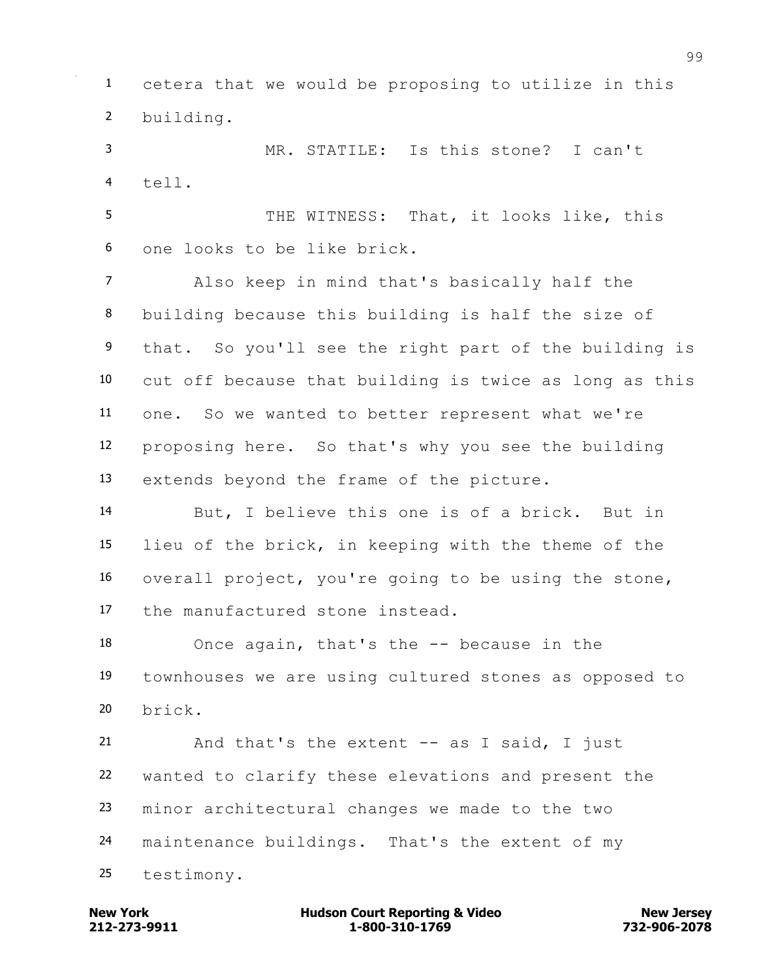cetera that we would be proposing to utilize in this building.

 MR. STATILE: Is this stone? I can't tell.

5 THE WITNESS: That, it looks like, this one looks to be like brick.

 Also keep in mind that's basically half the building because this building is half the size of 9 that. So you'll see the right part of the building is cut off because that building is twice as long as this one. So we wanted to better represent what we're proposing here. So that's why you see the building extends beyond the frame of the picture.

 But, I believe this one is of a brick. But in lieu of the brick, in keeping with the theme of the overall project, you're going to be using the stone, the manufactured stone instead.

 Once again, that's the -- because in the townhouses we are using cultured stones as opposed to brick.

 And that's the extent -- as I said, I just wanted to clarify these elevations and present the minor architectural changes we made to the two maintenance buildings. That's the extent of my testimony.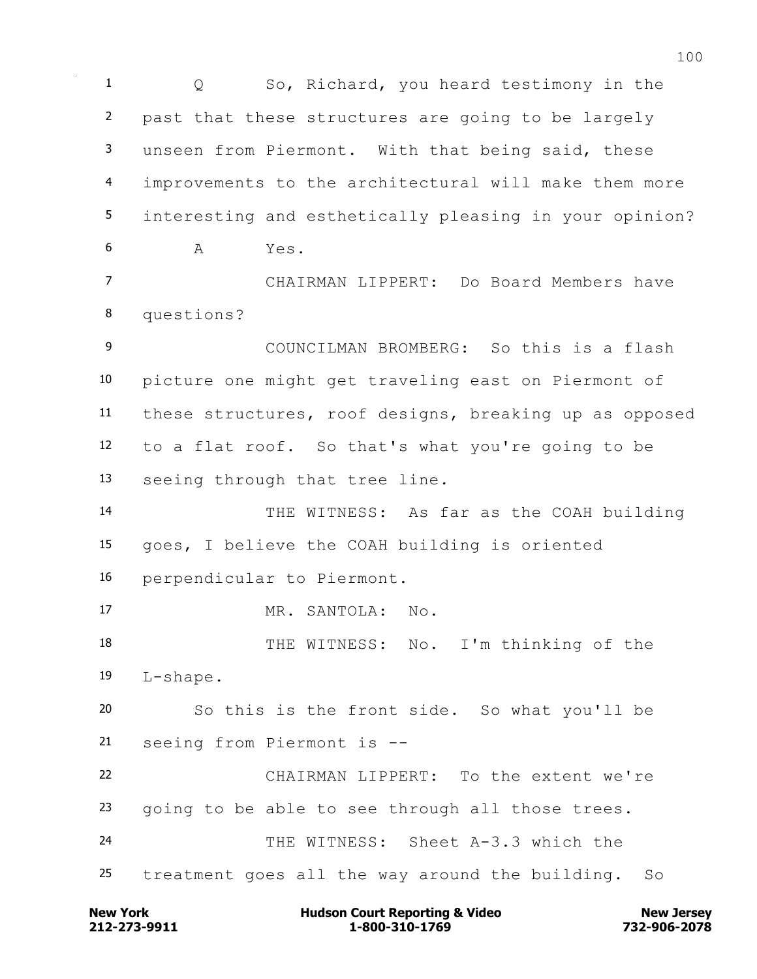Q So, Richard, you heard testimony in the past that these structures are going to be largely unseen from Piermont. With that being said, these improvements to the architectural will make them more interesting and esthetically pleasing in your opinion? A Yes. CHAIRMAN LIPPERT: Do Board Members have questions? COUNCILMAN BROMBERG: So this is a flash picture one might get traveling east on Piermont of these structures, roof designs, breaking up as opposed to a flat roof. So that's what you're going to be seeing through that tree line. THE WITNESS: As far as the COAH building goes, I believe the COAH building is oriented perpendicular to Piermont. MR. SANTOLA: No. 18 THE WITNESS: No. I'm thinking of the L-shape. So this is the front side. So what you'll be seeing from Piermont is -- CHAIRMAN LIPPERT: To the extent we're going to be able to see through all those trees. THE WITNESS: Sheet A-3.3 which the treatment goes all the way around the building. So

**212-273-9911 1-800-310-1769 732-906-2078 New York Communist Court Reporting & Video New Jersey Rew Jersey**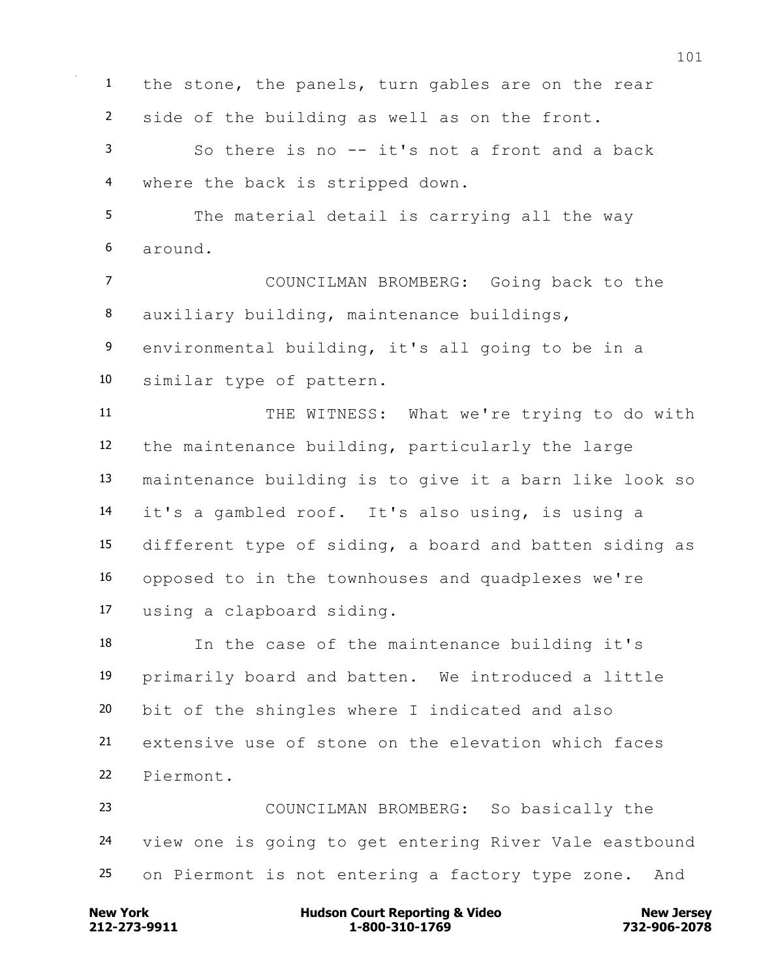**212-273-9911 1-800-310-1769 732-906-2078 New York Communist Court Reporting & Video New Jersey Rew Jersey**  side of the building as well as on the front. So there is no -- it's not a front and a back where the back is stripped down. The material detail is carrying all the way around. COUNCILMAN BROMBERG: Going back to the auxiliary building, maintenance buildings, environmental building, it's all going to be in a similar type of pattern. 11 THE WITNESS: What we're trying to do with the maintenance building, particularly the large maintenance building is to give it a barn like look so it's a gambled roof. It's also using, is using a different type of siding, a board and batten siding as opposed to in the townhouses and quadplexes we're using a clapboard siding. In the case of the maintenance building it's primarily board and batten. We introduced a little bit of the shingles where I indicated and also extensive use of stone on the elevation which faces Piermont. COUNCILMAN BROMBERG: So basically the view one is going to get entering River Vale eastbound on Piermont is not entering a factory type zone. And

the stone, the panels, turn gables are on the rear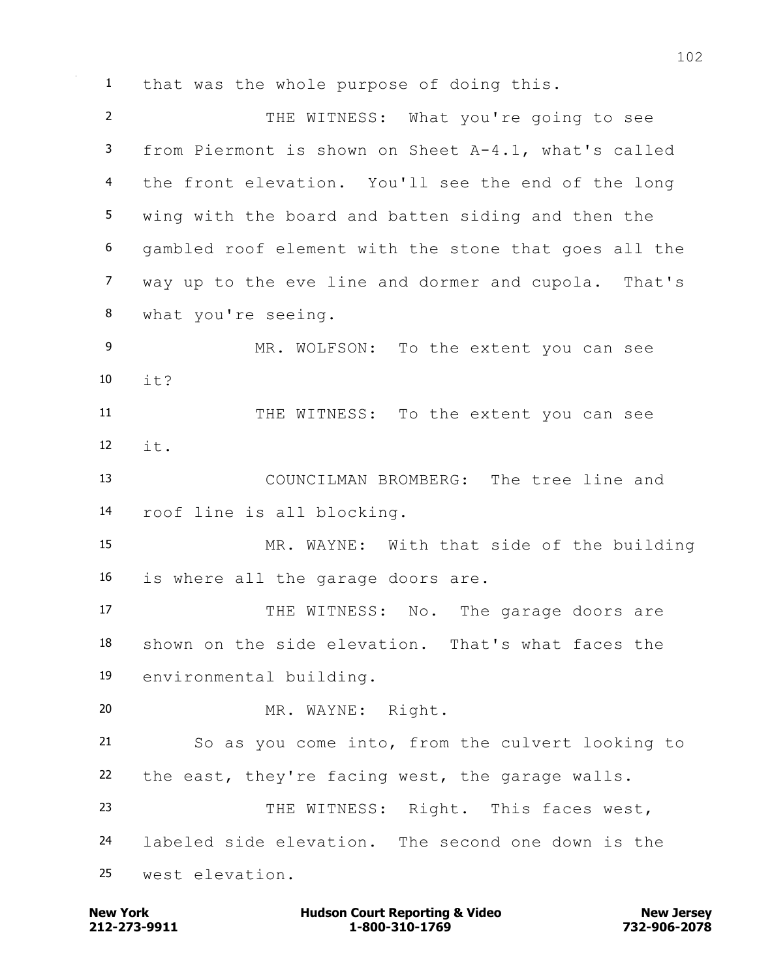that was the whole purpose of doing this.

 THE WITNESS: What you're going to see from Piermont is shown on Sheet A-4.1, what's called the front elevation. You'll see the end of the long wing with the board and batten siding and then the gambled roof element with the stone that goes all the way up to the eve line and dormer and cupola. That's what you're seeing. MR. WOLFSON: To the extent you can see it? 11 THE WITNESS: To the extent you can see it. COUNCILMAN BROMBERG: The tree line and roof line is all blocking. MR. WAYNE: With that side of the building is where all the garage doors are. 17 THE WITNESS: No. The garage doors are shown on the side elevation. That's what faces the environmental building. MR. WAYNE: Right. So as you come into, from the culvert looking to the east, they're facing west, the garage walls. THE WITNESS: Right. This faces west, labeled side elevation. The second one down is the west elevation.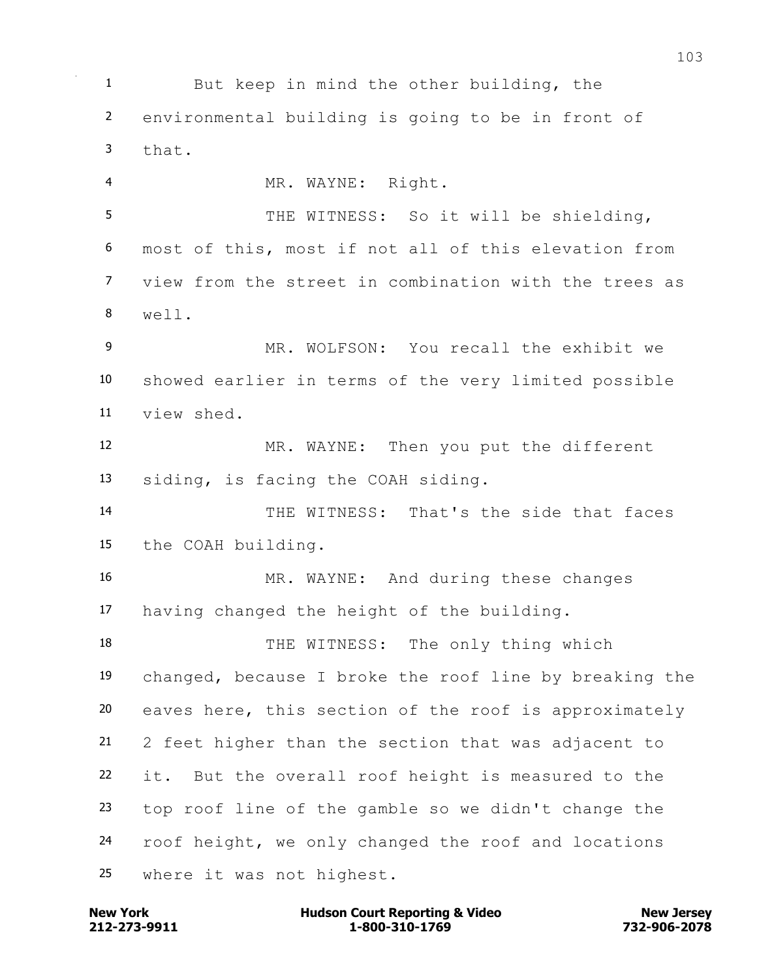But keep in mind the other building, the environmental building is going to be in front of that. MR. WAYNE: Right. THE WITNESS: So it will be shielding, most of this, most if not all of this elevation from view from the street in combination with the trees as well. MR. WOLFSON: You recall the exhibit we showed earlier in terms of the very limited possible view shed. MR. WAYNE: Then you put the different siding, is facing the COAH siding. THE WITNESS: That's the side that faces the COAH building. MR. WAYNE: And during these changes having changed the height of the building. 18 THE WITNESS: The only thing which changed, because I broke the roof line by breaking the eaves here, this section of the roof is approximately 2 feet higher than the section that was adjacent to it. But the overall roof height is measured to the top roof line of the gamble so we didn't change the roof height, we only changed the roof and locations where it was not highest.

**212-273-9911 1-800-310-1769 732-906-2078 New York Communist Court Reporting & Video New Jersey Rew Jersey**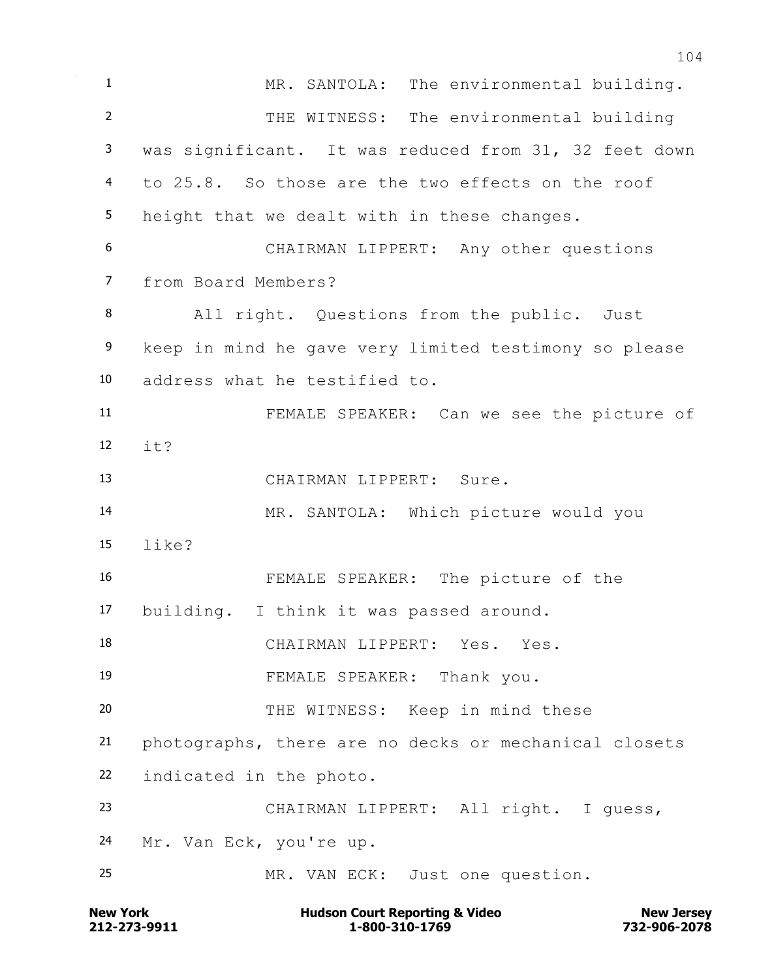**New York Communist Court Reporting & Video New Jersey Rew Jersey**  MR. SANTOLA: The environmental building. THE WITNESS: The environmental building was significant. It was reduced from 31, 32 feet down to 25.8. So those are the two effects on the roof height that we dealt with in these changes. CHAIRMAN LIPPERT: Any other questions from Board Members? All right. Questions from the public. Just keep in mind he gave very limited testimony so please address what he testified to. FEMALE SPEAKER: Can we see the picture of  $\mathbf{i} + \mathbf{j}$  CHAIRMAN LIPPERT: Sure. MR. SANTOLA: Which picture would you like? FEMALE SPEAKER: The picture of the building. I think it was passed around. 18 CHAIRMAN LIPPERT: Yes. Yes. FEMALE SPEAKER: Thank you. THE WITNESS: Keep in mind these photographs, there are no decks or mechanical closets indicated in the photo. CHAIRMAN LIPPERT: All right. I guess, Mr. Van Eck, you're up. MR. VAN ECK: Just one question.

**212-273-9911 1-800-310-1769 732-906-2078**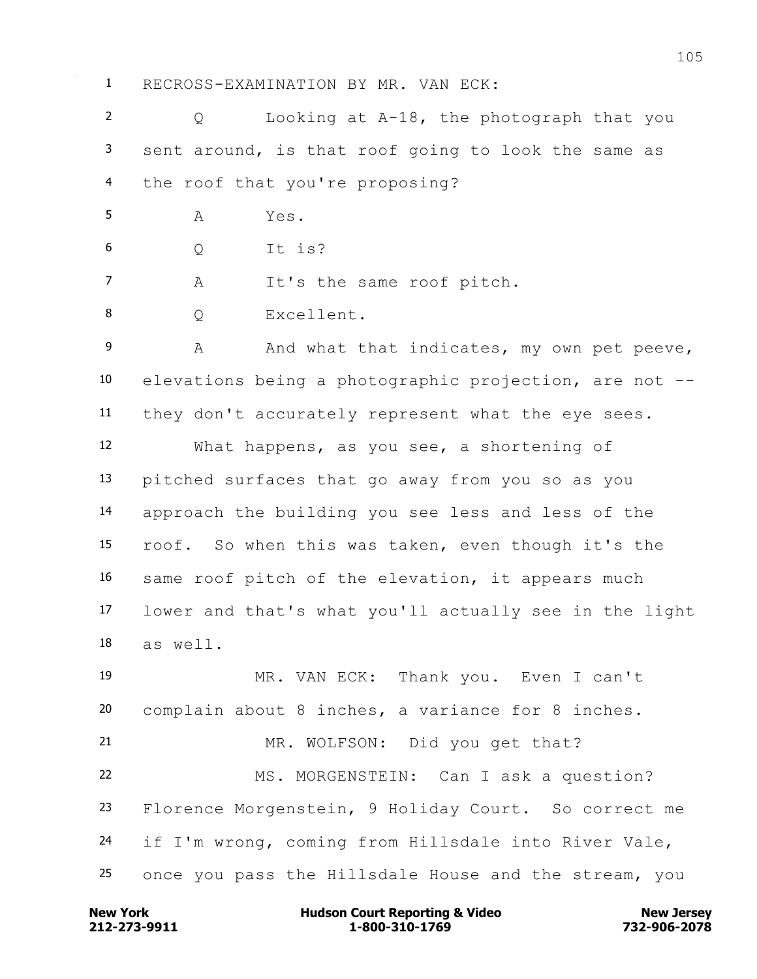RECROSS-EXAMINATION BY MR. VAN ECK:

 Q Looking at A-18, the photograph that you sent around, is that roof going to look the same as the roof that you're proposing?

A Yes.

Q It is?

7 A It's the same roof pitch.

8 O Excellent.

9 A And what that indicates, my own pet peeve, elevations being a photographic projection, are not -- they don't accurately represent what the eye sees.

 What happens, as you see, a shortening of pitched surfaces that go away from you so as you approach the building you see less and less of the roof. So when this was taken, even though it's the same roof pitch of the elevation, it appears much lower and that's what you'll actually see in the light as well.

 MR. VAN ECK: Thank you. Even I can't complain about 8 inches, a variance for 8 inches. MR. WOLFSON: Did you get that? MS. MORGENSTEIN: Can I ask a question? Florence Morgenstein, 9 Holiday Court. So correct me if I'm wrong, coming from Hillsdale into River Vale, once you pass the Hillsdale House and the stream, you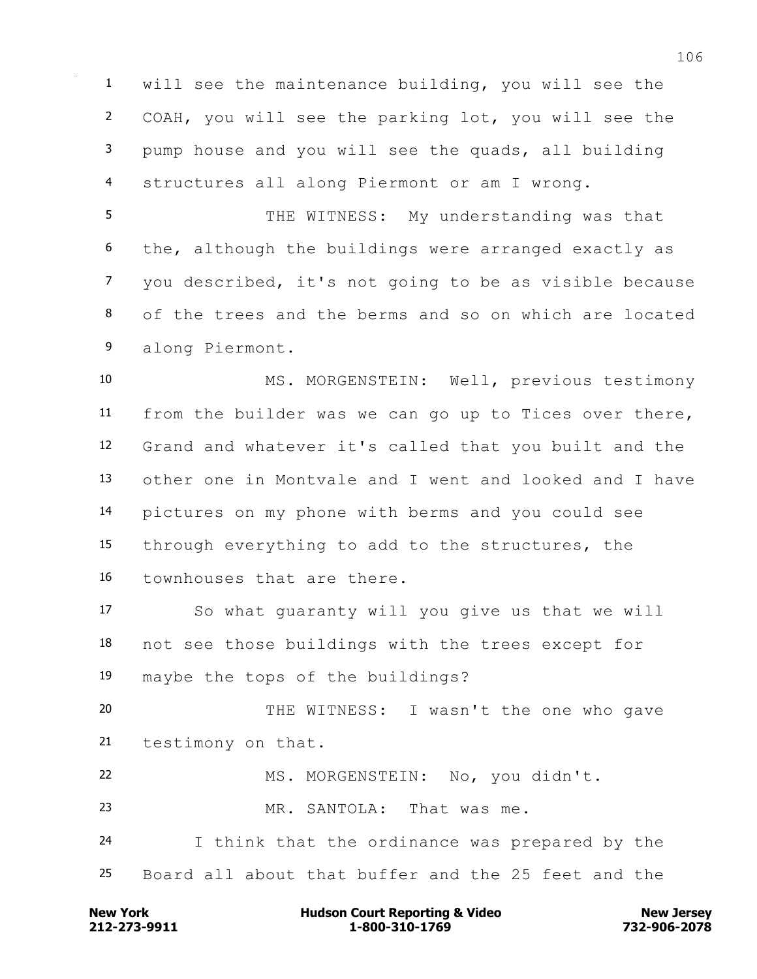will see the maintenance building, you will see the COAH, you will see the parking lot, you will see the pump house and you will see the quads, all building structures all along Piermont or am I wrong.

 THE WITNESS: My understanding was that the, although the buildings were arranged exactly as you described, it's not going to be as visible because of the trees and the berms and so on which are located along Piermont.

 MS. MORGENSTEIN: Well, previous testimony from the builder was we can go up to Tices over there, Grand and whatever it's called that you built and the other one in Montvale and I went and looked and I have pictures on my phone with berms and you could see through everything to add to the structures, the townhouses that are there.

 So what guaranty will you give us that we will not see those buildings with the trees except for maybe the tops of the buildings?

 THE WITNESS: I wasn't the one who gave testimony on that.

MS. MORGENSTEIN: No, you didn't.

MR. SANTOLA: That was me.

 I think that the ordinance was prepared by the Board all about that buffer and the 25 feet and the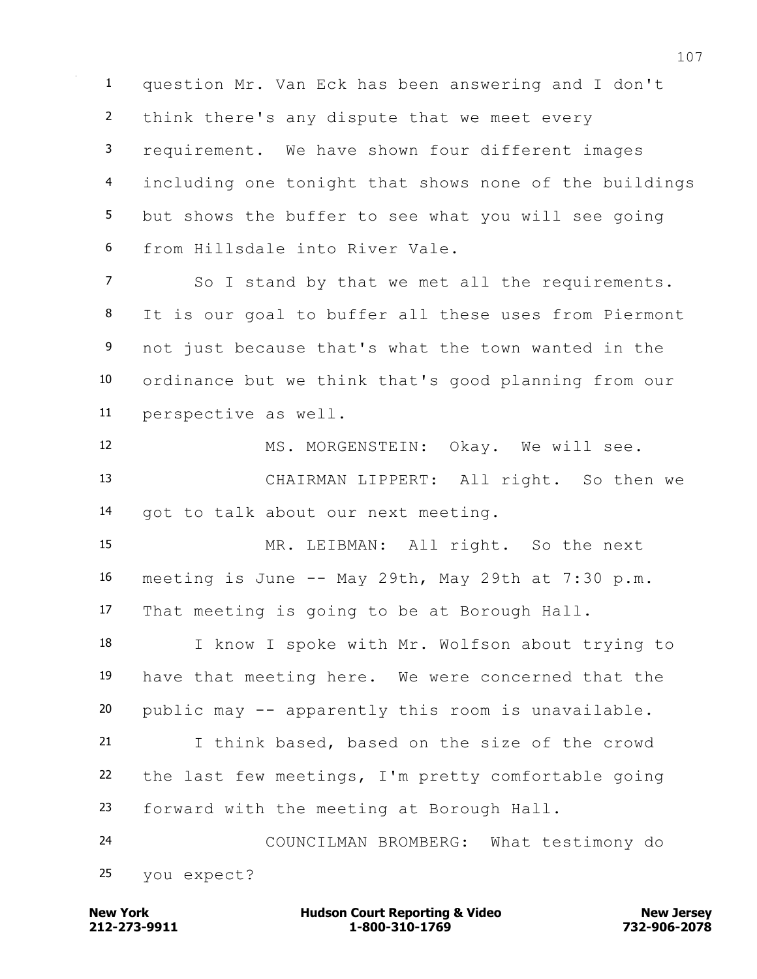question Mr. Van Eck has been answering and I don't think there's any dispute that we meet every requirement. We have shown four different images including one tonight that shows none of the buildings but shows the buffer to see what you will see going from Hillsdale into River Vale.

 So I stand by that we met all the requirements. It is our goal to buffer all these uses from Piermont not just because that's what the town wanted in the ordinance but we think that's good planning from our perspective as well.

12 MS. MORGENSTEIN: Okay. We will see. CHAIRMAN LIPPERT: All right. So then we got to talk about our next meeting.

 MR. LEIBMAN: All right. So the next 16 meeting is June  $-$ - May 29th, May 29th at 7:30 p.m. That meeting is going to be at Borough Hall.

 I know I spoke with Mr. Wolfson about trying to have that meeting here. We were concerned that the public may -- apparently this room is unavailable.

 I think based, based on the size of the crowd the last few meetings, I'm pretty comfortable going forward with the meeting at Borough Hall.

 COUNCILMAN BROMBERG: What testimony do you expect?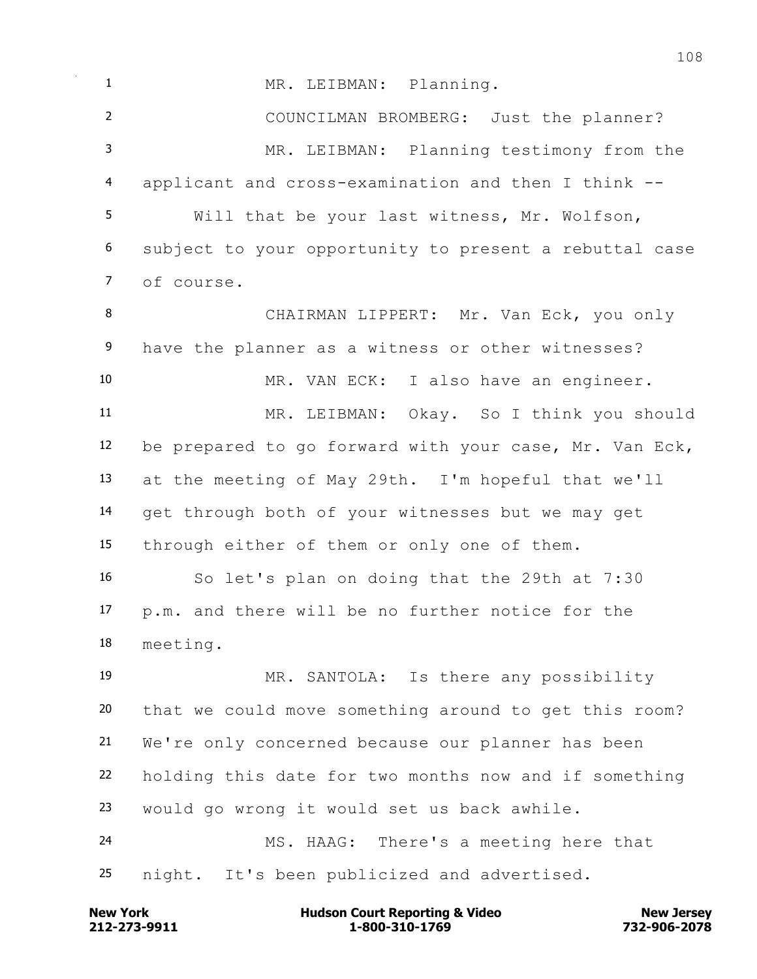1 MR. LEIBMAN: Planning. COUNCILMAN BROMBERG: Just the planner? MR. LEIBMAN: Planning testimony from the applicant and cross-examination and then I think -- Will that be your last witness, Mr. Wolfson, subject to your opportunity to present a rebuttal case of course. CHAIRMAN LIPPERT: Mr. Van Eck, you only have the planner as a witness or other witnesses? MR. VAN ECK: I also have an engineer. MR. LEIBMAN: Okay. So I think you should be prepared to go forward with your case, Mr. Van Eck, at the meeting of May 29th. I'm hopeful that we'll get through both of your witnesses but we may get through either of them or only one of them. So let's plan on doing that the 29th at 7:30 p.m. and there will be no further notice for the meeting. MR. SANTOLA: Is there any possibility that we could move something around to get this room? We're only concerned because our planner has been holding this date for two months now and if something would go wrong it would set us back awhile. MS. HAAG: There's a meeting here that night. It's been publicized and advertised.

**212-273-9911 1-800-310-1769 732-906-2078 New York Communist Court Reporting & Video New Jersey Rew Jersey**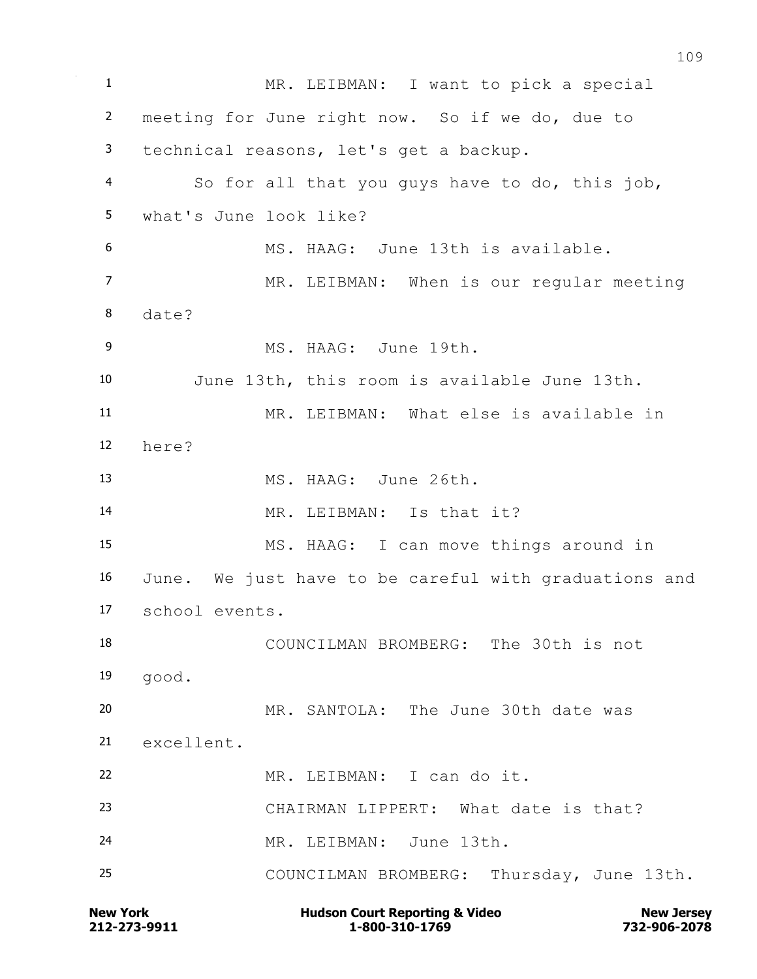**New York Communist Court Reporting & Video New Jersey Rew Jersey**  MR. LEIBMAN: I want to pick a special meeting for June right now. So if we do, due to technical reasons, let's get a backup. So for all that you guys have to do, this job, what's June look like? MS. HAAG: June 13th is available. MR. LEIBMAN: When is our regular meeting date? MS. HAAG: June 19th. June 13th, this room is available June 13th. MR. LEIBMAN: What else is available in here? MS. HAAG: June 26th. MR. LEIBMAN: Is that it? MS. HAAG: I can move things around in June. We just have to be careful with graduations and school events. COUNCILMAN BROMBERG: The 30th is not good. MR. SANTOLA: The June 30th date was excellent. MR. LEIBMAN: I can do it. CHAIRMAN LIPPERT: What date is that? MR. LEIBMAN: June 13th. COUNCILMAN BROMBERG: Thursday, June 13th.

**212-273-9911 1-800-310-1769 732-906-2078**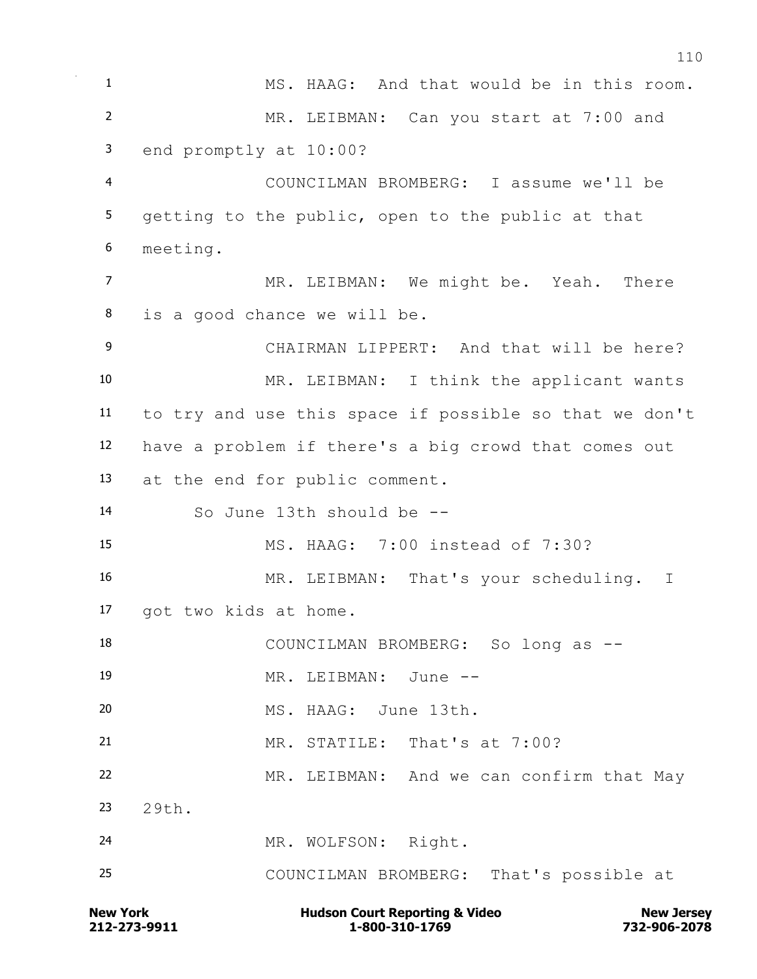**New York Communist Court Reporting & Video New Jersey Rew Jersey**  MS. HAAG: And that would be in this room. MR. LEIBMAN: Can you start at 7:00 and end promptly at 10:00? COUNCILMAN BROMBERG: I assume we'll be getting to the public, open to the public at that meeting. MR. LEIBMAN: We might be. Yeah. There is a good chance we will be. CHAIRMAN LIPPERT: And that will be here? MR. LEIBMAN: I think the applicant wants to try and use this space if possible so that we don't have a problem if there's a big crowd that comes out at the end for public comment. So June 13th should be -- MS. HAAG: 7:00 instead of 7:30? MR. LEIBMAN: That's your scheduling. I got two kids at home. 18 COUNCILMAN BROMBERG: So long as --19 MR. LEIBMAN: June -- MS. HAAG: June 13th. MR. STATILE: That's at 7:00? MR. LEIBMAN: And we can confirm that May 29th. MR. WOLFSON: Right. COUNCILMAN BROMBERG: That's possible at

**212-273-9911 1-800-310-1769 732-906-2078**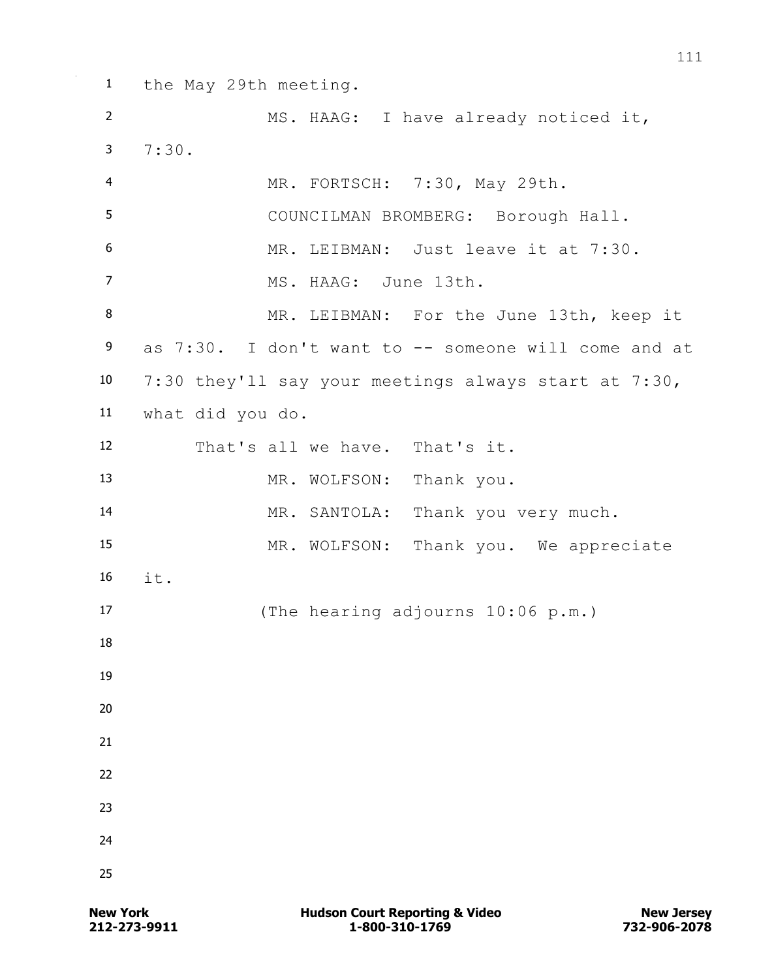the May 29th meeting. MS. HAAG: I have already noticed it, 7:30. MR. FORTSCH: 7:30, May 29th. COUNCILMAN BROMBERG: Borough Hall. MR. LEIBMAN: Just leave it at 7:30. MS. HAAG: June 13th. 8 MR. LEIBMAN: For the June 13th, keep it as 7:30. I don't want to -- someone will come and at 7:30 they'll say your meetings always start at 7:30, what did you do. That's all we have. That's it. MR. WOLFSON: Thank you. MR. SANTOLA: Thank you very much. MR. WOLFSON: Thank you. We appreciate 16  $i + 1$  (The hearing adjourns 10:06 p.m.)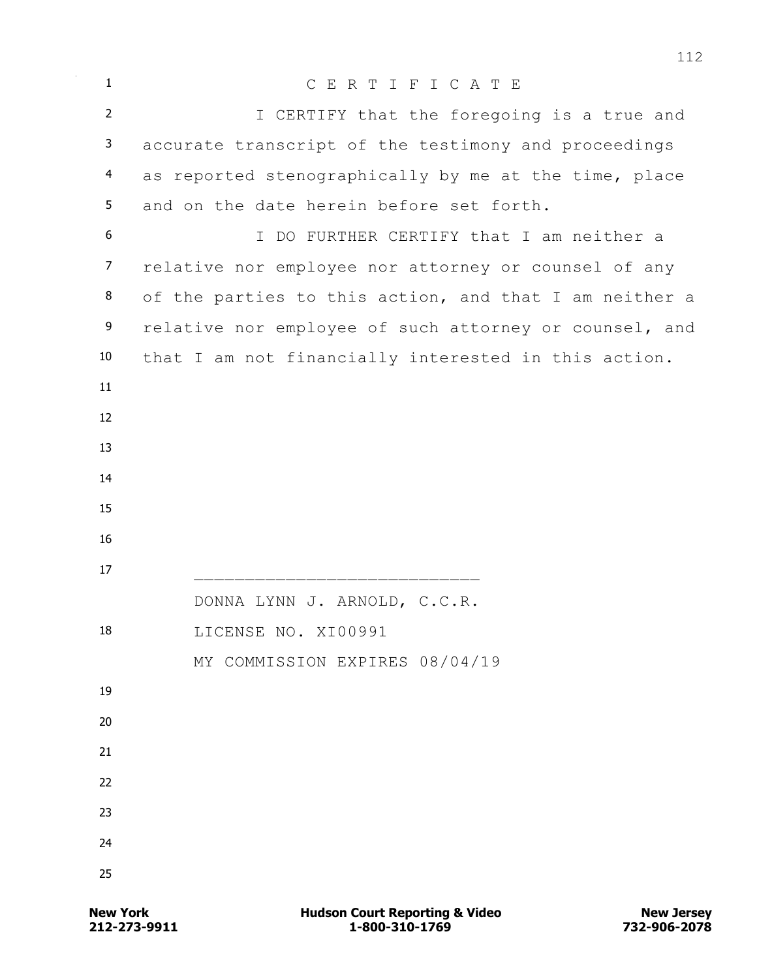| $\mathbf{1}$   | CERTIFICATE                                            |
|----------------|--------------------------------------------------------|
| $\overline{2}$ | I CERTIFY that the foregoing is a true and             |
| 3              | accurate transcript of the testimony and proceedings   |
| 4              | as reported stenographically by me at the time, place  |
| 5              | and on the date herein before set forth.               |
| 6              | I DO FURTHER CERTIFY that I am neither a               |
| $\overline{7}$ | relative nor employee nor attorney or counsel of any   |
| 8              | of the parties to this action, and that I am neither a |
| 9              | relative nor employee of such attorney or counsel, and |
| 10             | that I am not financially interested in this action.   |
| 11             |                                                        |
| 12             |                                                        |
| 13             |                                                        |
| 14             |                                                        |
| 15             |                                                        |
| 16             |                                                        |
| 17             |                                                        |
|                | DONNA LYNN J. ARNOLD, C.C.R.                           |
| 18             | LICENSE NO. XI00991                                    |
|                | MY COMMISSION EXPIRES 08/04/19                         |
| 19             |                                                        |
| 20             |                                                        |
| 21             |                                                        |
| 22             |                                                        |
| 23             |                                                        |
| 24             |                                                        |
| 25             |                                                        |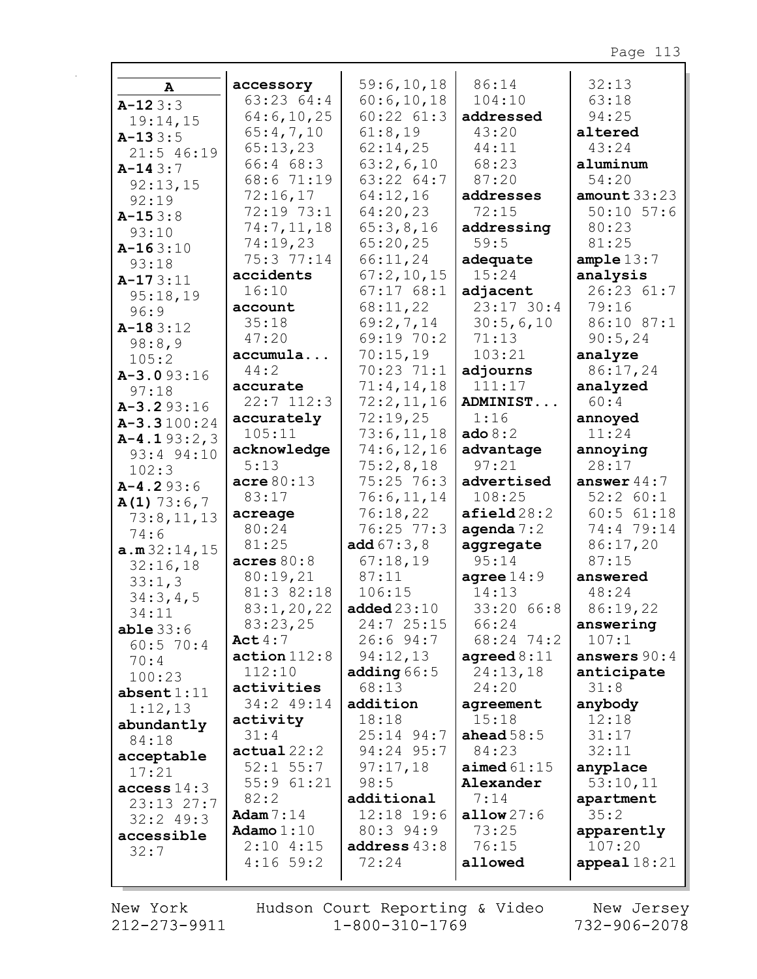|                |                         | 59:6, 10, 18          | 86:14                 | 32:13            |
|----------------|-------------------------|-----------------------|-----------------------|------------------|
| A              | accessory<br>63:23 64:4 | 60:6,10,18            | 104:10                | 63:18            |
| $A-123:3$      | 64:6, 10, 25            | $60:22$ $61:3$        | addressed             | 94:25            |
| 19:14,15       | 65:4,7,10               | 61:8,19               | 43:20                 | altered          |
| $A-133:5$      |                         |                       |                       |                  |
| $21:5$ 46:19   | 65:13,23                | 62:14,25              | 44:11                 | 43:24            |
| $A-143:7$      | 66:4 68:3               | 63:2,6,10             | 68:23                 | aluminum         |
| 92:13,15       | 68:6 71:19              | 63:22 64:7            | 87:20                 | 54:20            |
| 92:19          | 72:16,17                | 64:12,16              | addresses             | amount $33:23$   |
| $A-153:8$      | 72:19 73:1              | 64:20,23              | 72:15                 | $50:10$ $57:6$   |
| 93:10          | 74:7,11,18              | 65:3,8,16             | addressing            | 80:23            |
| $A-163:10$     | 74:19,23                | 65:20,25              | 59:5                  | 81:25            |
| 93:18          | 75:3 77:14              | 66:11,24              | adequate              | ample $13:7$     |
| $A-173:11$     | accidents               | 67:2,10,15            | 15:24                 | analysis         |
| 95:18,19       | 16:10                   | 67:1768:1             | adjacent              | 26:23 61:7       |
| 96:9           | account                 | 68:11,22              | $23:17$ 30:4          | 79:16            |
| $A-183:12$     | 35:18                   | 69:2,7,14             | 30:5,6,10             | 86:10 87:1       |
| 98:8,9         | 47:20                   | 69:19 70:2            | 71:13                 | 90:5,24          |
| 105:2          | accumula                | 70:15,19              | 103:21                | analyze          |
| $A - 3.093:16$ | 44:2                    | 70:23 71:1            | adjourns              | 86:17,24         |
| 97:18          | accurate                | 71:4,14,18            | 111:17                | analyzed         |
| $A - 3.293:16$ | $22:7$ 112:3            | 72:2,11,16            | ADMINIST              | 60:4             |
| $A-3.3100:24$  | accurately              | 72:19,25              | 1:16                  | annoyed          |
| $A-4.193:2,3$  | 105:11                  | 73:6,11,18            | ado $8:2$             | 11:24            |
| 93:4 94:10     | acknowledge             | 74:6, 12, 16          | advantage             | annoying         |
| 102:3          | 5:13                    | 75:2,8,18             | 97:21                 | 28:17            |
| $A-4.293:6$    | $\texttt{acre} 80:13$   | 75:25 76:3            | advertised            | answer $44:7$    |
| $A(1)$ 73:6,7  | 83:17                   | 76:6, 11, 14          | 108:25                | 52:2 60:1        |
| 73:8,11,13     | acreage                 | 76:18,22              | $\texttt{afield}28:2$ | $60:5$ $61:18$   |
| 74:6           | 80:24                   | 76:25 77:3            | agenda $7:2$          | 74:4 79:14       |
| a.m.32:14,15   | 81:25                   | add $67:3,8$          | aggregate             | 86:17,20         |
| 32:16,18       | acres 80:8              | 67:18,19              | 95:14                 | 87:15            |
| 33:1,3         | 80:19,21                | 87:11                 | agree $14:9$          | answered         |
| 34:3,4,5       | 81:3 82:18              | 106:15                | 14:13                 | 48:24            |
| 34:11          | 83:1,20,22              | added23:10            | 33:20 66:8            | 86:19,22         |
| $able$ 33:6    | 83:23,25                | 24:725:15             | 66:24                 | answering        |
| $60:5$ 70:4    | Act $4:7$               | 26:694:7              | 68:24 74:2            | 107:1            |
| 70:4           | action 112:8            | 94:12,13              | agreed $8:11$         | answers $90:4$   |
| 100:23         | 112:10                  | adding $66:5$         | 24:13,18              | anticipate       |
| absent $1:11$  | activities              | 68:13                 | 24:20                 | 31:8             |
| 1:12,13        | 34:2 49:14              | addition              | agreement<br>15:18    | anybody<br>12:18 |
| abundantly     | activity<br>31:4        | 18:18<br>$25:14$ 94:7 | ahead $58:5$          | 31:17            |
| 84:18          | actual22:2              | 94:24 95:7            | 84:23                 | 32:11            |
| acceptable     | $52:1$ 55:7             | 97:17,18              | aimed $61:15$         | anyplace         |
| 17:21          | 55:961:21               | 98:5                  | Alexander             | 53:10,11         |
| access $14:3$  | 82:2                    | additional            | 7:14                  | apartment        |
| 23:1327:7      | Adam $7:14$             | $12:18$ 19:6          | allow $27:6$          | 35:2             |
| $32:2$ 49:3    | Adamo $1:10$            | $80:3$ $94:9$         | 73:25                 | apparently       |
| accessible     | 2:104:15                | address $43:8$        | 76:15                 | 107:20           |
| 32:7           | $4:16$ 59:2             | 72:24                 | allowed               | appeal $18:21$   |
|                |                         |                       |                       |                  |

New York 212-273-9911

г

Hudson Court Reporting & Video<br>1-800-310-1769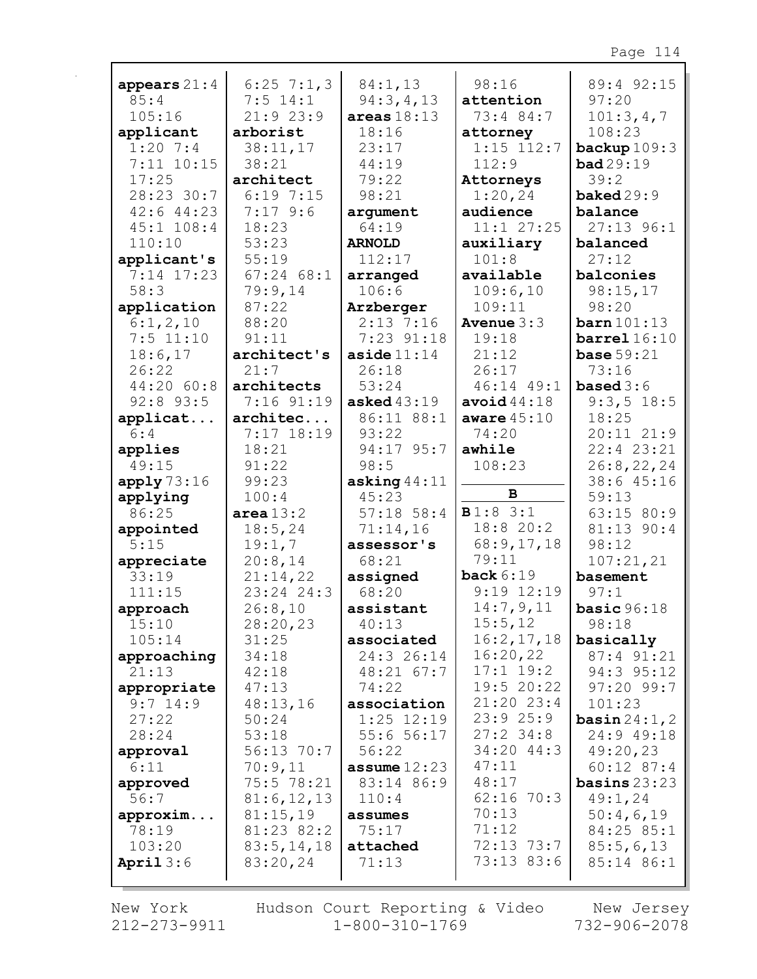| appears $21:4$              | $6:25$ 7:1,3          | 84:1,13                      | 98:16                   | 89:4 92:15                     |
|-----------------------------|-----------------------|------------------------------|-------------------------|--------------------------------|
| 85:4                        | $7:5$ 14:1            | 94:3,4,13                    | attention               | 97:20                          |
| 105:16                      | 21:923:9              | areas $18:13$                | 73:4 84:7               | 101:3,4,7                      |
| applicant                   | arborist              | 18:16                        | attorney                | 108:23                         |
| $1:20$ 7:4                  | 38:11,17              | 23:17                        | $1:15$ $112:7$          | backup $109:3$                 |
| $7:11$ $10:15$              | 38:21                 | 44:19                        | 112:9                   | bad29:19                       |
| 17:25                       | architect             | 79:22                        | Attorneys               | 39:2                           |
| 28:23 30:7                  | 6:197:15              | 98:21                        | 1:20,24                 | $\mathtt{baked29:9}$           |
| $42:6$ $44:23$              | $7:17$ 9:6            | argument                     | audience                | balance                        |
| $45:1$ $108:4$<br>110:10    | 18:23                 | 64:19                        | $11:1$ $27:25$          | $27:13$ 96:1                   |
|                             | 53:23<br>55:19        | <b>ARNOLD</b><br>112:17      | auxiliary<br>101:8      | balanced<br>27:12              |
| applicant's<br>$7:14$ 17:23 | $67:24$ $68:1$        | arranged                     | available               | balconies                      |
| 58:3                        | 79:9,14               | 106:6                        | 109:6,10                | 98:15,17                       |
| application                 | 87:22                 | Arzberger                    | 109:11                  | 98:20                          |
| 6:1,2,10                    | 88:20                 | $2:13$ 7:16                  | Avenue $3:3$            | $\mathtt{barn}$ 101:13         |
| $7:5$ 11:10                 | 91:11                 | $7:23$ $91:18$               | 19:18                   | barrel $16:10$                 |
| 18:6,17                     | architect's           | aside $11:14$                | 21:12                   | base $59:21$                   |
| 26:22                       | 21:7                  | 26:18                        | 26:17                   | 73:16                          |
| 44:20 60:8                  | architects            | 53:24                        | 46:14 49:1              | <b>based</b> $3:6$             |
| $92:8$ 93:5                 | 7:16 91:19            | asked $43:19$                | avoid $44:18$           | $9:3,5$ 18:5                   |
| applicat                    | architec              | 86:11 88:1                   | aware $45:10$           | 18:25                          |
| 6:4                         | 7:17 18:19            | 93:22                        | 74:20                   | 20:11 21:9                     |
| applies                     | 18:21                 | 94:17 95:7                   | awhile                  | 22:4 23:21                     |
| 49:15                       | 91:22                 | 98:5                         | 108:23                  | 26:8,22,24                     |
| apply73:16                  | 99:23                 | asking $44:11$               |                         | 38:6 45:16                     |
| applying                    | 100:4                 | 45:23                        | $\, {\bf B}$            | 59:13                          |
| 86:25                       | area $13:2$           | $57:18$ 58:4                 | B1:83:1                 | 63:15 80:9                     |
| appointed                   | 18:5, 24              | 71:14,16                     | 18:8 20:2               | 81:13 90:4                     |
| 5:15                        | 19:1,7                | assessor's                   | 68:9,17,18              | 98:12                          |
| appreciate                  | 20:8,14               | 68:21                        | 79:11                   | 107:21,21                      |
| 33:19                       | 21:14,22              | assigned                     | back $6:19$             | basement                       |
| 111:15                      | 23:24 24:3            | 68:20                        | $9:19$ $12:19$          | 97:1                           |
| approach                    | 26:8,10               | assistant                    | 14:7,9,11               | basic $96:18$                  |
| 15:10                       | 28:20,23              | 40:13                        | 15:5,12                 | 98:18                          |
| 105:14                      | 31:25                 | associated                   | 16:2,17,18              | basically                      |
| approaching                 | 34:18                 | 24:3 26:14                   | 16:20,22                | 87:4 91:21                     |
| 21:13                       | 42:18                 | $48:21$ 67:7                 | $17:1$ 19:2             | 94:3 95:12                     |
| appropriate                 | 47:13                 | 74:22                        | 19:5 20:22              | $97:20$ 99:7                   |
| $9:7$ 14:9                  | 48:13,16              | association                  | $21:20$ 23:4            | 101:23                         |
| 27:22                       | 50:24                 | $1:25$ $12:19$               | 23:925:9<br>$27:2$ 34:8 | basin $24:1, 2$                |
| 28:24                       | 53:18                 | 55:656:17                    | 34:20 44:3              | 24:9 49:18                     |
| approval                    | $56:13$ 70:7          | 56:22                        | 47:11                   | 49:20,23                       |
| 6:11                        | 70:9,11<br>75:5 78:21 | assume $12:23$<br>83:14 86:9 | 48:17                   | $60:12$ 87:4<br>basins $23:23$ |
| approved<br>56:7            | 81:6, 12, 13          | 110:4                        | $62:16$ 70:3            | 49:1,24                        |
| approxim                    | 81:15,19              | assumes                      | 70:13                   | 50:4,6,19                      |
| 78:19                       | 81:23 82:2            | 75:17                        | 71:12                   | 84:25 85:1                     |
| 103:20                      | 83:5, 14, 18          | attached                     | 72:13 73:7              | 85:5,6,13                      |
| April $3:6$                 | 83:20,24              | 71:13                        | 73:13 83:6              | 85:14 86:1                     |
|                             |                       |                              |                         |                                |

г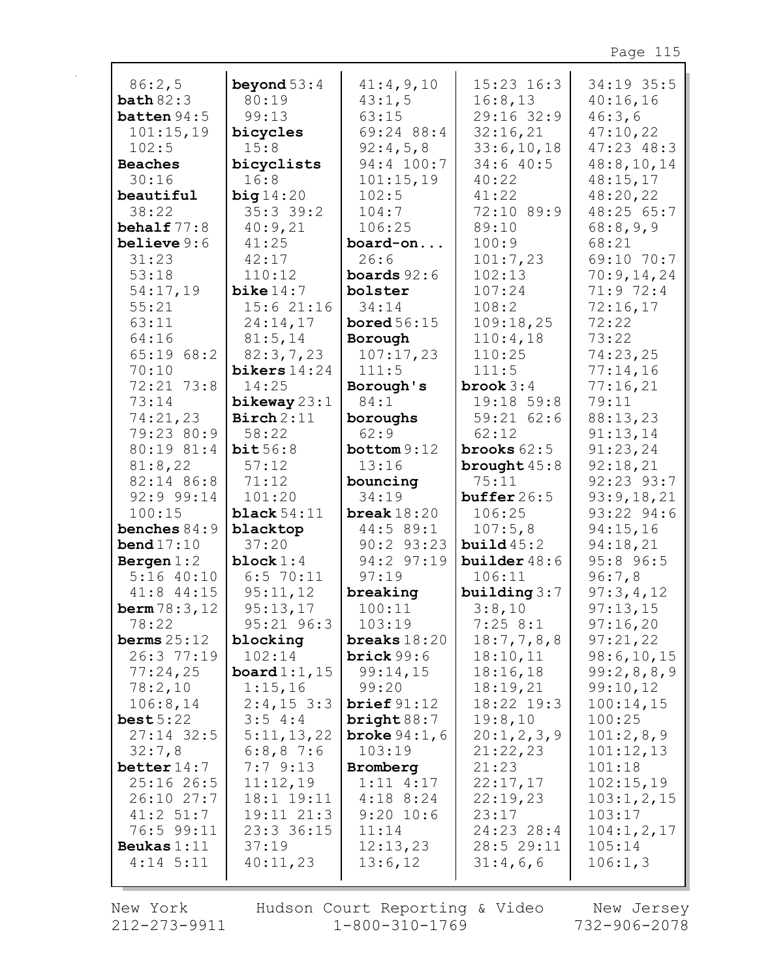| 86:2,5                   | beyond $53:4$             | 41:4,9,10                 | $15:23$ $16:3$            | 34:19 35:5           |
|--------------------------|---------------------------|---------------------------|---------------------------|----------------------|
| bath 82:3                | 80:19                     | 43:1,5                    | 16:8,13                   | 40:16,16             |
| batten 94:5              | 99:13                     | 63:15                     | 29:16 32:9                | 46:3,6               |
| 101:15,19                | bicycles                  | 69:24 88:4                | 32:16,21                  | 47:10,22             |
| 102:5                    | 15:8                      | 92:4,5,8                  | 33:6, 10, 18              | $47:23$ $48:3$       |
| <b>Beaches</b>           | bicyclists                | 94:4 100:7                | 34:640:5                  | 48:8, 10, 14         |
| 30:16                    | 16:8                      | 101:15,19                 | 40:22                     | 48:15,17             |
| beautiful                | big14:20                  | 102:5                     | 41:22                     | 48:20,22             |
| 38:22                    | 35:339:2                  | 104:7                     | 72:10 89:9                | 48:25 65:7           |
| behalf 77:8              | 40:9,21                   | 106:25                    | 89:10                     | 68:8,9,9             |
| believe $9:6$            | 41:25                     | board-on                  | 100:9                     | 68:21                |
| 31:23                    | 42:17                     | 26:6                      | 101:7,23                  | 69:10 70:7           |
| 53:18                    | 110:12                    | <b>boards</b> $92:6$      | 102:13                    | 70:9,14,24           |
| 54:17,19                 | bike $14:7$               | bolster                   | 107:24                    | 71:9 72:4            |
| 55:21                    | 15:621:16                 | 34:14                     | 108:2                     | 72:16,17             |
| 63:11                    | 24:14,17                  | bored $56:15$             | 109:18,25                 | 72:22                |
| 64:16                    | 81:5,14                   | Borough                   | 110:4,18                  | 73:22                |
| 65:1968:2                | 82:3,7,23                 | 107:17,23                 | 110:25                    | 74:23,25             |
| 70:10                    | bikers $14:24$            | 111:5                     | 111:5                     | 77:14,16             |
| 72:21 73:8               | 14:25                     | Borough's                 | brook $3:4$               | 77:16,21             |
| 73:14                    | bikeway $23:1$            | 84:1                      | 19:18 59:8                | 79:11                |
| 74:21,23                 | $\text{Binch}\,2:11$      | boroughs                  | 59:2162:6                 | 88:13,23             |
| 79:23 80:9<br>80:19 81:4 | 58:22<br>bit56:8          | 62:9<br>bottom 9:12       | 62:12<br>brooks $62:5$    | 91:13,14<br>91:23,24 |
| 81:8,22                  | 57:12                     | 13:16                     | brought $45:8$            | 92:18,21             |
| 82:14 86:8               | 71:12                     | bouncing                  | 75:11                     | 92:23 93:7           |
| 92:9 99:14               | 101:20                    | 34:19                     | buffer $26:5$             | 93:9,18,21           |
| 100:15                   | black $54:11$             | break $18:20$             | 106:25                    | 93:22 94:6           |
| benches $84:9$           | blacktop                  | 44:5 89:1                 | 107:5,8                   | 94:15,16             |
| bend $17:10$             | 37:20                     | $90:2$ $93:23$            | build45:2                 | 94:18,21             |
| Bergen $1:2$             | block $1:4$               | 94:2 97:19                | builder $48:6$            | 95:8 96:5            |
| $5:16$ 40:10             | $6:5$ 70:11               | 97:19                     | 106:11                    | 96:7,8               |
| $41:8$ $44:15$           | 95:11,12                  | breaking                  | building $3:7$            | 97:3,4,12            |
| <b>berm</b> $78:3,12$    | 95:13,17                  | 100:11                    | 3:8,10                    | 97:13,15             |
| 78:22                    | 95:21 96:3                | 103:19                    | 7:258:1                   | 97:16,20             |
| berms $25:12$            | blocking                  | breaks $18:20$            | 18:7,7,8,8                | 97:21,22             |
| 26:3 77:19               | 102:14                    | brick 99:6                | 18:10,11                  | 98:6,10,15           |
| 77:24,25                 | board $1:1$ , $15$        | 99:14,15                  | 18:16,18                  | 99:2,8,8,9           |
| 78:2,10                  | 1:15,16                   | 99:20                     | 18:19,21                  | 99:10,12             |
| 106:8,14                 | $2:4,15$ 3:3              | brief 91:12               | 18:22 19:3                | 100:14,15            |
| best5:22<br>$27:14$ 32:5 | 3:54:4                    | bright $88:7$             | 19:8,10                   | 100:25               |
| 32:7,8                   | 5:11,13,22<br>$6:8,8$ 7:6 | broke $94:1, 6$<br>103:19 | 20:1, 2, 3, 9<br>21:22,23 | 101:2,8,9            |
| better $14:7$            | 7:79:13                   | Bromberg                  | 21:23                     | 101:12,13<br>101:18  |
| $25:16$ 26:5             | 11:12,19                  | $1:11$ $4:17$             | 22:17,17                  | 102:15,19            |
| $26:10$ 27:7             | $18:1$ $19:11$            | $4:18$ 8:24               | 22:19,23                  | 103:1, 2, 15         |
| 41:2 51:7                | 19:11 21:3                | $9:20$ 10:6               | 23:17                     | 103:17               |
| 76:5 99:11               | 23:3 36:15                | 11:14                     | 24:23 28:4                | 104:1, 2, 17         |
| Beukas $1:11$            | 37:19                     | 12:13,23                  | 28:5 29:11                | 105:14               |
| $4:14$ 5:11              | 40:11,23                  | 13:6,12                   | 31:4,6,6                  | 106:1,3              |
|                          |                           |                           |                           |                      |

New York 212-273-9911

г

Hudson Court Reporting & Video  $1 - 800 - 310 - 1769$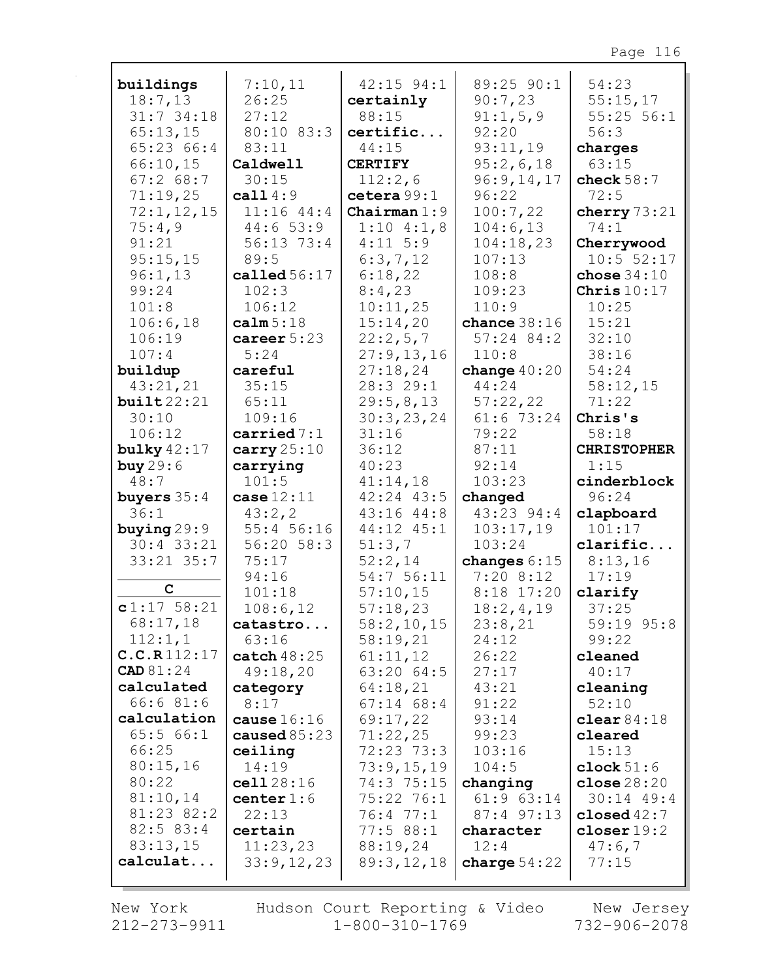| buildings           | 7:10,11                | $42:15$ 94:1           | 89:25 90:1     | 54:23              |
|---------------------|------------------------|------------------------|----------------|--------------------|
| 18:7,13             | 26:25                  | certainly              | 90:7,23        | 55:15,17           |
| $31:7$ 34:18        | 27:12                  | 88:15                  | 91:1,5,9       | $55:25$ $56:1$     |
| 65:13,15            | 80:10 83:3             | certific               | 92:20          | 56:3               |
| 65:23 66:4          | 83:11                  | 44:15                  | 93:11,19       | charges            |
| 66:10,15            | Caldwell               | <b>CERTIFY</b>         | 95:2,6,18      | 63:15              |
| 67:268:7            | 30:15                  | 112:2,6                | 96:9,14,17     | check $58:7$       |
| 71:19,25            | call $4:9$             | cetera 99:1            | 96:22          | 72:5               |
| 72:1, 12, 15        | $11:16$ $44:4$         | Chairman $1:9$         | 100:7,22       | cherry $73:21$     |
| 75:4,9              | 44:653:9               | $1:10$ 4:1,8           | 104:6,13       | 74:1               |
| 91:21               | 56:13 73:4             | $4:11 \ 5:9$           | 104:18,23      | Cherrywood         |
| 95:15,15            | 89:5                   | 6:3,7,12               | 107:13         | 10:5 52:17         |
| 96:1,13             | called $56:17$         | 6:18,22                | 108:8          | chose $34:10$      |
| 99:24               | 102:3                  | 8:4,23                 | 109:23         | Chris $10:17$      |
| 101:8               | 106:12                 | 10:11,25               | 110:9          | 10:25              |
| 106:6,18            | calm 5:18              | 15:14,20               | chance $38:16$ | 15:21              |
| 106:19              | career $5:23$          | 22:2,5,7               | $57:24$ 84:2   | 32:10              |
| 107:4               | 5:24                   | 27:9,13,16             | 110:8          | 38:16              |
| buildup             | careful                | 27:18,24               | change $40:20$ | 54:24              |
| 43:21,21            | 35:15                  | 28:3 29:1              | 44:24          | 58:12,15           |
| build22:21          | 65:11                  | 29:5,8,13              | 57:22,22       | 71:22              |
| 30:10               | 109:16                 | 30:3,23,24             | 61:6 73:24     | Chris's            |
| 106:12              | $carried$ $7:1$        | 31:16                  | 79:22          | 58:18              |
| bulky $42:17$       | carry $25:10$          | 36:12                  | 87:11          | <b>CHRISTOPHER</b> |
| buy $29:6$          | carrying               | 40:23                  | 92:14          | 1:15               |
| 48:7                | 101:5                  | 41:14,18               | 103:23         | cinderblock        |
|                     |                        |                        |                |                    |
| buyers $35:4$       | case 12:11             | $42:24$ $43:5$         | changed        | 96:24              |
| 36:1                | 43:2, 2                | 43:16 44:8             | 43:23 94:4     | clapboard          |
| buying $29:9$       | 55:4 56:16             | 44:12 45:1             | 103:17,19      | 101:17             |
| $30:4$ 33:21        | $56:20$ $58:3$         | 51:3,7                 | 103:24         | clarific           |
| $33:21$ $35:7$      | 75:17                  | 52:2,14                | changes $6:15$ | 8:13,16            |
| $\mathbf C$         | 94:16                  | 54:756:11              | 7:208:12       | 17:19              |
|                     | 101:18                 | 57:10,15               | 8:18 17:20     | clarify            |
| $c1:17$ 58:21       | 108:6,12               | 57:18,23               | 18:2,4,19      | 37:25              |
| 68:17,18<br>112:1,1 | catastro               | 58:2,10,15             | 23:8,21        | 59:19 95:8         |
| C.C.R112:17         | 63:16<br>catch $48:25$ | 58:19,21               | 24:12<br>26:22 | 99:22<br>cleaned   |
| <b>CAD</b> 81:24    | 49:18,20               | 61:11,12<br>63:20 64:5 | 27:17          | 40:17              |
| calculated          | category               | 64:18,21               | 43:21          | cleaning           |
| 66:681:6            | 8:17                   | $67:14$ $68:4$         | 91:22          | 52:10              |
| calculation         | cause $16:16$          | 69:17,22               | 93:14          | clear $84:18$      |
| 65:566:1            | caused $85:23$         | 71:22,25               | 99:23          | cleared            |
| 66:25               | ceiling                | $72:23$ $73:3$         | 103:16         | 15:13              |
| 80:15,16            | 14:19                  | 73:9,15,19             | 104:5          | clock $51:6$       |
| 80:22               | cell28:16              | 74:3 75:15             | changing       | close $28:20$      |
| 81:10,14            | center $1:6$           | 75:22 76:1             | $61:9$ $63:14$ | $30:14$ 49:4       |
| 81:23 82:2          | 22:13                  | 76:4 77:1              | 87:4 97:13     | closed $42:7$      |
| $82:5$ $83:4$       | certain                | 77:588:1               | character      | closer $19:2$      |
| 83:13,15            | 11:23,23               | 88:19,24               | 12:4           | 47:6,7             |
| calculat            | 33:9,12,23             | 89:3,12,18             | charge $54:22$ | 77:15              |

New York 212-273-9911

г

Hudson Court Reporting & Video<br>1-800-310-1769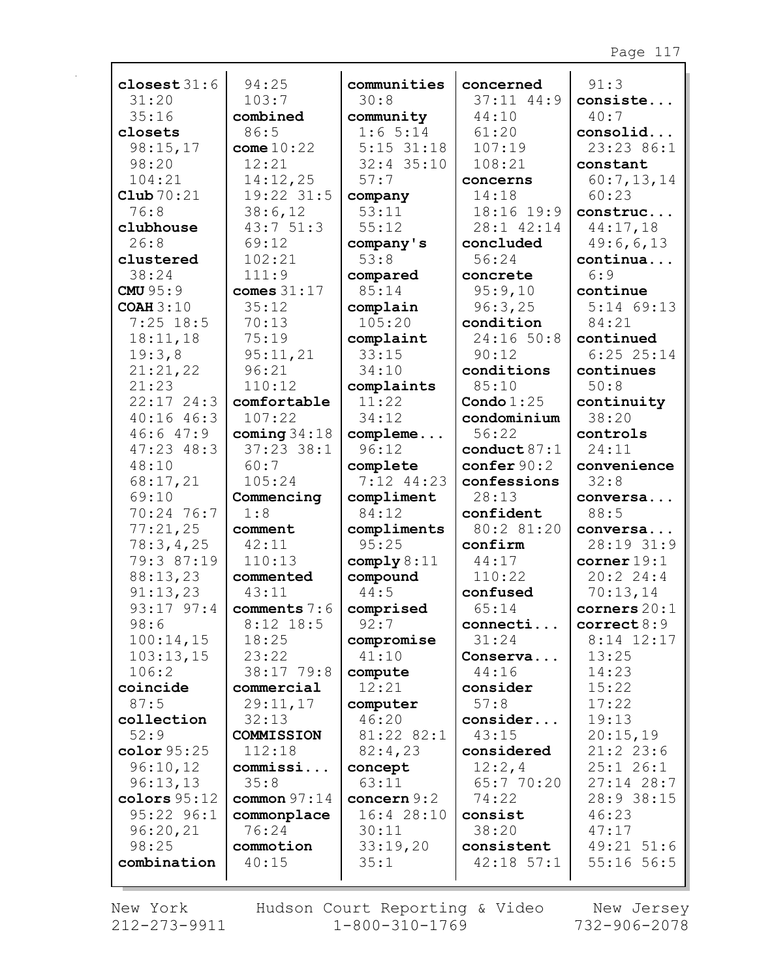| closest $31:6$   | 94:25          | communities   | concerned               | 91:3           |
|------------------|----------------|---------------|-------------------------|----------------|
| 31:20            | 103:7          | 30:8          | $37:11$ 44:9            | consiste       |
| 35:16            | combined       | community     | 44:10                   | 40:7           |
| closets          | 86:5           | 1:65:14       | 61:20                   | consolid       |
| 98:15,17         | come $10:22$   | $5:15$ 31:18  | 107:19                  | 23:23 86:1     |
| 98:20            | 12:21          | $32:4$ 35:10  | 108:21                  | constant       |
| 104:21           | 14:12,25       | 57:7          | concerns                | 60:7,13,14     |
| Club $70:21$     | 19:22 31:5     | company       | 14:18                   | 60:23          |
| 76:8             | 38:6,12        | 53:11         | 18:16 19:9              | construc       |
| clubhouse        | 43:751:3       | 55:12         | 28:1 42:14              | 44:17,18       |
| 26:8             | 69:12          | company's     | concluded               | 49:6,6,13      |
| clustered        | 102:21         | 53:8          | 56:24                   | continua       |
| 38:24            | 111:9          | compared      | concrete                | 6:9            |
| <b>CMU 95:9</b>  | comes 31:17    | 85:14         | 95:9,10                 | continue       |
| <b>COAH 3:10</b> | 35:12          | complain      | 96:3,25                 | $5:14$ 69:13   |
| $7:25$ 18:5      | 70:13          | 105:20        | condition               | 84:21          |
| 18:11,18         | 75:19          | complaint     | 24:16 50:8              | continued      |
| 19:3,8           | 95:11,21       | 33:15         | 90:12                   | $6:25$ 25:14   |
| 21:21,22         | 96:21          | 34:10         | conditions              | continues      |
| 21:23            | 110:12         | complaints    | 85:10                   | 50:8           |
| $22:17$ $24:3$   | comfortable    | 11:22         | Condo $1:25$            | continuity     |
| 40:1646:3        | 107:22         | 34:12         | condominium             | 38:20          |
| 46:647:9         | coming $34:18$ | compleme      | 56:22                   | controls       |
| $47:23$ $48:3$   | $37:23$ $38:1$ | 96:12         | conduct $87:1$          | 24:11          |
| 48:10            | 60:7           | complete      | $\mathbf{confer}\,90:2$ | convenience    |
| 68:17,21         | 105:24         | $7:12$ 44:23  | confessions             | 32:8           |
| 69:10            | Commencing     | compliment    | 28:13                   | conversa       |
| 70:24 76:7       | 1:8            | 84:12         | confident               | 88:5           |
| 77:21,25         | comment        | compliments   | 80:2 81:20              | conversa       |
| 78:3,4,25        | 42:11          | 95:25         | confirm                 | 28:19 31:9     |
| 79:3 87:19       | 110:13         | comply 8:11   | 44:17                   | corner 19:1    |
| 88:13,23         | commented      | compound      | 110:22                  | 20:22:4:4      |
| 91:13,23         | 43:11          | 44:5          | confused                | 70:13,14       |
| 93:17 97:4       | comments 7:6   | comprised     | 65:14                   | corners $20:1$ |
| 98:6             | $8:12$ 18:5    | 92:7          | connecti                | correct 8:9    |
| 100:14,15        | 18:25          | compromise    | 31:24                   | $8:14$ 12:17   |
| 103:13,15        | 23:22          | 41:10         | Conserva                | 13:25          |
| 106:2            | 38:17 79:8     | compute       | 44:16                   | 14:23          |
| coincide         | commercial     | 12:21         | consider                | 15:22          |
| 87:5             | 29:11,17       | computer      | 57:8                    | 17:22          |
| collection       | 32:13          | 46:20         | consider                | 19:13          |
| 52:9             | COMMISSION     | 81:22 82:1    | 43:15                   | 20:15,19       |
| color $95:25$    | 112:18         | 82:4,23       | considered              | $21:2$ 23:6    |
| 96:10,12         | commissi       | concept       | 12:2,4                  | 25:126:1       |
| 96:13,13         | 35:8           | 63:11         | 65:7 70:20              | $27:14$ 28:7   |
| colors 95:12     | common $97:14$ | concern $9:2$ | 74:22                   | 28:9 38:15     |
| $95:22$ $96:1$   | commonplace    | 16:4 28:10    | consist                 | 46:23          |
| 96:20,21         | 76:24          | 30:11         | 38:20                   | 47:17          |
| 98:25            | commotion      | 33:19,20      | consistent              | 49:21 51:6     |
| combination      | 40:15          | 35:1          | $42:18$ 57:1            | $55:16$ 56:5   |
|                  |                |               |                         |                |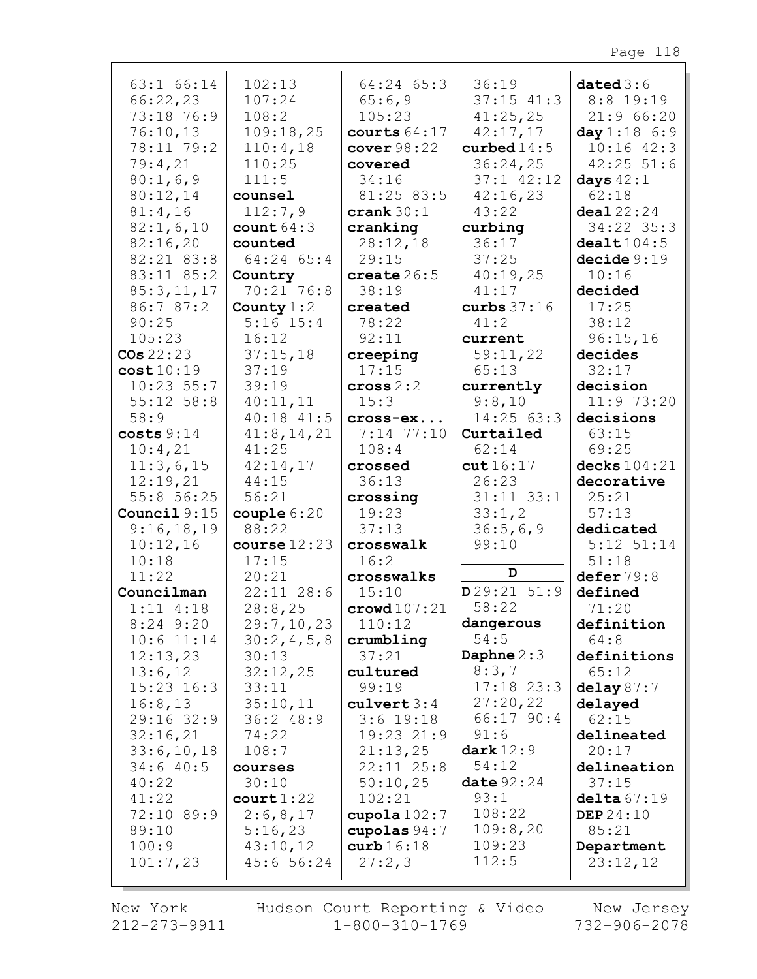| $63:1$ $66:14$ | 102:13                  | $64:24$ $65:3$         | 36:19          | dataed3:6        |
|----------------|-------------------------|------------------------|----------------|------------------|
| 66:22,23       | 107:24                  | 65:6,9                 | $37:15$ $41:3$ | $8:8$ 19:19      |
| 73:18 76:9     | 108:2                   | 105:23                 | 41:25,25       | 21:966:20        |
| 76:10,13       | 109:18,25               |                        |                |                  |
|                |                         | courts $64:17$         | 42:17,17       | day 1:18 6:9     |
| 78:11 79:2     | 110:4,18                | cover 98:22            | curbed $14:5$  | $10:16$ $42:3$   |
| 79:4,21        | 110:25                  | covered                | 36:24,25       | $42:25$ 51:6     |
| 80:1,6,9       | 111:5                   | 34:16                  | 37:1 42:12     | days $42:1$      |
| 80:12,14       | counsel                 | 81:25 83:5             | 42:16,23       | 62:18            |
| 81:4,16        | 112:7,9                 | crank $30:1$           | 43:22          | deal22:24        |
| 82:1,6,10      | count $64:3$            | cranking               | curbing        | 34:22 35:3       |
| 82:16,20       | counted                 | 28:12,18               | 36:17          | death104:5       |
| 82:21 83:8     | 64:24 65:4              | 29:15                  | 37:25          | decide 9:19      |
| 83:11 85:2     | Country                 | create $26:5$          | 40:19,25       | 10:16            |
| 85:3,11,17     | 70:21 76:8              | 38:19                  | 41:17          | decided          |
| 86:7 87:2      |                         | created                |                | 17:25            |
|                | County $1:2$            |                        | curbs $37:16$  |                  |
| 90:25          | $5:16$ $15:4$           | 78:22                  | 41:2           | 38:12            |
| 105:23         | 16:12                   | 92:11                  | current        | 96:15,16         |
| $\cos 22:23$   | 37:15,18                | creeping               | 59:11,22       | decides          |
| cost10:19      | 37:19                   | 17:15                  | 65:13          | 32:17            |
| $10:23$ 55:7   | 39:19                   | cross 2:2              | currently      | decision         |
| $55:12$ $58:8$ | 40:11,11                | 15:3                   | 9:8,10         | 11:9 73:20       |
| 58:9           | $40:18$ $41:5$          | cross-ex               | 14:25 63:3     | decisions        |
| costs 9:14     | 41:8, 14, 21            | $7:14$ $77:10$         | Curtailed      | 63:15            |
| 10:4,21        | 41:25                   | 108:4                  | 62:14          | 69:25            |
| 11:3,6,15      | 42:14,17                | crossed                | cut16:17       | decks 104:21     |
| 12:19,21       | 44:15                   | 36:13                  | 26:23          | decorative       |
| 55:8 56:25     | 56:21                   | crossing               | $31:11$ $33:1$ | 25:21            |
| Council $9:15$ | $\texttt{couple}\,6:20$ | 19:23                  | 33:1,2         | 57:13            |
| 9:16,18,19     | 88:22                   | 37:13                  | 36:5,6,9       | dedicated        |
|                |                         |                        |                |                  |
| 10:12,16       | course $12:23$          | crosswalk              | 99:10          | $5:12$ $51:14$   |
| 10:18          | 17:15                   | 16:2                   | D              | 51:18            |
| 11:22          | 20:21                   | crosswalks             |                | defer 79:8       |
| Councilman     | $22:11$ $28:6$          | 15:10                  | D29:21 51:9    | defined          |
| $1:11$ $4:18$  | 28:8,25                 | $\texttt{crowd107:21}$ | 58:22          | 71:20            |
| $8:24$ 9:20    | 29:7,10,23              | 110:12                 | dangerous      | definition       |
| $10:6$ 11:14   | 30:2,4,5,8              | crumbling              | 54:5           | 64:8             |
| 12:13,23       | 30:13                   | 37:21                  | Daphne $2:3$   | definitions      |
| 13:6,12        | 32:12,25                | cultured               | 8:3,7          | 65:12            |
| $15:23$ $16:3$ | 33:11                   | 99:19                  | $17:18$ 23:3   | delay $87:7$     |
| 16:8,13        | 35:10,11                | $\texttt{culvert} 3:4$ | 27:20,22       | delayed          |
| 29:16 32:9     | 36:248:9                | $3:6$ 19:18            | 66:17 90:4     | 62:15            |
| 32:16,21       | 74:22                   | 19:23 21:9             | 91:6           | delineated       |
| 33:6, 10, 18   | 108:7                   | 21:13,25               | dark 12:9      | 20:17            |
| 34:640:5       | courses                 | $22:11$ $25:8$         | 54:12          | delineation      |
| 40:22          | 30:10                   | 50:10,25               | date $92:24$   | 37:15            |
| 41:22          | court 1:22              | 102:21                 | 93:1           | delta67:19       |
| 72:10 89:9     | 2:6,8,17                | cupola $102:7$         | 108:22         | <b>DEP</b> 24:10 |
| 89:10          |                         |                        | 109:8,20       | 85:21            |
|                | 5:16,23                 | cupolas $94:7$         | 109:23         |                  |
| 100:9          | 43:10,12                | curb16:18              |                | Department       |
| 101:7,23       | 45:656:24               | 27:2,3                 | 112:5          | 23:12,12         |
|                |                         |                        |                |                  |

New York 212-273-9911 Hudson Court Reporting & Video<br>1-800-310-1769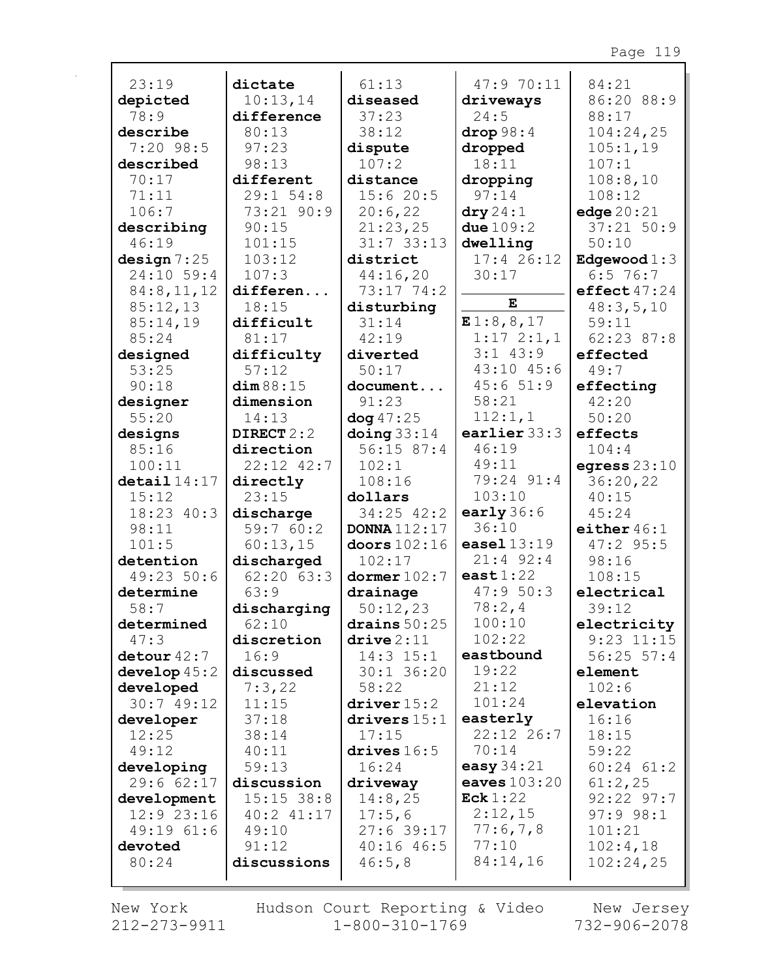| 23:19                     | dictate                   | 61:13                                  | 47:9 70:11                                | 84:21                        |
|---------------------------|---------------------------|----------------------------------------|-------------------------------------------|------------------------------|
| depicted                  | 10:13,14                  | diseased                               | driveways                                 | 86:20 88:9                   |
| 78:9                      | difference                | 37:23                                  | 24:5                                      | 88:17                        |
| describe                  | 80:13                     | 38:12                                  | drop98:4                                  | 104:24,25                    |
| $7:20$ 98:5               | 97:23                     | dispute                                | dropped                                   | 105:1,19                     |
| described                 | 98:13                     | 107:2                                  | 18:11                                     | 107:1                        |
| 70:17                     | different                 | distance                               | dropping                                  | 108:8,10                     |
| 71:11<br>106:7            | $29:1$ 54:8<br>73:21 90:9 | 15:620:5<br>20:6,22                    | 97:14                                     | 108:12                       |
| describing                | 90:15                     | 21:23,25                               | $\operatorname{dry}{24:1}$<br>due $109:2$ | edge $20:21$<br>$37:21$ 50:9 |
| 46:19                     | 101:15                    | $31:7$ 33:13                           | dwelling                                  | 50:10                        |
| design 7:25               | 103:12                    | district                               | $17:4$ 26:12                              | Edgewood $1:3$               |
| 24:10 59:4                | 107:3                     | 44:16,20                               | 30:17                                     | $6:5$ 76:7                   |
| 84:8,11,12                | differen                  | 73:17 74:2                             |                                           | effect $47:24$               |
| 85:12,13                  | 18:15                     | disturbing                             | $\mathbf E$                               | 48:3,5,10                    |
| 85:14,19                  | difficult                 | 31:14                                  | E1:8,8,17                                 | 59:11                        |
| 85:24                     | 81:17                     | 42:19                                  | $1:17 \; 2:1,1$                           | 62:23 87:8                   |
| designed                  | difficulty                | diverted                               | $3:1$ 43:9                                | effected                     |
| 53:25                     | 57:12                     | 50:17                                  | 43:10 45:6                                | 49:7                         |
| 90:18                     | dim 88:15                 | document                               | 45:651:9                                  | effecting                    |
| designer                  | dimension                 | 91:23                                  | 58:21                                     | 42:20                        |
| 55:20                     | 14:13                     | $\log 47:25$                           | 112:1,1                                   | 50:20                        |
| designs                   | DIRECT 2:2                | $\Delta$ oing 33:14                    | earlier $33:3$                            | effects                      |
| 85:16                     | direction                 | 56:1587:4                              | 46:19                                     | 104:4                        |
| 100:11                    | 22:12 42:7                | 102:1                                  | 49:11                                     | egress $23:10$               |
| $\texttt{detail}$ $14:17$ | directly                  | 108:16                                 | 79:24 91:4                                | 36:20,22                     |
| 15:12                     | 23:15                     | dollars                                | 103:10                                    | 40:15                        |
| 18:23 40:3                | discharge                 | $34:25$ $42:2$                         | early $36:6$                              | 45:24                        |
| 98:11                     | 59:760:2                  | <b>DONNA</b> 112:17                    | 36:10                                     | either $46:1$                |
| 101:5                     | 60:13,15                  | doors $102:16$                         | easel $13:19$                             | $47:2$ 95:5                  |
| detention                 | discharged                | 102:17                                 | $21:4$ 92:4                               | 98:16                        |
| 49:23 50:6                | $62:20$ $63:3$            | dormer 102:7                           | east $1:22$                               | 108:15                       |
| determine                 | 63:9                      | drainage                               | 47:950:3                                  | electrical                   |
| 58:7                      | discharging               | 50:12,23                               | 78:2,4                                    | 39:12                        |
| determined                | 62:10                     | drains $50:25$                         | 100:10                                    | electricity                  |
| 47:3                      | discretion                | $\texttt{drive} \, 2 \, \texttt{:} 11$ | 102:22                                    | $9:23$ 11:15                 |
| detour $42:7$             | 16:9                      | $14:3$ $15:1$                          | eastbound<br>19:22                        | $56:25$ $57:4$               |
| develop $45:2$            | discussed<br>7:3,22       | $30:1$ 36:20<br>58:22                  | 21:12                                     | element<br>102:6             |
| developed<br>30:749:12    | 11:15                     | $\frac{driver}{15:2}$                  | 101:24                                    | elevation                    |
| developer                 | 37:18                     | drivers $15:1$                         | easterly                                  | 16:16                        |
| 12:25                     | 38:14                     | 17:15                                  | 22:12 26:7                                | 18:15                        |
| 49:12                     | 40:11                     | drives $16:5$                          | 70:14                                     | 59:22                        |
| developing                | 59:13                     | 16:24                                  | easy $34:21$                              | $60:24$ $61:2$               |
| 29:662:17                 | discussion                | driveway                               | eaves $103:20$                            | 61:2,25                      |
| development               | $15:15$ 38:8              | 14:8,25                                | Eck $1:22$                                | $92:22$ $97:7$               |
| $12:9$ 23:16              | $40:2$ $41:17$            | 17:5,6                                 | 2:12,15                                   | 97:998:1                     |
| 49:19 61:6                | 49:10                     | $27:6$ 39:17                           | 77:6,7,8                                  | 101:21                       |
| devoted                   | 91:12                     | 40:1646:5                              | 77:10                                     | 102:4,18                     |
| 80:24                     | discussions               | 46:5,8                                 | 84:14,16                                  | 102:24,25                    |
|                           |                           |                                        |                                           |                              |

г

New York Hudson Court Reporting & Video New Jersey<br>212-273-9911 1-800-310-1769 732-906-2078 New York Hudson Court Reporting & Video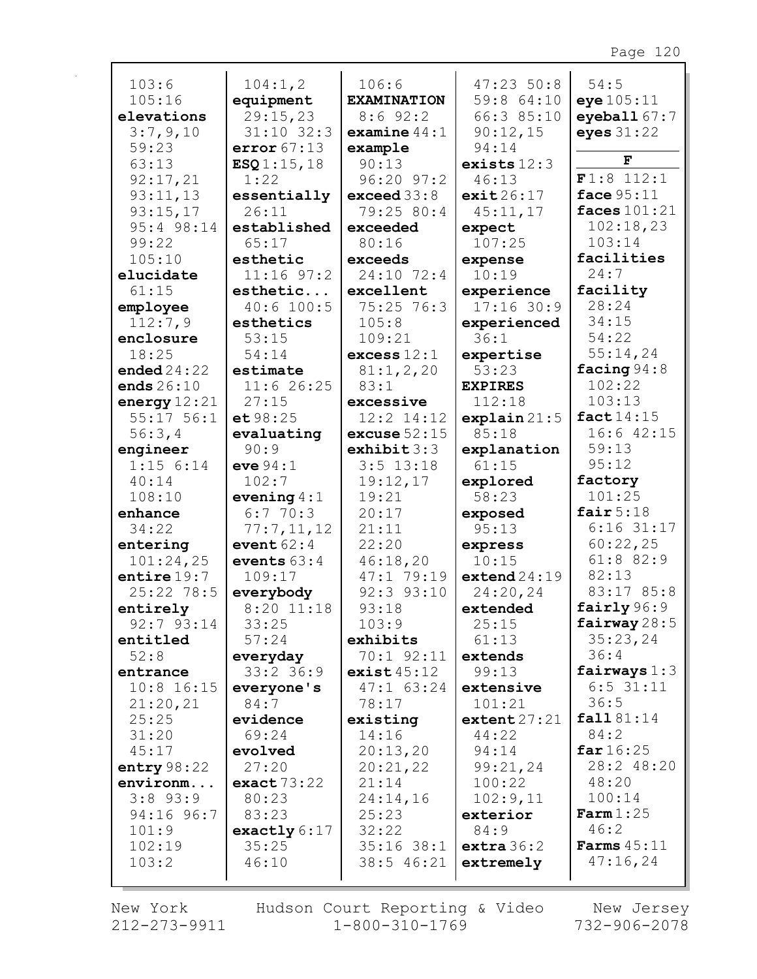| 103:6          | 104:1,2        | 106:6              | 47:2350:8      | 54:5                 |
|----------------|----------------|--------------------|----------------|----------------------|
| 105:16         | equipment      | <b>EXAMINATION</b> | 59:8 64:10     | eye 105:11           |
| elevations     | 29:15,23       | $8:6$ 92:2         | 66:3 85:10     | eyeball $67:7$       |
| 3:7,9,10       | $31:10$ $32:3$ | examine $44:1$     | 90:12,15       | eyes $31:22$         |
| 59:23          | error 67:13    | example            | 94:14          |                      |
| 63:13          | ESQ1:15,18     | 90:13              | exists $12:3$  | F                    |
| 92:17,21       | 1:22           | $96:20$ $97:2$     | 46:13          | F1:8 112:1           |
| 93:11,13       | essentially    | exceed 33:8        | exit26:17      | face 95:11           |
| 93:15,17       | 26:11          | 79:25 80:4         | 45:11,17       | faces $101:21$       |
| 95:4 98:14     | established    | exceeded           | expect         | 102:18,23            |
| 99:22          | 65:17          | 80:16              | 107:25         | 103:14               |
| 105:10         | esthetic       | exceeds            | expense        | facilities           |
| elucidate      | $11:16$ 97:2   | 24:10 72:4         | 10:19          | 24:7                 |
| 61:15          | esthetic       | excellent          | experience     | facility             |
| employee       | $40:6$ 100:5   | 75:25 76:3         | $17:16$ 30:9   | 28:24                |
| 112:7,9        | esthetics      | 105:8              | experienced    | 34:15                |
| enclosure      | 53:15          | 109:21             | 36:1           | 54:22                |
| 18:25          | 54:14          | excess 12:1        | expertise      | 55:14,24             |
| ended $24:22$  | estimate       | 81:1,2,20          | 53:23          | facing 94:8          |
| ends $26:10$   | 11:626:25      | 83:1               | <b>EXPIRES</b> | 102:22               |
| energy $12:21$ | 27:15          | excessive          | 112:18         | 103:13               |
| $55:17$ $56:1$ | e t 98:25      | $12:2$ $14:12$     | explain21:5    | fact 14:15           |
| 56:3,4         | evaluating     | excuse $52:15$     | 85:18          | $16:6$ $42:15$       |
| engineer       | 90:9           | exhibit $3:3$      | explanation    | 59:13                |
| $1:15$ 6:14    | eve $94:1$     | $3:5$ 13:18        | 61:15          | 95:12                |
| 40:14          | 102:7          | 19:12,17           | explored       | factory              |
| 108:10         | evening $4:1$  | 19:21              | 58:23          | 101:25               |
| enhance        | 6:770:3        | 20:17              | exposed        | fair $5:18$          |
| 34:22          | 77:7,11,12     | 21:11              | 95:13          | $6:16$ 31:17         |
| entering       | event $62:4$   | 22:20              | express        | 60:22,25             |
| 101:24,25      | events $63:4$  | 46:18,20           | 10:15          | 61:8 82:9            |
| entire $19:7$  | 109:17         | 47:1 79:19         | extend24:19    | 82:13                |
| 25:22 78:5     | everybody      | $92:3$ $93:10$     | 24:20,24       | 83:17 85:8           |
| entirely       | $8:20$ 11:18   | 93:18              | extended       | fairly $96:9$        |
| $92:7$ $93:14$ | 33:25          | 103:9              | 25:15          | fairway $28:5$       |
| entitled       | 57:24          | exhibits           | 61:13          | 35:23,24             |
| 52:8           | everyday       | 70:1 92:11         | extends        | 36:4                 |
| entrance       | $33:2$ 36:9    | exist45:12         | 99:13          | fairways $1:3$       |
| $10:8$ 16:15   | everyone's     | $47:1$ 63:24       | extensive      | $6:5$ 31:11          |
| 21:20,21       | 84:7           | 78:17              | 101:21         | 36:5                 |
| 25:25          | evidence       | existing           | extent 27:21   | fall 81:14           |
| 31:20          | 69:24          | 14:16              | 44:22          | 84:2                 |
| 45:17          | evolved        | 20:13,20           | 94:14          | far $16:25$          |
| entry $98:22$  | 27:20          | 20:21,22           | 99:21,24       | 28:2 48:20           |
| environm       | exact73:22     | 21:14              | 100:22         | 48:20                |
| $3:8$ 93:9     | 80:23          | 24:14,16           | 102:9,11       | 100:14               |
| 94:16 96:7     | 83:23          | 25:23              | exterior       | $\texttt{Farm}1:25$  |
| 101:9          | exactly $6:17$ | 32:22              | 84:9           | 46:2                 |
| 102:19         |                |                    |                |                      |
|                | 35:25          | $35:16$ 38:1       | extra 36:2     | <b>Farms</b> $45:11$ |
| 103:2          | 46:10          | $38:5$ 46:21       | extremely      | 47:16,24             |

New York 212-273-9911 Hudson Court Reporting & Video<br>1-800-310-1769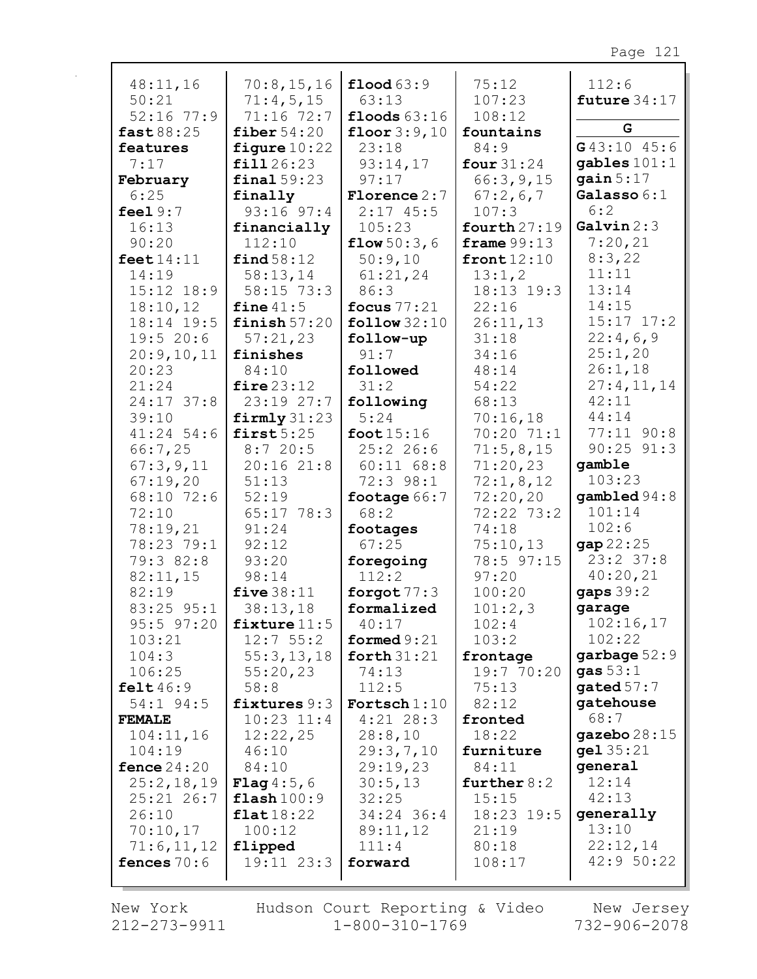| 48:11,16            | 70:8, 15, 16          | $\text{flood } 63:9$   | 75:12          | 112:6                    |
|---------------------|-----------------------|------------------------|----------------|--------------------------|
| 50:21               | 71:4,5,15             | 63:13                  | 107:23         | future $34:17$           |
|                     |                       |                        |                |                          |
| $52:16$ 77:9        | 71:16 72:7            | floods $63:16$         | 108:12         | G                        |
| fast 88:25          | fiber $54:20$         | floor $3:9,10$         | fountains      |                          |
| features            | figure $10:22$        | 23:18                  | 84:9           | G43:10 45:6              |
| 7:17                | fill 26:23            | 93:14,17               | four $31:24$   | gables $101:1$           |
| February            | final $59:23$         | 97:17                  | 66:3,9,15      | gain $5:17$              |
| 6:25                | finally               | <b>Florence</b> 2:7    | 67:2,6,7       | Galasso 6:1              |
| feel $9:7$          | $93:16$ $97:4$        | $2:17$ 45:5            | 107:3          | 6:2                      |
|                     |                       |                        |                | Galvin 2:3               |
| 16:13               | financially           | 105:23                 | fourth $27:19$ |                          |
| 90:20               | 112:10                | flow 50:3,6            | frame $99:13$  | 7:20,21                  |
| feet $14:11$        | find 58:12            | 50:9,10                | front12:10     | 8:3,22                   |
| 14:19               | 58:13,14              | 61:21,24               | 13:1,2         | 11:11                    |
| $15:12$ $18:9$      | 58:15 73:3            | 86:3                   | 18:13 19:3     | 13:14                    |
| 18:10,12            | fine $41:5$           | focus $77:21$          | 22:16          | 14:15                    |
| 18:14 19:5          | finish $57:20$        | $\texttt{follow}32:10$ | 26:11,13       | $15:17$ $17:2$           |
| 19:520:6            | 57:21,23              | follow-up              | 31:18          | 22:4,6,9                 |
|                     |                       |                        |                |                          |
| 20:9,10,11          | finishes              | 91:7                   | 34:16          | 25:1,20                  |
| 20:23               | 84:10                 | followed               | 48:14          | 26:1,18                  |
| 21:24               | fire $23:12$          | 31:2                   | 54:22          | 27:4,11,14               |
| 24:17 37:8          | 23:19 27:7            | following              | 68:13          | 42:11                    |
| 39:10               | $firmly$ 31:23        | 5:24                   | 70:16,18       | 44:14                    |
| $41:24$ 54:6        | first $5:25$          | foot $15:16$           | 70:20 71:1     | 77:11 90:8               |
| 66:7,25             | 8:720:5               | 25:226:6               | 71:5,8,15      | $90:25$ $91:3$           |
| 67:3,9,11           | 20:1621:8             | $60:11$ $68:8$         | 71:20,23       | gamble                   |
|                     |                       |                        |                | 103:23                   |
| 67:19,20            | 51:13                 | 72:3 98:1              | 72:1,8,12      |                          |
| 68:10 72:6          | 52:19                 | footage $66:7$         | 72:20,20       | $\texttt{gambled } 94:8$ |
| 72:10               | 65:17 78:3            | 68:2                   | 72:22 73:2     | 101:14                   |
| 78:19,21            | 91:24                 | footages               | 74:18          | 102:6                    |
| 78:23 79:1          | 92:12                 | 67:25                  | 75:10,13       | gap 22:25                |
| 79:3 82:8           | 93:20                 | foregoing              | 78:5 97:15     | $23:2$ 37:8              |
| 82:11,15            | 98:14                 | 112:2                  | 97:20          | 40:20,21                 |
| 82:19               | five $38:11$          | forgot $77:3$          | 100:20         | gaps $39:2$              |
|                     |                       |                        |                |                          |
| 83:25 95:1          | 38:13,18              | formalized             | 101:2,3        | garage                   |
| $95:5$ $97:20$      | fixture $11:5$        | 40:17                  | 102:4          | 102:16,17                |
| 103:21              | 12:755:2              | formed $9:21$          | 103:2          | 102:22                   |
| 104:3               | 55:3, 13, 18          | forth $31:21$          | frontage       | garbage $52:9$           |
| 106:25              | 55:20,23              | 74:13                  | 19:7 70:20     | gas $53:1$               |
| $\texttt{felt46:9}$ | 58:8                  | 112:5                  | 75:13          | gated $57:7$             |
| 54:1 94:5           | fixtures $9:3$        | Fortsch $1:10$         | 82:12          | gatehouse                |
| <b>FEMALE</b>       | $10:23$ $11:4$        | $4:21$ 28:3            | fronted        | 68:7                     |
|                     |                       |                        |                | gazebo $28:15$           |
| 104:11,16           | 12:22,25              | 28:8,10                | 18:22          |                          |
| 104:19              | 46:10                 | 29:3,7,10              | furniture      | gel 35:21                |
| fence $24:20$       | 84:10                 | 29:19,23               | 84:11          | general                  |
| 25:2,18,19          | <b>Flag</b> $4:5,6$   | 30:5,13                | further $8:2$  | 12:14                    |
| $25:21$ 26:7        | $\texttt{flash}100:9$ | 32:25                  | 15:15          | 42:13                    |
| 26:10               | flat18:22             | 34:24 36:4             | 18:23 19:5     | generally                |
| 70:10,17            | 100:12                | 89:11,12               | 21:19          | 13:10                    |
| 71:6,11,12          | flipped               | 111:4                  | 80:18          | 22:12,14                 |
| fences $70:6$       | $19:11$ $23:3$        | forward                | 108:17         | 42:950:22                |
|                     |                       |                        |                |                          |
|                     |                       |                        |                |                          |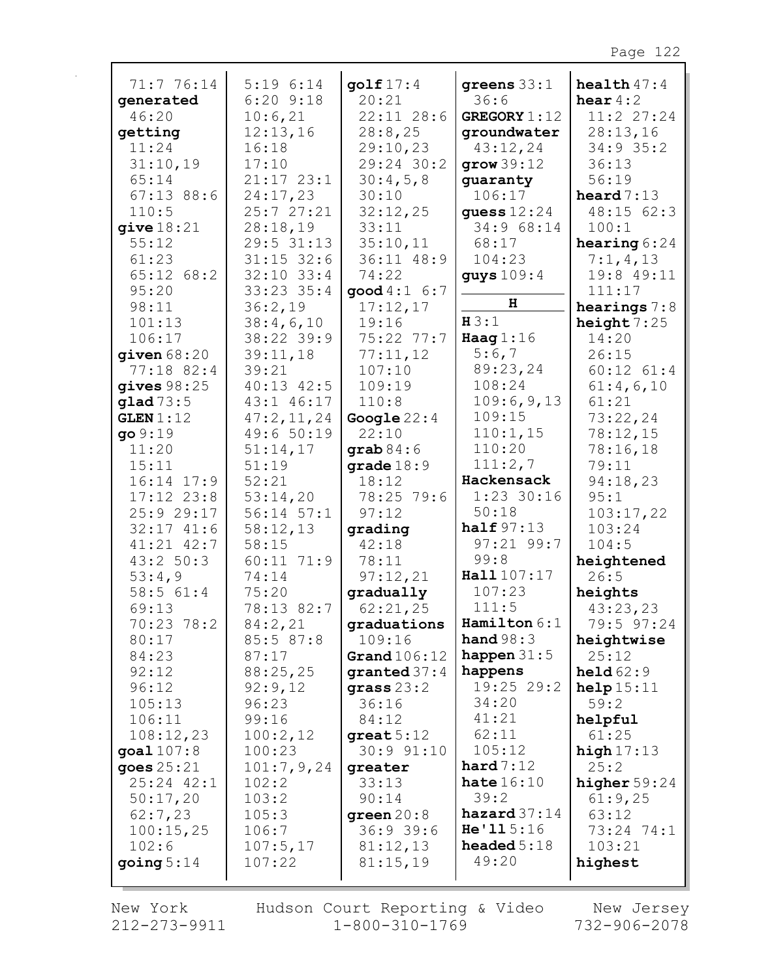| 71:7 76:14<br>5:196:14<br>$\texttt{qolf }17:4$<br>greens $33:1$              | health $47:4$     |
|------------------------------------------------------------------------------|-------------------|
| $6:20$ $9:18$<br>20:21<br>36:6<br>generated                                  | hear $4:2$        |
| 10:6,21<br>$22:11$ $28:6$<br><b>GREGORY</b> 1:12<br>46:20                    | 11:2 27:24        |
| 12:13,16<br>28:8,25<br>getting<br>groundwater                                | 28:13,16          |
| 11:24<br>16:18<br>29:10,23<br>43:12,24                                       | $34:9$ 35:2       |
| 31:10,19<br>29:24 30:2<br>17:10<br>grow39:12                                 | 36:13             |
| 65:14<br>$21:17$ $23:1$<br>30:4,5,8<br>guaranty                              | 56:19             |
| $67:13$ 88:6<br>24:17,23<br>30:10<br>106:17                                  | heard $7:13$      |
| 110:5<br>25:727:21<br>32:12,25<br>quess $12:24$                              | 48:15 62:3        |
| 34:9 68:14<br>28:18,19<br>33:11<br>give $18:21$                              | 100:1             |
| 29:5 31:13<br>35:10,11<br>55:12<br>68:17                                     | hearing $6:24$    |
| 104:23<br>61:23<br>$31:15$ 32:6<br>36:11 48:9                                | 7:1,4,13          |
| $65:12$ $68:2$<br>$32:10$ $33:4$<br>74:22<br>guys $109:4$                    | 19:8 49:11        |
| 95:20<br>33:23 35:4<br>$\text{good } 4:1 \quad 6:7$                          | 111:17            |
| H<br>98:11<br>36:2,19<br>17:12,17                                            | hearings $7:8$    |
| H3:1<br>19:16<br>101:13<br>38:4,6,10                                         | height $7:25$     |
| Haag $1:16$<br>38:22 39:9<br>$75:22$ $77:7$<br>106:17                        | 14:20             |
| 5:6,7<br>77:11,12<br>39:11,18<br>given $68:20$                               | 26:15             |
| 89:23,24<br>77:18 82:4<br>39:21<br>107:10                                    | $60:12$ $61:4$    |
| 108:24<br>gives $98:25$<br>40:13 42:5<br>109:19                              | 61:4,6,10         |
| 109:6,9,13<br>43:1 46:17<br>110:8<br>qlad 73:5                               | 61:21             |
| 109:15<br>GLEN 1:12<br>47:2,11,24<br>Google $22:4$                           | 73:22,24          |
| 110:1, 15<br>49:650:19<br>9:19<br>22:10                                      | 78:12,15          |
| 110:20<br>11:20<br>51:14,17<br>$graph 84:6$                                  | 78:16,18          |
| 111:2,7<br>15:11<br>51:19<br>grade $18:9$                                    | 79:11             |
| Hackensack<br>52:21<br>18:12<br>16:14 17:9                                   | 94:18,23          |
| $1:23$ 30:16<br>$17:12$ $23:8$<br>53:14,20<br>78:25 79:6                     | 95:1              |
| 50:18<br>25:9 29:17<br>$56:14$ $57:1$<br>97:12                               | 103:17,22         |
| half $97:13$<br>$32:17$ $41:6$<br>58:12,13<br>grading                        | 103:24            |
| 97:21 99:7<br>$41:21$ $42:7$<br>58:15<br>42:18                               | 104:5             |
| 99:8<br>78:11<br>43:2 50:3<br>60:11 71:9                                     | heightened        |
| Hall 107:17<br>97:12,21<br>53:4,9<br>74:14                                   | 26:5              |
| 107:23<br>58:5 61:4<br>75:20<br>gradually                                    | heights           |
| 62:21,25<br>111:5<br>69:13<br>78:13 82:7                                     | 43:23,23          |
| Hamilton $6:1$<br>70:23 78:2<br>84:2,21<br>graduations                       | 79:5 97:24        |
| hand $98:3$<br>80:17<br>109:16<br>85:5 87:8                                  | heightwise        |
| happen $31:5$<br>Grand $106:12$<br>84:23<br>87:17                            | 25:12             |
| 88:25,25<br>92:12<br>happens<br>$\boldsymbol{granted}$ 37:4                  | held $62:9$       |
| 19:25 29:2<br>92:9,12<br>96:12<br>$grass 23:2$                               | help15:11         |
| 34:20<br>96:23<br>36:16<br>105:13                                            | 59:2              |
| 41:21<br>106:11<br>99:16<br>84:12                                            | helpful           |
| 62:11<br>108:12,23<br>100:2,12<br>$great 5:12$                               | 61:25             |
| 105:12<br>30:9 91:10<br>goal $107:8$<br>100:23                               | high $17:13$      |
| hard 7:12<br>goes $25:21$<br>101:7,9,24<br>greater                           | 25:2              |
| hate $16:10$<br>25:24 42:1<br>102:2<br>33:13                                 | higher $59:24$    |
| 39:2<br>50:17,20<br>103:2<br>90:14<br>$\mathtt{hazard37:14}$                 | 61:9,25           |
| 62:7,23<br>105:3<br>green $20:8$<br>He'115:16                                | 63:12             |
| 100:15,25<br>106:7<br>36:939:6<br>headed $5:18$                              | 73:24 74:1        |
| 102:6<br>107:5,17<br>81:12,13<br>49:20<br>going $5:14$<br>107:22<br>81:15,19 | 103:21<br>highest |
|                                                                              |                   |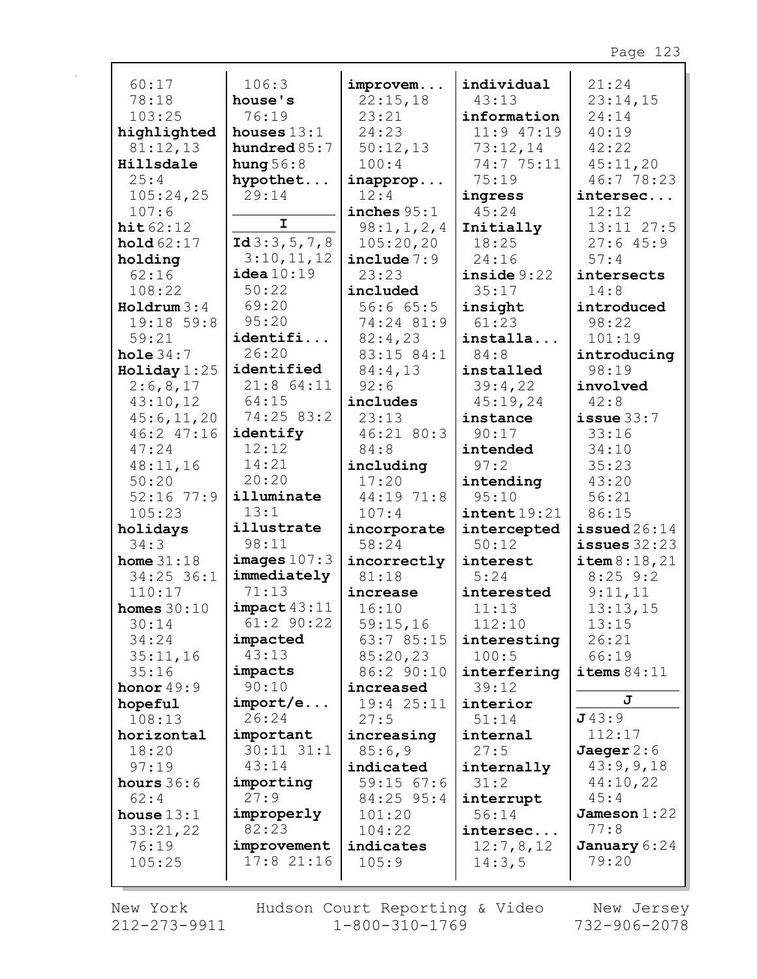| 60:17            | 106:3           | improvem      | individual             | 21:24             |
|------------------|-----------------|---------------|------------------------|-------------------|
| 78:18            | house's         | 22:15,18      | 43:13                  | 23:14,15          |
| 103:25           | 76:19           | 23:21         | information            | 24:14             |
| highlighted      | houses $13:1$   | 24:23         | $11:9$ 47:19           | 40:19             |
| 81:12,13         | hundred $85:7$  | 50:12,13      | 73:12,14               | 42:22             |
| Hillsdale        | hung $56:8$     | 100:4         | 74:7 75:11             | 45:11,20          |
| 25:4             | hypothet        | inapprop      | 75:19                  | 46:7 78:23        |
| 105:24,25        | 29:14           | 12:4          | ingress                | intersec          |
| 107:6            |                 | inches $95:1$ | 45:24                  | 12:12             |
| hit62:12         | $\mathbf I$     | 98:1, 1, 2, 4 | Initially              | $13:11$ $27:5$    |
| hold $62:17$     | Id $3:3,5,7,8$  | 105:20,20     | 18:25                  | 27:645:9          |
| holding          | 3:10,11,12      | include $7:9$ | 24:16                  | 57:4              |
| 62:16            | $i$ dea $10:19$ | 23:23         | inside $9:22$          | intersects        |
| 108:22           | 50:22           | included      | 35:17                  | 14:8              |
| $H$ oldrum $3:4$ | 69:20           | 56:665:5      | insight                | introduced        |
| 19:18 59:8       | 95:20           | 74:24 81:9    | 61:23                  | 98:22             |
| 59:21            | identifi        | 82:4,23       | installa               | 101:19            |
| hole $34:7$      | 26:20           | 83:15 84:1    | 84:8                   | introducing       |
| Holiday $1:25$   | identified      | 84:4,13       | installed              | 98:19             |
| 2:6,8,17         | $21:8$ 64:11    | 92:6          | 39:4,22                | involved          |
| 43:10,12         | 64:15           | includes      | 45:19,24               | 42:8              |
| 45:6,11,20       | 74:25 83:2      | 23:13         | instance               | $i$ ssue $33:7$   |
| 46:2 47:16       | identify        | 46:21 80:3    | 90:17                  | 33:16             |
| 47:24            | 12:12           | 84:8          | intended               | 34:10             |
| 48:11,16         | 14:21           | including     | 97:2                   | 35:23             |
| 50:20            | 20:20           | 17:20         | intending              | 43:20             |
| $52:16$ 77:9     | illuminate      | 44:19 71:8    | 95:10                  | 56:21             |
| 105:23           | 13:1            | 107:4         | $\texttt{intent19:21}$ | 86:15             |
| holidays         | illustrate      | incorporate   | intercepted            | $i$ ssued $26:14$ |
| 34:3             | 98:11           | 58:24         | 50:12                  | issues $32:23$    |
| home $31:18$     | images $107:3$  | incorrectly   | interest               | item 8:18, 21     |
| $34:25$ 36:1     | immediately     | 81:18         | 5:24                   | $8:25$ 9:2        |
| 110:17           | 71:13           | increase      | interested             | 9:11,11           |
| homes $30:10$    | $impect$ 43:11  | 16:10         | 11:13                  | 13:13,15          |
| 30:14            | $61:2$ 90:22    | 59:15,16      | 112:10                 | 13:15             |
| 34:24            | impacted        | 63:7 85:15    | interesting            | 26:21             |
| 35:11,16         | 43:13           | 85:20,23      | 100:5                  | 66:19             |
| 35:16            | impacts         | 86:2 90:10    | interfering            | items $84:11$     |
| honor $49:9$     | 90:10           | increased     | 39:12                  |                   |
| hopeful          | import/e        | 19:4 25:11    | interior               | J                 |
| 108:13           | 26:24           | 27:5          | 51:14                  | J43:9             |
| horizontal       | important       | increasing    | internal               | 112:17            |
| 18:20            | $30:11$ $31:1$  | 85:6,9        | 27:5                   | Jaeger $2:6$      |
| 97:19            | 43:14           | indicated     | internally             | 43:9,9,18         |
| hours $36:6$     | importing       | $59:15$ 67:6  | 31:2                   | 44:10,22          |
| 62:4             | 27:9            | 84:25 95:4    | interrupt              | 45:4              |
| house $13:1$     | improperly      | 101:20        | 56:14                  | Jameson $1:22$    |
| 33:21,22         | 82:23           | 104:22        | intersec               | 77:8              |
| 76:19            | improvement     | indicates     | 12:7,8,12              | January 6:24      |
| 105:25           | $17:8$ 21:16    | 105:9         | 14:3,5                 | 79:20             |
|                  |                 |               |                        |                   |

New York Hudson Court Reporting & Video New Jersey<br>212-273-9911 1-800-310-1769 732-906-2078 New York Hudson Court Reporting & Video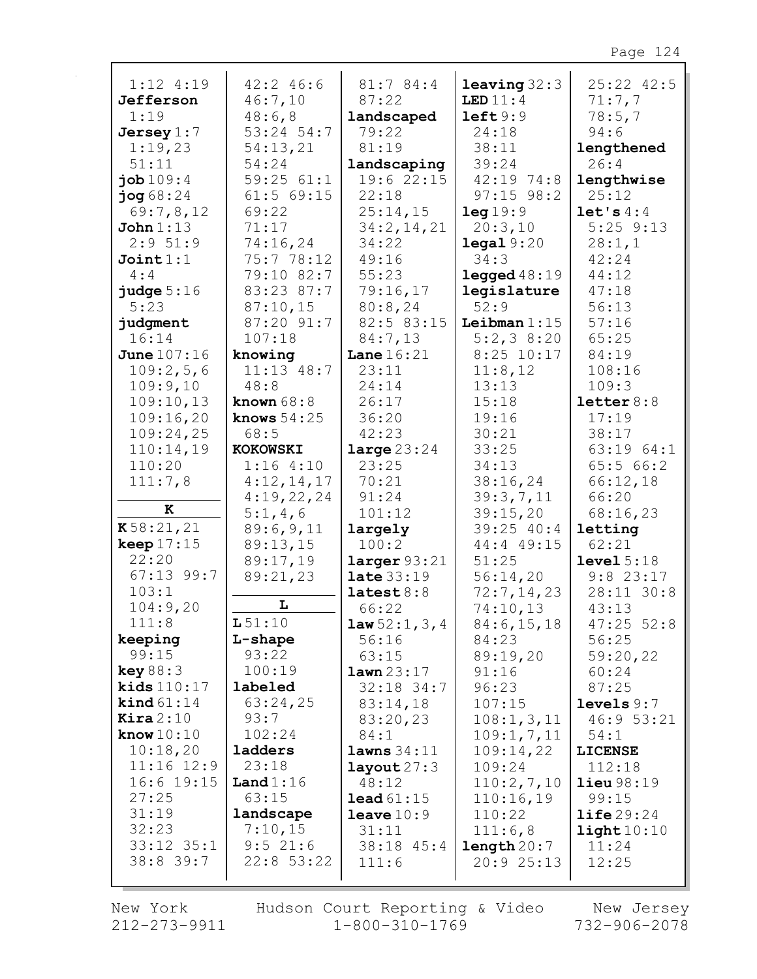| $1:12$ 4:19          | $42:2$ 46:6     | 81:7 84:4        | leaving 32:3           | $25:22$ $42:5$        |
|----------------------|-----------------|------------------|------------------------|-----------------------|
| Jefferson            | 46:7,10         | 87:22            | LED $11:4$             | 71:7,7                |
| 1:19                 | 48:6,8          | landscaped       | left9:9                | 78:5,7                |
| Jersey $1:7$         | $53:24$ 54:7    | 79:22            | 24:18                  | 94:6                  |
| 1:19,23              | 54:13,21        | 81:19            | 38:11                  | lengthened            |
| 51:11                | 54:24           | landscaping      | 39:24                  | 26:4                  |
| job 109:4            | 59:2561:1       | 19:622:15        | 42:19 74:8             |                       |
|                      |                 | 22:18            |                        | lengthwise            |
| $j$ og 68:24         | $61:5$ $69:15$  |                  | $97:15$ $98:2$         | 25:12                 |
| 69:7,8,12            | 69:22           | 25:14,15         | leg19:9                | let's 4:4             |
| John $1:13$          | 71:17           | 34:2,14,21       | 20:3,10                | $5:25$ $9:13$         |
| 2:951:9              | 74:16,24        | 34:22            | $\texttt{legal } 9:20$ | 28:1,1                |
| Joint 1:1            | 75:7 78:12      | 49:16            | 34:3                   | 42:24                 |
| 4:4                  | 79:10 82:7      | 55:23            | legged $48:19$         | 44:12                 |
| judge $5:16$         | 83:23 87:7      | 79:16,17         | legislature            | 47:18                 |
| 5:23                 | 87:10,15        | 80:8,24          | 52:9                   | 56:13                 |
| judgment             | 87:20 91:7      | 82:5 83:15       | Leibman $1:15$         | 57:16                 |
| 16:14                | 107:18          | 84:7,13          | $5:2,3$ 8:20           | 65:25                 |
| <b>June 107:16</b>   | knowing         | Lane $16:21$     | $8:25$ 10:17           | 84:19                 |
| 109:2,5,6            | $11:13$ 48:7    | 23:11            | 11:8,12                | 108:16                |
| 109:9,10             | 48:8            | 24:14            | 13:13                  | 109:3                 |
| 109:10,13            | known $68:8$    | 26:17            | 15:18                  | letter $8:8$          |
| 109:16,20            | knows $54:25$   | 36:20            | 19:16                  | 17:19                 |
| 109:24,25            | 68:5            | 42:23            | 30:21                  | 38:17                 |
| 110:14,19            | <b>KOKOWSKI</b> | large $23:24$    | 33:25                  | 63:19 64:1            |
| 110:20               | 1:164:10        | 23:25            | 34:13                  | 65:566:2              |
| 111:7,8              | 4:12,14,17      | 70:21            | 38:16,24               | 66:12,18              |
|                      | 4:19,22,24      | 91:24            | 39:3,7,11              | 66:20                 |
| ${\bf K}$            | 5:1,4,6         | 101:12           | 39:15,20               | 68:16,23              |
| K58:21,21            | 89:6,9,11       | largely          | 39:25 40:4             | letting               |
| keep $17:15$         | 89:13,15        | 100:2            | 44:4 49:15             | 62:21                 |
| 22:20                | 89:17,19        | larger 93:21     | 51:25                  | level 5:18            |
| $67:13$ 99:7         | 89:21,23        | late 33:19       | 56:14,20               | $9:8$ 23:17           |
| 103:1                |                 | lates t 8:8      | 72:7,14,23             | 28:11 30:8            |
| 104:9,20             | L               | 66:22            | 74:10,13               | 43:13                 |
| 111:8                | L51:10          | law 52:1, 3, 4   | 84:6, 15, 18           | $47:25$ 52:8          |
| keeping              | L-shape         | 56:16            | 84:23                  | 56:25                 |
| 99:15                | 93:22           | 63:15            | 89:19,20               | 59:20,22              |
| key 88:3             | 100:19          | lawn 23:17       | 91:16                  | 60:24                 |
| kids $110:17$        | labeled         | $32:18$ 34:7     | 96:23                  | 87:25                 |
| $\text{kind } 61:14$ | 63:24,25        | 83:14,18         | 107:15                 | levels $9:7$          |
| $\texttt{Kira} 2:10$ | 93:7            | 83:20,23         | 108:1, 3, 11           | 46:9 53:21            |
| know $10:10$         | 102:24          | 84:1             | 109:1, 7, 11           | 54:1                  |
| 10:18,20             | ladders         | lawns 34:11      | 109:14,22              | <b>LICENSE</b>        |
| $11:16$ $12:9$       | 23:18           | $l$ ayout $27:3$ | 109:24                 | 112:18                |
| $16:6$ 19:15         | Land $1:16$     | 48:12            | 110:2,7,10             | <b>lieu</b> 98:19     |
| 27:25                | 63:15           | lead 61:15       | 110:16,19              | 99:15                 |
| 31:19                | landscape       | leave 10:9       | 110:22                 | $\text{life}$ 29:24   |
| 32:23                | 7:10,15         | 31:11            | 111:6,8                | $\texttt{light}10:10$ |
| $33:12$ $35:1$       | 9:521:6         | 38:18 45:4       | length 20:7            | 11:24                 |
| 38:8 39:7            | $22:8$ 53:22    | 111:6            | 20:925:13              | 12:25                 |
|                      |                 |                  |                        |                       |

New York 212-273-9911 Hudson Court Reporting & Video<br>1-800-310-1769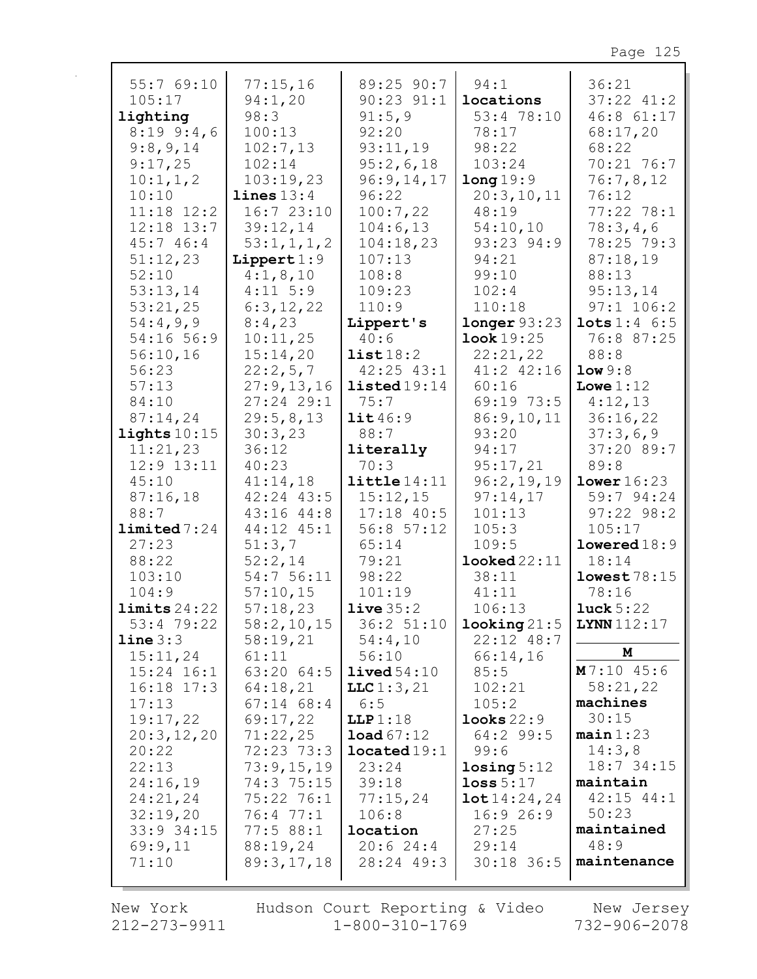| 55:769:10               | 77:15,16       | 89:25 90:7           | 94:1                     | 36:21                      |
|-------------------------|----------------|----------------------|--------------------------|----------------------------|
| 105:17                  | 94:1,20        | $90:23$ $91:1$       | locations                | $37:22$ $41:2$             |
| lighting                | 98:3           | 91:5,9               | 53:4 78:10               | 46:8 61:17                 |
| 8:199:4,6               | 100:13         | 92:20                | 78:17                    | 68:17,20                   |
| 9:8,9,14                | 102:7,13       | 93:11,19             | 98:22                    | 68:22                      |
| 9:17,25                 | 102:14         | 95:2,6,18            | 103:24                   | 70:21 76:7                 |
| 10:1, 1, 2              | 103:19,23      | 96:9,14,17           | long 19:9                | 76:7,8,12                  |
| 10:10                   | lines 13:4     | 96:22                | 20:3,10,11               | 76:12                      |
| $11:18$ $12:2$          | 16:723:10      | 100:7,22             | 48:19                    | 77:22 78:1                 |
| $12:18$ $13:7$          | 39:12,14       | 104:6,13             | 54:10,10                 | 78:3,4,6                   |
| 45:746:4                | 53:1,1,1,2     | 104:18,23            | 93:23 94:9               | 78:25 79:3                 |
| 51:12,23                | Lippert $1:9$  | 107:13               | 94:21                    | 87:18,19                   |
| 52:10                   | 4:1,8,10       | 108:8                | 99:10                    | 88:13                      |
| 53:13,14                | $4:11$ 5:9     | 109:23               | 102:4                    | 95:13,14                   |
| 53:21,25                | 6:3,12,22      | 110:9                | 110:18                   | $97:1$ 106:2               |
| 54:4,9,9                |                |                      |                          | $\texttt{lets} 1:4 \; 6:5$ |
|                         | 8:4,23         | Lippert's            | longer 93:23             |                            |
| 54:16 56:9              | 10:11,25       | 40:6                 | <b>look</b> 19:25        | 76:8 87:25                 |
| 56:10,16                | 15:14,20       | list18:2             | 22:21,22                 | 88:8                       |
| 56:23                   | 22:2,5,7       | $42:25$ $43:1$       | 41:2 42:16               | low 9:8                    |
| 57:13                   | 27:9,13,16     | listed19:14          | 60:16                    | Lowe $1:12$                |
| 84:10                   | $27:24$ 29:1   | 75:7                 | 69:19 73:5               | 4:12,13                    |
| 87:14,24                | 29:5,8,13      | $\texttt{lit}46:9$   | 86:9,10,11               | 36:16,22                   |
| lights $10:15$          | 30:3,23        | 88:7                 | 93:20                    | 37:3,6,9                   |
| 11:21,23                | 36:12          | literally            | 94:17                    | 37:20 89:7                 |
| $12:9$ $13:11$          | 40:23          | 70:3                 | 95:17,21                 | 89:8                       |
| 45:10                   | 41:14,18       | $\text{little}14:11$ | 96:2,19,19               | lower 16:23                |
| 87:16,18                | $42:24$ $43:5$ | 15:12,15             | 97:14,17                 | 59:7 94:24                 |
| 88:7                    | 43:16 44:8     | $17:18$ 40:5         | 101:13                   | $97:22$ $98:2$             |
| limited 7:24            | 44:12 45:1     | $56:8$ $57:12$       | 105:3                    | 105:17                     |
| 27:23                   | 51:3,7         | 65:14                | 109:5                    | lowered18:9                |
| 88:22                   | 52:2,14        | 79:21                | $\texttt{looked22:11}$   | 18:14                      |
| 103:10                  | 54:7 56:11     | 98:22                | 38:11                    | lowest78:15                |
| 104:9                   | 57:10,15       | 101:19               | 41:11                    | 78:16                      |
| $\texttt{limits}$ 24:22 | 57:18,23       | live35:2             | 106:13                   | luck $5:22$                |
| 53:4 79:22              | 58:2,10,15     | 36:2 51:10           | locling21:5              | <b>LYNN</b> 112:17         |
| line 3:3                | 58:19,21       | 54:4,10              | $22:12$ 48:7             |                            |
| 15:11,24                | 61:11          | 56:10                | 66:14,16                 | M                          |
| $15:24$ $16:1$          | 63:20 64:5     | $1$ ived $54:10$     | 85:5                     | M7:1045:6                  |
| $16:18$ $17:3$          | 64:18,21       | LLC1:3,21            | 102:21                   | 58:21,22                   |
| 17:13                   | $67:14$ $68:4$ | 6:5                  | 105:2                    | machines                   |
| 19:17,22                | 69:17,22       | LLP1:18              | $\texttt{looks} \, 22:9$ | 30:15                      |
| 20:3,12,20              | 71:22,25       | load67:12            | $64:2$ 99:5              | $main$ 1:23                |
| 20:22                   | 72:23 73:3     | located19:1          | 99:6                     | 14:3,8                     |
| 22:13                   | 73:9,15,19     | 23:24                | $\texttt{losing} 5:12$   | $18:7$ 34:15               |
| 24:16,19                | 74:3 75:15     | 39:18                | loss $5:17$              | maintain                   |
| 24:21,24                | 75:22 76:1     | 77:15,24             | 10t14:24,24              | $42:15$ $44:1$             |
| 32:19,20                | 76:477:1       | 106:8                | 16:926:9                 | 50:23                      |
| 33:9 34:15              | 77:588:1       | location             | 27:25                    | maintained                 |
| 69:9,11                 | 88:19,24       | 20:624:4             | 29:14                    | 48:9                       |
| 71:10                   | 89:3,17,18     | 28:24 49:3           | 30:18 36:5               | maintenance                |
|                         |                |                      |                          |                            |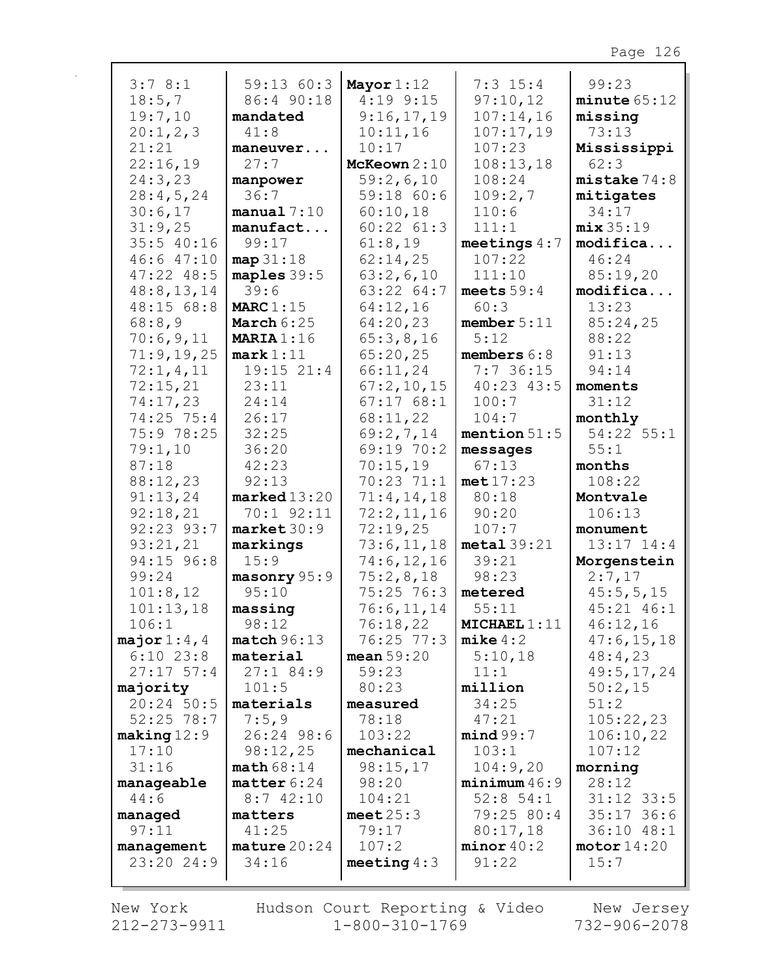| 3:78:1                 | 59:1360:3               | Mayor $1:12$           | $7:3$ 15:4              | 99:23                    |
|------------------------|-------------------------|------------------------|-------------------------|--------------------------|
| 18:5,7                 | 86:4 90:18              | $4:19$ 9:15            | 97:10,12                | minute 65:12             |
| 19:7,10                | mandated                | 9:16,17,19             | 107:14,16               | missing                  |
| 20:1,2,3               | 41:8                    | 10:11,16               | 107:17,19               | 73:13                    |
| 21:21                  | maneuver                | 10:17                  | 107:23                  | Mississippi              |
| 22:16,19               | 27:7                    | McKeown 2:10           | 108:13,18               | 62:3                     |
| 24:3,23                | manpower                | 59:2,6,10              | 108:24                  | mistake 74:8             |
| 28:4,5,24              | 36:7                    | 59:18 60:6             | 109:2,7                 | mitigates                |
| 30:6,17                | manual 7:10             | 60:10,18               | 110:6                   | 34:17                    |
| 31:9,25                | manufact                | $60:22$ $61:3$         | 111:1                   | mix35:19                 |
| 35:5 40:16             | 99:17                   | 61:8,19                | meetings $4:7$          | modifica                 |
| 46:647:10              | $map$ 31:18             | 62:14,25               | 107:22                  | 46:24                    |
| $47:22$ $48:5$         | maples $39:5$           | 63:2,6,10              | 111:10                  | 85:19,20                 |
| 48:8, 13, 14           | 39:6                    | 63:22 64:7             | meets $59:4$            | modifica                 |
| 48:15 68:8             | MARC $1:15$             | 64:12,16               | 60:3                    | 13:23                    |
| 68:8,9                 | March $6:25$            | 64:20,23               | member $5:11$           | 85:24,25                 |
| 70:6,9,11              | MARIA $1:16$            | 65:3,8,16              | 5:12                    | 88:22                    |
| 71:9,19,25             | mark 1:11               | 65:20,25               | members $6:8$           | 91:13                    |
| 72:1,4,11              | $19:15$ $21:4$          | 66:11,24               | 7:7 36:15               | 94:14                    |
| 72:15,21               | 23:11                   | 67:2,10,15             | $40:23$ $43:5$          | moments                  |
| 74:17,23               | 24:14                   | 67:1768:1              | 100:7                   | 31:12                    |
| 74:25 75:4             | 26:17                   | 68:11,22               | 104:7                   | monthly                  |
| 75:9 78:25             | 32:25                   | 69:2,7,14              | mention $51:5$          | 54:22 55:1               |
| 79:1,10                | 36:20                   | 69:19 70:2             | messages                | 55:1                     |
| 87:18                  | 42:23                   | 70:15,19               | 67:13                   | months                   |
| 88:12,23               | 92:13                   | 70:23 71:1             | met17:23                | 108:22                   |
| 91:13,24               | $\texttt{marked}13:20$  | 71:4,14,18             | 80:18                   | Montvale                 |
| 92:18,21               | 70:1 92:11              | 72:2,11,16             | 90:20                   | 106:13                   |
| 92:23 93:7             | market 30:9             | 72:19,25               | 107:7                   | monument                 |
| 93:21,21               | markings                | 73:6,11,18             | $metal$ 39:21           | 13:17 14:4               |
| 94:15 96:8             | 15:9                    | 74:6, 12, 16           | 39:21                   | Morgenstein              |
| 99:24                  | masonry 95:9            | 75:2,8,18              | 98:23                   | 2:7,17                   |
| 101:8,12               | 95:10                   | $75:25$ 76:3           | metered<br>55:11        | 45:5, 5, 15              |
| 101:13,18<br>106:1     | massing                 | 76:6, 11, 14           |                         | 45:21 46:1               |
| major $1:4$ , 4        | 98:12<br>match96:13     | 76:18,22<br>76:25 77:3 | MICHAEL1:11<br>mike 4:2 | 46:12,16<br>47:6, 15, 18 |
| $6:10$ 23:8            | material                | mean $59:20$           | 5:10,18                 | 48:4,23                  |
| $27:17$ 57:4           | 27:184:9                | 59:23                  | 11:1                    | 49:5, 17, 24             |
| majority               | 101:5                   | 80:23                  | million                 | 50:2,15                  |
| $20:24$ 50:5           | materials               | measured               | 34:25                   | 51:2                     |
| $52:25$ 78:7           | 7:5,9                   | 78:18                  | 47:21                   | 105:22,23                |
| $\texttt{making} 12:9$ | 26:24 98:6              | 103:22                 | mind99:7                | 106:10,22                |
| 17:10                  | 98:12,25                | mechanical             | 103:1                   | 107:12                   |
| 31:16                  | math68:14               | 98:15,17               | 104:9,20                | morning                  |
| manageable             | $\texttt{matter} 6:24$  | 98:20                  | minimum 46:9            | 28:12                    |
| 44:6                   | 8:742:10                | 104:21                 | $52:8$ 54:1             | $31:12$ 33:5             |
| managed                | matters                 | meet $25:3$            | 79:25 80:4              | $35:17$ 36:6             |
| 97:11                  | 41:25                   | 79:17                  | 80:17,18                | 36:10 48:1               |
| management             | $\texttt{mature} 20:24$ | 107:2                  | minor 40:2              | motor 14:20              |
| 23:20 24:9             | 34:16                   | meeting $4:3$          | 91:22                   | 15:7                     |
|                        |                         |                        |                         |                          |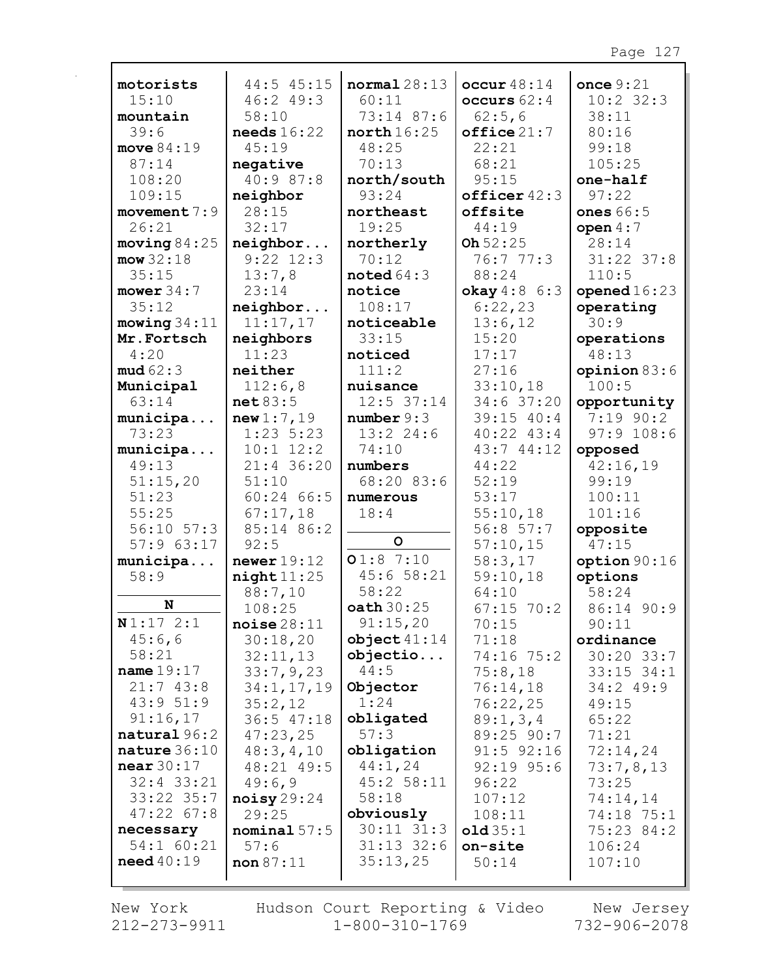| motorists               | 44:5 45:15                          | normal 28:13               | $\text{occur } 48:14$ | once $9:21$      |
|-------------------------|-------------------------------------|----------------------------|-----------------------|------------------|
| 15:10                   | 46:2 49:3                           | 60:11                      | occurs $62:4$         | $10:2$ 32:3      |
| mountain                | 58:10                               | 73:14 87:6                 | 62:5,6                | 38:11            |
| 39:6                    | $\boldsymbol{\mathsf{needs}}$ 16:22 | north 16:25                | offsetice21:7         | 80:16            |
| move $84:19$            | 45:19                               | 48:25                      | 22:21                 | 99:18            |
| 87:14                   | negative                            | 70:13                      | 68:21                 | 105:25           |
| 108:20                  | 40:9 87:8                           | north/south                | 95:15                 | one-half         |
| 109:15                  | neighbor                            | 93:24                      | officer42:3           | 97:22            |
| movement $7:9$          | 28:15                               | northeast                  | offsite               | <b>ones</b> 66:5 |
| 26:21                   | 32:17                               | 19:25                      | 44:19                 | open $4:7$       |
| moving $84:25$          | neighbor                            | northerly                  | Oh $52:25$            | 28:14            |
| $mow$ 32:18             | $9:22$ 12:3                         | 70:12                      | 76:777:3              | $31:22$ $37:8$   |
| 35:15                   | 13:7,8                              | noted $64:3$               | 88:24                 | 110:5            |
| mower $34:7$            | 23:14                               | notice                     | okay $4:8$ 6:3        | opened $16:23$   |
| 35:12                   | neighbor                            | 108:17                     | 6:22,23               | operating        |
| moving 34:11            | 11:17,17                            | noticeable                 | 13:6,12               | 30:9             |
| Mr.Fortsch              | neighbors                           | 33:15                      | 15:20                 | operations       |
| 4:20                    | 11:23                               | noticed                    | 17:17                 | 48:13            |
| mud62:3                 | neither                             | 111:2                      | 27:16                 | opinion 83:6     |
| Municipal               | 112:6,8                             | nuisance                   | 33:10,18              | 100:5            |
| 63:14                   | net 83:5                            | $12:5$ 37:14               | 34:6 37:20            | opportunity      |
| municipa                | new1:7,19                           | number 9:3                 | 39:15 40:4            | $7:19$ 90:2      |
| 73:23                   | $1:23$ 5:23                         | $13:2$ 24:6                | $40:22$ $43:4$        | $97:9$ 108:6     |
| municipa                | $10:1$ $12:2$                       | 74:10                      | 43:7 44:12            | opposed          |
| 49:13                   | 21:4 36:20                          | numbers                    | 44:22                 | 42:16,19         |
| 51:15,20                | 51:10                               | 68:20 83:6                 | 52:19                 | 99:19            |
| 51:23                   | $60:24$ 66:5                        | numerous                   | 53:17                 | 100:11           |
| 55:25                   | 67:17,18                            | 18:4                       | 55:10,18              | 101:16           |
| $56:10$ $57:3$          | 85:14 86:2                          |                            | 56:8 57:7             | opposite         |
| 57:963:17               | 92:5                                | $\circ$                    | 57:10,15              | 47:15            |
| municipa                | newer $19:12$                       | 01:87:10                   | 58:3,17               | option 90:16     |
| 58:9                    | night11:25                          | 45:658:21                  | 59:10,18              | options          |
|                         | 88:7,10                             | 58:22                      | 64:10                 | 58:24            |
| N                       | 108:25                              | oath 30:25                 | $67:15$ 70:2          | 86:14 90:9       |
| N1:172:1                | noise28:11                          | 91:15,20                   | 70:15                 | 90:11            |
| 45:6,6                  | 30:18,20                            | object41:14                | 71:18                 | ordinance        |
| 58:21                   | 32:11,13                            | objectio                   | 74:16 75:2            | $30:20$ 33:7     |
| name $19:17$            | 33:7,9,23                           | 44:5                       | 75:8,18               | $33:15$ $34:1$   |
| 21:743:8                | 34:1, 17, 19                        | Objector                   | 76:14,18              | 34:249:9         |
| 43:951:9                | 35:2,12                             | 1:24                       | 76:22,25              | 49:15            |
| 91:16,17                | $36:5$ 47:18                        | obligated                  | 89:1,3,4              | 65:22            |
| natural 96:2            | 47:23,25                            | 57:3                       | 89:25 90:7            | 71:21            |
| nature $36:10$          | 48:3, 4, 10                         | obligation                 | $91:5$ $92:16$        | 72:14,24         |
| near $30:17$            | 48:21 49:5                          | 44:1,24                    | $92:19$ $95:6$        | 73:7,8,13        |
| $32:4$ $33:21$          | 49:6,9                              | 45:2 58:11                 | 96:22                 | 73:25            |
| 33:22 35:7              | $\texttt{noisy}29:24$               | 58:18                      | 107:12                | 74:14,14         |
| $47:22$ 67:8            | 29:25                               | obviously                  | 108:11                | 74:18 75:1       |
| necessary               | nominal $57:5$                      | $30:11$ $31:3$             | old35:1               | 75:23 84:2       |
| 54:1 60:21<br>need40:19 | 57:6                                | $31:13$ $32:6$<br>35:13,25 | on-site               | 106:24           |
|                         | non 87:11                           |                            | 50:14                 | 107:10           |
|                         |                                     |                            |                       |                  |

New York 212-273-9911 Hudson Court Reporting & Video<br>1-800-310-1769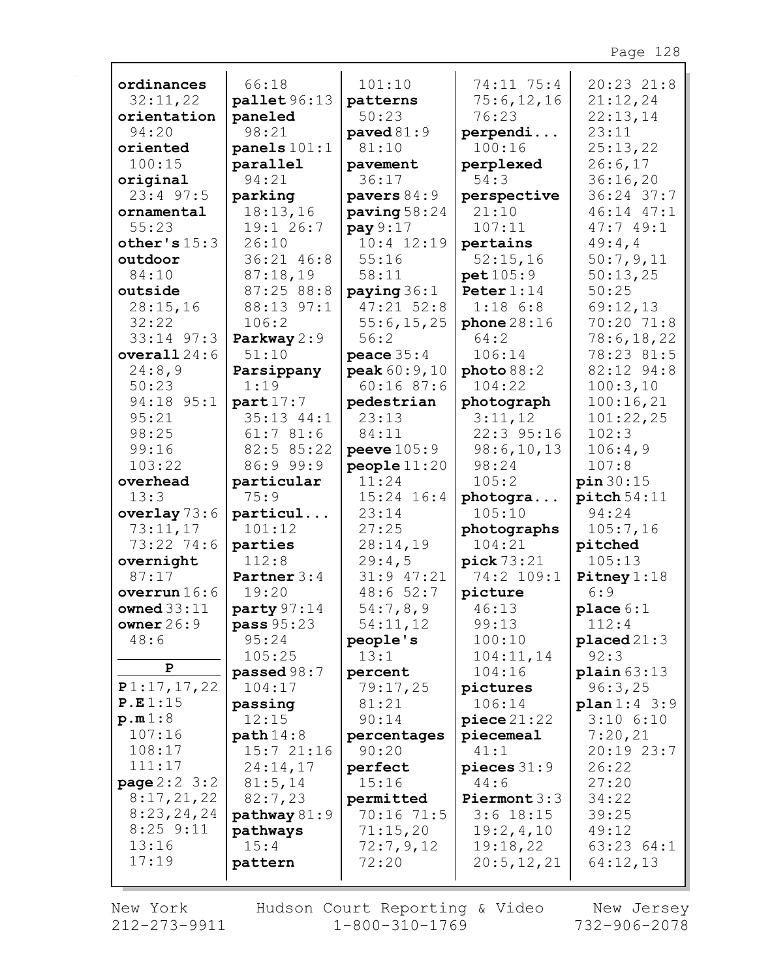| ordinances              | 66:18                   | 101:10                     | 74:11 75:4                | 20:23 21:8             |
|-------------------------|-------------------------|----------------------------|---------------------------|------------------------|
| 32:11,22                | pallet 96:13            | patterns                   | 75:6,12,16                | 21:12,24               |
| orientation             | paneled                 | 50:23                      | 76:23                     | 22:13,14               |
| 94:20                   | 98:21                   | paved $81:9$               | perpendi                  | 23:11                  |
| oriented                | $\texttt{panels}$ 101:1 | 81:10                      | 100:16                    | 25:13,22               |
| 100:15                  | parallel                | pavement                   | perplexed                 | 26:6,17                |
| original                | 94:21                   | 36:17                      | 54:3                      | 36:16,20               |
| $23:4$ 97:5             | parking<br>18:13,16     | pavers $84:9$              | perspective<br>21:10      | 36:24 37:7             |
| ornamental              | 19:1 26:7               | paving $58:24$<br>pay 9:17 | 107:11                    | 46:14 47:1<br>47:749:1 |
| 55:23                   | 26:10                   |                            |                           |                        |
| other's $15:3$          |                         | $10:4$ $12:19$             | pertains                  | 49:4,4                 |
| outdoor<br>84:10        | 36:21 46:8              | 55:16                      | 52:15,16                  | 50:7,9,11              |
| outside                 | 87:18,19<br>87:2588:8   | 58:11<br>paying $36:1$     | pet 105:9<br>Peter $1:14$ | 50:13,25<br>50:25      |
| 28:15,16                | 88:13 97:1              | $47:21$ 52:8               | $1:18$ 6:8                | 69:12,13               |
| 32:22                   | 106:2                   | 55:6, 15, 25               |                           | 70:20 71:8             |
| $33:14$ $97:3$          | Parkway 2:9             | 56:2                       | phone $28:16$<br>64:2     | 78:6, 18, 22           |
| overall $24:6$          | 51:10                   | peace $35:4$               | 106:14                    | 78:23 81:5             |
| 24:8,9                  | Parsippany              | peak 60:9,10               | photo 88:2                | 82:12 94:8             |
| 50:23                   | 1:19                    | 60:1687:6                  | 104:22                    | 100:3,10               |
| 94:18 95:1              | part17:7                | pedestrian                 | photograph                | 100:16,21              |
| 95:21                   | $35:13$ $44:1$          | 23:13                      | 3:11,12                   | 101:22,25              |
| 98:25                   | 61:781:6                | 84:11                      | 22:3 95:16                | 102:3                  |
| 99:16                   | 82:5 85:22              | peer 105:9                 | 98:6, 10, 13              | 106:4,9                |
| 103:22                  | 86:9 99:9               | people 11:20               | 98:24                     | 107:8                  |
| overhead                | particular              | 11:24                      | 105:2                     | pin 30:15              |
|                         |                         |                            |                           |                        |
|                         |                         |                            |                           |                        |
| 13:3                    | 75:9                    | $15:24$ 16:4               | photogra                  | $pitch$ 54:11          |
| overlay $73:6$          | particul                | 23:14                      | 105:10                    | 94:24                  |
| 73:11,17                | 101:12                  | 27:25                      | photographs               | 105:7,16               |
| 73:22 74:6              | parties                 | 28:14,19                   | 104:21                    | pitched                |
| overnight<br>87:17      | 112:8                   | 29:4,5                     | pick 73:21                | 105:13                 |
| overrun $16:6$          | Partner 3:4<br>19:20    | $31:9$ $47:21$<br>48:652:7 | 74:2 109:1                | Pitney $1:18$<br>6:9   |
| owned $33:11$           | party 97:14             |                            | picture                   |                        |
| owner $26:9$            | <b>pass</b> 95:23       | 54:7,8,9<br>54:11,12       | 46:13<br>99:13            | place $6:1$<br>112:4   |
| 48:6                    | 95:24                   | people's                   | 100:10                    | $placed 21:3$          |
|                         | 105:25                  | 13:1                       | 104:11,14                 | 92:3                   |
| P                       | passed 98:7             | percent                    | 104:16                    | plain 63:13            |
| P1:17,17,22             | 104:17                  | 79:17,25                   | pictures                  | 96:3,25                |
| P.E1:15                 | passing                 | 81:21                      | 106:14                    | plan1:43:9             |
| p.m1:8                  | 12:15                   | 90:14                      | $\mathbf{piece}\,21:22$   | $3:10$ $6:10$          |
| 107:16                  | path 14:8               | percentages                | piecemeal                 | 7:20,21                |
| 108:17                  | 15:721:16               | 90:20                      | 41:1                      | 20:19 23:7             |
| 111:17                  | 24:14,17                | perfect                    | pieces $31:9$             | 26:22                  |
| <b>page</b> $2:2 \ 3:2$ | 81:5,14                 | 15:16                      | 44:6                      | 27:20                  |
| 8:17,21,22              | 82:7,23                 | permitted                  | Piermont $3:3$            | 34:22                  |
| 8:23,24,24              | pathway 81:9            | 70:16 71:5                 | $3:6$ 18:15               | 39:25                  |
| $8:25$ $9:11$           | pathways                | 71:15,20                   | 19:2,4,10                 | 49:12                  |
| 13:16                   | 15:4                    | 72:7,9,12                  | 19:18,22                  | 63:23 64:1             |
| 17:19                   | pattern                 | 72:20                      | 20:5, 12, 21              | 64:12,13               |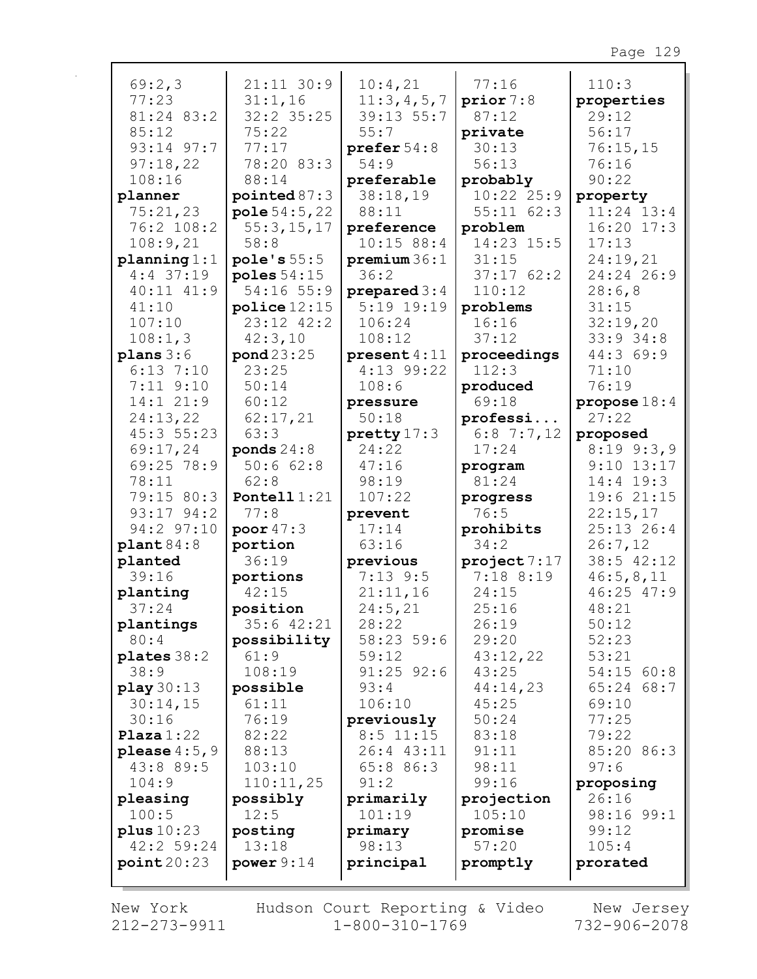| 69:2,3         | $21:11$ 30:9   | 10:4,21             | 77:16          | 110:3          |
|----------------|----------------|---------------------|----------------|----------------|
| 77:23          | 31:1,16        | 11:3,4,5,7          | prior 7:8      | properties     |
| 81:24 83:2     | $32:2$ $35:25$ | $39:13$ 55:7        | 87:12          | 29:12          |
| 85:12          | 75:22          | 55:7                | private        | 56:17          |
| 93:14 97:7     | 77:17          | prefer $54:8$       | 30:13          | 76:15,15       |
| 97:18,22       | 78:20 83:3     | 54:9                | 56:13          | 76:16          |
| 108:16         | 88:14          | preferable          | probably       | 90:22          |
| planner        | pointed $87:3$ | 38:18,19            | $10:22$ $25:9$ | property       |
| 75:21,23       | pole 54:5,22   | 88:11               | $55:11$ $62:3$ | $11:24$ $13:4$ |
| 76:2 108:2     | 55:3, 15, 17   | preference          | problem        | $16:20$ $17:3$ |
| 108:9,21       | 58:8           | 10:15 88:4          | 14:23 15:5     | 17:13          |
| planning 1:1   | pole's 55:5    | premium 36:1        | 31:15          | 24:19,21       |
| $4:4$ 37:19    | poles $54:15$  | 36:2                | 37:1762:2      | 24:24 26:9     |
| 40:11 41:9     | 54:16 55:9     | prepared $3:4$      | 110:12         | 28:6,8         |
| 41:10          | police 12:15   | $5:19$ 19:19        | problems       | 31:15          |
| 107:10         | 23:12 42:2     | 106:24              | 16:16          | 32:19,20       |
| 108:1,3        | 42:3,10        | 108:12              | 37:12          | 33:9 34:8      |
| $plans 3:6$    | pond 23:25     | present $4:11$      | proceedings    | 44:3 69:9      |
| $6:13$ 7:10    | 23:25          | $4:13$ 99:22        | 112:3          | 71:10          |
| $7:11$ $9:10$  | 50:14          | 108:6               | produced       | 76:19          |
| 14:1 21:9      | 60:12          | pressure            | 69:18          | propose $18:4$ |
| 24:13,22       | 62:17,21       | 50:18               | professi       | 27:22          |
| 45:3 55:23     | 63:3           | $\text{pretty}17:3$ | $6:8$ 7:7,12   | proposed       |
| 69:17,24       | ponds $24:8$   | 24:22               | 17:24          | $8:19$ $9:3,9$ |
| 69:25 78:9     | 50:662:8       | 47:16               | program        | $9:10$ 13:17   |
| 78:11          | 62:8           | 98:19               | 81:24          | $14:4$ 19:3    |
| 79:15 80:3     | Pontell $1:21$ | 107:22              | progress       | 19:6 21:15     |
| $93:17$ $94:2$ | 77:8           | prevent             | 76:5           | 22:15,17       |
| 94:2 97:10     | poor $47:3$    | 17:14               | prohibits      | 25:13 26:4     |
| plant84:8      | portion        | 63:16               | 34:2           | 26:7,12        |
| planted        | 36:19          | previous            | project7:17    | 38:5 42:12     |
| 39:16          | portions       | $7:13$ 9:5          | 7:188:19       | 46:5,8,11      |
| planting       | 42:15          | 21:11,16            | 24:15          | 46:25 47:9     |
| 37:24          | position       | 24:5,21             | 25:16          | 48:21          |
| plantings      | $35:6$ 42:21   | 28:22               | 26:19          | 50:12          |
| 80:4           | possibility    | 58:23 59:6          | 29:20          | 52:23          |
| plates 38:2    | 61:9           | 59:12               | 43:12,22       | 53:21          |
| 38:9           | 108:19         | $91:25$ $92:6$      | 43:25          | $54:15$ 60:8   |
| play 30:13     | possible       | 93:4                | 44:14,23       | $65:24$ $68:7$ |
| 30:14,15       | 61:11          | 106:10              | 45:25          | 69:10          |
| 30:16          | 76:19          | previously          | 50:24          | 77:25          |
| Plaza $1:22$   | 82:22          | $8:5$ 11:15         | 83:18          | 79:22          |
| please $4:5,9$ | 88:13          | 26:4 43:11          | 91:11          | 85:20 86:3     |
| 43:8 89:5      | 103:10         | 65:8 86:3           | 98:11          | 97:6           |
| 104:9          | 110:11,25      | 91:2                | 99:16          | proposing      |
| pleasing       | possibly       | primarily           | projection     | 26:16          |
| 100:5          | 12:5           | 101:19              | 105:10         | 98:16 99:1     |
| plus $10:23$   | posting        | primary             | promise        | 99:12          |
| 42:2 59:24     | 13:18          | 98:13               | 57:20          | 105:4          |
| point20:23     | power $9:14$   | principal           | promptly       | prorated       |
|                |                |                     |                |                |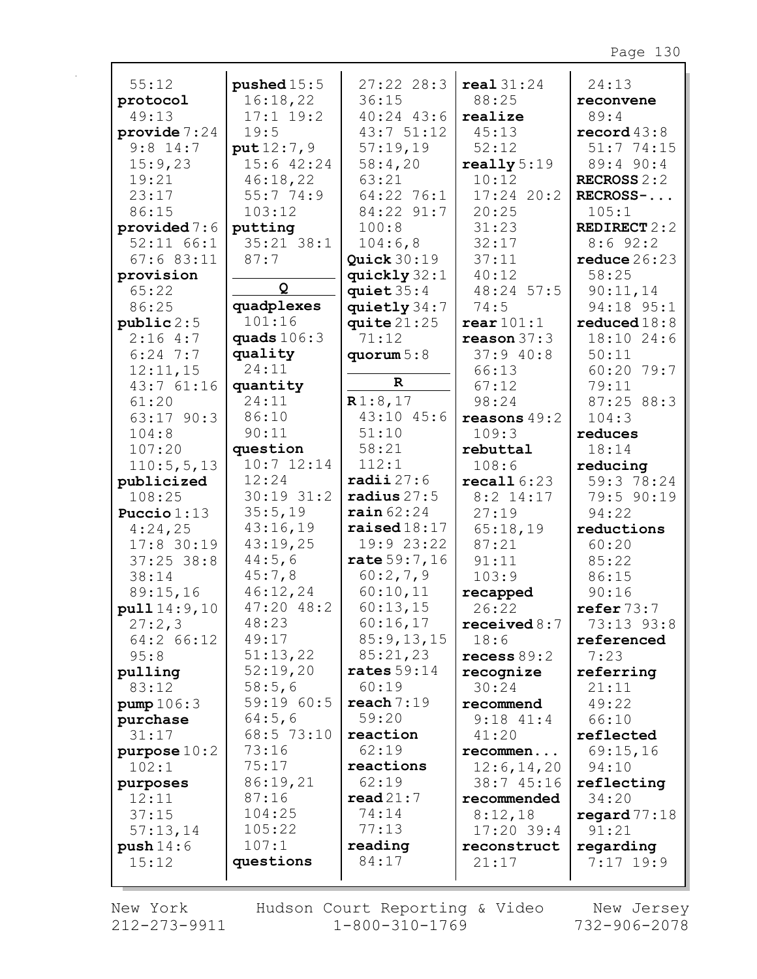| 55:12                   | pushed $15:5$         | $27:22$ 28:3                           | real31:24              | 24:13               |
|-------------------------|-----------------------|----------------------------------------|------------------------|---------------------|
|                         | 16:18,22              | 36:15                                  | 88:25                  |                     |
| protocol<br>49:13       | $17:1$ 19:2           | $40:24$ $43:6$                         | realize                | reconvene<br>89:4   |
| provide $7:24$          | 19:5                  | 43:751:12                              | 45:13                  | record $43:8$       |
| $9:8$ 14:7              | put 12:7,9            | 57:19,19                               | 52:12                  | 51:774:15           |
| 15:9,23                 | 15:6 42:24            | 58:4,20                                | $\texttt{really} 5:19$ | 89:4 90:4           |
| 19:21                   | 46:18,22              | 63:21                                  | 10:12                  | RECROSS $2:2$       |
| 23:17                   | 55:774:9              | $64:22$ 76:1                           | $17:24$ 20:2           | RECROSS-            |
| 86:15                   | 103:12                | 84:22 91:7                             | 20:25                  | 105:1               |
| provided 7:6            | putting               | 100:8                                  | 31:23                  | <b>REDIRECT 2:2</b> |
| 52:11 66:1              | $35:21$ $38:1$        | 104:6,8                                | 32:17                  | 8:692:2             |
| 67:683:11               | 87:7                  | Quick $30:19$                          | 37:11                  | reduce $26:23$      |
| provision               |                       | quickly $32:1$                         | 40:12                  | 58:25               |
| 65:22                   | Q                     | quiet $35:4$                           | 48:24 57:5             | 90:11,14            |
| 86:25                   | quadplexes            | quietly 34:7                           | 74:5                   | 94:18 95:1          |
| public 2:5              | 101:16                | quite $21:25$                          | $\texttt{rear} 101:1$  | reduced18:8         |
| 2:164:7                 | quads $106:3$         | 71:12                                  | reason 37:3            | 18:10 24:6          |
| $6:24$ 7:7              | quality               | quorum $5:8$                           | 37:940:8               | 50:11               |
| 12:11,15                | 24:11                 |                                        | 66:13                  | 60:20 79:7          |
| 43:761:16               | quantity              | $\mathbf R$                            | 67:12                  | 79:11               |
| 61:20                   | 24:11                 | R1:8,17                                | 98:24                  | 87:25 88:3          |
| 63:17 90:3              | 86:10                 | $43:10$ $45:6$                         | reasons $49:2$         | 104:3               |
| 104:8                   | 90:11                 | 51:10                                  | 109:3                  | reduces             |
| 107:20                  | question              | 58:21                                  | rebuttal               | 18:14               |
| 110:5, 5, 13            | $10:7$ $12:14$        | 112:1                                  | 108:6                  | reducing            |
| publicized              | 12:24                 | $\texttt{radii}~27:6$                  | recall 6:23            | 59:3 78:24          |
| 108:25                  | 30:19 31:2<br>35:5,19 | radius $27:5$<br>$\texttt{rain} 62:24$ | $8:2$ 14:17            | 79:5 90:19          |
| Puccio $1:13$           | 43:16,19              | $\texttt{raised18:11}}$                | 27:19                  | 94:22               |
| 4:24,25<br>$17:8$ 30:19 | 43:19,25              | 19:923:22                              | 65:18,19<br>87:21      | reductions<br>60:20 |
| $37:25$ 38:8            | 44:5,6                | rate 59:7,16                           | 91:11                  | 85:22               |
| 38:14                   | 45:7,8                | 60:2,7,9                               | 103:9                  | 86:15               |
| 89:15,16                | 46:12,24              | 60:10,11                               | recapped               | 90:16               |
| pull 14:9,10            | $47:20$ $48:2$        | 60:13,15                               | 26:22                  | refer 73:7          |
| 27:2,3                  | 48:23                 | 60:16,17                               | received 8:7           | 73:13 93:8          |
| 64:2 66:12              | 49:17                 | 85:9,13,15                             | 18:6                   | referenced          |
| 95:8                    | 51:13,22              | 85:21,23                               | recess $89:2$          | 7:23                |
| pulling                 | 52:19,20              | rates $59:14$                          | recognize              | referring           |
| 83:12                   | 58:5,6                | 60:19                                  | 30:24                  | 21:11               |
| pump 106:3              | 59:19 60:5            | reach 7:19                             | recommend              | 49:22               |
| purchase                | 64:5,6                | 59:20                                  | $9:18$ $41:4$          | 66:10               |
| 31:17                   | 68:5 73:10            | reaction                               | 41:20                  | reflected           |
| purpose $10:2$          | 73:16                 | 62:19                                  | recommen               | 69:15,16            |
| 102:1                   | 75:17                 | reactions                              | 12:6, 14, 20           | 94:10               |
| purposes                | 86:19,21              | 62:19                                  | 38:7 45:16             | reflecting          |
| 12:11                   | 87:16                 | read21:7                               | recommended            | 34:20               |
| 37:15                   | 104:25                | 74:14                                  | 8:12,18                | regard $77:18$      |
| 57:13,14                | 105:22                | 77:13                                  | $17:20$ 39:4           | 91:21               |
| push14:6                | 107:1                 | reading                                | reconstruct            | regarding           |
| 15:12                   | questions             | 84:17                                  | 21:17                  | $7:17$ 19:9         |
|                         |                       |                                        |                        |                     |

New York 212-273-9911

г

Hudson Court Reporting & Video<br>1-800-310-1769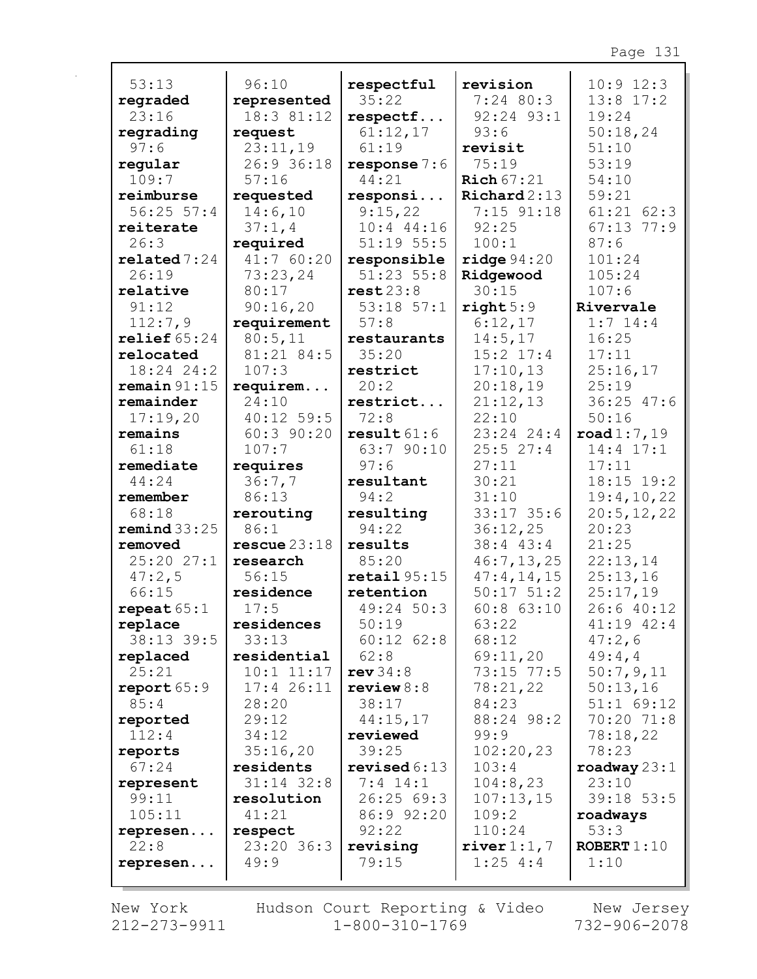| 53:13                 | 96:10                     |                         |                          | $10:9$ $12:3$         |
|-----------------------|---------------------------|-------------------------|--------------------------|-----------------------|
|                       |                           | respectful<br>35:22     | revision<br>$7:24$ 80:3  | $13:8$ 17:2           |
| regraded<br>23:16     | represented<br>18:3 81:12 | respectf                | 92:24 93:1               | 19:24                 |
| regrading             | request                   | 61:12,17                | 93:6                     | 50:18,24              |
| 97:6                  | 23:11,19                  | 61:19                   | revisit                  | 51:10                 |
| regular               | 26:9 36:18                | response $7:6$          | 75:19                    | 53:19                 |
| 109:7                 | 57:16                     | 44:21                   | Rich $67:21$             | 54:10                 |
| reimburse             | requested                 | responsi                | $\texttt{Richard2:13}$   | 59:21                 |
| $56:25$ $57:4$        | 14:6,10                   | 9:15,22                 | $7:15$ $91:18$           | $61:21$ $62:3$        |
| reiterate             | 37:1,4                    | $10:4$ 44:16            | 92:25                    | $67:13$ $77:9$        |
| 26:3                  | required                  | $51:19$ $55:5$          | 100:1                    | 87:6                  |
| related 7:24          | 41:7 60:20                | responsible             | ridge 94:20              | 101:24                |
| 26:19                 | 73:23,24                  | $51:23$ $55:8$          | Ridgewood                | 105:24                |
| relative              | 80:17                     | rest23:8                | 30:15                    | 107:6                 |
| 91:12                 | 90:16,20                  | $53:18$ $57:1$          | right 5:9                | Rivervale             |
| 112:7,9               | requirement               | 57:8                    | 6:12,17                  | $1:7$ 14:4            |
| relief $65:24$        | 80:5,11                   | restaurants             | 14:5,17                  | 16:25                 |
| relocated             | 81:21 84:5                | 35:20                   | $15:2$ $17:4$            | 17:11                 |
| $18:24$ 24:2          | 107:3                     | restrict                | 17:10,13                 | 25:16,17              |
| remain 91:15          | requirem                  | 20:2                    | 20:18,19                 | 25:19                 |
| remainder             | 24:10                     | restrict                | 21:12,13                 | $36:25$ 47:6          |
| 17:19,20              | $40:12$ 59:5              | 72:8                    | 22:10                    | 50:16                 |
| remains               | $60:3$ 90:20              | result61:6              | $23:24$ 24:4             | $\texttt{road1:7,19}$ |
| 61:18                 | 107:7                     | 63:7 90:10              | 25:527:4                 | 14:4 17:1             |
| remediate             | requires                  | 97:6                    | 27:11                    | 17:11                 |
| 44:24                 | 36:7,7                    | resultant               | 30:21                    | 18:15 19:2            |
| remember              | 86:13                     | 94:2                    | 31:10                    | 19:4,10,22            |
| 68:18<br>remind 33:25 | rerouting<br>86:1         | resulting<br>94:22      | $33:17$ 35:6<br>36:12,25 | 20:5, 12, 22<br>20:23 |
| removed               | rescue 23:18              | results                 | 38:4 43:4                | 21:25                 |
| 25:2027:1             | research                  | 85:20                   | 46:7, 13, 25             | 22:13,14              |
| 47:2,5                | 56:15                     | $\texttt{retail} 95:15$ | 47:4,14,15               | 25:13,16              |
| 66:15                 | residence                 | retention               | $50:17$ $51:2$           | 25:17,19              |
| repeat $65:1$         | 17:5                      | 49:24 50:3              | $60:8$ $63:10$           | 26:6 40:12            |
| replace               | residences                | 50:19                   | 63:22                    | $41:19$ $42:4$        |
| 38:13 39:5            | 33:13                     | $60:12$ $62:8$          | 68:12                    | 47:2,6                |
| replaced              | residential               | 62:8                    | 69:11,20                 | 49:4,4                |
| 25:21                 | $10:1$ $11:17$            | rev34:8                 | 73:15 77:5               | 50:7,9,11             |
| report 65:9           | 17:426:11                 | review $8:8$            | 78:21,22                 | 50:13,16              |
| 85:4                  | 28:20                     | 38:17                   | 84:23                    | $51:1$ 69:12          |
| reported              | 29:12                     | 44:15,17                | 88:24 98:2               | 70:20 71:8            |
| 112:4                 | 34:12                     | reviewed                | 99:9                     | 78:18,22              |
| reports               | 35:16,20                  | 39:25                   | 102:20,23                | 78:23                 |
| 67:24                 | residents                 | revised $6:13$          | 103:4                    | roadway $23:1$        |
| represent             | $31:14$ $32:8$            | $7:4$ 14:1              | 104:8,23                 | 23:10                 |
| 99:11                 | resolution                | 26:2569:3               | 107:13,15                | $39:18$ 53:5          |
| 105:11                | 41:21                     | 86:9 92:20              | 109:2                    | roadways              |
| represen              | respect                   | 92:22                   | 110:24                   | 53:3                  |
| 22:8                  | 23:20 36:3                | revising                | river $1:1, 7$           | ROBERT $1:10$         |
| represen              | 49:9                      | 79:15                   | $1:25$ 4:4               | 1:10                  |
|                       |                           |                         |                          |                       |

New York Hudson Court Reporting & Video New Jersey<br>212-273-9911 1-800-310-1769 732-906-2078 New York Hudson Court Reporting & Video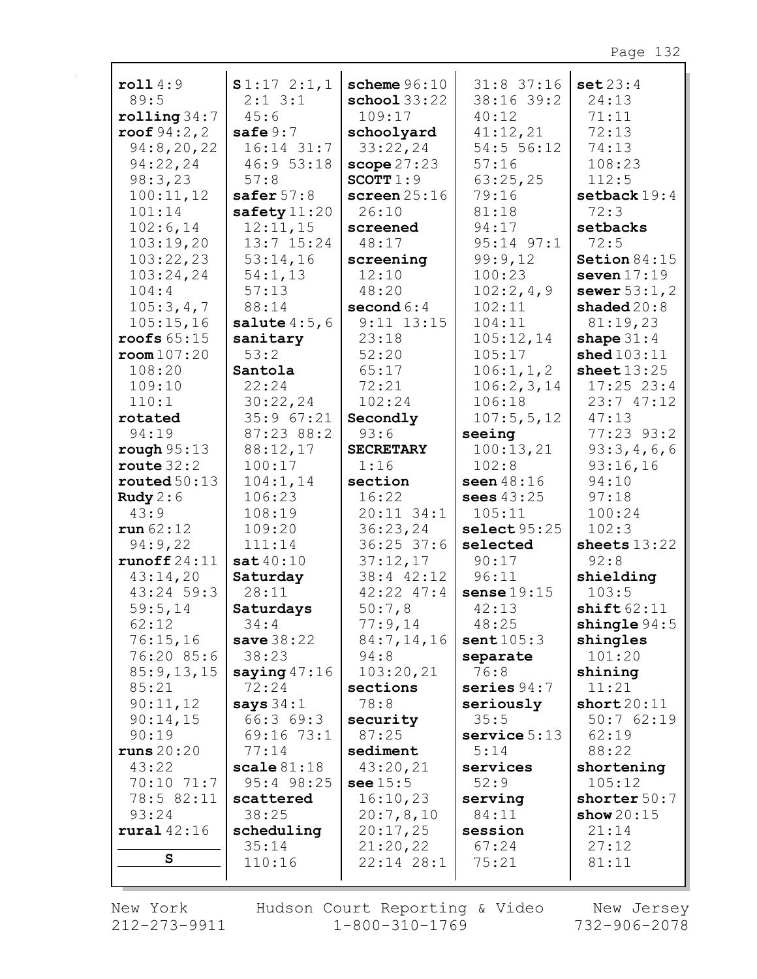| roll4:9             | S1:172:1,1             | scheme $96:10$          | $31:8$ 37:16      | set 23:4                |
|---------------------|------------------------|-------------------------|-------------------|-------------------------|
| 89:5                | $2:1$ $3:1$            | $\texttt{school} 33:22$ | 38:16 39:2        | 24:13                   |
| rolling 34:7        | 45:6                   | 109:17                  | 40:12             | 71:11                   |
| roof $94:2, 2$      | safe 9:7               | schoolyard              | 41:12,21          | 72:13                   |
| 94:8,20,22          | $16:14$ 31:7           | 33:22,24                | 54:5 56:12        | 74:13                   |
| 94:22,24            | 46:9 53:18             | scope 27:23             | 57:16             | 108:23                  |
| 98:3,23             | 57:8                   | SCOTT $1:9$             | 63:25,25          | 112:5                   |
| 100:11,12           | safer $57:8$           | screen $25:16$          | 79:16             | setback $19:4$          |
| 101:14              | safety $11:20$         | 26:10                   | 81:18             | 72:3                    |
| 102:6,14            | 12:11,15               | screened                | 94:17             | setbacks                |
| 103:19,20           | $13:7$ $15:24$         | 48:17                   | $95:14$ $97:1$    | 72:5                    |
| 103:22,23           | 53:14,16               | screening               | 99:9,12           | Setion $84:15$          |
| 103:24,24           | 54:1,13                | 12:10                   | 100:23            | seven $17:19$           |
| 104:4               | 57:13                  | 48:20                   | 102:2,4,9         | sewer $53:1, 2$         |
| 105:3,4,7           | 88:14                  | second $6:4$            | 102:11            | shaded $20:8$           |
| 105:15,16           | salute $4:5,6$         | $9:11$ $13:15$          | 104:11            | 81:19,23                |
| roofs $65:15$       | sanitary               | 23:18                   | 105:12,14         | shape $31:4$            |
| room107:20          | 53:2                   | 52:20                   | 105:17            | shed 103:11             |
| 108:20              | Santola                | 65:17                   | 106:1, 1, 2       | sheet $13:25$           |
| 109:10              | 22:24                  | 72:21                   | 106:2,3,14        | $17:25$ 23:4            |
| 110:1               | 30:22,24               | 102:24                  | 106:18            | 23:747:12               |
| rotated             | 35:9 67:21             | Secondly                | 107:5, 5, 12      | 47:13                   |
| 94:19               | 87:23 88:2             | 93:6                    | seeing            | 77:23 93:2              |
| rough 95:13         | 88:12,17               | <b>SECRETARY</b>        | 100:13,21         | 93:3,4,6,6              |
| route $32:2$        | 100:17                 | 1:16                    | 102:8             | 93:16,16                |
| routed $50:13$      | 104:1,14               | section                 | seen 48:16        | 94:10                   |
| Rudy $2:6$          | 106:23                 | 16:22                   | sees 43:25        | 97:18                   |
| 43:9                | 108:19                 | $20:11$ 34:1            | 105:11            | 100:24                  |
| run 62:12           | 109:20                 | 36:23,24                | select 95:25      | 102:3                   |
| 94:9,22             | 111:14                 | $36:25$ 37:6            | selected          | sheets $13:22$          |
| runoff $24:11$      | sat40:10               | 37:12,17                | 90:17             | 92:8                    |
| 43:14,20            | Saturday               | 38:4 42:12              | 96:11             | shielding               |
| 43:24 59:3          | 28:11                  | $42:22$ $47:4$          | sense $19:15$     | 103:5                   |
| 59:5,14             | Saturdays              | 50:7,8                  | 42:13             | shift62:11              |
| 62:12               | 34:4                   | 77:9,14                 | 48:25             | $\texttt{shingle}~94:5$ |
| 76:15,16            | <b>save</b> 38:22      | 84:7,14,16              | sent $105:3$      | shingles                |
| 76:20 85:6          | 38:23                  | 94:8                    | separate          | 101:20                  |
| 85:9,13,15          | saying $47:16$         | 103:20,21               | 76:8              | shining                 |
| 85:21               | 72:24                  | sections                | series $94:7$     | 11:21                   |
| 90:11,12            | says $34:1$            | 78:8                    | seriously<br>35:5 | short20:11<br>50:762:19 |
| 90:14,15            | 66:369:3<br>69:16 73:1 | security<br>87:25       | service $5:13$    |                         |
| 90:19<br>runs 20:20 | 77:14                  | sediment                | 5:14              | 62:19<br>88:22          |
| 43:22               | scale81:18             | 43:20,21                | services          | shortening              |
| 70:10 71:7          | 95:4 98:25             | see $15:5$              | 52:9              | 105:12                  |
| 78:5 82:11          | scattered              | 16:10,23                | serving           | shorter 50:7            |
| 93:24               | 38:25                  | 20:7,8,10               | 84:11             | show $20:15$            |
| rural $42:16$       | scheduling             | 20:17,25                | session           | 21:14                   |
|                     | 35:14                  | 21:20,22                | 67:24             | 27:12                   |
| ${\bf s}$           | 110:16                 | $22:14$ $28:1$          | 75:21             | 81:11                   |
|                     |                        |                         |                   |                         |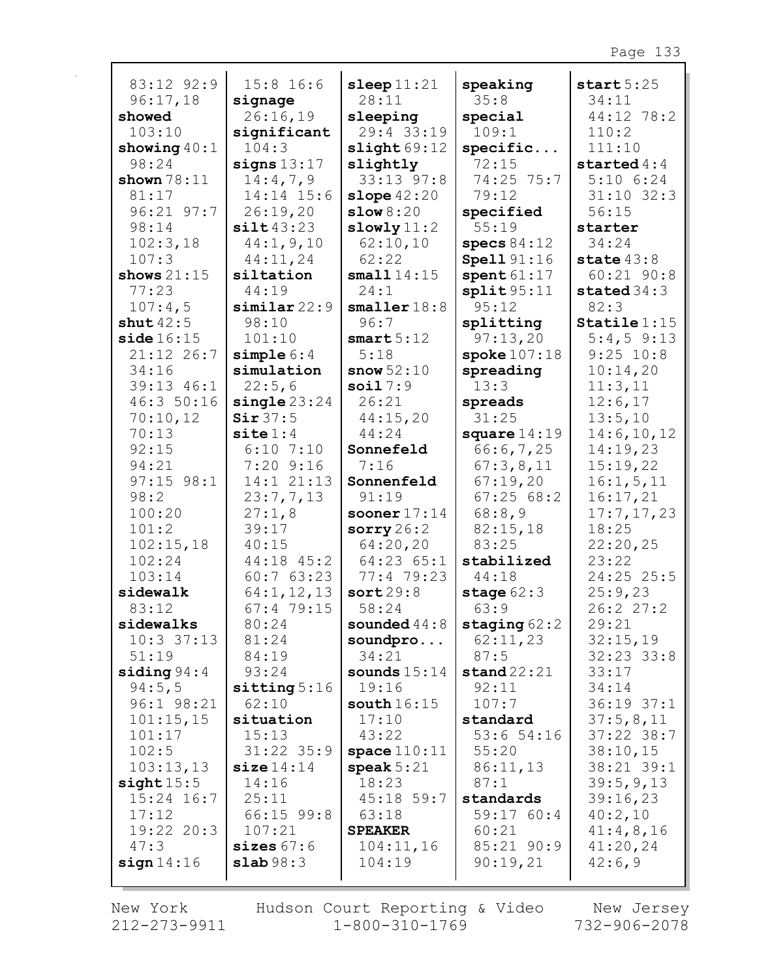| 83:12 92:9             | $15:8$ 16:6           | sleep $11:21$       | speaking               | start $5:25$       |
|------------------------|-----------------------|---------------------|------------------------|--------------------|
| 96:17,18               | signage               | 28:11               | 35:8                   | 34:11              |
| showed                 | 26:16,19              | sleeping            | special                | 44:12 78:2         |
| 103:10                 | significant           | 29:4 33:19          | 109:1                  | 110:2              |
| showing $40:1$         | 104:3                 | slight69:12         | specific               | 111:10             |
| 98:24                  | signs $13:17$         | slightly            | 72:15                  | started $4:4$      |
| shown $78:11$          | 14:4,7,9              | 33:13 97:8          | 74:25 75:7             | $5:10$ $6:24$      |
| 81:17                  | 14:14 15:6            | slope $42:20$       | 79:12                  | $31:10$ $32:3$     |
| $96:21$ $97:7$         | 26:19,20              | slow 8:20           | specified              | 56:15              |
| 98:14                  | silt43:23             | slowly11:2          | 55:19                  | starter            |
| 102:3,18               | 44:1, 9, 10           | 62:10,10            | specs $84:12$          | 34:24              |
| 107:3                  | 44:11,24              | 62:22               | <b>Spell 91:16</b>     | state $43:8$       |
| shows $21:15$          | siltation             | small $14:15$       | spent $61:17$          | $60:21$ $90:8$     |
| 77:23                  | 44:19                 | 24:1                | split95:11             | stated $34:3$      |
| 107:4,5                | similar22:9           | smaller 18:8        | 95:12                  | 82:3               |
| shut $42:5$            | 98:10                 | 96:7                | splitting              | $Staticle 1:15$    |
| side 16:15             | 101:10                | smart 5:12          | 97:13,20               | $5:4,5$ 9:13       |
| 21:12 26:7             | simple 6:4            | 5:18                | spoke $107:18$         | $9:25$ 10:8        |
| 34:16                  | simulation            | snow $52:10$        | spreading              | 10:14,20           |
| 39:13 46:1             | 22:5,6                | soil $7:9$          | 13:3                   | 11:3,11            |
| 46:3 50:16             | single23:24           | 26:21               | spreads                | 12:6,17            |
| 70:10,12               | Sir 37:5              | 44:15,20            | 31:25                  | 13:5,10            |
| 70:13                  | $\texttt{site} 1:4$   | 44:24               | square $14:19$         | 14:6, 10, 12       |
| 92:15                  | $6:10$ 7:10           | Sonnefeld           | 66:6,7,25              | 14:19,23           |
| 94:21                  | $7:20$ 9:16           | 7:16                | 67:3,8,11              | 15:19,22           |
| $97:15$ $98:1$         | 14:1 21:13            | Sonnenfeld          | 67:19,20               | 16:1, 5, 11        |
| 98:2                   | 23:7,7,13             | 91:19               | 67:2568:2              | 16:17,21           |
| 100:20                 | 27:1,8                | sooner $17:14$      | 68:8,9                 | 17:7,17,23         |
| 101:2                  | 39:17                 | sorry $26:2$        | 82:15,18               | 18:25              |
| 102:15,18              | 40:15                 | 64:20,20            | 83:25                  | 22:20,25           |
| 102:24                 | $44:18$ $45:2$        | $64:23$ $65:1$      | stabilized             | 23:22              |
| 103:14                 | 60:763:23             | 77:4 79:23          | 44:18                  | 24:25 25:5         |
| sidewalk               | 64:1, 12, 13          | sort29:8            | stage $62:3$           | 25:9,23            |
| 83:12                  | 67:479:15             | 58:24               | 63:9                   | 26:2 27:2          |
| sidewalks              | 80:24                 | sounded $44:8$      | staging $62:2$         | 29:21              |
| $10:3$ 37:13           | 81:24                 | soundpro            | 62:11,23               | 32:15,19           |
| 51:19                  | 84:19                 | 34:21               | 87:5                   | $32:23$ $33:8$     |
| siding $94:4$          | 93:24                 | sounds $15:14$      | stand22:21             | 33:17              |
| 94:5,5                 | sitting 5:16          | 19:16               | 92:11                  | 34:14              |
| 96:1 98:21             | 62:10                 | south $16:15$       | 107:7                  | $36:19$ $37:1$     |
| 101:15,15              | situation             | 17:10               | standard               | 37:5,8,11          |
| 101:17                 | 15:13                 | 43:22               | 53:654:16              | $37:22$ $38:7$     |
| 102:5                  | $31:22$ $35:9$        | space $110:11$      | 55:20                  | 38:10,15           |
| 103:13,13              | size 14:14            | speak $5:21$        | 86:11,13               | 38:21 39:1         |
| sight15:5              | 14:16                 | 18:23               | 87:1                   | 39:5, 9, 13        |
| $15:24$ 16:7           | 25:11                 | $45:18$ 59:7        | standards              | 39:16,23           |
| 17:12                  | $66:15$ 99:8          | 63:18               | 59:1760:4              | 40:2,10            |
| $19:22$ $20:3$<br>47:3 | 107:21                | <b>SPEAKER</b>      | 60:21                  | 41:4,8,16          |
| sign 14:16             | sizes67:6<br>slab98:3 | 104:11,16<br>104:19 | 85:21 90:9<br>90:19,21 | 41:20,24<br>42:6,9 |
|                        |                       |                     |                        |                    |
|                        |                       |                     |                        |                    |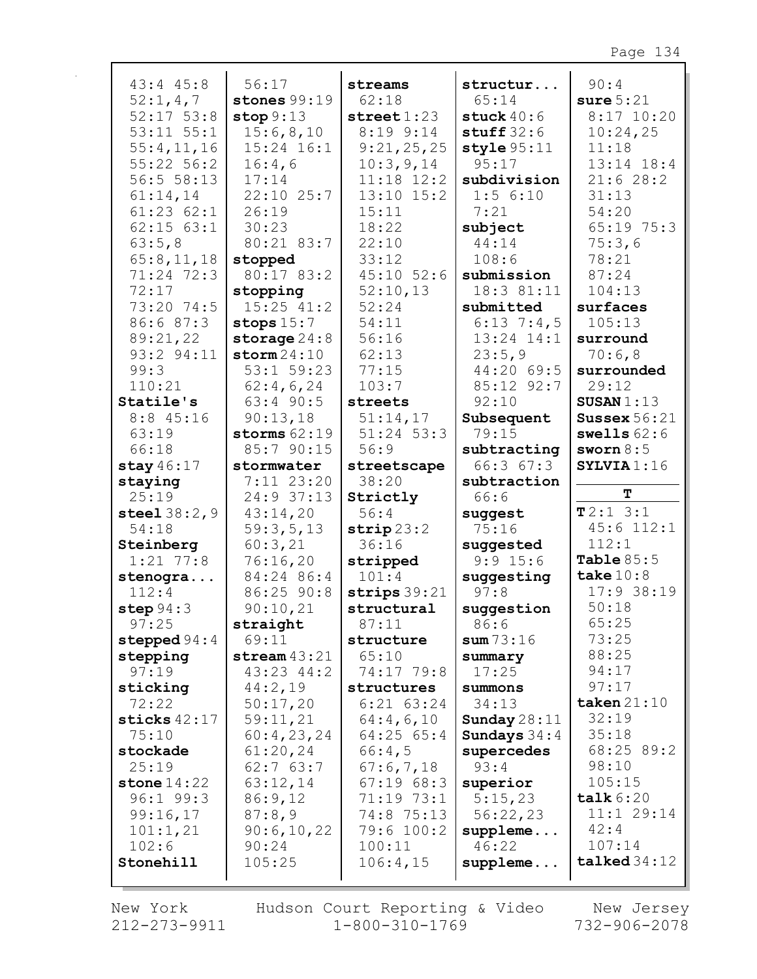| $43:4$ $45:8$  | 56:17          | streams                | structur       | 90:4                 |
|----------------|----------------|------------------------|----------------|----------------------|
| 52:1,4,7       | stones $99:19$ | 62:18                  | 65:14          | sure 5:21            |
| $52:17$ $53:8$ | stop 9:13      | $\texttt{street} 1:23$ | stuck $40:6$   | $8:17$ 10:20         |
| $53:11$ $55:1$ | 15:6,8,10      | $8:19$ $9:14$          | stuff $32:6$   | 10:24,25             |
| 55:4,11,16     | $15:24$ $16:1$ | 9:21,25,25             | style 95:11    | 11:18                |
| 55:22 56:2     | 16:4,6         | 10:3,9,14              | 95:17          | 13:14 18:4           |
| 56:555:13      | 17:14          | $11:18$ $12:2$         | subdivision    | 21:628:2             |
| 61:14,14       | $22:10$ $25:7$ | $13:10$ $15:2$         | $1:5$ 6:10     | 31:13                |
| $61:23$ $62:1$ | 26:19          | 15:11                  | 7:21           | 54:20                |
| $62:15$ $63:1$ | 30:23          | 18:22                  | subject        | 65:19 75:3           |
| 63:5,8         | 80:21 83:7     | 22:10                  | 44:14          | 75:3,6               |
| 65:8,11,18     | stopped        | 33:12                  | 108:6          | 78:21                |
| 71:24 72:3     | 80:17 83:2     | $45:10$ 52:6           | submission     | 87:24                |
| 72:17          | stopping       | 52:10,13               | 18:3 81:11     | 104:13               |
| 73:20 74:5     | $15:25$ $41:2$ | 52:24                  | submitted      | surfaces             |
| 86:6 87:3      | stops $15:7$   | 54:11                  | $6:13$ 7:4,5   | 105:13               |
| 89:21,22       | storage $24:8$ | 56:16                  | $13:24$ $14:1$ | surround             |
| 93:2 94:11     | storm 24:10    | 62:13                  | 23:5,9         | 70:6,8               |
| 99:3           | $53:1$ 59:23   | 77:15                  | 44:20 69:5     | surrounded           |
| 110:21         | 62:4,6,24      | 103:7                  | 85:12 92:7     | 29:12                |
| Statile's      | $63:4$ 90:5    | streets                | 92:10          | SUSAN $1:13$         |
| $8:8$ 45:16    | 90:13,18       | 51:14,17               | Subsequent     | Sussex $56:21$       |
| 63:19          | storms $62:19$ | $51:24$ 53:3           | 79:15          | swells $62:6$        |
| 66:18          | 85:7 90:15     | 56:9                   | subtracting    | sworn $8:5$          |
| stay $46:17$   | stormwater     | streetscape            | 66:367:3       | SYLVIA1:16           |
| staying        | $7:11$ 23:20   | 38:20                  | subtraction    |                      |
| 25:19          | 24:9 37:13     | Strictly               | 66:6           | т                    |
| steel $38:2,9$ | 43:14,20       | 56:4                   | suggest        | T2:13:1              |
| 54:18          | 59:3,5,13      | $\text{strip} 23:2$    | 75:16          | $45:6$ 112:1         |
| Steinberg      | 60:3,21        | 36:16                  | suggested      | 112:1                |
| $1:21$ 77:8    | 76:16,20       | stripped               | $9:9$ 15:6     | Table $85:5$         |
| stenogra       | 84:24 86:4     | 101:4                  | suggesting     | take $10:8$          |
| 112:4          | 86:25 90:8     | strips $39:21$         | 97:8           | 17:938:19            |
| step $94:3$    | 90:10,21       | structural             | suggestion     | 50:18                |
| 97:25          | straight       | 87:11                  | 86:6           | 65:25                |
| stepped $94:4$ | 69:11          | structure              | sum 73:16      | 73:25                |
| stepping       | stream $43:21$ | 65:10                  | summary        | 88:25                |
| 97:19          | $43:23$ $44:2$ | 74:17 79:8             | 17:25          | 94:17                |
| sticking       | 44:2,19        | structures             | summons        | 97:17                |
| 72:22          | 50:17,20       | $6:21$ $63:24$         | 34:13          | taken $21:10$        |
| sticks $42:17$ | 59:11,21       | 64:4,6,10              | Sunday $28:11$ | 32:19                |
| 75:10          | 60:4,23,24     | $64:25$ $65:4$         | Sundays $34:4$ | 35:18                |
| stockade       | 61:20,24       | 66:4,5                 | supercedes     | 68:25 89:2           |
| 25:19          | 62:763:7       | 67:6,7,18              | 93:4           | 98:10                |
| stone $14:22$  | 63:12,14       | 67:1968:3              | superior       | 105:15               |
| $96:1$ 99:3    | 86:9,12        | 71:19 73:1             | 5:15,23        | $\texttt{talk} 6:20$ |
| 99:16,17       | 87:8,9         | 74:8 75:13             | 56:22,23       | 11:1 29:14           |
| 101:1,21       | 90:6,10,22     | 79:6 100:2             | suppleme       | 42:4                 |
| 102:6          | 90:24          | 100:11                 | 46:22          | 107:14               |
| Stonehill      | 105:25         | 106:4,15               | suppleme       | talked 34:12         |
|                |                |                        |                |                      |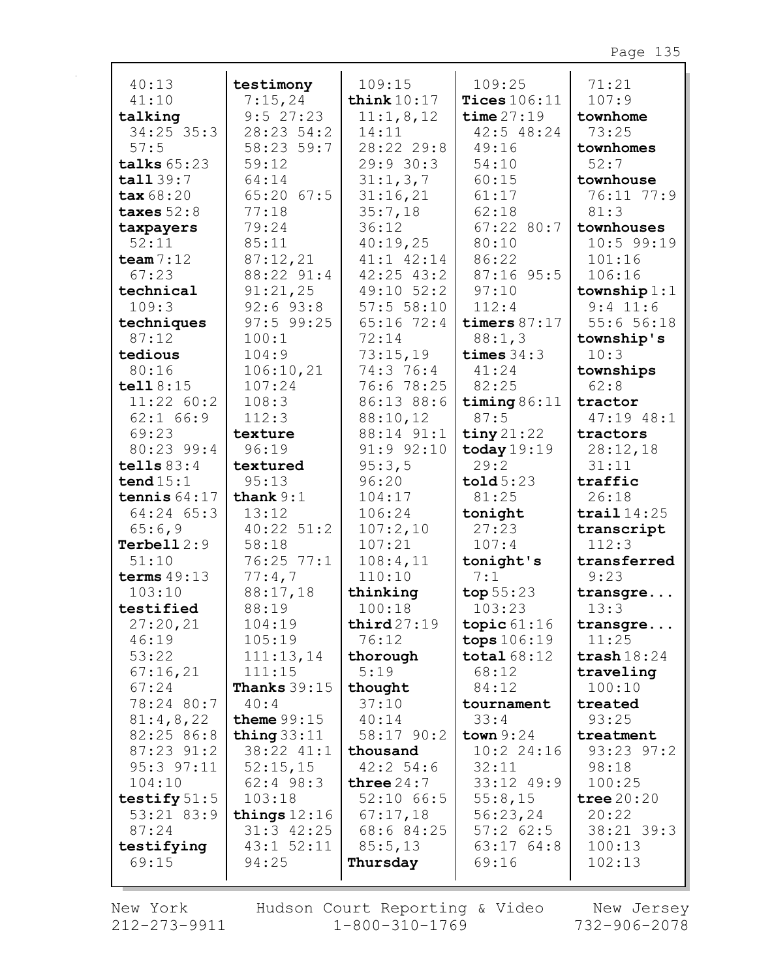| 40:13                        | testimony              | 109:15                           | 109:25                      | 71:21                  |
|------------------------------|------------------------|----------------------------------|-----------------------------|------------------------|
| 41:10                        | 7:15,24                | think $10:17$                    | Tices $106:11$              | 107:9                  |
| talking                      | 9:527:23               | 11:1,8,12                        | time $27:19$                | townhome               |
| $34:25$ 35:3                 | 28:23 54:2             | 14:11                            | $42:5$ $48:24$              | 73:25                  |
| 57:5                         | 58:23 59:7             | 28:22 29:8                       | 49:16                       | townhomes              |
| talks $65:23$                | 59:12                  | 29:930:3                         | 54:10                       | 52:7                   |
| tall 39:7                    | 64:14                  | 31:1,3,7                         | 60:15                       | townhouse              |
| tax 68:20                    | $65:20$ $67:5$         | 31:16,21                         | 61:17                       | 76:11 77:9             |
| taxes $52:8$                 | 77:18                  | 35:7,18                          | 62:18                       | 81:3                   |
| taxpayers<br>52:11           | 79:24                  | 36:12                            | $67:22$ 80:7                | townhouses             |
|                              | 85:11                  | 40:19,25                         | 80:10                       | $10:5$ 99:19           |
| team $7:12$<br>67:23         | 87:12,21<br>88:22 91:4 | $41:1$ $42:14$<br>$42:25$ $43:2$ | 86:22<br>87:16 95:5         | 101:16<br>106:16       |
| technical                    | 91:21,25               | $49:10$ 52:2                     | 97:10                       | township $1:1$         |
| 109:3                        | $92:6$ $93:8$          | 57:55:10                         | 112:4                       | $9:4$ 11:6             |
| techniques                   | $97:5$ 99:25           | $65:16$ 72:4                     | timers $87:17$              | 55:656:18              |
| 87:12                        | 100:1                  | 72:14                            | 88:1,3                      | township's             |
| tedious                      | 104:9                  | 73:15,19                         | times $34:3$                | 10:3                   |
| 80:16                        | 106:10,21              | 74:3 76:4                        | 41:24                       | townships              |
| tell18:15                    | 107:24                 | 76:6 78:25                       | 82:25                       | 62:8                   |
| 11:22 60:2                   | 108:3                  | 86:13 88:6                       | timing $86:11$              | tractor                |
| $62:1$ $66:9$                | 112:3                  | 88:10,12                         | 87:5                        | 47:19 48:1             |
| 69:23                        | texture                | 88:14 91:1                       | $\frac{\text{tiny}}{21:22}$ | tractors               |
| 80:23 99:4                   | 96:19                  | $91:9$ $92:10$                   | today $19:19$               | 28:12,18               |
| tells $83:4$                 | textured               | 95:3,5                           | 29:2                        | 31:11                  |
| tend $15:1$                  | 95:13                  | 96:20                            | $\text{told } 5:23$         | traffic                |
| tennis $64:17$               | thank $9:1$            | 104:17                           | 81:25                       | 26:18                  |
| 64:24 65:3                   | 13:12                  | 106:24                           | tonight                     | trail $14:25$          |
| 65:6,9                       | $40:22$ 51:2           | 107:2,10                         | 27:23                       | transcript             |
| Terbell $2:9$                | 58:18                  | 107:21                           | 107:4                       | 112:3                  |
| 51:10                        | 76:25 77:1             | 108:4,11                         | tonight's                   | transferred            |
| terms $49:13$                | 77:4,7                 | 110:10                           | 7:1                         | 9:23                   |
| 103:10                       | 88:17,18               | thinking                         | top $55:23$                 | transgre               |
| testified                    | 88:19                  | 100:18                           | 103:23                      | 13:3                   |
| 27:20,21                     | 104:19                 | third27:19                       | topic $61:16$               | transgre               |
| 46:19                        | 105:19                 | 76:12                            | tops 106:19                 | 11:25                  |
| 53:22                        | 111:13,14              | thorough                         | total $68:12$               | $\texttt{trash} 18:24$ |
| 67:16,21                     | 111:15                 | 5:19                             | 68:12                       | traveling              |
| 67:24                        | <b>Thanks</b> $39:15$  | thought                          | 84:12                       | 100:10                 |
| 78:24 80:7                   | 40:4                   | 37:10                            | tournament                  | treated                |
| 81:4,8,22                    | theme $99:15$          | 40:14                            | 33:4                        | 93:25                  |
| 82:25 86:8                   | thing $33:11$          | 58:17 90:2                       | town $9:24$                 | treatment              |
| $87:23$ $91:2$               | 38:22 41:1             | thousand                         | 10:224:16                   | 93:23 97:2             |
| 95:3 97:11                   | 52:15,15               | 42:2 54:6                        | 32:11                       | 98:18                  |
| 104:10                       | $62:4$ 98:3<br>103:18  | three $24:7$                     | $33:12$ 49:9<br>55:8,15     | 100:25                 |
| testify $51:5$<br>53:21 83:9 | things $12:16$         | $52:10$ 66:5<br>67:17,18         | 56:23,24                    | tree $20:20$<br>20:22  |
| 87:24                        | $31:3$ 42:25           | 68:6 84:25                       | $57:2$ 62:5                 | 38:21 39:3             |
| testifying                   | $43:1$ $52:11$         | 85:5,13                          | 63:17 64:8                  | 100:13                 |
| 69:15                        | 94:25                  | Thursday                         | 69:16                       | 102:13                 |
|                              |                        |                                  |                             |                        |

New York  $212 - 273 - 9911$ 

Hudson Court Reporting & Video  $1 - 800 - 310 - 1769$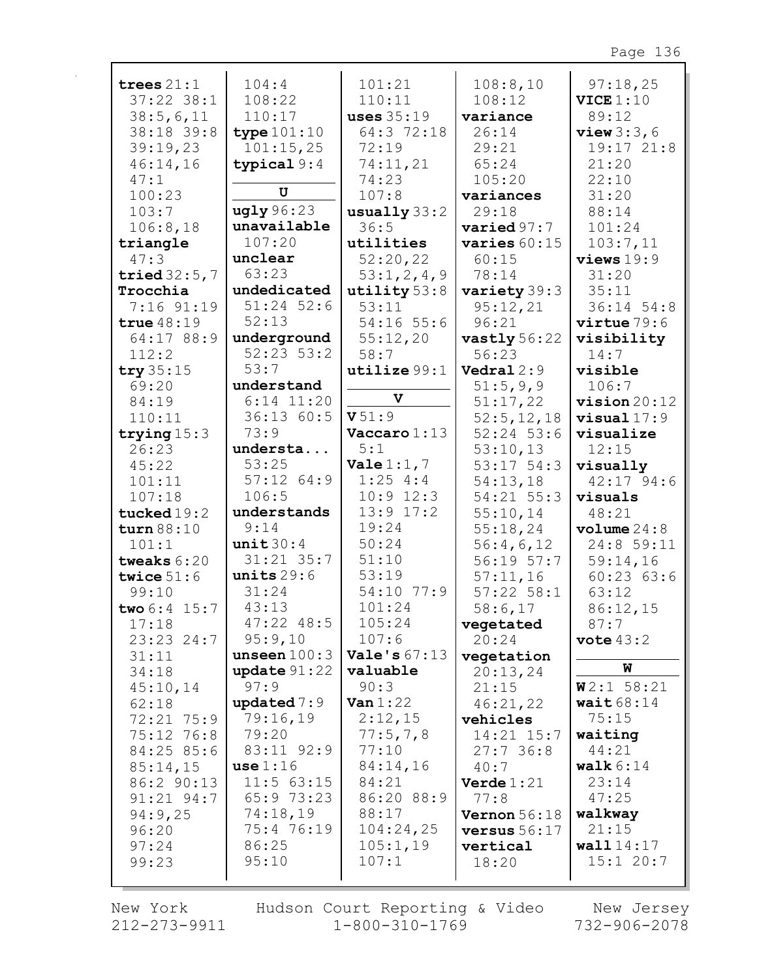| trees $21:1$        | 104:4                 | 101:21                  | 108:8,10          | 97:18,25       |
|---------------------|-----------------------|-------------------------|-------------------|----------------|
| $37:22$ 38:1        | 108:22                | 110:11                  | 108:12            | VICE 1:10      |
| 38:5,6,11           | 110:17                | <b>uses</b> 35:19       | variance          | 89:12          |
| 38:18 39:8          | type $101:10$         | 64:3 72:18              | 26:14             | view $3:3,6$   |
| 39:19,23            | 101:15,25             | 72:19                   | 29:21             | 19:17 21:8     |
| 46:14,16            | typical $9:4$         | 74:11,21                | 65:24             | 21:20          |
| 47:1                |                       | 74:23                   | 105:20            | 22:10          |
| 100:23              | U                     | 107:8                   | variances         | 31:20          |
| 103:7               | ugly96:23             | $\text{usually } 33:2$  | 29:18             | 88:14          |
| 106:8,18            | unavailable           | 36:5                    | varied 97:7       | 101:24         |
| triangle            | 107:20                | utilities               | varies $60:15$    | 103:7,11       |
| 47:3                | unclear               | 52:20,22                | 60:15             | views19:9      |
| tried $32:5,7$      | 63:23                 | 53:1,2,4,9              | 78:14             | 31:20          |
| Trocchia            | undedicated           | utility 53:8            | variety 39:3      | 35:11          |
| 7:16 91:19          | $51:24$ 52:6          | 53:11                   | 95:12,21          | 36:14 54:8     |
| true $48:19$        | 52:13                 | $54:16$ 55:6            | 96:21             | virtue 79:6    |
| 64:17 88:9          | underground           | 55:12,20                | vastly $56:22$    | visibility     |
| 112:2               | $52:23$ $53:2$        | 58:7                    | 56:23             | 14:7           |
| try $35:15$         | 53:7                  | utilize 99:1            | Vedral 2:9        | visible        |
| 69:20               | understand            | V                       | 51:5,9,9          | 106:7          |
| 84:19               | $6:14$ 11:20          |                         | 51:17,22          | $vision 20:12$ |
| 110:11              | 36:13 60:5            | V51:9                   | 52:5, 12, 18      | $visual 17:9$  |
| trying $15:3$       | 73:9                  | $\textbf{Vaccaro} 1:13$ | $52:24$ 53:6      | visualize      |
| 26:23               | understa              | 5:1                     | 53:10,13          | 12:15          |
| 45:22               | 53:25                 | Vale $1:1, 7$           | $53:17$ $54:3$    | visually       |
| 101:11              | $57:12$ $64:9$        | $1:25$ 4:4              | 54:13,18          | $42:17$ 94:6   |
| 107:18              | 106:5                 | $10:9$ 12:3             | 54:21 55:3        | visuals        |
| tucked $19:2$       | understands           | $13:9$ $17:2$           | 55:10,14          | 48:21          |
| turn 88:10          | 9:14                  | 19:24<br>50:24          | 55:18,24          | volume 24:8    |
| 101:1               | unit 30:4             | 51:10                   | 56:4,6,12         | 24:8 59:11     |
| tweaks $6:20$       | $31:21$ $35:7$        | 53:19                   | $56:19$ 57:7      | 59:14,16       |
| twice $51:6$        | units $29:6$<br>31:24 | 54:10 77:9              | 57:11,16          | 60:2363:6      |
| 99:10               | 43:13                 | 101:24                  | $57:22$ $58:1$    | 63:12          |
| two $6:4$ 15:7      | $47:22$ $48:5$        | 105:24                  | 58:6,17           | 86:12,15       |
| 17:18               | 95:9,10               | 107:6                   | vegetated         | 87:7           |
| 23:23 24:7          | unseen $100:3$        | Vale's $67:13$          | 20:24             | vote $43:2$    |
| 31:11               | update $91:22$        | valuable                | vegetation        | W              |
| 34:18               | 97:9                  | 90:3                    | 20:13,24<br>21:15 | W2:1 58:21     |
| 45:10,14            | updated $7:9$         | Van $1:22$              | 46:21,22          | wait $68:14$   |
| 62:18<br>72:21 75:9 | 79:16,19              | 2:12,15                 | vehicles          | 75:15          |
| 75:12 76:8          | 79:20                 | 77:5,7,8                | $14:21$ $15:7$    | waiting        |
| 84:25 85:6          | 83:11 92:9            | 77:10                   | 27:736:8          | 44:21          |
| 85:14,15            | use 1:16              | 84:14,16                | 40:7              | walk $6:14$    |
| 86:2 90:13          | $11:5$ 63:15          | 84:21                   | Verde $1:21$      | 23:14          |
| $91:21$ $94:7$      | 65:973:23             | 86:20 88:9              | 77:8              | 47:25          |
| 94:9,25             | 74:18,19              | 88:17                   | Vernon $56:18$    | walkway        |
| 96:20               | 75:4 76:19            | 104:24,25               | versus $56:17$    | 21:15          |
| 97:24               | 86:25                 | 105:1,19                | vertical          | wall14:17      |
| 99:23               | 95:10                 | 107:1                   | 18:20             | 15:120:7       |
|                     |                       |                         |                   |                |
|                     |                       |                         |                   |                |

New York 212-273-9911 Hudson Court Reporting & Video<br>1-800-310-1769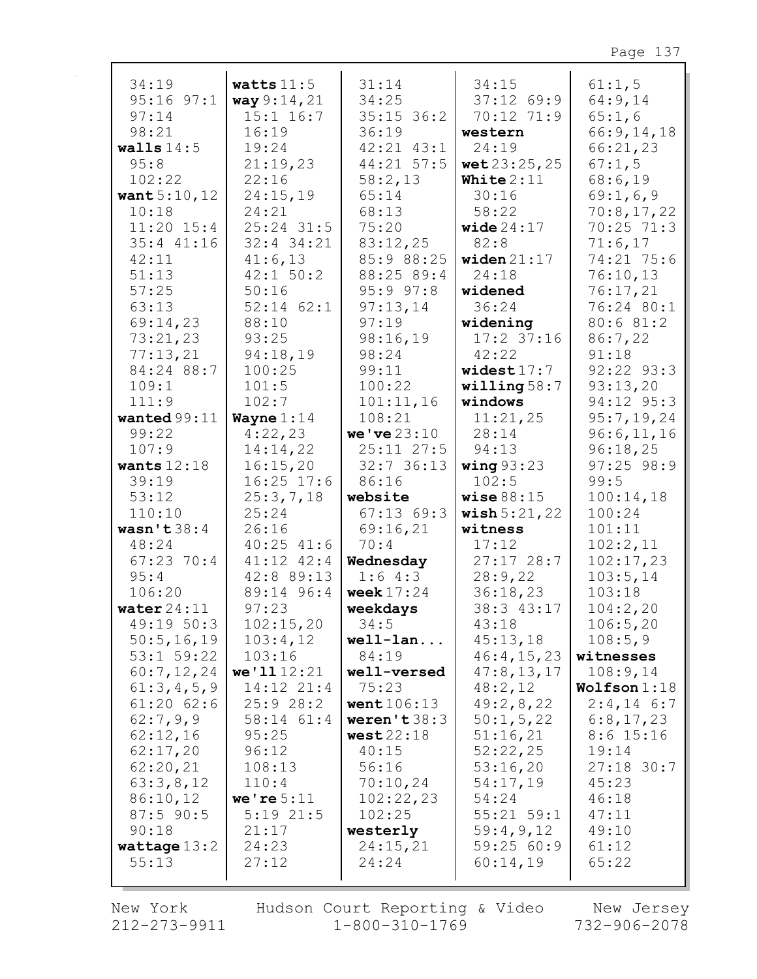| 34:19          | watts $11:5$   | 31:14          | 34:15                    | 61:1,5       |
|----------------|----------------|----------------|--------------------------|--------------|
| $95:16$ $97:1$ | way 9:14,21    | 34:25          | $37:12$ 69:9             | 64:9,14      |
| 97:14          | $15:1$ $16:7$  | $35:15$ 36:2   | 70:12 71:9               | 65:1,6       |
| 98:21          | 16:19          | 36:19          | western                  | 66:9,14,18   |
| walls $14:5$   | 19:24          | $42:21$ $43:1$ | 24:19                    | 66:21,23     |
| 95:8           | 21:19,23       | 44:21 57:5     | wet 23:25, 25            | 67:1,5       |
| 102:22         | 22:16          | 58:2,13        | White $2:11$             | 68:6,19      |
| want $5:10,12$ | 24:15,19       | 65:14          | 30:16                    | 69:1,6,9     |
| 10:18          | 24:21          | 68:13          | 58:22                    | 70:8,17,22   |
| $11:20$ $15:4$ | $25:24$ 31:5   | 75:20          | wide $24:17$             | 70:25 71:3   |
| $35:4$ $41:16$ | $32:4$ 34:21   | 83:12,25       | 82:8                     | 71:6,17      |
| 42:11          | 41:6,13        | 85:9 88:25     | widen $21:17$            | 74:21 75:6   |
| 51:13          | $42:1$ 50:2    | 88:25 89:4     | 24:18                    | 76:10,13     |
| 57:25          | 50:16          | 95:997:8       | widened                  | 76:17,21     |
| 63:13          | $52:14$ $62:1$ | 97:13,14       | 36:24                    | 76:24 80:1   |
| 69:14,23       | 88:10          | 97:19          | widening                 | 80:6 81:2    |
| 73:21,23       | 93:25          | 98:16,19       | $17:2$ 37:16             | 86:7,22      |
| 77:13,21       | 94:18,19       | 98:24          | 42:22                    | 91:18        |
| 84:24 88:7     | 100:25         | 99:11          | widest $17:7$            | 92:22 93:3   |
| 109:1          | 101:5          | 100:22         | willing $58:7$           | 93:13,20     |
| 111:9          | 102:7          | 101:11,16      | windows                  | 94:12 95:3   |
| wanted $99:11$ | Wayne $1:14$   | 108:21         | 11:21,25                 | 95:7,19,24   |
| 99:22          | 4:22,23        | we've 23:10    | 28:14                    | 96:6,11,16   |
| 107:9          | 14:14,22       | $25:11$ $27:5$ | 94:13                    | 96:18,25     |
| wants $12:18$  | 16:15,20       | $32:7$ 36:13   | wing $93:23$             | $97:25$ 98:9 |
| 39:19          | $16:25$ 17:6   | 86:16          | 102:5                    | 99:5         |
| 53:12          | 25:3,7,18      | website        | wise $88:15$             | 100:14,18    |
| 110:10         | 25:24          | $67:13$ $69:3$ | $\texttt{ wish} 5:21,22$ | 100:24       |
| wasn't $38:4$  | 26:16          | 69:16,21       | witness                  | 101:11       |
| 48:24          | $40:25$ $41:6$ | 70:4           | 17:12                    | 102:2,11     |
| $67:23$ 70:4   | $41:12$ $42:4$ | Wednesday      | $27:17$ 28:7             | 102:17,23    |
| 95:4           | 42:8 89:13     | 1:64:3         | 28:9,22                  | 103:5,14     |
| 106:20         | 89:14 96:4     | week $17:24$   | 36:18,23                 | 103:18       |
| water $24:11$  | 97:23          | weekdays       | 38:3 43:17               | 104:2,20     |
| 49:19 50:3     | 102:15,20      | 34:5           | 43:18                    | 106:5,20     |
| 50:5, 16, 19   | 103:4,12       | $well-lan$     | 45:13,18                 | 108:5,9      |
| $53:1$ 59:22   | 103:16         | 84:19          | 46:4, 15, 23             | witnesses    |
| 60:7,12,24     | we'1112:21     | well-versed    | 47:8, 13, 17             | 108:9,14     |
| 61:3,4,5,9     | 14:12 21:4     | 75:23          | 48:2,12                  | Wolfson 1:18 |
| $61:20$ $62:6$ | 25:928:2       | went $106:13$  | 49:2,8,22                | $2:4,14$ 6:7 |
| 62:7,9,9       | 58:14 61:4     | weren't 38:3   | 50:1, 5, 22              | 6:8,17,23    |
| 62:12,16       | 95:25          | west22:18      | 51:16,21                 | $8:6$ 15:16  |
| 62:17,20       | 96:12          | 40:15          | 52:22,25                 | 19:14        |
| 62:20,21       | 108:13         | 56:16          | 53:16,20                 | $27:18$ 30:7 |
| 63:3,8,12      | 110:4          | 70:10,24       | 54:17,19                 | 45:23        |
| 86:10,12       | we're $5:11$   | 102:22,23      | 54:24                    | 46:18        |
| $87:5$ 90:5    | $5:19$ 21:5    | 102:25         | $55:21$ $59:1$           | 47:11        |
| 90:18          | 21:17          | westerly       | 59:4,9,12                | 49:10        |
| wattage $13:2$ | 24:23          | 24:15,21       | 59:2560:9                | 61:12        |
| 55:13          | 27:12          | 24:24          | 60:14,19                 | 65:22        |
|                |                |                |                          |              |

New York 212-273-9911 Hudson Court Reporting & Video<br>1-800-310-1769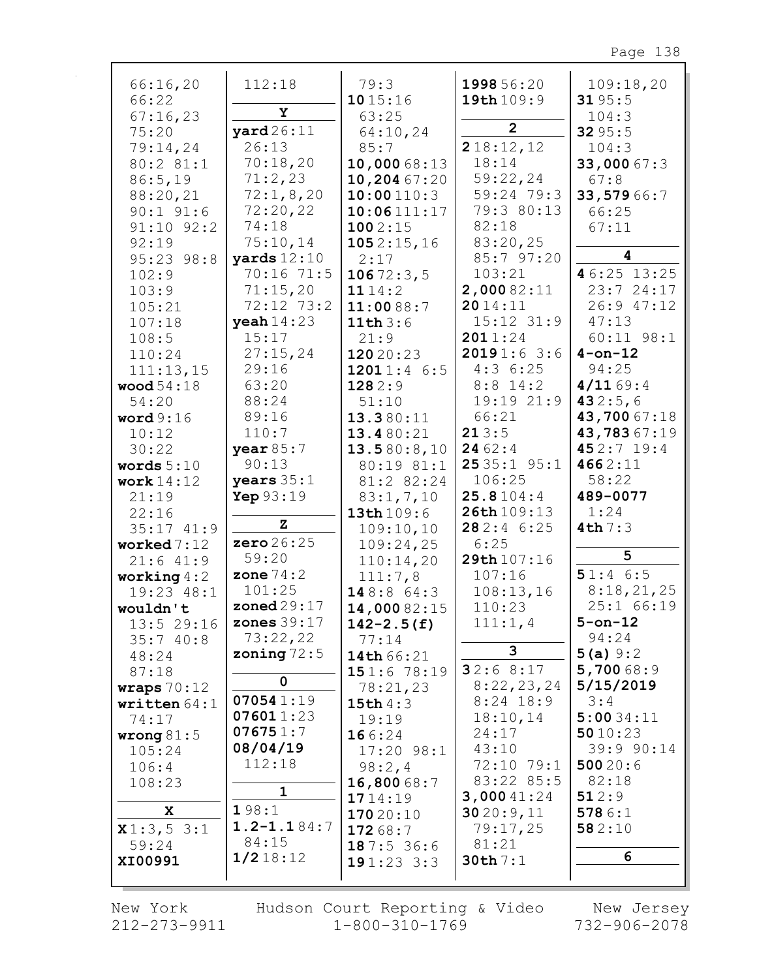| 66:16,20                    | 112:18               | 79:3           | 1998 56:20     | 109:18,20      |
|-----------------------------|----------------------|----------------|----------------|----------------|
| 66:22                       |                      | 1015:16        | 19th 109:9     | 3195:5         |
| 67:16,23                    | Υ                    | 63:25          |                | 104:3          |
|                             | $\texttt{yard26:11}$ |                | $\overline{2}$ |                |
| 75:20                       |                      | 64:10,24       |                | 3295:5         |
| 79:14,24                    | 26:13                | 85:7           | 218:12,12      | 104:3          |
| 80:2 81:1                   | 70:18,20             | 10,000 68:13   | 18:14          | 33,000 67:3    |
| 86:5,19                     | 71:2,23              | 10,204 67:20   | 59:22,24       | 67:8           |
| 88:20,21                    | 72:1,8,20            | 10:00110:3     | 59:24 79:3     | 33,57966:7     |
| $90:1$ $91:6$               | 72:20,22             | 10:06111:17    | 79:3 80:13     | 66:25          |
| $91:10$ $92:2$              | 74:18                | 1002:15        | 82:18          | 67:11          |
| 92:19                       | 75:10,14             | 1052:15,16     | 83:20,25       |                |
| 95:23 98:8                  | yards $12:10$        | 2:17           | 85:7 97:20     | 4              |
| 102:9                       | 70:16 71:5           | 10672:3,5      | 103:21         | 46:25 13:25    |
| 103:9                       | 71:15,20             | 1114:2         | 2,00082:11     | 23:724:17      |
| 105:21                      | 72:12 73:2           | 11:0088:7      | 2014:11        | 26:9 47:12     |
|                             | yeah $14:23$         |                | $15:12$ $31:9$ | 47:13          |
| 107:18                      |                      | 11th $3:6$     | 2011:24        |                |
| 108:5                       | 15:17                | 21:9           |                | $60:11$ $98:1$ |
| 110:24                      | 27:15,24             | 12020:23       | 20191:63:6     | $4$ -on-12     |
| 111:13,15                   | 29:16                | 12011:46:5     | 4:36:25        | 94:25          |
| <b>wood</b> 54:18           | 63:20                | 1282:9         | $8:8$ 14:2     | 4/1169:4       |
| 54:20                       | 88:24                | 51:10          | 19:19 21:9     | 432:5,6        |
| word9:16                    | 89:16                | 13.380:11      | 66:21          | 43,70067:18    |
| 10:12                       | 110:7                | 13.480:21      | 213:5          | 43,78367:19    |
| 30:22                       | year 85:7            | 13.580:8,10    | 2462:4         | 452:7 19:4     |
| words $5:10$                | 90:13                | 80:19 81:1     | 2535:195:1     | 4662:11        |
| work $14:12$                | years $35:1$         | 81:2 82:24     | 106:25         | 58:22          |
| 21:19                       | Yep 93:19            | 83:1, 7, 10    | 25.8104:4      | 489-0077       |
| 22:16                       |                      | 13th 109:6     | 26th 109:13    | 1:24           |
| $35:17$ $41:9$              | $\mathbf z$          | 109:10,10      | 282:46:25      | 4th7:3         |
| worked $7:12$               | zero 26:25           | 109:24,25      | 6:25           |                |
| $21:6$ $41:9$               | 59:20                | 110:14,20      | 29th 107:16    | 5              |
|                             | zone $74:2$          | 111:7,8        | 107:16         | 51:46:5        |
| working $4:2$<br>19:23 48:1 | 101:25               |                |                | 8:18,21,25     |
|                             |                      | 148:864:3      | 108:13,16      | 25:1 66:19     |
| wouldn't                    | zoned $29:17$        | 14,00082:15    | 110:23         |                |
| $13:5$ 29:16                | zones $39:17$        | $142 - 2.5(f)$ | 111:1,4        | $5$ -on-12     |
| 35:740:8                    | 73:22,22             | 77:14          | 3              | 94:24          |
| 48:24                       | zoning $72:5$        | 14th 66:21     |                | 5(a) 9:2       |
| 87:18                       |                      | 151:678:19     | 32:68:17       | 5,70068:9      |
| wraps $70:12$               | 0                    | 78:21,23       | 8:22,23,24     | 5/15/2019      |
| written $64:1$              | 070541:19            | 15th4:3        | $8:24$ 18:9    | 3:4            |
| 74:17                       | 076011:23            | 19:19          | 18:10,14       | 5:0034:11      |
| wrong $81:5$                | 076751:7             | 166:24         | 24:17          | 5010:23        |
| 105:24                      | 08/04/19             | 17:20 98:1     | 43:10          | 39:9 90:14     |
| 106:4                       | 112:18               | 98:2,4         | 72:10 79:1     | 50020:6        |
| 108:23                      |                      | 16,800 68:7    | 83:22 85:5     | 82:18          |
|                             | $\mathbf{1}$         | 1714:19        | 3,00041:24     | 512:9          |
| X                           | 198:1                | 17020:10       | 3020:9,11      | 5786:1         |
| x1:3,53:1                   | $1.2 - 1.184:7$      | 17268:7        | 79:17,25       | 582:10         |
| 59:24                       | 84:15                | 187:536:6      | 81:21          |                |
| XI00991                     | 1/218:12             | 191:233:3      | 30th7:1        | 6              |
|                             |                      |                |                |                |
|                             |                      |                |                |                |

New York 212-273-9911 Hudson Court Reporting & Video  $1 - 800 - 310 - 1769$